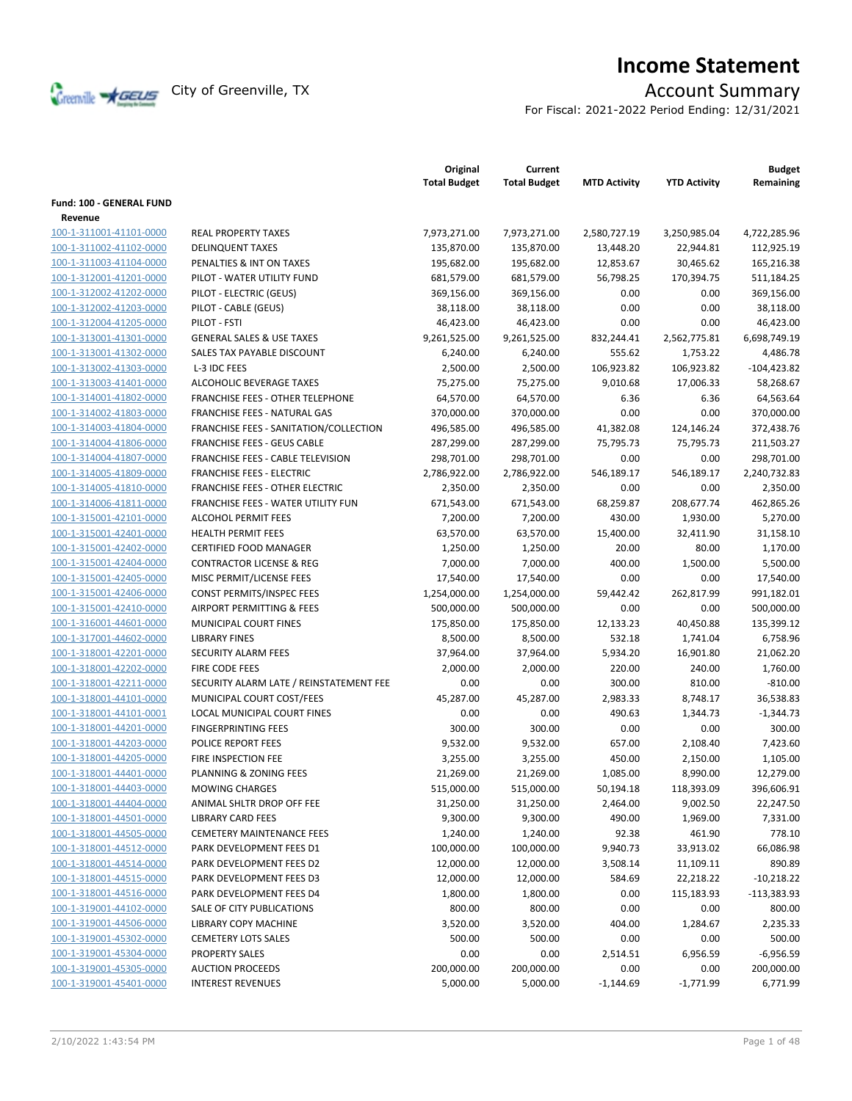

# **Income Statement**

For Fiscal: 2021-2022 Period Ending: 12/31/2021

|                                 |                                         | Original<br><b>Total Budget</b> | Current<br><b>Total Budget</b> | <b>MTD Activity</b> | <b>YTD Activity</b> | <b>Budget</b><br>Remaining |
|---------------------------------|-----------------------------------------|---------------------------------|--------------------------------|---------------------|---------------------|----------------------------|
| <b>Fund: 100 - GENERAL FUND</b> |                                         |                                 |                                |                     |                     |                            |
| Revenue                         |                                         |                                 |                                |                     |                     |                            |
| 100-1-311001-41101-0000         | <b>REAL PROPERTY TAXES</b>              | 7,973,271.00                    | 7,973,271.00                   | 2,580,727.19        | 3,250,985.04        | 4,722,285.96               |
| 100-1-311002-41102-0000         | <b>DELINQUENT TAXES</b>                 | 135,870.00                      | 135,870.00                     | 13,448.20           | 22,944.81           | 112,925.19                 |
| 100-1-311003-41104-0000         | PENALTIES & INT ON TAXES                | 195,682.00                      | 195,682.00                     | 12,853.67           | 30,465.62           | 165,216.38                 |
| 100-1-312001-41201-0000         | PILOT - WATER UTILITY FUND              | 681,579.00                      | 681,579.00                     | 56,798.25           | 170,394.75          | 511,184.25                 |
| 100-1-312002-41202-0000         | PILOT - ELECTRIC (GEUS)                 | 369,156.00                      | 369,156.00                     | 0.00                | 0.00                | 369,156.00                 |
| 100-1-312002-41203-0000         | PILOT - CABLE (GEUS)                    | 38,118.00                       | 38,118.00                      | 0.00                | 0.00                | 38,118.00                  |
| 100-1-312004-41205-0000         | PILOT - FSTI                            | 46,423.00                       | 46,423.00                      | 0.00                | 0.00                | 46,423.00                  |
| 100-1-313001-41301-0000         | <b>GENERAL SALES &amp; USE TAXES</b>    | 9,261,525.00                    | 9,261,525.00                   | 832,244.41          | 2,562,775.81        | 6,698,749.19               |
| 100-1-313001-41302-0000         | SALES TAX PAYABLE DISCOUNT              | 6,240.00                        | 6,240.00                       | 555.62              | 1,753.22            | 4,486.78                   |
| 100-1-313002-41303-0000         | L-3 IDC FEES                            | 2,500.00                        | 2,500.00                       | 106,923.82          | 106,923.82          | $-104,423.82$              |
| 100-1-313003-41401-0000         | ALCOHOLIC BEVERAGE TAXES                | 75,275.00                       | 75,275.00                      | 9,010.68            | 17,006.33           | 58,268.67                  |
| 100-1-314001-41802-0000         | FRANCHISE FEES - OTHER TELEPHONE        | 64,570.00                       | 64,570.00                      | 6.36                | 6.36                | 64,563.64                  |
| 100-1-314002-41803-0000         | FRANCHISE FEES - NATURAL GAS            | 370,000.00                      | 370,000.00                     | 0.00                | 0.00                | 370,000.00                 |
| 100-1-314003-41804-0000         | FRANCHISE FEES - SANITATION/COLLECTION  | 496,585.00                      | 496,585.00                     | 41,382.08           | 124,146.24          | 372,438.76                 |
| 100-1-314004-41806-0000         | <b>FRANCHISE FEES - GEUS CABLE</b>      | 287,299.00                      | 287,299.00                     | 75,795.73           | 75,795.73           | 211,503.27                 |
| 100-1-314004-41807-0000         | FRANCHISE FEES - CABLE TELEVISION       | 298,701.00                      | 298,701.00                     | 0.00                | 0.00                | 298,701.00                 |
| 100-1-314005-41809-0000         | <b>FRANCHISE FEES - ELECTRIC</b>        | 2,786,922.00                    | 2,786,922.00                   | 546,189.17          | 546,189.17          | 2,240,732.83               |
| 100-1-314005-41810-0000         | <b>FRANCHISE FEES - OTHER ELECTRIC</b>  | 2,350.00                        | 2,350.00                       | 0.00                | 0.00                | 2,350.00                   |
| 100-1-314006-41811-0000         | FRANCHISE FEES - WATER UTILITY FUN      | 671,543.00                      | 671,543.00                     | 68,259.87           | 208,677.74          | 462,865.26                 |
| 100-1-315001-42101-0000         | <b>ALCOHOL PERMIT FEES</b>              | 7,200.00                        | 7,200.00                       | 430.00              | 1,930.00            | 5,270.00                   |
| 100-1-315001-42401-0000         | <b>HEALTH PERMIT FEES</b>               | 63,570.00                       | 63,570.00                      | 15,400.00           | 32,411.90           | 31,158.10                  |
| 100-1-315001-42402-0000         | <b>CERTIFIED FOOD MANAGER</b>           | 1,250.00                        | 1,250.00                       | 20.00               | 80.00               | 1,170.00                   |
| 100-1-315001-42404-0000         | <b>CONTRACTOR LICENSE &amp; REG</b>     | 7,000.00                        | 7,000.00                       | 400.00              | 1,500.00            | 5,500.00                   |
| 100-1-315001-42405-0000         | MISC PERMIT/LICENSE FEES                | 17,540.00                       | 17,540.00                      | 0.00                | 0.00                | 17,540.00                  |
| 100-1-315001-42406-0000         | CONST PERMITS/INSPEC FEES               | 1,254,000.00                    | 1,254,000.00                   | 59,442.42           | 262,817.99          | 991,182.01                 |
| 100-1-315001-42410-0000         | AIRPORT PERMITTING & FEES               | 500,000.00                      | 500,000.00                     | 0.00                | 0.00                | 500,000.00                 |
| 100-1-316001-44601-0000         | MUNICIPAL COURT FINES                   | 175,850.00                      | 175,850.00                     | 12,133.23           | 40,450.88           | 135,399.12                 |
| 100-1-317001-44602-0000         | <b>LIBRARY FINES</b>                    | 8,500.00                        | 8,500.00                       | 532.18              | 1,741.04            | 6,758.96                   |
| 100-1-318001-42201-0000         | SECURITY ALARM FEES                     | 37,964.00                       | 37,964.00                      | 5,934.20            | 16,901.80           | 21,062.20                  |
| 100-1-318001-42202-0000         | FIRE CODE FEES                          | 2,000.00                        | 2,000.00                       | 220.00              | 240.00              | 1,760.00                   |
| 100-1-318001-42211-0000         | SECURITY ALARM LATE / REINSTATEMENT FEE | 0.00                            | 0.00                           | 300.00              | 810.00              | $-810.00$                  |
| 100-1-318001-44101-0000         | MUNICIPAL COURT COST/FEES               | 45,287.00                       | 45,287.00                      | 2,983.33            | 8,748.17            | 36,538.83                  |
| 100-1-318001-44101-0001         | <b>LOCAL MUNICIPAL COURT FINES</b>      | 0.00                            | 0.00                           | 490.63              | 1,344.73            | $-1,344.73$                |
| 100-1-318001-44201-0000         | <b>FINGERPRINTING FEES</b>              | 300.00                          | 300.00                         | 0.00                | 0.00                | 300.00                     |
| 100-1-318001-44203-0000         | POLICE REPORT FEES                      | 9,532.00                        | 9,532.00                       | 657.00              | 2,108.40            | 7,423.60                   |
| 100-1-318001-44205-0000         | FIRE INSPECTION FEE                     | 3,255.00                        | 3,255.00                       | 450.00              | 2,150.00            | 1,105.00                   |
| 100-1-318001-44401-0000         | PLANNING & ZONING FEES                  | 21,269.00                       | 21,269.00                      | 1,085.00            | 8,990.00            | 12,279.00                  |
| 100-1-318001-44403-0000         | <b>MOWING CHARGES</b>                   | 515,000.00                      | 515,000.00                     | 50,194.18           | 118,393.09          | 396,606.91                 |
| 100-1-318001-44404-0000         | ANIMAL SHLTR DROP OFF FEE               | 31,250.00                       | 31,250.00                      | 2,464.00            | 9,002.50            | 22,247.50                  |
| 100-1-318001-44501-0000         | <b>LIBRARY CARD FEES</b>                | 9,300.00                        | 9,300.00                       | 490.00              | 1,969.00            | 7,331.00                   |
| 100-1-318001-44505-0000         | <b>CEMETERY MAINTENANCE FEES</b>        | 1,240.00                        |                                | 92.38               | 461.90              | 778.10                     |
| 100-1-318001-44512-0000         | PARK DEVELOPMENT FEES D1                | 100,000.00                      | 1,240.00<br>100,000.00         | 9,940.73            | 33,913.02           | 66,086.98                  |
| 100-1-318001-44514-0000         | PARK DEVELOPMENT FEES D2                |                                 |                                |                     |                     | 890.89                     |
|                                 | PARK DEVELOPMENT FEES D3                | 12,000.00                       | 12,000.00                      | 3,508.14            | 11,109.11           | $-10,218.22$               |
| 100-1-318001-44515-0000         |                                         | 12,000.00                       | 12,000.00                      | 584.69              | 22,218.22           |                            |
| 100-1-318001-44516-0000         | PARK DEVELOPMENT FEES D4                | 1,800.00                        | 1,800.00                       | 0.00                | 115,183.93          | $-113,383.93$              |
| 100-1-319001-44102-0000         | SALE OF CITY PUBLICATIONS               | 800.00                          | 800.00                         | 0.00                | 0.00                | 800.00                     |
| 100-1-319001-44506-0000         | <b>LIBRARY COPY MACHINE</b>             | 3,520.00                        | 3,520.00                       | 404.00              | 1,284.67            | 2,235.33                   |
| 100-1-319001-45302-0000         | <b>CEMETERY LOTS SALES</b>              | 500.00                          | 500.00                         | 0.00                | 0.00                | 500.00                     |
| 100-1-319001-45304-0000         | PROPERTY SALES                          | 0.00                            | 0.00                           | 2,514.51            | 6,956.59            | $-6,956.59$                |
| 100-1-319001-45305-0000         | <b>AUCTION PROCEEDS</b>                 | 200,000.00                      | 200,000.00                     | 0.00                | 0.00                | 200,000.00                 |
| 100-1-319001-45401-0000         | <b>INTEREST REVENUES</b>                | 5,000.00                        | 5,000.00                       | $-1,144.69$         | $-1,771.99$         | 6,771.99                   |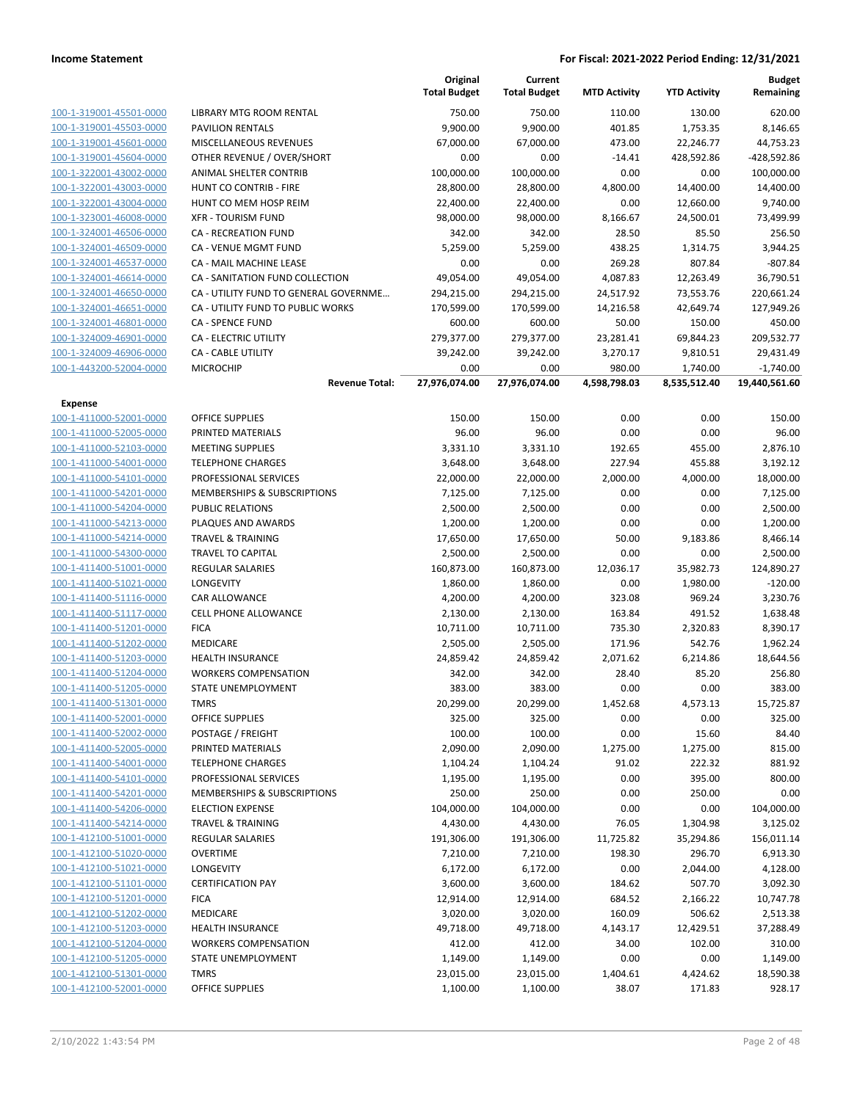|                                                    |                                                          | Original<br><b>Total Budget</b> | Current<br><b>Total Budget</b> | <b>MTD Activity</b> | <b>YTD Activity</b> | Budget<br>Remaining    |
|----------------------------------------------------|----------------------------------------------------------|---------------------------------|--------------------------------|---------------------|---------------------|------------------------|
| 100-1-319001-45501-0000                            | LIBRARY MTG ROOM RENTAL                                  | 750.00                          | 750.00                         | 110.00              | 130.00              | 620.00                 |
| 100-1-319001-45503-0000                            | <b>PAVILION RENTALS</b>                                  | 9,900.00                        | 9,900.00                       | 401.85              | 1,753.35            | 8,146.65               |
| 100-1-319001-45601-0000                            | MISCELLANEOUS REVENUES                                   | 67,000.00                       | 67,000.00                      | 473.00              | 22,246.77           | 44,753.23              |
| 100-1-319001-45604-0000                            | OTHER REVENUE / OVER/SHORT                               | 0.00                            | 0.00                           | $-14.41$            | 428,592.86          | -428,592.86            |
| 100-1-322001-43002-0000                            | ANIMAL SHELTER CONTRIB                                   | 100,000.00                      | 100,000.00                     | 0.00                | 0.00                | 100,000.00             |
| 100-1-322001-43003-0000                            | HUNT CO CONTRIB - FIRE                                   | 28,800.00                       | 28,800.00                      | 4,800.00            | 14,400.00           | 14,400.00              |
| 100-1-322001-43004-0000                            | HUNT CO MEM HOSP REIM                                    | 22,400.00                       | 22,400.00                      | 0.00                | 12,660.00           | 9,740.00               |
| 100-1-323001-46008-0000                            | <b>XFR - TOURISM FUND</b>                                | 98,000.00                       | 98,000.00                      | 8,166.67            | 24,500.01           | 73,499.99              |
| 100-1-324001-46506-0000                            | CA - RECREATION FUND                                     | 342.00                          | 342.00                         | 28.50               | 85.50               | 256.50                 |
| 100-1-324001-46509-0000                            | CA - VENUE MGMT FUND                                     | 5,259.00                        | 5,259.00                       | 438.25              | 1,314.75            | 3,944.25               |
| 100-1-324001-46537-0000                            | CA - MAIL MACHINE LEASE                                  | 0.00                            | 0.00                           | 269.28              | 807.84              | $-807.84$              |
| 100-1-324001-46614-0000                            | CA - SANITATION FUND COLLECTION                          | 49,054.00                       | 49,054.00                      | 4,087.83            | 12,263.49           | 36,790.51              |
| 100-1-324001-46650-0000                            | CA - UTILITY FUND TO GENERAL GOVERNME                    | 294,215.00                      | 294,215.00                     | 24,517.92           | 73,553.76           | 220,661.24             |
| 100-1-324001-46651-0000                            | CA - UTILITY FUND TO PUBLIC WORKS                        | 170,599.00                      | 170,599.00                     | 14,216.58           | 42,649.74           | 127,949.26             |
| 100-1-324001-46801-0000                            | <b>CA - SPENCE FUND</b>                                  | 600.00                          | 600.00                         | 50.00               | 150.00              | 450.00                 |
| 100-1-324009-46901-0000                            | CA - ELECTRIC UTILITY                                    | 279,377.00                      | 279,377.00                     | 23,281.41           | 69,844.23           | 209,532.77             |
| 100-1-324009-46906-0000                            | <b>CA - CABLE UTILITY</b>                                | 39,242.00                       | 39,242.00                      | 3,270.17            | 9,810.51            | 29,431.49              |
| 100-1-443200-52004-0000                            | <b>MICROCHIP</b>                                         | 0.00                            | 0.00                           | 980.00              | 1,740.00            | $-1,740.00$            |
|                                                    | <b>Revenue Total:</b>                                    | 27,976,074.00                   | 27,976,074.00                  | 4,598,798.03        | 8,535,512.40        | 19,440,561.60          |
| Expense                                            |                                                          |                                 |                                |                     |                     |                        |
| 100-1-411000-52001-0000                            | <b>OFFICE SUPPLIES</b>                                   | 150.00                          | 150.00                         | 0.00                | 0.00                | 150.00                 |
| 100-1-411000-52005-0000                            | PRINTED MATERIALS                                        | 96.00                           | 96.00                          | 0.00                | 0.00                | 96.00                  |
| 100-1-411000-52103-0000                            | <b>MEETING SUPPLIES</b>                                  | 3,331.10                        | 3,331.10                       | 192.65              | 455.00              | 2,876.10               |
| 100-1-411000-54001-0000                            | <b>TELEPHONE CHARGES</b>                                 | 3,648.00                        | 3,648.00                       | 227.94              | 455.88              | 3,192.12               |
| 100-1-411000-54101-0000                            | PROFESSIONAL SERVICES                                    | 22,000.00                       | 22,000.00                      | 2,000.00            | 4,000.00            | 18,000.00              |
| 100-1-411000-54201-0000                            | <b>MEMBERSHIPS &amp; SUBSCRIPTIONS</b>                   | 7,125.00                        | 7,125.00                       | 0.00                | 0.00                | 7,125.00               |
| 100-1-411000-54204-0000                            | PUBLIC RELATIONS                                         | 2,500.00                        | 2,500.00                       | 0.00                | 0.00                | 2,500.00               |
| 100-1-411000-54213-0000                            | PLAQUES AND AWARDS                                       | 1,200.00                        | 1,200.00                       | 0.00                | 0.00                | 1,200.00               |
| 100-1-411000-54214-0000<br>100-1-411000-54300-0000 | <b>TRAVEL &amp; TRAINING</b><br><b>TRAVEL TO CAPITAL</b> | 17,650.00                       | 17,650.00                      | 50.00<br>0.00       | 9,183.86<br>0.00    | 8,466.14               |
| 100-1-411400-51001-0000                            | <b>REGULAR SALARIES</b>                                  | 2,500.00<br>160,873.00          | 2,500.00<br>160,873.00         | 12,036.17           | 35,982.73           | 2,500.00<br>124,890.27 |
| 100-1-411400-51021-0000                            | LONGEVITY                                                | 1,860.00                        | 1,860.00                       | 0.00                | 1,980.00            | $-120.00$              |
| 100-1-411400-51116-0000                            | CAR ALLOWANCE                                            | 4,200.00                        | 4,200.00                       | 323.08              | 969.24              | 3,230.76               |
| 100-1-411400-51117-0000                            | CELL PHONE ALLOWANCE                                     | 2,130.00                        | 2,130.00                       | 163.84              | 491.52              | 1,638.48               |
| 100-1-411400-51201-0000                            | <b>FICA</b>                                              | 10,711.00                       | 10,711.00                      | 735.30              | 2,320.83            | 8,390.17               |
| 100-1-411400-51202-0000                            | MEDICARE                                                 | 2,505.00                        | 2,505.00                       | 171.96              | 542.76              | 1,962.24               |
| 100-1-411400-51203-0000                            | HEALTH INSURANCE                                         | 24,859.42                       | 24,859.42                      | 2,071.62            | 6,214.86            | 18,644.56              |
| 100-1-411400-51204-0000                            | <b>WORKERS COMPENSATION</b>                              | 342.00                          | 342.00                         | 28.40               | 85.20               | 256.80                 |
| 100-1-411400-51205-0000                            | STATE UNEMPLOYMENT                                       | 383.00                          | 383.00                         | 0.00                | 0.00                | 383.00                 |
| 100-1-411400-51301-0000                            | <b>TMRS</b>                                              | 20,299.00                       | 20,299.00                      | 1,452.68            | 4,573.13            | 15,725.87              |
| 100-1-411400-52001-0000                            | OFFICE SUPPLIES                                          | 325.00                          | 325.00                         | 0.00                | 0.00                | 325.00                 |
| 100-1-411400-52002-0000                            | POSTAGE / FREIGHT                                        | 100.00                          | 100.00                         | 0.00                | 15.60               | 84.40                  |
| 100-1-411400-52005-0000                            | PRINTED MATERIALS                                        | 2,090.00                        | 2,090.00                       | 1,275.00            | 1,275.00            | 815.00                 |
| 100-1-411400-54001-0000                            | <b>TELEPHONE CHARGES</b>                                 | 1,104.24                        | 1,104.24                       | 91.02               | 222.32              | 881.92                 |
| 100-1-411400-54101-0000                            | PROFESSIONAL SERVICES                                    | 1,195.00                        | 1,195.00                       | 0.00                | 395.00              | 800.00                 |
| 100-1-411400-54201-0000                            | <b>MEMBERSHIPS &amp; SUBSCRIPTIONS</b>                   | 250.00                          | 250.00                         | 0.00                | 250.00              | 0.00                   |
| 100-1-411400-54206-0000                            | <b>ELECTION EXPENSE</b>                                  | 104,000.00                      | 104,000.00                     | 0.00                | 0.00                | 104,000.00             |
| 100-1-411400-54214-0000                            | <b>TRAVEL &amp; TRAINING</b>                             | 4,430.00                        | 4,430.00                       | 76.05               | 1,304.98            | 3,125.02               |
| 100-1-412100-51001-0000                            | <b>REGULAR SALARIES</b>                                  | 191,306.00                      | 191,306.00                     | 11,725.82           | 35,294.86           | 156,011.14             |
| 100-1-412100-51020-0000                            | <b>OVERTIME</b>                                          | 7,210.00                        | 7,210.00                       | 198.30              | 296.70              | 6,913.30               |
| 100-1-412100-51021-0000                            | LONGEVITY                                                | 6,172.00                        | 6,172.00                       | 0.00                | 2,044.00            | 4,128.00               |
| 100-1-412100-51101-0000                            | <b>CERTIFICATION PAY</b>                                 | 3,600.00                        | 3,600.00                       | 184.62              | 507.70              | 3,092.30               |
| 100-1-412100-51201-0000                            | <b>FICA</b>                                              | 12,914.00                       | 12,914.00                      | 684.52              | 2,166.22            | 10,747.78              |
| 100-1-412100-51202-0000                            | MEDICARE                                                 | 3,020.00                        | 3,020.00                       | 160.09              | 506.62              | 2,513.38               |
| 100-1-412100-51203-0000                            | <b>HEALTH INSURANCE</b>                                  | 49,718.00                       | 49,718.00                      | 4,143.17            | 12,429.51           | 37,288.49              |
| 100-1-412100-51204-0000                            | <b>WORKERS COMPENSATION</b>                              | 412.00                          | 412.00                         | 34.00               | 102.00              | 310.00                 |
| 100-1-412100-51205-0000                            | STATE UNEMPLOYMENT                                       | 1,149.00                        | 1,149.00                       | 0.00                | 0.00                | 1,149.00               |
| 100-1-412100-51301-0000                            | <b>TMRS</b>                                              | 23,015.00                       | 23,015.00                      | 1,404.61            | 4,424.62            | 18,590.38              |
| 100-1-412100-52001-0000                            | OFFICE SUPPLIES                                          | 1,100.00                        | 1,100.00                       | 38.07               | 171.83              | 928.17                 |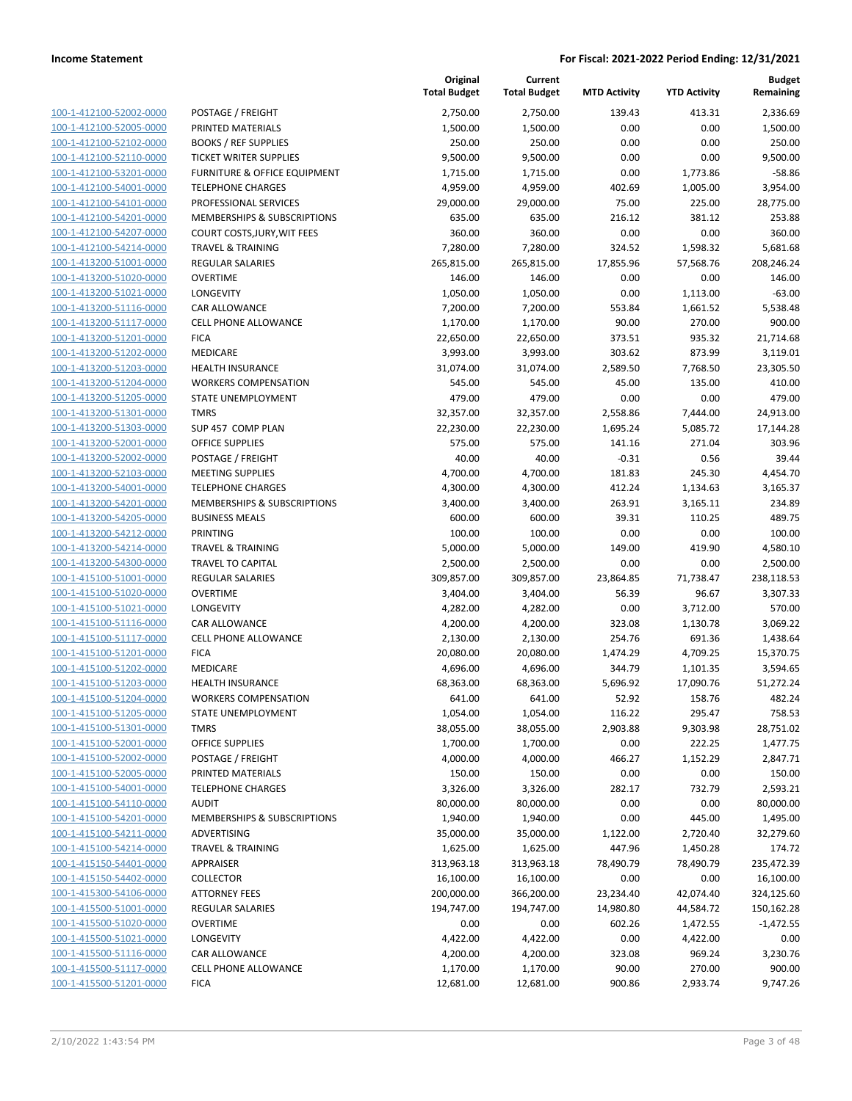|                                                    |                                                          | Original<br><b>Total Budget</b> | Current<br><b>Total Budget</b> | <b>MTD Activity</b> | <b>YTD Activity</b> | <b>Budget</b><br>Remaining |
|----------------------------------------------------|----------------------------------------------------------|---------------------------------|--------------------------------|---------------------|---------------------|----------------------------|
| 100-1-412100-52002-0000                            | POSTAGE / FREIGHT                                        | 2,750.00                        | 2,750.00                       | 139.43              | 413.31              | 2,336.69                   |
| 100-1-412100-52005-0000                            | PRINTED MATERIALS                                        | 1,500.00                        | 1,500.00                       | 0.00                | 0.00                | 1,500.00                   |
| 100-1-412100-52102-0000                            | <b>BOOKS / REF SUPPLIES</b>                              | 250.00                          | 250.00                         | 0.00                | 0.00                | 250.00                     |
| 100-1-412100-52110-0000                            | <b>TICKET WRITER SUPPLIES</b>                            | 9,500.00                        | 9,500.00                       | 0.00                | 0.00                | 9,500.00                   |
| 100-1-412100-53201-0000                            | <b>FURNITURE &amp; OFFICE EQUIPMENT</b>                  | 1,715.00                        | 1,715.00                       | 0.00                | 1,773.86            | $-58.86$                   |
| 100-1-412100-54001-0000                            | <b>TELEPHONE CHARGES</b>                                 | 4,959.00                        | 4,959.00                       | 402.69              | 1,005.00            | 3,954.00                   |
| 100-1-412100-54101-0000                            | PROFESSIONAL SERVICES                                    | 29,000.00                       | 29,000.00                      | 75.00               | 225.00              | 28,775.00                  |
| 100-1-412100-54201-0000                            | MEMBERSHIPS & SUBSCRIPTIONS                              | 635.00                          | 635.00                         | 216.12              | 381.12              | 253.88                     |
| 100-1-412100-54207-0000                            | COURT COSTS, JURY, WIT FEES                              | 360.00                          | 360.00                         | 0.00                | 0.00                | 360.00                     |
| 100-1-412100-54214-0000                            | <b>TRAVEL &amp; TRAINING</b>                             | 7,280.00                        | 7,280.00                       | 324.52              | 1,598.32            | 5,681.68                   |
| 100-1-413200-51001-0000                            | REGULAR SALARIES                                         | 265,815.00                      | 265,815.00                     | 17,855.96           | 57,568.76           | 208,246.24                 |
| 100-1-413200-51020-0000                            | <b>OVERTIME</b>                                          | 146.00                          | 146.00                         | 0.00                | 0.00                | 146.00                     |
| 100-1-413200-51021-0000                            | LONGEVITY                                                | 1,050.00                        | 1,050.00                       | 0.00                | 1,113.00            | $-63.00$                   |
| 100-1-413200-51116-0000                            | CAR ALLOWANCE                                            | 7,200.00                        | 7,200.00                       | 553.84              | 1,661.52            | 5,538.48                   |
| 100-1-413200-51117-0000                            | CELL PHONE ALLOWANCE                                     | 1,170.00                        | 1,170.00                       | 90.00               | 270.00              | 900.00                     |
| 100-1-413200-51201-0000                            | <b>FICA</b>                                              | 22,650.00                       | 22,650.00                      | 373.51              | 935.32              | 21,714.68                  |
| 100-1-413200-51202-0000                            | <b>MEDICARE</b>                                          | 3,993.00                        | 3,993.00                       | 303.62              | 873.99              | 3,119.01                   |
| 100-1-413200-51203-0000                            | <b>HEALTH INSURANCE</b>                                  | 31,074.00                       | 31,074.00                      | 2,589.50            | 7,768.50            | 23,305.50                  |
| 100-1-413200-51204-0000                            | <b>WORKERS COMPENSATION</b>                              | 545.00                          | 545.00                         | 45.00               | 135.00              | 410.00                     |
| 100-1-413200-51205-0000                            | STATE UNEMPLOYMENT                                       | 479.00                          | 479.00                         | 0.00                | 0.00                | 479.00                     |
| 100-1-413200-51301-0000                            | <b>TMRS</b>                                              | 32,357.00                       | 32,357.00                      | 2,558.86            | 7,444.00            | 24,913.00                  |
| 100-1-413200-51303-0000                            | SUP 457 COMP PLAN                                        | 22,230.00                       | 22,230.00                      | 1,695.24            | 5,085.72            | 17,144.28                  |
| 100-1-413200-52001-0000                            | <b>OFFICE SUPPLIES</b>                                   | 575.00                          | 575.00                         | 141.16              | 271.04              | 303.96                     |
| 100-1-413200-52002-0000                            | POSTAGE / FREIGHT                                        | 40.00                           | 40.00                          | $-0.31$             | 0.56                | 39.44                      |
| 100-1-413200-52103-0000                            | <b>MEETING SUPPLIES</b>                                  | 4,700.00                        | 4,700.00                       | 181.83              | 245.30              | 4,454.70                   |
| 100-1-413200-54001-0000                            | <b>TELEPHONE CHARGES</b>                                 | 4,300.00                        | 4,300.00                       | 412.24              | 1,134.63            | 3,165.37                   |
| 100-1-413200-54201-0000                            | MEMBERSHIPS & SUBSCRIPTIONS                              | 3,400.00                        | 3,400.00                       | 263.91              | 3,165.11            | 234.89                     |
| 100-1-413200-54205-0000                            | <b>BUSINESS MEALS</b>                                    | 600.00                          | 600.00                         | 39.31               | 110.25              | 489.75                     |
| 100-1-413200-54212-0000                            | <b>PRINTING</b>                                          | 100.00                          | 100.00                         | 0.00                | 0.00                | 100.00                     |
| 100-1-413200-54214-0000                            | <b>TRAVEL &amp; TRAINING</b>                             | 5,000.00                        | 5,000.00                       | 149.00              | 419.90              | 4,580.10                   |
| 100-1-413200-54300-0000                            | <b>TRAVEL TO CAPITAL</b>                                 | 2,500.00                        | 2,500.00                       | 0.00                | 0.00                | 2,500.00                   |
| 100-1-415100-51001-0000                            | <b>REGULAR SALARIES</b>                                  | 309,857.00                      | 309,857.00                     | 23,864.85           | 71,738.47           | 238,118.53                 |
| 100-1-415100-51020-0000                            | <b>OVERTIME</b>                                          | 3,404.00                        | 3,404.00                       | 56.39               | 96.67               | 3,307.33                   |
| 100-1-415100-51021-0000                            | <b>LONGEVITY</b>                                         | 4,282.00                        | 4,282.00                       | 0.00                | 3,712.00            | 570.00                     |
| 100-1-415100-51116-0000                            | <b>CAR ALLOWANCE</b>                                     | 4,200.00                        | 4,200.00                       | 323.08              | 1,130.78            | 3,069.22                   |
| 100-1-415100-51117-0000                            | <b>CELL PHONE ALLOWANCE</b>                              | 2,130.00                        | 2,130.00                       | 254.76              | 691.36              | 1,438.64                   |
| 100-1-415100-51201-0000                            | <b>FICA</b>                                              | 20,080.00                       | 20,080.00                      | 1,474.29            | 4,709.25            | 15,370.75                  |
| 100-1-415100-51202-0000                            | MEDICARE                                                 | 4,696.00                        | 4,696.00                       | 344.79              | 1,101.35            | 3,594.65                   |
| 100-1-415100-51203-0000                            | <b>HEALTH INSURANCE</b>                                  | 68,363.00                       | 68,363.00                      | 5,696.92            | 17,090.76           | 51,272.24                  |
| 100-1-415100-51204-0000                            | <b>WORKERS COMPENSATION</b><br><b>STATE UNEMPLOYMENT</b> | 641.00                          | 641.00                         | 52.92               | 158.76              | 482.24                     |
| 100-1-415100-51205-0000<br>100-1-415100-51301-0000 | <b>TMRS</b>                                              | 1,054.00<br>38,055.00           | 1,054.00<br>38,055.00          | 116.22<br>2,903.88  | 295.47<br>9,303.98  | 758.53<br>28,751.02        |
| 100-1-415100-52001-0000                            | <b>OFFICE SUPPLIES</b>                                   | 1,700.00                        | 1,700.00                       | 0.00                | 222.25              | 1,477.75                   |
| 100-1-415100-52002-0000                            | POSTAGE / FREIGHT                                        | 4,000.00                        | 4,000.00                       | 466.27              | 1,152.29            | 2,847.71                   |
| 100-1-415100-52005-0000                            | PRINTED MATERIALS                                        | 150.00                          | 150.00                         | 0.00                | 0.00                | 150.00                     |
| 100-1-415100-54001-0000                            | <b>TELEPHONE CHARGES</b>                                 | 3,326.00                        | 3,326.00                       | 282.17              | 732.79              | 2,593.21                   |
| 100-1-415100-54110-0000                            | <b>AUDIT</b>                                             | 80,000.00                       | 80,000.00                      | 0.00                | 0.00                | 80,000.00                  |
| 100-1-415100-54201-0000                            | MEMBERSHIPS & SUBSCRIPTIONS                              | 1,940.00                        | 1,940.00                       | 0.00                | 445.00              | 1,495.00                   |
| 100-1-415100-54211-0000                            | ADVERTISING                                              | 35,000.00                       | 35,000.00                      | 1,122.00            | 2,720.40            | 32,279.60                  |
| 100-1-415100-54214-0000                            | <b>TRAVEL &amp; TRAINING</b>                             | 1,625.00                        | 1,625.00                       | 447.96              | 1,450.28            | 174.72                     |
| 100-1-415150-54401-0000                            | APPRAISER                                                | 313,963.18                      | 313,963.18                     | 78,490.79           | 78,490.79           | 235,472.39                 |
| 100-1-415150-54402-0000                            | <b>COLLECTOR</b>                                         | 16,100.00                       | 16,100.00                      | 0.00                | 0.00                | 16,100.00                  |
| 100-1-415300-54106-0000                            | <b>ATTORNEY FEES</b>                                     | 200,000.00                      | 366,200.00                     | 23,234.40           | 42,074.40           | 324,125.60                 |
| 100-1-415500-51001-0000                            | <b>REGULAR SALARIES</b>                                  | 194,747.00                      | 194,747.00                     | 14,980.80           | 44,584.72           | 150,162.28                 |
| 100-1-415500-51020-0000                            | <b>OVERTIME</b>                                          | 0.00                            | 0.00                           | 602.26              | 1,472.55            | $-1,472.55$                |
| 100-1-415500-51021-0000                            | LONGEVITY                                                | 4,422.00                        | 4,422.00                       | 0.00                | 4,422.00            | 0.00                       |
| 100-1-415500-51116-0000                            | CAR ALLOWANCE                                            | 4,200.00                        | 4,200.00                       | 323.08              | 969.24              | 3,230.76                   |
| 100-1-415500-51117-0000                            | <b>CELL PHONE ALLOWANCE</b>                              | 1,170.00                        | 1,170.00                       | 90.00               | 270.00              | 900.00                     |
| 100-1-415500-51201-0000                            | <b>FICA</b>                                              | 12,681.00                       | 12,681.00                      | 900.86              | 2,933.74            | 9,747.26                   |
|                                                    |                                                          |                                 |                                |                     |                     |                            |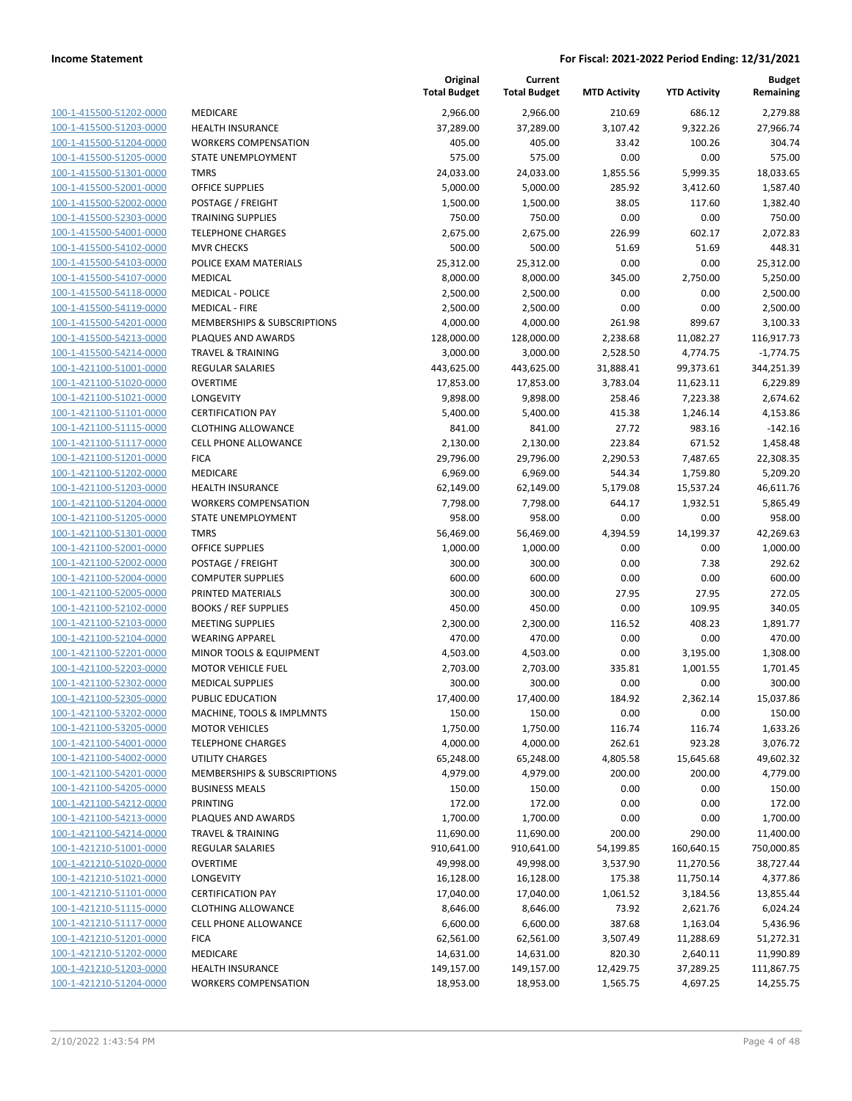| 100-1-415500-51202-0000        |
|--------------------------------|
| 100-1-415500-51203-0000        |
| 100-1-415500-51204-0000        |
| 100-1-415500-51205-0000        |
| 100-1-415500-51301-0000        |
| 100-1-415500-52001-0000        |
| 100-1-415500-52002-0000        |
| 100-1-415500-52303-0000        |
| 100-1-415500-54001-0000        |
| 100-1-415500-54102-0000        |
| 100-1-415500-54103-0000        |
| 100-1-415500-54107-0000        |
| 100-1-415500-54118-0000        |
| 100-1-415500-54119-0000        |
| 100-1-415500-54201-0000        |
| 100-1-415500-54213-0000        |
| 100-1-415500-54214-0000        |
|                                |
| 100-1-421100-51001-0000        |
| 100-1-421100-51020-0000        |
| 100-1-421100-51021-0000        |
| 100-1-421100-51101-0000        |
| 100-1-421100-51115-0000        |
| 100-1-421100-51117-0000        |
| 100-1-421100-51201-0000        |
| 100-1-421100-51202-0000        |
| 100-1-421100-51203-0000        |
| 100-1-421100-51204-0000        |
| 100-1-421100-51205-0000        |
| 100-1-421100-51301-0000        |
| 100-1-421100-52001-0000        |
| 100-1-421100-52002-0000        |
| 100-1-421100-52004-0000        |
| 100-1-421100-52005-0000        |
| 100-1-421100-52102-0000        |
| 100-1-421100-52103-0000        |
| 100-1-421100-52104-0000        |
| 100-1-421100-52201-0000        |
| 100-1-421100-52203-0000        |
| 100-1-421100-52302-0000        |
| 100-1-421100-52305-0000        |
| 100-1-421100-53202-0000        |
|                                |
| <u>100-1-421100-53205-0000</u> |
| <u>100-1-421100-54001-0000</u> |
| 100-1-421100-54002-0000        |
| 100-1-421100-54201-0000        |
| 100-1-421100-54205-0000        |
| 100-1-421100-54212-0000        |
| <u>100-1-421100-54213-0000</u> |
| 100-1-421100-54214-0000        |
| <u>100-1-421210-51001-0000</u> |
| 100-1-421210-51020-0000        |
| 100-1-421210-51021-0000        |
| 100-1-421210-51101-0000        |
| <u>100-1-421210-51115-0000</u> |
| 100-1-421210-51117-0000        |
| <u>100-1-421210-51201-0000</u> |
| 100-1-421210-51202-0000        |
| <u>100-1-421210-51203-0000</u> |
| 100-1-421210-51204-0000        |
|                                |

|                                                    |                                                         | Original<br><b>Total Budget</b> | Current<br><b>Total Budget</b> | <b>MTD Activity</b>   | <b>YTD Activity</b>    | <b>Budget</b><br>Remaining |
|----------------------------------------------------|---------------------------------------------------------|---------------------------------|--------------------------------|-----------------------|------------------------|----------------------------|
| 100-1-415500-51202-0000                            | MEDICARE                                                | 2,966.00                        | 2,966.00                       | 210.69                | 686.12                 | 2,279.88                   |
| 100-1-415500-51203-0000                            | <b>HEALTH INSURANCE</b>                                 | 37,289.00                       | 37,289.00                      | 3,107.42              | 9,322.26               | 27,966.74                  |
| 100-1-415500-51204-0000                            | <b>WORKERS COMPENSATION</b>                             | 405.00                          | 405.00                         | 33.42                 | 100.26                 | 304.74                     |
| 100-1-415500-51205-0000                            | STATE UNEMPLOYMENT                                      | 575.00                          | 575.00                         | 0.00                  | 0.00                   | 575.00                     |
| 100-1-415500-51301-0000                            | <b>TMRS</b>                                             | 24,033.00                       | 24,033.00                      | 1,855.56              | 5,999.35               | 18,033.65                  |
| 100-1-415500-52001-0000                            | <b>OFFICE SUPPLIES</b>                                  | 5,000.00                        | 5,000.00                       | 285.92                | 3,412.60               | 1,587.40                   |
| 100-1-415500-52002-0000                            | POSTAGE / FREIGHT                                       | 1,500.00                        | 1,500.00                       | 38.05                 | 117.60                 | 1,382.40                   |
| 100-1-415500-52303-0000                            | <b>TRAINING SUPPLIES</b>                                | 750.00                          | 750.00                         | 0.00                  | 0.00                   | 750.00                     |
| 100-1-415500-54001-0000                            | <b>TELEPHONE CHARGES</b>                                | 2,675.00                        | 2,675.00                       | 226.99                | 602.17                 | 2,072.83                   |
| 100-1-415500-54102-0000                            | <b>MVR CHECKS</b>                                       | 500.00                          | 500.00                         | 51.69                 | 51.69                  | 448.31                     |
| 100-1-415500-54103-0000                            | POLICE EXAM MATERIALS                                   | 25,312.00                       | 25,312.00                      | 0.00                  | 0.00                   | 25,312.00                  |
| 100-1-415500-54107-0000                            | <b>MEDICAL</b>                                          | 8,000.00                        | 8,000.00                       | 345.00                | 2,750.00               | 5,250.00                   |
| 100-1-415500-54118-0000                            | <b>MEDICAL - POLICE</b>                                 | 2,500.00                        | 2,500.00                       | 0.00                  | 0.00                   | 2,500.00                   |
| 100-1-415500-54119-0000                            | <b>MEDICAL - FIRE</b>                                   | 2,500.00                        | 2,500.00                       | 0.00                  | 0.00                   | 2,500.00                   |
| 100-1-415500-54201-0000                            | MEMBERSHIPS & SUBSCRIPTIONS                             | 4,000.00                        | 4,000.00                       | 261.98                | 899.67                 | 3,100.33                   |
| 100-1-415500-54213-0000                            | PLAQUES AND AWARDS                                      | 128,000.00                      | 128,000.00                     | 2,238.68              | 11,082.27              | 116,917.73                 |
| 100-1-415500-54214-0000<br>100-1-421100-51001-0000 | <b>TRAVEL &amp; TRAINING</b><br><b>REGULAR SALARIES</b> | 3,000.00<br>443,625.00          | 3,000.00<br>443,625.00         | 2,528.50<br>31,888.41 | 4,774.75<br>99,373.61  | $-1,774.75$<br>344,251.39  |
| 100-1-421100-51020-0000                            | <b>OVERTIME</b>                                         | 17,853.00                       | 17,853.00                      | 3,783.04              | 11,623.11              | 6,229.89                   |
| 100-1-421100-51021-0000                            | LONGEVITY                                               | 9,898.00                        | 9,898.00                       | 258.46                | 7,223.38               | 2,674.62                   |
| 100-1-421100-51101-0000                            | <b>CERTIFICATION PAY</b>                                | 5,400.00                        | 5,400.00                       | 415.38                | 1,246.14               | 4,153.86                   |
| 100-1-421100-51115-0000                            | <b>CLOTHING ALLOWANCE</b>                               | 841.00                          | 841.00                         | 27.72                 | 983.16                 | $-142.16$                  |
| 100-1-421100-51117-0000                            | <b>CELL PHONE ALLOWANCE</b>                             | 2,130.00                        | 2,130.00                       | 223.84                | 671.52                 | 1,458.48                   |
| 100-1-421100-51201-0000                            | <b>FICA</b>                                             | 29,796.00                       | 29,796.00                      | 2,290.53              | 7,487.65               | 22,308.35                  |
| 100-1-421100-51202-0000                            | MEDICARE                                                | 6,969.00                        | 6,969.00                       | 544.34                | 1,759.80               | 5,209.20                   |
| 100-1-421100-51203-0000                            | <b>HEALTH INSURANCE</b>                                 | 62,149.00                       | 62,149.00                      | 5,179.08              | 15,537.24              | 46,611.76                  |
| 100-1-421100-51204-0000                            | <b>WORKERS COMPENSATION</b>                             | 7,798.00                        | 7,798.00                       | 644.17                | 1,932.51               | 5,865.49                   |
| 100-1-421100-51205-0000                            | STATE UNEMPLOYMENT                                      | 958.00                          | 958.00                         | 0.00                  | 0.00                   | 958.00                     |
| 100-1-421100-51301-0000                            | <b>TMRS</b>                                             | 56,469.00                       | 56,469.00                      | 4,394.59              | 14,199.37              | 42,269.63                  |
| 100-1-421100-52001-0000                            | <b>OFFICE SUPPLIES</b>                                  | 1,000.00                        | 1,000.00                       | 0.00                  | 0.00                   | 1,000.00                   |
| 100-1-421100-52002-0000                            | POSTAGE / FREIGHT                                       | 300.00                          | 300.00                         | 0.00                  | 7.38                   | 292.62                     |
| 100-1-421100-52004-0000                            | <b>COMPUTER SUPPLIES</b>                                | 600.00                          | 600.00                         | 0.00                  | 0.00                   | 600.00                     |
| 100-1-421100-52005-0000                            | PRINTED MATERIALS                                       | 300.00                          | 300.00                         | 27.95                 | 27.95                  | 272.05                     |
| 100-1-421100-52102-0000                            | <b>BOOKS / REF SUPPLIES</b>                             | 450.00                          | 450.00                         | 0.00                  | 109.95                 | 340.05                     |
| 100-1-421100-52103-0000                            | <b>MEETING SUPPLIES</b>                                 | 2,300.00                        | 2,300.00                       | 116.52                | 408.23                 | 1,891.77                   |
| 100-1-421100-52104-0000                            | <b>WEARING APPAREL</b>                                  | 470.00                          | 470.00                         | 0.00                  | 0.00                   | 470.00                     |
| 100-1-421100-52201-0000                            | MINOR TOOLS & EQUIPMENT                                 | 4,503.00                        | 4,503.00                       | 0.00                  | 3,195.00               | 1,308.00                   |
| 100-1-421100-52203-0000                            | <b>MOTOR VEHICLE FUEL</b>                               | 2,703.00                        | 2,703.00                       | 335.81                | 1,001.55               | 1,701.45                   |
| 100-1-421100-52302-0000                            | <b>MEDICAL SUPPLIES</b>                                 | 300.00                          | 300.00                         | 0.00                  | 0.00                   | 300.00                     |
| 100-1-421100-52305-0000                            | PUBLIC EDUCATION                                        | 17,400.00                       | 17,400.00                      | 184.92                | 2,362.14               | 15,037.86                  |
| 100-1-421100-53202-0000                            | MACHINE, TOOLS & IMPLMNTS                               | 150.00                          | 150.00                         | 0.00                  | 0.00                   | 150.00                     |
| 100-1-421100-53205-0000                            | <b>MOTOR VEHICLES</b>                                   | 1,750.00                        | 1,750.00                       | 116.74                | 116.74                 | 1,633.26                   |
| 100-1-421100-54001-0000                            | <b>TELEPHONE CHARGES</b>                                | 4,000.00                        | 4,000.00                       | 262.61                | 923.28                 | 3,076.72                   |
| 100-1-421100-54002-0000                            | <b>UTILITY CHARGES</b>                                  | 65,248.00                       | 65,248.00                      | 4,805.58              | 15,645.68              | 49,602.32                  |
| 100-1-421100-54201-0000                            | MEMBERSHIPS & SUBSCRIPTIONS                             | 4,979.00                        | 4,979.00                       | 200.00                | 200.00                 | 4,779.00                   |
| 100-1-421100-54205-0000                            | <b>BUSINESS MEALS</b>                                   | 150.00                          | 150.00                         | 0.00                  | 0.00                   | 150.00                     |
| 100-1-421100-54212-0000                            | PRINTING                                                | 172.00                          | 172.00                         | 0.00                  | 0.00                   | 172.00                     |
| 100-1-421100-54213-0000<br>100-1-421100-54214-0000 | PLAQUES AND AWARDS                                      | 1,700.00                        | 1,700.00<br>11,690.00          | 0.00                  | 0.00                   | 1,700.00                   |
| 100-1-421210-51001-0000                            | <b>TRAVEL &amp; TRAINING</b><br>REGULAR SALARIES        | 11,690.00<br>910,641.00         | 910,641.00                     | 200.00<br>54,199.85   | 290.00<br>160,640.15   | 11,400.00<br>750,000.85    |
| 100-1-421210-51020-0000                            | <b>OVERTIME</b>                                         | 49,998.00                       | 49,998.00                      |                       |                        |                            |
| 100-1-421210-51021-0000                            | LONGEVITY                                               | 16,128.00                       | 16,128.00                      | 3,537.90<br>175.38    | 11,270.56<br>11,750.14 | 38,727.44<br>4,377.86      |
| 100-1-421210-51101-0000                            | <b>CERTIFICATION PAY</b>                                | 17,040.00                       | 17,040.00                      | 1,061.52              | 3,184.56               | 13,855.44                  |
| 100-1-421210-51115-0000                            | <b>CLOTHING ALLOWANCE</b>                               | 8,646.00                        | 8,646.00                       | 73.92                 | 2,621.76               | 6,024.24                   |
| 100-1-421210-51117-0000                            | <b>CELL PHONE ALLOWANCE</b>                             | 6,600.00                        | 6,600.00                       | 387.68                | 1,163.04               | 5,436.96                   |
| 100-1-421210-51201-0000                            | <b>FICA</b>                                             | 62,561.00                       | 62,561.00                      | 3,507.49              | 11,288.69              | 51,272.31                  |
| 100-1-421210-51202-0000                            | MEDICARE                                                | 14,631.00                       | 14,631.00                      | 820.30                | 2,640.11               | 11,990.89                  |
| 100-1-421210-51203-0000                            | <b>HEALTH INSURANCE</b>                                 | 149,157.00                      | 149,157.00                     | 12,429.75             | 37,289.25              | 111,867.75                 |
| 100-1-421210-51204-0000                            | <b>WORKERS COMPENSATION</b>                             | 18,953.00                       | 18,953.00                      | 1,565.75              | 4,697.25               | 14,255.75                  |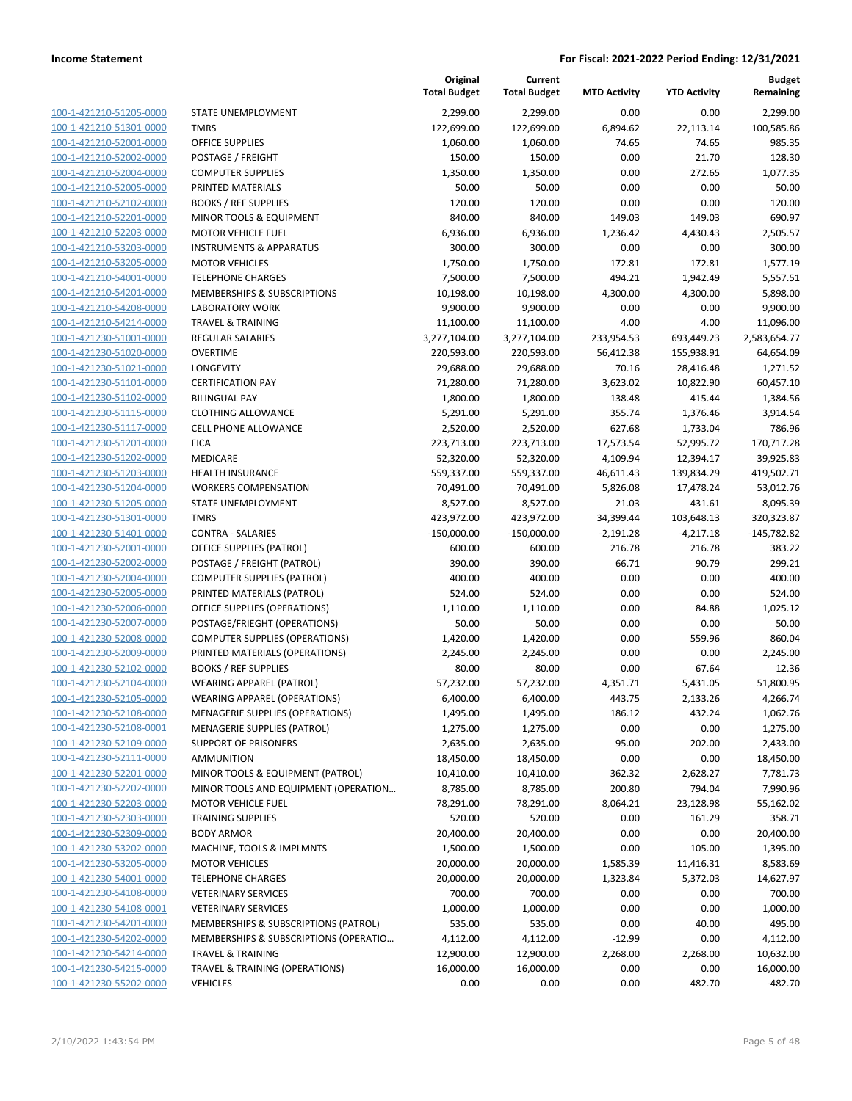100-1-421210-51205-0000 100-1-421210-51301-0000 100-1-421210-52001-0000 100-1-421210-52002-0000 100-1-421210-52004-0000 100-1-421210-52005-0000 100-1-421210-52102-0000 100-1-421210-52201-0000 100-1-421210-52203-0000 100-1-421210-53203-0000 100-1-421210-53205-0000 100-1-421210-54001-0000 100-1-421210-54201-0000 100-1-421210-54208-0000 100-1-421210-54214-0000 100-1-421230-51001-0000 100-1-421230-51020-0000 100-1-421230-51021-0000 100-1-421230-51101-0000 100-1-421230-51102-0000 100-1-421230-51115-0000 100-1-421230-51117-0000 100-1-421230-51201-0000 100-1-421230-51202-0000 100-1-421230-51203-0000 100-1-421230-51204-0000 100-1-421230-51205-0000 100-1-421230-51301-0000 100-1-421230-51401-0000 100-1-421230-52001-0000 100-1-421230-52002-0000 100-1-421230-52004-0000 100-1-421230-52005-0000 100-1-421230-52006-0000 100-1-421230-52007-0000 100-1-421230-52008-0000 100-1-421230-52009-0000 100-1-421230-52102-0000 BOOKS / REF SUPPLIES 80.00 80.00 0.00 67.64 12.36 100-1-421230-52104-0000 100-1-421230-52105-0000 100-1-421230-52108-0000 100-1-421230-52108-0001 100-1-421230-52109-0000 100-1-421230-52111-0000 100-1-421230-52201-0000 100-1-421230-52202-0000 100-1-421230-52203-0000 100-1-421230-52303-0000 100-1-421230-52309-0000 100-1-421230-53202-0000 100-1-421230-53205-0000 100-1-421230-54001-0000 100-1-421230-54108-0000 100-1-421230-54108-0001 100-1-421230-54201-0000 100-1-421230-54202-0000 100-1-421230-54214-0000 100-1-421230-54215-0000 100-1-421230-55202-0000

|                                       | Original<br><b>Total Budget</b> | Current<br><b>Total Budget</b> | <b>MTD Activity</b> | <b>YTD Activity</b> | <b>Budget</b><br>Remaining |
|---------------------------------------|---------------------------------|--------------------------------|---------------------|---------------------|----------------------------|
| STATE UNEMPLOYMENT                    | 2,299.00                        | 2,299.00                       | 0.00                | 0.00                | 2,299.00                   |
| <b>TMRS</b>                           | 122,699.00                      | 122,699.00                     | 6,894.62            | 22,113.14           | 100,585.86                 |
| <b>OFFICE SUPPLIES</b>                | 1,060.00                        | 1,060.00                       | 74.65               | 74.65               | 985.35                     |
| POSTAGE / FREIGHT                     | 150.00                          | 150.00                         | 0.00                | 21.70               | 128.30                     |
| <b>COMPUTER SUPPLIES</b>              | 1,350.00                        | 1,350.00                       | 0.00                | 272.65              | 1,077.35                   |
| PRINTED MATERIALS                     | 50.00                           | 50.00                          | 0.00                | 0.00                | 50.00                      |
| <b>BOOKS / REF SUPPLIES</b>           | 120.00                          | 120.00                         | 0.00                | 0.00                | 120.00                     |
| MINOR TOOLS & EQUIPMENT               | 840.00                          | 840.00                         | 149.03              | 149.03              | 690.97                     |
| <b>MOTOR VEHICLE FUEL</b>             | 6,936.00                        | 6,936.00                       | 1,236.42            | 4,430.43            | 2,505.57                   |
| <b>INSTRUMENTS &amp; APPARATUS</b>    | 300.00                          | 300.00                         | 0.00                | 0.00                | 300.00                     |
| <b>MOTOR VEHICLES</b>                 | 1,750.00                        | 1,750.00                       | 172.81              | 172.81              | 1,577.19                   |
| <b>TELEPHONE CHARGES</b>              | 7,500.00                        | 7,500.00                       | 494.21              | 1,942.49            | 5,557.51                   |
| MEMBERSHIPS & SUBSCRIPTIONS           | 10,198.00                       | 10,198.00                      | 4,300.00            | 4,300.00            | 5,898.00                   |
| <b>LABORATORY WORK</b>                | 9,900.00                        | 9,900.00                       | 0.00                | 0.00                | 9,900.00                   |
| <b>TRAVEL &amp; TRAINING</b>          | 11,100.00                       | 11,100.00                      | 4.00                | 4.00                | 11,096.00                  |
| <b>REGULAR SALARIES</b>               | 3,277,104.00                    | 3,277,104.00                   | 233,954.53          | 693,449.23          | 2,583,654.77               |
| <b>OVERTIME</b>                       | 220,593.00                      | 220,593.00                     | 56,412.38           | 155,938.91          | 64,654.09                  |
| LONGEVITY                             | 29,688.00                       | 29,688.00                      | 70.16               | 28,416.48           | 1,271.52                   |
| <b>CERTIFICATION PAY</b>              | 71,280.00                       | 71,280.00                      | 3,623.02            | 10,822.90           | 60,457.10                  |
| <b>BILINGUAL PAY</b>                  | 1,800.00                        | 1,800.00                       | 138.48              | 415.44              | 1,384.56                   |
| <b>CLOTHING ALLOWANCE</b>             | 5,291.00                        | 5,291.00                       | 355.74              | 1,376.46            | 3,914.54                   |
| <b>CELL PHONE ALLOWANCE</b>           | 2,520.00                        | 2,520.00                       | 627.68              | 1,733.04            | 786.96                     |
| <b>FICA</b>                           | 223,713.00                      | 223,713.00                     | 17,573.54           | 52,995.72           | 170,717.28                 |
| MEDICARE                              | 52,320.00                       | 52,320.00                      | 4,109.94            | 12,394.17           | 39,925.83                  |
| <b>HEALTH INSURANCE</b>               | 559,337.00                      | 559,337.00                     | 46,611.43           | 139,834.29          | 419,502.71                 |
| <b>WORKERS COMPENSATION</b>           | 70,491.00                       | 70,491.00                      | 5,826.08            | 17,478.24           | 53,012.76                  |
| STATE UNEMPLOYMENT                    | 8,527.00                        | 8,527.00                       | 21.03               | 431.61              | 8,095.39                   |
| <b>TMRS</b>                           | 423,972.00                      | 423,972.00                     | 34,399.44           | 103,648.13          | 320,323.87                 |
| <b>CONTRA - SALARIES</b>              | $-150,000.00$                   | $-150,000.00$                  | $-2,191.28$         | $-4,217.18$         | $-145,782.82$              |
| OFFICE SUPPLIES (PATROL)              | 600.00                          | 600.00                         | 216.78              | 216.78              | 383.22                     |
| POSTAGE / FREIGHT (PATROL)            | 390.00                          | 390.00                         | 66.71               | 90.79               | 299.21                     |
| <b>COMPUTER SUPPLIES (PATROL)</b>     | 400.00                          | 400.00                         | 0.00                | 0.00                | 400.00                     |
| PRINTED MATERIALS (PATROL)            | 524.00                          | 524.00                         | 0.00                | 0.00                | 524.00                     |
| OFFICE SUPPLIES (OPERATIONS)          | 1,110.00                        | 1,110.00                       | 0.00                | 84.88               | 1,025.12                   |
| POSTAGE/FRIEGHT (OPERATIONS)          | 50.00                           | 50.00                          | 0.00                | 0.00                | 50.00                      |
| <b>COMPUTER SUPPLIES (OPERATIONS)</b> | 1,420.00                        | 1,420.00                       | 0.00                | 559.96              | 860.04                     |
| PRINTED MATERIALS (OPERATIONS)        | 2,245.00                        | 2,245.00                       | 0.00                | 0.00                | 2,245.00                   |
| <b>BOOKS / REF SUPPLIES</b>           | 80.00                           | 80.00                          | 0.00                | 67.64               | 12.36                      |
| <b>WEARING APPAREL (PATROL)</b>       | 57,232.00                       | 57,232.00                      | 4,351.71            | 5,431.05            | 51,800.95                  |
| <b>WEARING APPAREL (OPERATIONS)</b>   | 6,400.00                        | 6,400.00                       | 443.75              | 2,133.26            | 4,266.74                   |
| MENAGERIE SUPPLIES (OPERATIONS)       | 1,495.00                        | 1,495.00                       | 186.12              | 432.24              | 1,062.76                   |
| MENAGERIE SUPPLIES (PATROL)           | 1,275.00                        | 1,275.00                       | 0.00                | 0.00                | 1,275.00                   |
| <b>SUPPORT OF PRISONERS</b>           | 2,635.00                        | 2,635.00                       | 95.00               | 202.00              | 2,433.00                   |
| <b>AMMUNITION</b>                     | 18,450.00                       | 18,450.00                      | 0.00                | 0.00                | 18,450.00                  |
| MINOR TOOLS & EQUIPMENT (PATROL)      | 10,410.00                       | 10,410.00                      | 362.32              | 2,628.27            | 7,781.73                   |
| MINOR TOOLS AND EQUIPMENT (OPERATION  | 8,785.00                        | 8,785.00                       | 200.80              | 794.04              | 7,990.96                   |
| <b>MOTOR VEHICLE FUEL</b>             | 78,291.00                       | 78,291.00                      | 8,064.21            | 23,128.98           | 55,162.02                  |
| <b>TRAINING SUPPLIES</b>              | 520.00                          | 520.00                         | 0.00                | 161.29              | 358.71                     |
| <b>BODY ARMOR</b>                     | 20,400.00                       | 20,400.00                      | 0.00                | 0.00                | 20,400.00                  |
| MACHINE, TOOLS & IMPLMNTS             | 1,500.00                        | 1,500.00                       | 0.00                | 105.00              | 1,395.00                   |
| <b>MOTOR VEHICLES</b>                 | 20,000.00                       | 20,000.00                      | 1,585.39            | 11,416.31           | 8,583.69                   |
| <b>TELEPHONE CHARGES</b>              | 20,000.00                       | 20,000.00                      | 1,323.84            | 5,372.03            | 14,627.97                  |
| <b>VETERINARY SERVICES</b>            | 700.00                          | 700.00                         | 0.00                | 0.00                | 700.00                     |
| <b>VETERINARY SERVICES</b>            | 1,000.00                        | 1,000.00                       | 0.00                | 0.00                | 1,000.00                   |
| MEMBERSHIPS & SUBSCRIPTIONS (PATROL)  | 535.00                          | 535.00                         | 0.00                | 40.00               | 495.00                     |
| MEMBERSHIPS & SUBSCRIPTIONS (OPERATIO | 4,112.00                        | 4,112.00                       | $-12.99$            | 0.00                | 4,112.00                   |
| <b>TRAVEL &amp; TRAINING</b>          | 12,900.00                       | 12,900.00                      | 2,268.00            | 2,268.00            | 10,632.00                  |
| TRAVEL & TRAINING (OPERATIONS)        | 16,000.00                       | 16,000.00                      | 0.00                | 0.00                | 16,000.00                  |
| <b>VEHICLES</b>                       | 0.00                            | 0.00                           | 0.00                | 482.70              | -482.70                    |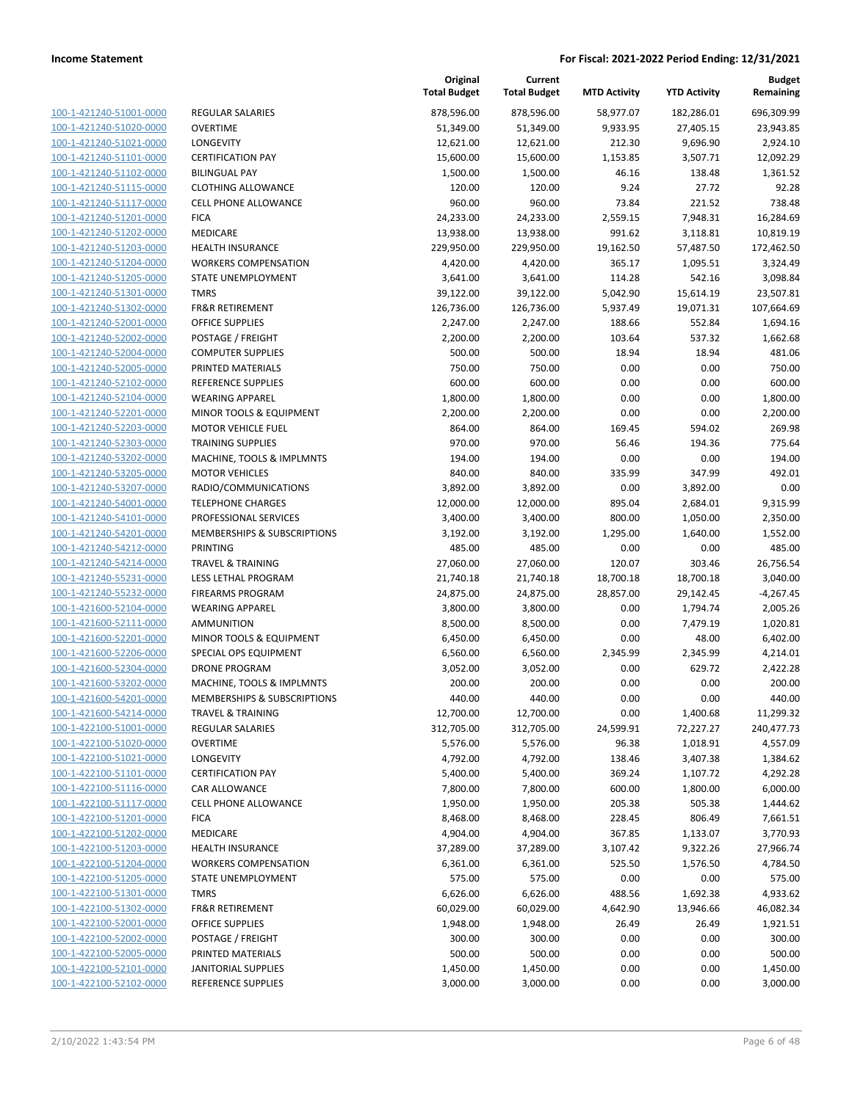| 100-1-421240-51001-0000                                   |
|-----------------------------------------------------------|
| 100-1-421240-51020-0000                                   |
| 100-1-421240-51021-0000                                   |
| 100-1-421240-51101-0000                                   |
| 100-1-421240-51102-0000                                   |
| 100-1-421240-51115-0000                                   |
| 100-1-421240-51117-0000                                   |
| 100-1-421240-51201-0000                                   |
| <u>100-1-421240-51202-0000</u>                            |
| 100-1-421240-51203-0000                                   |
| 100-1-421240-51204-0000                                   |
|                                                           |
| 100-1-421240-51205-0000                                   |
| 100-1-421240-51301-0000                                   |
| 100-1-421240-51302-0000                                   |
| 100-1-421240-52001-0000                                   |
| 100-1-421240-52002-0000                                   |
| 100-1-421240-52004-0000                                   |
| 100-1-421240-52005-0000                                   |
| 100-1-421240-52102-0000                                   |
| 100-1-421240-52104-0000                                   |
| 100-1-421240-52201-0000                                   |
| 100-1-421240-52203-0000                                   |
| 100-1-421240-52303-0000                                   |
| 100-1-421240-53202-0000                                   |
| 100-1-421240-53205-0000                                   |
| 100-1-421240-53207-0000                                   |
|                                                           |
| 100-1-421240-54001-0000                                   |
| 100-1-421240-54101-0000                                   |
| <u>100-1-421240-54201-0000</u>                            |
| 100-1-421240-54212-0000                                   |
| 100-1-421240-54214-0000                                   |
| 100-1-421240-55231-0000                                   |
| 100-1-421240-55232-0000                                   |
| 100-1-421600-52104-0000                                   |
| 100-1-421600-52111-0000                                   |
| 100-1-421600-52201-0000                                   |
| 100-1-421600-52206-0000                                   |
| 100-1-421600-52304-0000                                   |
| 100-1-421600-53202-0000                                   |
| 100-1-421600-54201-0000                                   |
| 100-1-421600-54214-0000                                   |
| <u>100-1-422100-51001-0000</u>                            |
|                                                           |
| 100-1-422100-51020-0000                                   |
| 100-1-422100-51021-0000                                   |
| <u>100-1-422100-51101-0000</u>                            |
| 100-1-422100-51116-0000                                   |
| 100-1-422100-51117-0000                                   |
| 100-1-422100-51201-0000                                   |
| 100-1-422100-51202-0000                                   |
| 100-1-422100-51203-0000                                   |
| 100-1-422100-51204-0000                                   |
| 100-1-422100-51205-0000                                   |
| 100-1-422100-51301-0000                                   |
| 100-1-422100-51302-0000                                   |
| <u>100-1-422100-52001-0000</u>                            |
| 100-1-422100-52002-0000                                   |
| <u>100-1-422100-52005-0000</u>                            |
|                                                           |
| 100-1-422100-52101-0000<br><u>100-1-422100-52102-0000</u> |
|                                                           |

|                                                    |                                                    | Original<br><b>Total Budget</b> | Current<br><b>Total Budget</b> | <b>MTD Activity</b> | <b>YTD Activity</b>  | <b>Budget</b><br>Remaining |
|----------------------------------------------------|----------------------------------------------------|---------------------------------|--------------------------------|---------------------|----------------------|----------------------------|
| 100-1-421240-51001-0000                            | <b>REGULAR SALARIES</b>                            | 878,596.00                      | 878,596.00                     | 58,977.07           | 182,286.01           | 696,309.99                 |
| 100-1-421240-51020-0000                            | <b>OVERTIME</b>                                    | 51,349.00                       | 51,349.00                      | 9,933.95            | 27,405.15            | 23,943.85                  |
| 100-1-421240-51021-0000                            | <b>LONGEVITY</b>                                   | 12,621.00                       | 12,621.00                      | 212.30              | 9,696.90             | 2,924.10                   |
| 100-1-421240-51101-0000                            | <b>CERTIFICATION PAY</b>                           | 15,600.00                       | 15,600.00                      | 1,153.85            | 3,507.71             | 12,092.29                  |
| 100-1-421240-51102-0000                            | <b>BILINGUAL PAY</b>                               | 1,500.00                        | 1,500.00                       | 46.16               | 138.48               | 1,361.52                   |
| 100-1-421240-51115-0000                            | <b>CLOTHING ALLOWANCE</b>                          | 120.00                          | 120.00                         | 9.24                | 27.72                | 92.28                      |
| 100-1-421240-51117-0000                            | <b>CELL PHONE ALLOWANCE</b>                        | 960.00                          | 960.00                         | 73.84               | 221.52               | 738.48                     |
| 100-1-421240-51201-0000                            | <b>FICA</b>                                        | 24,233.00                       | 24,233.00                      | 2,559.15            | 7,948.31             | 16,284.69                  |
| 100-1-421240-51202-0000                            | <b>MEDICARE</b>                                    | 13,938.00                       | 13,938.00                      | 991.62              | 3,118.81             | 10,819.19                  |
| 100-1-421240-51203-0000                            | <b>HEALTH INSURANCE</b>                            | 229,950.00                      | 229,950.00                     | 19,162.50           | 57,487.50            | 172,462.50                 |
| 100-1-421240-51204-0000                            | <b>WORKERS COMPENSATION</b>                        | 4,420.00                        | 4,420.00                       | 365.17              | 1,095.51             | 3,324.49                   |
| 100-1-421240-51205-0000                            | STATE UNEMPLOYMENT                                 | 3,641.00                        | 3,641.00                       | 114.28              | 542.16               | 3,098.84                   |
| 100-1-421240-51301-0000                            | <b>TMRS</b>                                        | 39,122.00                       | 39,122.00                      | 5,042.90            | 15,614.19            | 23,507.81                  |
| 100-1-421240-51302-0000                            | <b>FR&amp;R RETIREMENT</b>                         | 126,736.00                      | 126,736.00                     | 5,937.49            | 19,071.31            | 107,664.69                 |
| 100-1-421240-52001-0000                            | <b>OFFICE SUPPLIES</b>                             | 2,247.00                        | 2,247.00                       | 188.66              | 552.84               | 1,694.16                   |
| 100-1-421240-52002-0000                            | POSTAGE / FREIGHT                                  | 2,200.00                        | 2,200.00                       | 103.64              | 537.32               | 1,662.68                   |
| 100-1-421240-52004-0000                            | <b>COMPUTER SUPPLIES</b>                           | 500.00                          | 500.00                         | 18.94               | 18.94                | 481.06                     |
| 100-1-421240-52005-0000                            | PRINTED MATERIALS                                  | 750.00                          | 750.00                         | 0.00                | 0.00                 | 750.00                     |
| 100-1-421240-52102-0000                            | REFERENCE SUPPLIES                                 | 600.00                          | 600.00                         | 0.00                | 0.00                 | 600.00                     |
| 100-1-421240-52104-0000                            | <b>WEARING APPAREL</b>                             | 1,800.00                        | 1,800.00                       | 0.00                | 0.00                 | 1,800.00                   |
| 100-1-421240-52201-0000                            | MINOR TOOLS & EQUIPMENT                            | 2,200.00                        | 2,200.00                       | 0.00                | 0.00                 | 2,200.00                   |
| 100-1-421240-52203-0000                            | <b>MOTOR VEHICLE FUEL</b>                          | 864.00                          | 864.00                         | 169.45              | 594.02               | 269.98                     |
| 100-1-421240-52303-0000                            | <b>TRAINING SUPPLIES</b>                           | 970.00                          | 970.00                         | 56.46               | 194.36               | 775.64                     |
| 100-1-421240-53202-0000                            | MACHINE, TOOLS & IMPLMNTS<br><b>MOTOR VEHICLES</b> | 194.00                          | 194.00                         | 0.00                | 0.00<br>347.99       | 194.00<br>492.01           |
| 100-1-421240-53205-0000<br>100-1-421240-53207-0000 | RADIO/COMMUNICATIONS                               | 840.00<br>3,892.00              | 840.00<br>3,892.00             | 335.99<br>0.00      |                      | 0.00                       |
| 100-1-421240-54001-0000                            | <b>TELEPHONE CHARGES</b>                           | 12,000.00                       | 12,000.00                      | 895.04              | 3,892.00             | 9,315.99                   |
| 100-1-421240-54101-0000                            | PROFESSIONAL SERVICES                              | 3,400.00                        | 3,400.00                       | 800.00              | 2,684.01<br>1,050.00 |                            |
| 100-1-421240-54201-0000                            | MEMBERSHIPS & SUBSCRIPTIONS                        | 3,192.00                        | 3,192.00                       | 1,295.00            | 1,640.00             | 2,350.00<br>1,552.00       |
| 100-1-421240-54212-0000                            | PRINTING                                           | 485.00                          | 485.00                         | 0.00                | 0.00                 | 485.00                     |
| 100-1-421240-54214-0000                            | <b>TRAVEL &amp; TRAINING</b>                       | 27,060.00                       | 27,060.00                      | 120.07              | 303.46               | 26,756.54                  |
| 100-1-421240-55231-0000                            | LESS LETHAL PROGRAM                                | 21,740.18                       | 21,740.18                      | 18,700.18           | 18,700.18            | 3,040.00                   |
| 100-1-421240-55232-0000                            | <b>FIREARMS PROGRAM</b>                            | 24,875.00                       | 24,875.00                      | 28,857.00           | 29,142.45            | $-4,267.45$                |
| 100-1-421600-52104-0000                            | <b>WEARING APPAREL</b>                             | 3,800.00                        | 3,800.00                       | 0.00                | 1,794.74             | 2,005.26                   |
| 100-1-421600-52111-0000                            | AMMUNITION                                         | 8,500.00                        | 8,500.00                       | 0.00                | 7,479.19             | 1,020.81                   |
| 100-1-421600-52201-0000                            | MINOR TOOLS & EQUIPMENT                            | 6,450.00                        | 6,450.00                       | 0.00                | 48.00                | 6,402.00                   |
| 100-1-421600-52206-0000                            | SPECIAL OPS EQUIPMENT                              | 6,560.00                        | 6,560.00                       | 2,345.99            | 2,345.99             | 4,214.01                   |
| 100-1-421600-52304-0000                            | <b>DRONE PROGRAM</b>                               | 3,052.00                        | 3,052.00                       | 0.00                | 629.72               | 2,422.28                   |
| 100-1-421600-53202-0000                            | MACHINE, TOOLS & IMPLMNTS                          | 200.00                          | 200.00                         | 0.00                | 0.00                 | 200.00                     |
| 100-1-421600-54201-0000                            | MEMBERSHIPS & SUBSCRIPTIONS                        | 440.00                          | 440.00                         | 0.00                | 0.00                 | 440.00                     |
| 100-1-421600-54214-0000                            | <b>TRAVEL &amp; TRAINING</b>                       | 12,700.00                       | 12,700.00                      | 0.00                | 1,400.68             | 11,299.32                  |
| 100-1-422100-51001-0000                            | <b>REGULAR SALARIES</b>                            | 312,705.00                      | 312,705.00                     | 24,599.91           | 72,227.27            | 240,477.73                 |
| 100-1-422100-51020-0000                            | <b>OVERTIME</b>                                    | 5,576.00                        | 5,576.00                       | 96.38               | 1,018.91             | 4,557.09                   |
| 100-1-422100-51021-0000                            | LONGEVITY                                          | 4,792.00                        | 4,792.00                       | 138.46              | 3,407.38             | 1,384.62                   |
| 100-1-422100-51101-0000                            | <b>CERTIFICATION PAY</b>                           | 5,400.00                        | 5,400.00                       | 369.24              | 1,107.72             | 4,292.28                   |
| 100-1-422100-51116-0000                            | <b>CAR ALLOWANCE</b>                               | 7,800.00                        | 7,800.00                       | 600.00              | 1,800.00             | 6,000.00                   |
| 100-1-422100-51117-0000                            | CELL PHONE ALLOWANCE                               | 1,950.00                        | 1,950.00                       | 205.38              | 505.38               | 1,444.62                   |
| 100-1-422100-51201-0000                            | <b>FICA</b>                                        | 8,468.00                        | 8,468.00                       | 228.45              | 806.49               | 7,661.51                   |
| 100-1-422100-51202-0000                            | MEDICARE                                           | 4,904.00                        | 4,904.00                       | 367.85              | 1,133.07             | 3,770.93                   |
| 100-1-422100-51203-0000                            | <b>HEALTH INSURANCE</b>                            | 37,289.00                       | 37,289.00                      | 3,107.42            | 9,322.26             | 27,966.74                  |
| 100-1-422100-51204-0000                            | <b>WORKERS COMPENSATION</b>                        | 6,361.00                        | 6,361.00                       | 525.50              | 1,576.50             | 4,784.50                   |
| 100-1-422100-51205-0000                            | STATE UNEMPLOYMENT                                 | 575.00                          | 575.00                         | 0.00                | 0.00                 | 575.00                     |
| 100-1-422100-51301-0000                            | <b>TMRS</b>                                        | 6,626.00                        | 6,626.00                       | 488.56              | 1,692.38             | 4,933.62                   |
| 100-1-422100-51302-0000                            | FR&R RETIREMENT                                    | 60,029.00                       | 60,029.00                      | 4,642.90            | 13,946.66            | 46,082.34                  |
| 100-1-422100-52001-0000                            | <b>OFFICE SUPPLIES</b>                             | 1,948.00                        | 1,948.00                       | 26.49               | 26.49                | 1,921.51                   |
| 100-1-422100-52002-0000                            | POSTAGE / FREIGHT                                  | 300.00                          | 300.00                         | 0.00                | 0.00                 | 300.00                     |
| 100-1-422100-52005-0000                            | PRINTED MATERIALS                                  | 500.00                          | 500.00                         | 0.00                | 0.00                 | 500.00                     |
| 100-1-422100-52101-0000                            | <b>JANITORIAL SUPPLIES</b>                         | 1,450.00                        | 1,450.00                       | 0.00                | 0.00                 | 1,450.00                   |
| 100-1-422100-52102-0000                            | REFERENCE SUPPLIES                                 | 3,000.00                        | 3,000.00                       | 0.00                | 0.00                 | 3,000.00                   |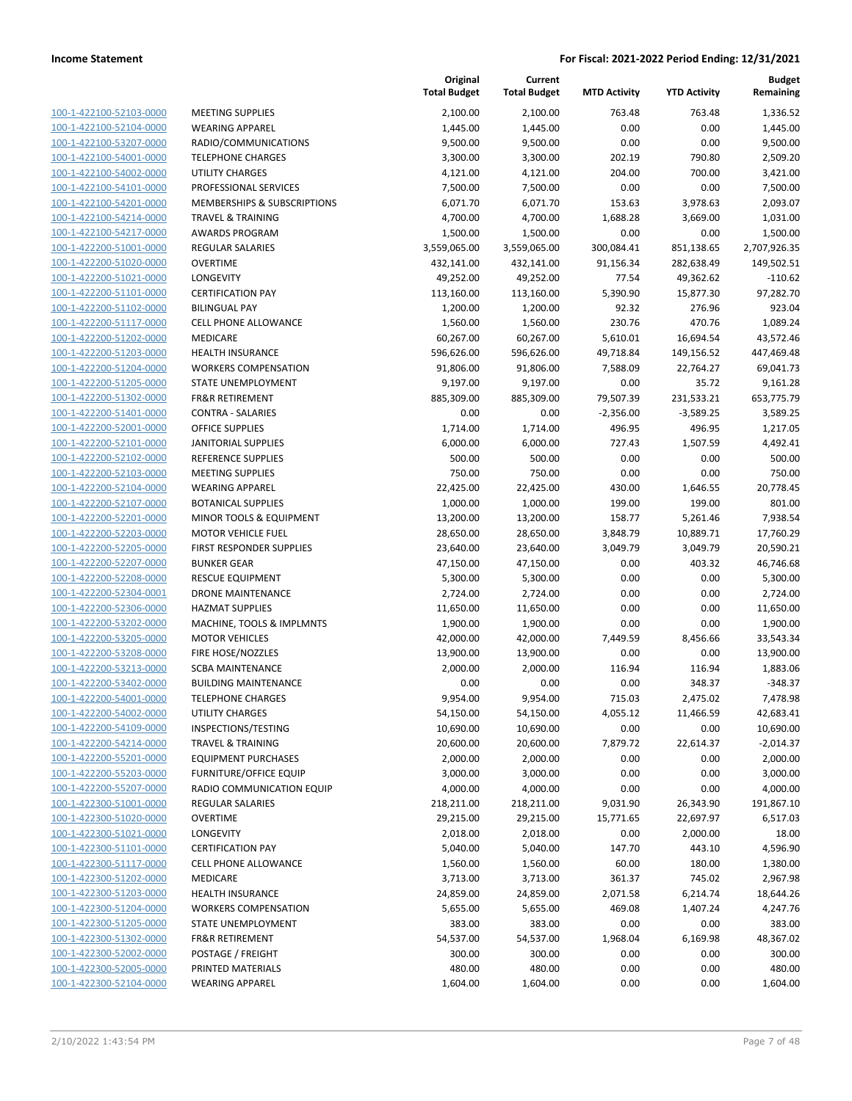| 100-1-422100-52103-0000        | M         |
|--------------------------------|-----------|
| 100-1-422100-52104-0000        | W         |
| 100-1-422100-53207-0000        | RA        |
| 100-1-422100-54001-0000        | TE        |
| 100-1-422100-54002-0000        | UT        |
| 100-1-422100-54101-0000        | PR        |
|                                | MI        |
| 100-1-422100-54201-0000        |           |
| 100-1-422100-54214-0000        | TR        |
| 100-1-422100-54217-0000        | AV        |
| 100-1-422200-51001-0000        | <b>RE</b> |
| 100-1-422200-51020-0000        | О١        |
| 100-1-422200-51021-0000        | LO        |
| 100-1-422200-51101-0000        | CE        |
| 100-1-422200-51102-0000        | BII       |
| 100-1-422200-51117-0000        | СE        |
| 100-1-422200-51202-0000        | M         |
| 100-1-422200-51203-0000        | HE        |
| 100-1-422200-51204-0000        | W         |
| 100-1-422200-51205-0000        | ST.       |
| 100-1-422200-51302-0000        | FR        |
| 100-1-422200-51401-0000        | CC        |
| 100-1-422200-52001-0000        | OF        |
| 100-1-422200-52101-0000        | JA        |
|                                |           |
| 100-1-422200-52102-0000        | <b>RE</b> |
| 100-1-422200-52103-0000        | MI        |
| 100-1-422200-52104-0000        | W         |
| 100-1-422200-52107-0000        | ВC        |
| 100-1-422200-52201-0000        | MI        |
| 100-1-422200-52203-0000        | M١        |
| 100-1-422200-52205-0000        | FIF       |
| 100-1-422200-52207-0000        | BL        |
| 100-1-422200-52208-0000        | RE        |
| 100-1-422200-52304-0001        | DF        |
| 100-1-422200-52306-0000        | HA        |
| 100-1-422200-53202-0000        | M         |
| 100-1-422200-53205-0000        | М         |
| 100-1-422200-53208-0000        | FIF       |
| 100-1-422200-53213-0000        | SC        |
| 100-1-422200-53402-0000        | BL        |
|                                | TE        |
| 100-1-422200-54001-0000        |           |
| 100-1-422200-54002-0000        | UT        |
| 100-1-422200-54109-0000        | IN:       |
| 100-1-422200-54214-0000        | TR        |
| 100-1-422200-55201-0000        | EС        |
| 100-1-422200-55203-0000        | FU        |
| 100-1-422200-55207-0000        | RΑ        |
| 100-1-422300-51001-0000        | RE        |
| 100-1-422300-51020-0000        | О١        |
| 100-1-422300-51021-0000        | LO        |
| <u>100-1-422300-51101-0000</u> | СE        |
| 100-1-422300-51117-0000        | CE        |
| 100-1-422300-51202-0000        | MI        |
| 100-1-422300-51203-0000        | HE        |
| 100-1-422300-51204-0000        | W         |
| 100-1-422300-51205-0000        | ST.       |
| 100-1-422300-51302-0000        | FR        |
|                                |           |
| 100-1-422300-52002-0000        | PC        |
| 100-1-422300-52005-0000        | PR        |
| 100-1-422300-52104-0000        | W         |
|                                |           |

|                                                    |                                                   | Original<br><b>Total Budget</b> | Current<br><b>Total Budget</b> | <b>MTD Activity</b> | <b>YTD Activity</b> | <b>Budget</b><br>Remaining |
|----------------------------------------------------|---------------------------------------------------|---------------------------------|--------------------------------|---------------------|---------------------|----------------------------|
| 100-1-422100-52103-0000                            |                                                   |                                 |                                |                     |                     |                            |
| 100-1-422100-52104-0000                            | <b>MEETING SUPPLIES</b><br><b>WEARING APPAREL</b> | 2,100.00<br>1,445.00            | 2,100.00<br>1,445.00           | 763.48<br>0.00      | 763.48<br>0.00      | 1,336.52<br>1,445.00       |
| 100-1-422100-53207-0000                            | RADIO/COMMUNICATIONS                              | 9,500.00                        | 9,500.00                       | 0.00                | 0.00                | 9,500.00                   |
| 100-1-422100-54001-0000                            | <b>TELEPHONE CHARGES</b>                          | 3,300.00                        | 3,300.00                       | 202.19              | 790.80              | 2,509.20                   |
| 100-1-422100-54002-0000                            | UTILITY CHARGES                                   | 4,121.00                        | 4,121.00                       | 204.00              | 700.00              | 3,421.00                   |
| 100-1-422100-54101-0000                            | PROFESSIONAL SERVICES                             | 7,500.00                        | 7,500.00                       | 0.00                | 0.00                | 7,500.00                   |
| 100-1-422100-54201-0000                            | <b>MEMBERSHIPS &amp; SUBSCRIPTIONS</b>            | 6,071.70                        | 6,071.70                       | 153.63              | 3,978.63            | 2,093.07                   |
| 100-1-422100-54214-0000                            | <b>TRAVEL &amp; TRAINING</b>                      | 4,700.00                        | 4,700.00                       | 1,688.28            | 3,669.00            | 1,031.00                   |
| 100-1-422100-54217-0000                            | <b>AWARDS PROGRAM</b>                             | 1,500.00                        | 1,500.00                       | 0.00                | 0.00                | 1,500.00                   |
| 100-1-422200-51001-0000                            | <b>REGULAR SALARIES</b>                           | 3,559,065.00                    | 3,559,065.00                   | 300,084.41          | 851,138.65          | 2,707,926.35               |
| 100-1-422200-51020-0000                            | <b>OVERTIME</b>                                   | 432,141.00                      | 432,141.00                     | 91,156.34           | 282,638.49          | 149,502.51                 |
| 100-1-422200-51021-0000                            | <b>LONGEVITY</b>                                  | 49,252.00                       | 49,252.00                      | 77.54               | 49,362.62           | $-110.62$                  |
| 100-1-422200-51101-0000                            | <b>CERTIFICATION PAY</b>                          | 113,160.00                      | 113,160.00                     | 5,390.90            | 15,877.30           | 97,282.70                  |
| 100-1-422200-51102-0000                            | <b>BILINGUAL PAY</b>                              | 1,200.00                        | 1,200.00                       | 92.32               | 276.96              | 923.04                     |
| 100-1-422200-51117-0000                            | CELL PHONE ALLOWANCE                              | 1,560.00                        | 1,560.00                       | 230.76              | 470.76              | 1,089.24                   |
| 100-1-422200-51202-0000                            | MEDICARE                                          | 60,267.00                       | 60,267.00                      | 5,610.01            | 16,694.54           | 43,572.46                  |
| 100-1-422200-51203-0000                            | <b>HEALTH INSURANCE</b>                           | 596,626.00                      | 596,626.00                     | 49,718.84           | 149,156.52          | 447,469.48                 |
| 100-1-422200-51204-0000                            | <b>WORKERS COMPENSATION</b>                       | 91,806.00                       | 91,806.00                      | 7,588.09            | 22,764.27           | 69,041.73                  |
| 100-1-422200-51205-0000                            | STATE UNEMPLOYMENT                                | 9,197.00                        | 9,197.00                       | 0.00                | 35.72               | 9,161.28                   |
| 100-1-422200-51302-0000                            | <b>FR&amp;R RETIREMENT</b>                        | 885,309.00                      | 885,309.00                     | 79,507.39           | 231,533.21          | 653,775.79                 |
| 100-1-422200-51401-0000                            | <b>CONTRA - SALARIES</b>                          | 0.00                            | 0.00                           | $-2,356.00$         | $-3,589.25$         | 3,589.25                   |
| 100-1-422200-52001-0000                            | <b>OFFICE SUPPLIES</b>                            | 1,714.00                        | 1,714.00                       | 496.95              | 496.95              | 1,217.05                   |
| 100-1-422200-52101-0000                            | <b>JANITORIAL SUPPLIES</b>                        | 6,000.00                        | 6,000.00                       | 727.43              | 1,507.59            | 4,492.41                   |
| 100-1-422200-52102-0000                            | <b>REFERENCE SUPPLIES</b>                         | 500.00                          | 500.00                         | 0.00                | 0.00                | 500.00                     |
| 100-1-422200-52103-0000                            | <b>MEETING SUPPLIES</b>                           | 750.00                          | 750.00                         | 0.00                | 0.00                | 750.00                     |
| 100-1-422200-52104-0000                            | <b>WEARING APPAREL</b>                            | 22,425.00                       | 22,425.00                      | 430.00              | 1,646.55            | 20,778.45                  |
| 100-1-422200-52107-0000                            | <b>BOTANICAL SUPPLIES</b>                         | 1,000.00                        | 1,000.00                       | 199.00              | 199.00              | 801.00                     |
| 100-1-422200-52201-0000                            | MINOR TOOLS & EQUIPMENT                           | 13,200.00                       | 13,200.00                      | 158.77              | 5,261.46            | 7,938.54                   |
| 100-1-422200-52203-0000                            | <b>MOTOR VEHICLE FUEL</b>                         | 28,650.00                       | 28,650.00                      | 3,848.79            | 10,889.71           | 17,760.29                  |
| 100-1-422200-52205-0000                            | FIRST RESPONDER SUPPLIES                          | 23,640.00                       | 23,640.00                      | 3,049.79            | 3,049.79            | 20,590.21                  |
| 100-1-422200-52207-0000                            | <b>BUNKER GEAR</b>                                | 47,150.00                       | 47,150.00                      | 0.00                | 403.32              | 46,746.68                  |
| 100-1-422200-52208-0000                            | <b>RESCUE EQUIPMENT</b>                           | 5,300.00                        | 5,300.00                       | 0.00                | 0.00                | 5,300.00                   |
| 100-1-422200-52304-0001                            | <b>DRONE MAINTENANCE</b>                          | 2,724.00                        | 2,724.00                       | 0.00                | 0.00                | 2,724.00                   |
| 100-1-422200-52306-0000                            | <b>HAZMAT SUPPLIES</b>                            | 11,650.00                       | 11,650.00                      | 0.00                | 0.00                | 11,650.00                  |
| 100-1-422200-53202-0000                            | MACHINE, TOOLS & IMPLMNTS                         | 1,900.00                        | 1,900.00                       | 0.00                | 0.00                | 1,900.00                   |
| 100-1-422200-53205-0000                            | <b>MOTOR VEHICLES</b>                             | 42,000.00                       | 42,000.00                      | 7,449.59            | 8,456.66            | 33,543.34                  |
| 100-1-422200-53208-0000                            | FIRE HOSE/NOZZLES                                 | 13,900.00                       | 13,900.00                      | 0.00                | 0.00                | 13,900.00                  |
| 100-1-422200-53213-0000                            | <b>SCBA MAINTENANCE</b>                           | 2,000.00                        | 2,000.00                       | 116.94              | 116.94              | 1,883.06                   |
| 100-1-422200-53402-0000                            | <b>BUILDING MAINTENANCE</b>                       | 0.00                            | 0.00                           | 0.00                | 348.37              | $-348.37$                  |
| <u>100-1-422200-54001-0000</u>                     | TELEPHONE CHARGES                                 | 9,954.00                        | 9,954.00                       | 715.03              | 2,475.02            | 7,478.98                   |
| 100-1-422200-54002-0000<br>100-1-422200-54109-0000 | UTILITY CHARGES<br>INSPECTIONS/TESTING            | 54,150.00<br>10,690.00          | 54,150.00                      | 4,055.12<br>0.00    | 11,466.59<br>0.00   | 42,683.41                  |
| 100-1-422200-54214-0000                            | <b>TRAVEL &amp; TRAINING</b>                      | 20,600.00                       | 10,690.00<br>20,600.00         | 7,879.72            | 22,614.37           | 10,690.00<br>$-2,014.37$   |
| 100-1-422200-55201-0000                            | <b>EQUIPMENT PURCHASES</b>                        | 2,000.00                        | 2,000.00                       | 0.00                | 0.00                | 2,000.00                   |
| 100-1-422200-55203-0000                            | <b>FURNITURE/OFFICE EQUIP</b>                     | 3,000.00                        | 3,000.00                       | 0.00                | 0.00                | 3,000.00                   |
| 100-1-422200-55207-0000                            | RADIO COMMUNICATION EQUIP                         | 4,000.00                        | 4,000.00                       | 0.00                | 0.00                | 4,000.00                   |
| 100-1-422300-51001-0000                            | <b>REGULAR SALARIES</b>                           | 218,211.00                      | 218,211.00                     | 9,031.90            | 26,343.90           | 191,867.10                 |
| 100-1-422300-51020-0000                            | <b>OVERTIME</b>                                   | 29,215.00                       | 29,215.00                      | 15,771.65           | 22,697.97           | 6,517.03                   |
| 100-1-422300-51021-0000                            | LONGEVITY                                         | 2,018.00                        | 2,018.00                       | 0.00                | 2,000.00            | 18.00                      |
| 100-1-422300-51101-0000                            | <b>CERTIFICATION PAY</b>                          | 5,040.00                        | 5,040.00                       | 147.70              | 443.10              | 4,596.90                   |
| 100-1-422300-51117-0000                            | CELL PHONE ALLOWANCE                              | 1,560.00                        | 1,560.00                       | 60.00               | 180.00              | 1,380.00                   |
| 100-1-422300-51202-0000                            | MEDICARE                                          | 3,713.00                        | 3,713.00                       | 361.37              | 745.02              | 2,967.98                   |
| 100-1-422300-51203-0000                            | <b>HEALTH INSURANCE</b>                           | 24,859.00                       | 24,859.00                      | 2,071.58            | 6,214.74            | 18,644.26                  |
| 100-1-422300-51204-0000                            | <b>WORKERS COMPENSATION</b>                       | 5,655.00                        | 5,655.00                       | 469.08              | 1,407.24            | 4,247.76                   |
| 100-1-422300-51205-0000                            | STATE UNEMPLOYMENT                                | 383.00                          | 383.00                         | 0.00                | 0.00                | 383.00                     |
| 100-1-422300-51302-0000                            | FR&R RETIREMENT                                   | 54,537.00                       | 54,537.00                      | 1,968.04            | 6,169.98            | 48,367.02                  |
| 100-1-422300-52002-0000                            | POSTAGE / FREIGHT                                 | 300.00                          | 300.00                         | 0.00                | 0.00                | 300.00                     |
| 100-1-422300-52005-0000                            | PRINTED MATERIALS                                 | 480.00                          | 480.00                         | 0.00                | 0.00                | 480.00                     |
| 100-1-422300-52104-0000                            | <b>WEARING APPAREL</b>                            | 1,604.00                        | 1,604.00                       | 0.00                | 0.00                | 1,604.00                   |
|                                                    |                                                   |                                 |                                |                     |                     |                            |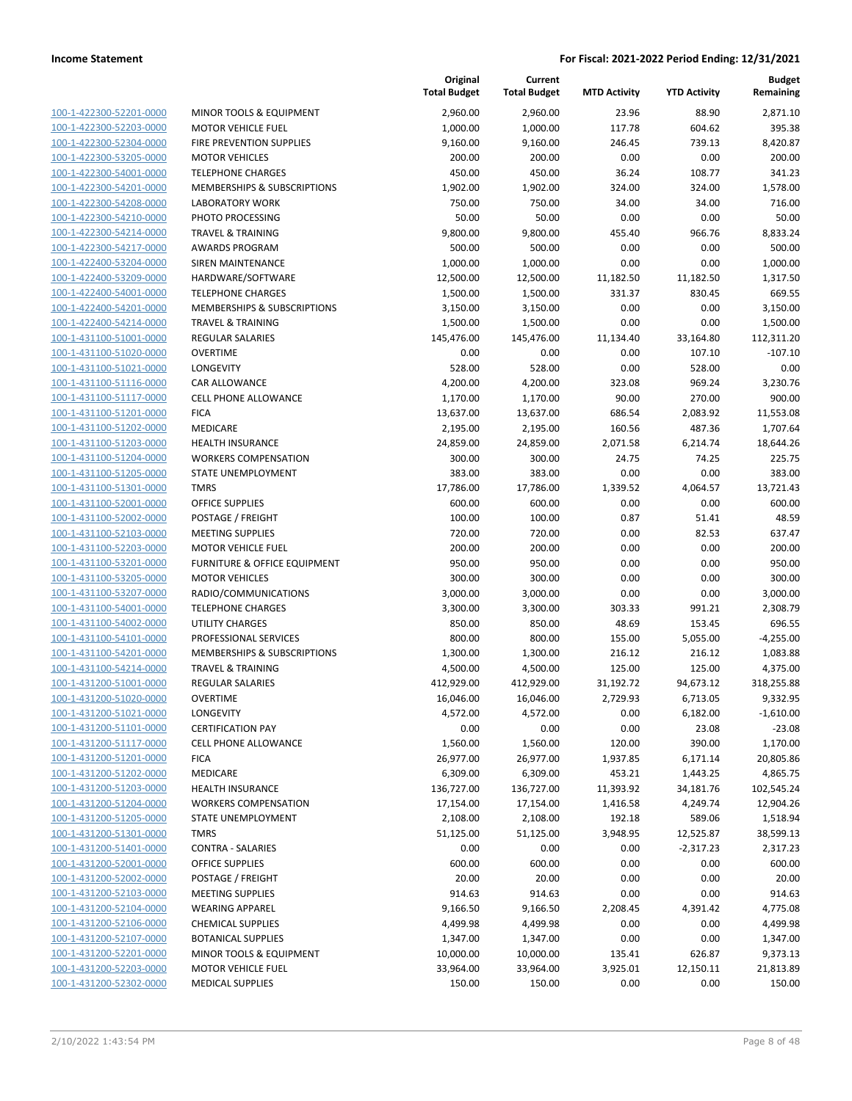| 100-1-422300-52201-0000        |
|--------------------------------|
| 100-1-422300-52203-0000        |
| <u>100-1-422300-52304-0000</u> |
| 100-1-422300-53205-0000        |
| 100-1-422300-54001-0000        |
|                                |
| 100-1-422300-54201-0000        |
| 100-1-422300-54208-0000        |
| 100-1-422300-54210-0000        |
| 100-1-422300-54214-0000        |
| 100-1-422300-54217-0000        |
| 100-1-422400-53204-0000        |
|                                |
| 100-1-422400-53209-0000        |
| <u>100-1-422400-54001-0000</u> |
| <u>100-1-422400-54201-0000</u> |
| 100-1-422400-54214-0000        |
| 100-1-431100-51001-0000        |
| 100-1-431100-51020-0000        |
|                                |
| 100-1-431100-51021-0000        |
| 100-1-431100-51116-0000        |
| 100-1-431100-51117-0000        |
| 100-1-431100-51201-0000        |
| 100-1-431100-51202-0000        |
|                                |
| <u>100-1-431100-51203-0000</u> |
| 100-1-431100-51204-0000        |
| 100-1-431100-51205-0000        |
| 100-1-431100-51301-0000        |
| 100-1-431100-52001-0000        |
| <u>100-1-431100-52002-0000</u> |
| 100-1-431100-52103-0000        |
|                                |
| 100-1-431100-52203-0000        |
| 100-1-431100-53201-0000        |
| 100-1-431100-53205-0000        |
| 100-1-431100-53207-0000        |
| 100-1-431100-54001-0000        |
| 100-1-431100-54002-0000        |
| 100-1-431100-54101-0000        |
| 100-1-431100-54201-0000        |
| <u>100-1-431100-54214-0000</u> |
|                                |
| 100-1-431200-51001-0000        |
| 100-1-431200-51020-0000        |
| 100-1-431200-51021-0000        |
| 100-1-431200-51101-0000        |
| <u>100-1-431200-51117-0000</u> |
| 100-1-431200-51201-0000        |
| 100-1-431200-51202-0000        |
| 100-1-431200-51203-0000        |
|                                |
| 100-1-431200-51204-0000        |
| 100-1-431200-51205-0000        |
| <u>100-1-431200-51301-0000</u> |
| 100-1-431200-51401-0000        |
| 100-1-431200-52001-0000        |
| <u>100-1-431200-52002-0000</u> |
|                                |
| <u>100-1-431200-52103-0000</u> |
| <u>100-1-431200-52104-0000</u> |
| <u>100-1-431200-52106-0000</u> |
| 100-1-431200-52107-0000        |
| <u>100-1-431200-52201-0000</u> |
| 100-1-431200-52203-0000        |
| <u>100-1-431200-52302-0000</u> |
|                                |

|                                                    |                                       | Original<br><b>Total Budget</b> | Current<br><b>Total Budget</b> | <b>MTD Activity</b> | <b>YTD Activity</b> | <b>Budget</b><br>Remaining |
|----------------------------------------------------|---------------------------------------|---------------------------------|--------------------------------|---------------------|---------------------|----------------------------|
| 100-1-422300-52201-0000                            | MINOR TOOLS & EQUIPMENT               | 2,960.00                        | 2,960.00                       | 23.96               | 88.90               | 2,871.10                   |
| 100-1-422300-52203-0000                            | <b>MOTOR VEHICLE FUEL</b>             | 1,000.00                        | 1,000.00                       | 117.78              | 604.62              | 395.38                     |
| 100-1-422300-52304-0000                            | FIRE PREVENTION SUPPLIES              | 9,160.00                        | 9,160.00                       | 246.45              | 739.13              | 8,420.87                   |
| 100-1-422300-53205-0000                            | <b>MOTOR VEHICLES</b>                 | 200.00                          | 200.00                         | 0.00                | 0.00                | 200.00                     |
| 100-1-422300-54001-0000                            | <b>TELEPHONE CHARGES</b>              | 450.00                          | 450.00                         | 36.24               | 108.77              | 341.23                     |
| 100-1-422300-54201-0000                            | MEMBERSHIPS & SUBSCRIPTIONS           | 1,902.00                        | 1,902.00                       | 324.00              | 324.00              | 1,578.00                   |
| 100-1-422300-54208-0000                            | <b>LABORATORY WORK</b>                | 750.00                          | 750.00                         | 34.00               | 34.00               | 716.00                     |
| 100-1-422300-54210-0000                            | PHOTO PROCESSING                      | 50.00                           | 50.00                          | 0.00                | 0.00                | 50.00                      |
| 100-1-422300-54214-0000                            | <b>TRAVEL &amp; TRAINING</b>          | 9,800.00                        | 9,800.00                       | 455.40              | 966.76              | 8,833.24                   |
| 100-1-422300-54217-0000                            | <b>AWARDS PROGRAM</b>                 | 500.00                          | 500.00                         | 0.00                | 0.00                | 500.00                     |
| 100-1-422400-53204-0000                            | <b>SIREN MAINTENANCE</b>              | 1,000.00                        | 1,000.00                       | 0.00                | 0.00                | 1,000.00                   |
| 100-1-422400-53209-0000                            | HARDWARE/SOFTWARE                     | 12,500.00                       | 12,500.00                      | 11,182.50           | 11,182.50           | 1,317.50                   |
| 100-1-422400-54001-0000                            | <b>TELEPHONE CHARGES</b>              | 1,500.00                        | 1,500.00                       | 331.37              | 830.45              | 669.55                     |
| 100-1-422400-54201-0000                            | MEMBERSHIPS & SUBSCRIPTIONS           | 3,150.00                        | 3,150.00                       | 0.00                | 0.00                | 3,150.00                   |
| 100-1-422400-54214-0000                            | TRAVEL & TRAINING                     | 1,500.00                        | 1,500.00                       | 0.00                | 0.00                | 1,500.00                   |
| 100-1-431100-51001-0000                            | REGULAR SALARIES                      | 145,476.00                      | 145,476.00                     | 11,134.40           | 33,164.80           | 112,311.20                 |
| 100-1-431100-51020-0000                            | <b>OVERTIME</b>                       | 0.00                            | 0.00                           | 0.00                | 107.10              | $-107.10$                  |
| 100-1-431100-51021-0000                            | LONGEVITY                             | 528.00                          | 528.00                         | 0.00                | 528.00              | 0.00                       |
| 100-1-431100-51116-0000                            | <b>CAR ALLOWANCE</b>                  | 4,200.00                        | 4,200.00                       | 323.08              | 969.24              | 3,230.76                   |
| 100-1-431100-51117-0000                            | <b>CELL PHONE ALLOWANCE</b>           | 1,170.00                        | 1,170.00                       | 90.00               | 270.00              | 900.00                     |
| 100-1-431100-51201-0000                            | <b>FICA</b>                           | 13,637.00                       | 13,637.00                      | 686.54              | 2,083.92            | 11,553.08                  |
| 100-1-431100-51202-0000                            | MEDICARE                              | 2,195.00                        | 2,195.00                       | 160.56              | 487.36              | 1,707.64                   |
| 100-1-431100-51203-0000                            | <b>HEALTH INSURANCE</b>               | 24,859.00                       | 24,859.00                      | 2,071.58            | 6,214.74            | 18,644.26                  |
| 100-1-431100-51204-0000                            | <b>WORKERS COMPENSATION</b>           | 300.00                          | 300.00                         | 24.75               | 74.25               | 225.75                     |
| 100-1-431100-51205-0000                            | STATE UNEMPLOYMENT                    | 383.00                          | 383.00                         | 0.00                | 0.00                | 383.00                     |
| 100-1-431100-51301-0000                            | <b>TMRS</b>                           | 17,786.00                       | 17,786.00                      | 1,339.52            | 4,064.57            | 13,721.43                  |
| 100-1-431100-52001-0000                            | <b>OFFICE SUPPLIES</b>                | 600.00                          | 600.00                         | 0.00                | 0.00                | 600.00                     |
| 100-1-431100-52002-0000                            | POSTAGE / FREIGHT                     | 100.00                          | 100.00                         | 0.87                | 51.41               | 48.59                      |
| 100-1-431100-52103-0000                            | <b>MEETING SUPPLIES</b>               | 720.00                          | 720.00                         | 0.00                | 82.53               | 637.47                     |
| 100-1-431100-52203-0000                            | <b>MOTOR VEHICLE FUEL</b>             | 200.00                          | 200.00                         | 0.00                | 0.00                | 200.00                     |
| 100-1-431100-53201-0000                            | FURNITURE & OFFICE EQUIPMENT          | 950.00                          | 950.00                         | 0.00                | 0.00                | 950.00                     |
| 100-1-431100-53205-0000                            | <b>MOTOR VEHICLES</b>                 | 300.00                          | 300.00                         | 0.00                | 0.00                | 300.00                     |
| 100-1-431100-53207-0000                            | RADIO/COMMUNICATIONS                  | 3,000.00                        | 3,000.00                       | 0.00                | 0.00                | 3,000.00                   |
| 100-1-431100-54001-0000                            | <b>TELEPHONE CHARGES</b>              | 3,300.00                        | 3,300.00                       | 303.33              | 991.21              | 2,308.79                   |
| 100-1-431100-54002-0000                            | UTILITY CHARGES                       | 850.00                          | 850.00                         | 48.69               | 153.45              | 696.55                     |
| 100-1-431100-54101-0000                            | PROFESSIONAL SERVICES                 | 800.00                          | 800.00                         | 155.00              | 5,055.00            | $-4,255.00$                |
| 100-1-431100-54201-0000                            | MEMBERSHIPS & SUBSCRIPTIONS           | 1,300.00                        | 1,300.00                       | 216.12              | 216.12              | 1,083.88                   |
| 100-1-431100-54214-0000                            | <b>TRAVEL &amp; TRAINING</b>          | 4,500.00                        | 4,500.00                       | 125.00              | 125.00              | 4,375.00                   |
| 100-1-431200-51001-0000                            | <b>REGULAR SALARIES</b>               | 412,929.00                      | 412,929.00                     | 31,192.72           | 94,673.12           | 318,255.88                 |
| 100-1-431200-51020-0000                            | <b>OVERTIME</b>                       | 16,046.00                       | 16,046.00                      | 2,729.93            | 6,713.05            | 9,332.95                   |
| 100-1-431200-51021-0000<br>100-1-431200-51101-0000 | LONGEVITY<br><b>CERTIFICATION PAY</b> | 4,572.00<br>0.00                | 4,572.00<br>0.00               | 0.00<br>0.00        | 6,182.00<br>23.08   | $-1,610.00$<br>$-23.08$    |
| 100-1-431200-51117-0000                            | <b>CELL PHONE ALLOWANCE</b>           | 1,560.00                        | 1,560.00                       | 120.00              | 390.00              | 1,170.00                   |
| 100-1-431200-51201-0000                            | <b>FICA</b>                           | 26,977.00                       | 26,977.00                      | 1,937.85            | 6,171.14            | 20,805.86                  |
| 100-1-431200-51202-0000                            | MEDICARE                              | 6,309.00                        | 6,309.00                       | 453.21              | 1,443.25            | 4,865.75                   |
| 100-1-431200-51203-0000                            | HEALTH INSURANCE                      | 136,727.00                      | 136,727.00                     | 11,393.92           | 34,181.76           | 102,545.24                 |
| 100-1-431200-51204-0000                            | <b>WORKERS COMPENSATION</b>           | 17,154.00                       | 17,154.00                      | 1,416.58            | 4,249.74            | 12,904.26                  |
| 100-1-431200-51205-0000                            | <b>STATE UNEMPLOYMENT</b>             | 2,108.00                        | 2,108.00                       | 192.18              | 589.06              | 1,518.94                   |
| 100-1-431200-51301-0000                            | <b>TMRS</b>                           | 51,125.00                       | 51,125.00                      | 3,948.95            | 12,525.87           | 38,599.13                  |
| 100-1-431200-51401-0000                            | CONTRA - SALARIES                     | 0.00                            | 0.00                           | 0.00                | $-2,317.23$         | 2,317.23                   |
| 100-1-431200-52001-0000                            | <b>OFFICE SUPPLIES</b>                | 600.00                          | 600.00                         | 0.00                | 0.00                | 600.00                     |
| 100-1-431200-52002-0000                            | POSTAGE / FREIGHT                     | 20.00                           | 20.00                          | 0.00                | 0.00                | 20.00                      |
| 100-1-431200-52103-0000                            | <b>MEETING SUPPLIES</b>               | 914.63                          | 914.63                         | 0.00                | 0.00                | 914.63                     |
| 100-1-431200-52104-0000                            | <b>WEARING APPAREL</b>                | 9,166.50                        | 9,166.50                       | 2,208.45            | 4,391.42            | 4,775.08                   |
| 100-1-431200-52106-0000                            | <b>CHEMICAL SUPPLIES</b>              | 4,499.98                        | 4,499.98                       | 0.00                | 0.00                | 4,499.98                   |
| 100-1-431200-52107-0000                            | <b>BOTANICAL SUPPLIES</b>             | 1,347.00                        | 1,347.00                       | 0.00                | 0.00                | 1,347.00                   |
| 100-1-431200-52201-0000                            | MINOR TOOLS & EQUIPMENT               | 10,000.00                       | 10,000.00                      | 135.41              | 626.87              | 9,373.13                   |
| 100-1-431200-52203-0000                            | <b>MOTOR VEHICLE FUEL</b>             | 33,964.00                       | 33,964.00                      | 3,925.01            | 12,150.11           | 21,813.89                  |
| 100-1-431200-52302-0000                            | <b>MEDICAL SUPPLIES</b>               | 150.00                          | 150.00                         | 0.00                | 0.00                | 150.00                     |
|                                                    |                                       |                                 |                                |                     |                     |                            |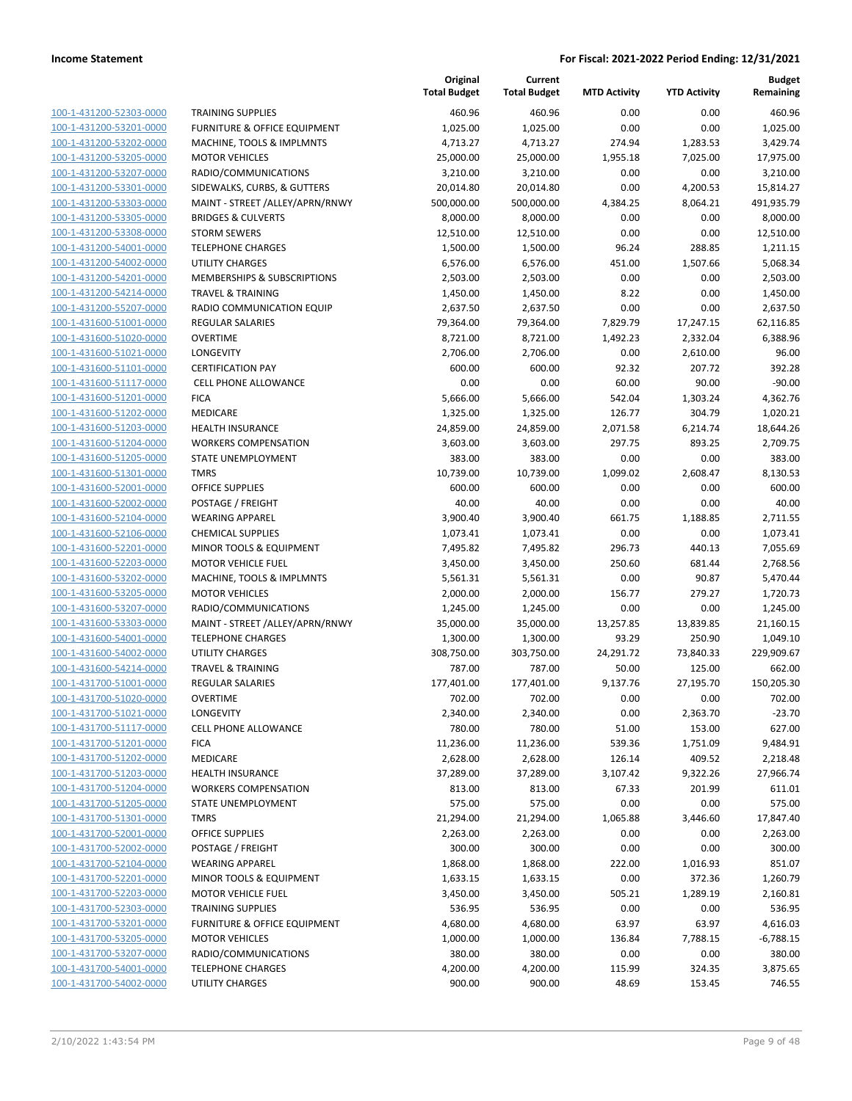|                                                    |                                                     | Original<br><b>Total Budget</b> | Current<br><b>Total Budget</b> | <b>MTD Activity</b> | <b>YTD Activity</b> | <b>Budget</b><br>Remaining |
|----------------------------------------------------|-----------------------------------------------------|---------------------------------|--------------------------------|---------------------|---------------------|----------------------------|
| 100-1-431200-52303-0000                            | <b>TRAINING SUPPLIES</b>                            | 460.96                          | 460.96                         | 0.00                | 0.00                | 460.96                     |
| 100-1-431200-53201-0000                            | FURNITURE & OFFICE EQUIPMENT                        | 1,025.00                        | 1,025.00                       | 0.00                | 0.00                | 1,025.00                   |
| 100-1-431200-53202-0000                            | MACHINE, TOOLS & IMPLMNTS                           | 4,713.27                        | 4,713.27                       | 274.94              | 1,283.53            | 3,429.74                   |
| 100-1-431200-53205-0000                            | <b>MOTOR VEHICLES</b>                               | 25,000.00                       | 25,000.00                      | 1,955.18            | 7,025.00            | 17,975.00                  |
| 100-1-431200-53207-0000                            | RADIO/COMMUNICATIONS                                | 3,210.00                        | 3,210.00                       | 0.00                | 0.00                | 3,210.00                   |
| 100-1-431200-53301-0000                            | SIDEWALKS, CURBS, & GUTTERS                         | 20,014.80                       | 20,014.80                      | 0.00                | 4,200.53            | 15,814.27                  |
| 100-1-431200-53303-0000                            | MAINT - STREET /ALLEY/APRN/RNWY                     | 500,000.00                      | 500,000.00                     | 4,384.25            | 8,064.21            | 491,935.79                 |
| 100-1-431200-53305-0000                            | <b>BRIDGES &amp; CULVERTS</b>                       | 8,000.00                        | 8,000.00                       | 0.00                | 0.00                | 8,000.00                   |
| 100-1-431200-53308-0000                            | <b>STORM SEWERS</b>                                 | 12,510.00                       | 12,510.00                      | 0.00                | 0.00                | 12,510.00                  |
| 100-1-431200-54001-0000                            | <b>TELEPHONE CHARGES</b>                            | 1,500.00                        | 1,500.00                       | 96.24               | 288.85              | 1,211.15                   |
| 100-1-431200-54002-0000                            | <b>UTILITY CHARGES</b>                              | 6,576.00                        | 6,576.00                       | 451.00              | 1,507.66            | 5,068.34                   |
| 100-1-431200-54201-0000                            | MEMBERSHIPS & SUBSCRIPTIONS                         | 2,503.00                        | 2,503.00                       | 0.00                | 0.00                | 2,503.00                   |
| 100-1-431200-54214-0000                            | <b>TRAVEL &amp; TRAINING</b>                        | 1,450.00                        | 1,450.00                       | 8.22                | 0.00                | 1,450.00                   |
| 100-1-431200-55207-0000                            | RADIO COMMUNICATION EQUIP                           | 2,637.50                        | 2,637.50                       | 0.00                | 0.00                | 2,637.50                   |
| 100-1-431600-51001-0000                            | <b>REGULAR SALARIES</b>                             | 79,364.00                       | 79,364.00                      | 7,829.79            | 17,247.15           | 62,116.85                  |
| 100-1-431600-51020-0000                            | <b>OVERTIME</b>                                     | 8,721.00                        | 8,721.00                       | 1,492.23            | 2,332.04            | 6,388.96                   |
| 100-1-431600-51021-0000                            | LONGEVITY                                           | 2,706.00                        | 2,706.00                       | 0.00                | 2,610.00            | 96.00                      |
| 100-1-431600-51101-0000                            | <b>CERTIFICATION PAY</b>                            | 600.00                          | 600.00                         | 92.32               | 207.72              | 392.28                     |
| 100-1-431600-51117-0000                            | <b>CELL PHONE ALLOWANCE</b>                         | 0.00                            | 0.00                           | 60.00               | 90.00               | $-90.00$                   |
| 100-1-431600-51201-0000                            | <b>FICA</b>                                         | 5,666.00                        | 5,666.00                       | 542.04              | 1,303.24            | 4,362.76                   |
| 100-1-431600-51202-0000                            | MEDICARE                                            | 1,325.00                        | 1,325.00                       | 126.77              | 304.79              | 1,020.21                   |
| 100-1-431600-51203-0000                            | <b>HEALTH INSURANCE</b>                             | 24,859.00                       | 24,859.00                      | 2,071.58            | 6,214.74            | 18,644.26                  |
| 100-1-431600-51204-0000                            | <b>WORKERS COMPENSATION</b>                         | 3,603.00                        | 3,603.00                       | 297.75              | 893.25              | 2,709.75                   |
| 100-1-431600-51205-0000                            | STATE UNEMPLOYMENT                                  | 383.00                          | 383.00                         | 0.00                | 0.00                | 383.00                     |
| 100-1-431600-51301-0000                            | <b>TMRS</b>                                         | 10,739.00                       | 10,739.00                      | 1,099.02            | 2,608.47            | 8,130.53                   |
| 100-1-431600-52001-0000                            | OFFICE SUPPLIES                                     | 600.00                          | 600.00                         | 0.00                | 0.00                | 600.00                     |
| 100-1-431600-52002-0000                            | POSTAGE / FREIGHT                                   | 40.00                           | 40.00                          | 0.00                | 0.00                | 40.00                      |
| 100-1-431600-52104-0000                            | <b>WEARING APPAREL</b>                              | 3,900.40                        | 3,900.40                       | 661.75              | 1,188.85            | 2,711.55                   |
| 100-1-431600-52106-0000<br>100-1-431600-52201-0000 | <b>CHEMICAL SUPPLIES</b><br>MINOR TOOLS & EQUIPMENT | 1,073.41<br>7,495.82            | 1,073.41<br>7,495.82           | 0.00<br>296.73      | 0.00<br>440.13      | 1,073.41<br>7,055.69       |
| 100-1-431600-52203-0000                            | <b>MOTOR VEHICLE FUEL</b>                           | 3,450.00                        | 3,450.00                       | 250.60              | 681.44              | 2,768.56                   |
| 100-1-431600-53202-0000                            | MACHINE, TOOLS & IMPLMNTS                           | 5,561.31                        | 5,561.31                       | 0.00                | 90.87               | 5,470.44                   |
| 100-1-431600-53205-0000                            | <b>MOTOR VEHICLES</b>                               | 2,000.00                        | 2,000.00                       | 156.77              | 279.27              | 1,720.73                   |
| 100-1-431600-53207-0000                            | RADIO/COMMUNICATIONS                                | 1,245.00                        | 1,245.00                       | 0.00                | 0.00                | 1,245.00                   |
| 100-1-431600-53303-0000                            | MAINT - STREET /ALLEY/APRN/RNWY                     | 35,000.00                       | 35,000.00                      | 13,257.85           | 13,839.85           | 21,160.15                  |
| 100-1-431600-54001-0000                            | <b>TELEPHONE CHARGES</b>                            | 1,300.00                        | 1,300.00                       | 93.29               | 250.90              | 1,049.10                   |
| 100-1-431600-54002-0000                            | <b>UTILITY CHARGES</b>                              | 308,750.00                      | 303,750.00                     | 24,291.72           | 73,840.33           | 229,909.67                 |
| 100-1-431600-54214-0000                            | <b>TRAVEL &amp; TRAINING</b>                        | 787.00                          | 787.00                         | 50.00               | 125.00              | 662.00                     |
| 100-1-431700-51001-0000                            | <b>REGULAR SALARIES</b>                             | 177,401.00                      | 177,401.00                     | 9,137.76            | 27,195.70           | 150,205.30                 |
| 100-1-431700-51020-0000                            | OVERTIME                                            | 702.00                          | 702.00                         | 0.00                | 0.00                | 702.00                     |
| 100-1-431700-51021-0000                            | LONGEVITY                                           | 2,340.00                        | 2,340.00                       | 0.00                | 2,363.70            | $-23.70$                   |
| 100-1-431700-51117-0000                            | <b>CELL PHONE ALLOWANCE</b>                         | 780.00                          | 780.00                         | 51.00               | 153.00              | 627.00                     |
| 100-1-431700-51201-0000                            | <b>FICA</b>                                         | 11,236.00                       | 11,236.00                      | 539.36              | 1,751.09            | 9.484.91                   |
| 100-1-431700-51202-0000                            | MEDICARE                                            | 2,628.00                        | 2,628.00                       | 126.14              | 409.52              | 2,218.48                   |
| 100-1-431700-51203-0000                            | <b>HEALTH INSURANCE</b>                             | 37,289.00                       | 37,289.00                      | 3,107.42            | 9,322.26            | 27,966.74                  |
| 100-1-431700-51204-0000                            | <b>WORKERS COMPENSATION</b>                         | 813.00                          | 813.00                         | 67.33               | 201.99              | 611.01                     |
| 100-1-431700-51205-0000                            | STATE UNEMPLOYMENT                                  | 575.00                          | 575.00                         | 0.00                | 0.00                | 575.00                     |
| 100-1-431700-51301-0000                            | <b>TMRS</b>                                         | 21,294.00                       | 21,294.00                      | 1,065.88            | 3,446.60            | 17,847.40                  |
| 100-1-431700-52001-0000                            | <b>OFFICE SUPPLIES</b>                              | 2,263.00                        | 2,263.00                       | 0.00                | 0.00                | 2,263.00                   |
| 100-1-431700-52002-0000                            | POSTAGE / FREIGHT                                   | 300.00                          | 300.00                         | 0.00                | 0.00                | 300.00                     |
| 100-1-431700-52104-0000                            | <b>WEARING APPAREL</b>                              | 1,868.00                        | 1,868.00                       | 222.00              | 1,016.93            | 851.07                     |
| 100-1-431700-52201-0000                            | MINOR TOOLS & EQUIPMENT                             | 1,633.15                        | 1,633.15                       | 0.00                | 372.36              | 1,260.79                   |
| 100-1-431700-52203-0000                            | <b>MOTOR VEHICLE FUEL</b>                           | 3,450.00                        | 3,450.00                       | 505.21              | 1,289.19            | 2,160.81                   |
| 100-1-431700-52303-0000                            | <b>TRAINING SUPPLIES</b>                            | 536.95                          | 536.95                         | 0.00                | 0.00                | 536.95                     |
| 100-1-431700-53201-0000                            | FURNITURE & OFFICE EQUIPMENT                        | 4,680.00                        | 4,680.00                       | 63.97               | 63.97               | 4,616.03                   |
| 100-1-431700-53205-0000                            | <b>MOTOR VEHICLES</b>                               | 1,000.00                        | 1,000.00                       | 136.84              | 7,788.15            | $-6,788.15$                |
| 100-1-431700-53207-0000                            | RADIO/COMMUNICATIONS                                | 380.00                          | 380.00                         | 0.00                | 0.00                | 380.00                     |
| 100-1-431700-54001-0000                            | <b>TELEPHONE CHARGES</b>                            | 4,200.00                        | 4,200.00                       | 115.99              | 324.35              | 3,875.65                   |
| 100-1-431700-54002-0000                            | UTILITY CHARGES                                     | 900.00                          | 900.00                         | 48.69               | 153.45              | 746.55                     |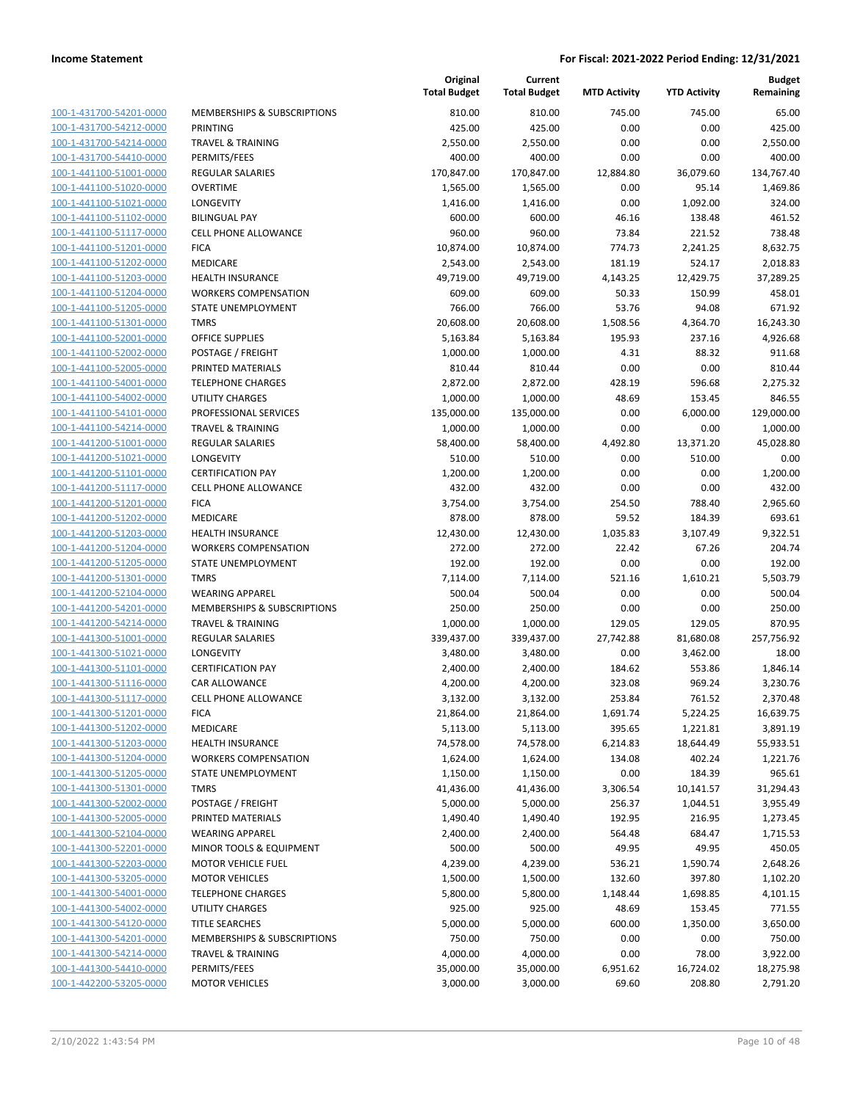| 100-1-431700-54201-0000        |
|--------------------------------|
| 100-1-431700-54212-0000        |
| 100-1-431700-54214-0000        |
| 100-1-431700-54410-0000        |
| 100-1-441100-51001-0000        |
| 100-1-441100-51020-0000        |
| 100-1-441100-51021-0000        |
| 100-1-441100-51102-0000        |
| 100-1-441100-51117-0000        |
| 100-1-441100-51201-0000        |
| 100-1-441100-51202-0000        |
|                                |
| 100-1-441100-51203-0000        |
| 100-1-441100-51204-0000        |
| 100-1-441100-51205-0000        |
| <u>100-1-441100-51301-0000</u> |
| 100-1-441100-52001-0000        |
| 100-1-441100-52002-0000        |
| 100-1-441100-52005-0000        |
| 100-1-441100-54001-0000        |
| 100-1-441100-54002-0000        |
| 100-1-441100-54101-0000        |
| 100-1-441100-54214-0000        |
| 100-1-441200-51001-0000        |
| 100-1-441200-51021-0000        |
| 100-1-441200-51101-0000        |
| 100-1-441200-51117-0000        |
| 100-1-441200-51201-0000        |
|                                |
| 100-1-441200-51202-0000        |
| 100-1-441200-51203-0000        |
| 100-1-441200-51204-0000        |
| 100-1-441200-51205-0000        |
| 100-1-441200-51301-0000        |
| 100-1-441200-52104-0000        |
| <u>100-1-441200-54201-0000</u> |
| 100-1-441200-54214-0000        |
| 100-1-441300-51001-0000        |
| 100-1-441300-51021-0000        |
| 100-1-441300-51101-0000        |
| 100-1-441300-51116-0000        |
| 100-1-441300-51117-0000        |
| 100-1-441300-51201-0000        |
| <u>100-1-441300-51202-0000</u> |
| 100-1-441300-51203-0000        |
| 100-1-441300-51204-0000        |
| <u>100-1-441300-51205-0000</u> |
|                                |
| 100-1-441300-51301-0000        |
| 100-1-441300-52002-0000        |
| 100-1-441300-52005-0000        |
| 100-1-441300-52104-0000        |
| <u>100-1-441300-52201-0000</u> |
| 100-1-441300-52203-0000        |
| 100-1-441300-53205-0000        |
| 100-1-441300-54001-0000        |
| 100-1-441300-54002-0000        |
| <u>100-1-441300-54120-0000</u> |
| <u>100-1-441300-54201-0000</u> |
| 100-1-441300-54214-0000        |
| 100-1-441300-54410-0000        |
| <u>100-1-442200-53205-0000</u> |
|                                |

|                         |                              | Original<br><b>Total Budget</b> | Current<br><b>Total Budget</b> | <b>MTD Activity</b> | <b>YTD Activity</b> | <b>Budget</b><br>Remaining |
|-------------------------|------------------------------|---------------------------------|--------------------------------|---------------------|---------------------|----------------------------|
| 100-1-431700-54201-0000 | MEMBERSHIPS & SUBSCRIPTIONS  | 810.00                          | 810.00                         | 745.00              | 745.00              | 65.00                      |
| 100-1-431700-54212-0000 | PRINTING                     | 425.00                          | 425.00                         | 0.00                | 0.00                | 425.00                     |
| 100-1-431700-54214-0000 | <b>TRAVEL &amp; TRAINING</b> | 2,550.00                        | 2,550.00                       | 0.00                | 0.00                | 2,550.00                   |
| 100-1-431700-54410-0000 | PERMITS/FEES                 | 400.00                          | 400.00                         | 0.00                | 0.00                | 400.00                     |
| 100-1-441100-51001-0000 | <b>REGULAR SALARIES</b>      | 170,847.00                      | 170,847.00                     | 12,884.80           | 36,079.60           | 134,767.40                 |
| 100-1-441100-51020-0000 | <b>OVERTIME</b>              | 1,565.00                        | 1,565.00                       | 0.00                | 95.14               | 1,469.86                   |
| 100-1-441100-51021-0000 | LONGEVITY                    | 1,416.00                        | 1,416.00                       | 0.00                | 1,092.00            | 324.00                     |
| 100-1-441100-51102-0000 | <b>BILINGUAL PAY</b>         | 600.00                          | 600.00                         | 46.16               | 138.48              | 461.52                     |
| 100-1-441100-51117-0000 | <b>CELL PHONE ALLOWANCE</b>  | 960.00                          | 960.00                         | 73.84               | 221.52              | 738.48                     |
| 100-1-441100-51201-0000 | <b>FICA</b>                  | 10,874.00                       | 10,874.00                      | 774.73              | 2,241.25            | 8,632.75                   |
| 100-1-441100-51202-0000 | MEDICARE                     | 2,543.00                        | 2,543.00                       | 181.19              | 524.17              | 2,018.83                   |
| 100-1-441100-51203-0000 | HEALTH INSURANCE             | 49,719.00                       | 49,719.00                      | 4,143.25            | 12,429.75           | 37,289.25                  |
| 100-1-441100-51204-0000 | <b>WORKERS COMPENSATION</b>  | 609.00                          | 609.00                         | 50.33               | 150.99              | 458.01                     |
| 100-1-441100-51205-0000 | STATE UNEMPLOYMENT           | 766.00                          | 766.00                         | 53.76               | 94.08               | 671.92                     |
| 100-1-441100-51301-0000 | <b>TMRS</b>                  | 20,608.00                       | 20,608.00                      | 1,508.56            | 4,364.70            | 16,243.30                  |
| 100-1-441100-52001-0000 | <b>OFFICE SUPPLIES</b>       | 5,163.84                        | 5,163.84                       | 195.93              | 237.16              | 4,926.68                   |
| 100-1-441100-52002-0000 | POSTAGE / FREIGHT            | 1,000.00                        | 1,000.00                       | 4.31                | 88.32               | 911.68                     |
| 100-1-441100-52005-0000 | PRINTED MATERIALS            | 810.44                          | 810.44                         | 0.00                | 0.00                | 810.44                     |
| 100-1-441100-54001-0000 | <b>TELEPHONE CHARGES</b>     | 2,872.00                        | 2,872.00                       | 428.19              | 596.68              | 2,275.32                   |
| 100-1-441100-54002-0000 | <b>UTILITY CHARGES</b>       | 1,000.00                        | 1,000.00                       | 48.69               | 153.45              | 846.55                     |
| 100-1-441100-54101-0000 | PROFESSIONAL SERVICES        | 135,000.00                      | 135,000.00                     | 0.00                | 6,000.00            | 129,000.00                 |
| 100-1-441100-54214-0000 | <b>TRAVEL &amp; TRAINING</b> | 1,000.00                        | 1,000.00                       | 0.00                | 0.00                | 1,000.00                   |
| 100-1-441200-51001-0000 | REGULAR SALARIES             | 58,400.00                       | 58,400.00                      | 4,492.80            | 13,371.20           | 45,028.80                  |
| 100-1-441200-51021-0000 | <b>LONGEVITY</b>             | 510.00                          | 510.00                         | 0.00                | 510.00              | 0.00                       |
| 100-1-441200-51101-0000 | <b>CERTIFICATION PAY</b>     | 1,200.00                        | 1,200.00                       | 0.00                | 0.00                | 1,200.00                   |
| 100-1-441200-51117-0000 | <b>CELL PHONE ALLOWANCE</b>  | 432.00                          | 432.00                         | 0.00                | 0.00                | 432.00                     |
| 100-1-441200-51201-0000 | <b>FICA</b>                  | 3,754.00                        | 3,754.00                       | 254.50              | 788.40              | 2,965.60                   |
| 100-1-441200-51202-0000 | MEDICARE                     | 878.00                          | 878.00                         | 59.52               | 184.39              | 693.61                     |
| 100-1-441200-51203-0000 | <b>HEALTH INSURANCE</b>      | 12,430.00                       | 12,430.00                      | 1,035.83            | 3,107.49            | 9,322.51                   |
| 100-1-441200-51204-0000 | <b>WORKERS COMPENSATION</b>  | 272.00                          | 272.00                         | 22.42               | 67.26               | 204.74                     |
| 100-1-441200-51205-0000 | STATE UNEMPLOYMENT           | 192.00                          | 192.00                         | 0.00                | 0.00                | 192.00                     |
| 100-1-441200-51301-0000 | <b>TMRS</b>                  | 7,114.00                        | 7,114.00                       | 521.16              | 1,610.21            | 5,503.79                   |
| 100-1-441200-52104-0000 | <b>WEARING APPAREL</b>       | 500.04                          | 500.04                         | 0.00                | 0.00                | 500.04                     |
| 100-1-441200-54201-0000 | MEMBERSHIPS & SUBSCRIPTIONS  | 250.00                          | 250.00                         | 0.00                | 0.00                | 250.00                     |
| 100-1-441200-54214-0000 | <b>TRAVEL &amp; TRAINING</b> | 1,000.00                        | 1,000.00                       | 129.05              | 129.05              | 870.95                     |
| 100-1-441300-51001-0000 | <b>REGULAR SALARIES</b>      | 339,437.00                      | 339,437.00                     | 27,742.88           | 81,680.08           | 257,756.92                 |
| 100-1-441300-51021-0000 | LONGEVITY                    | 3,480.00                        | 3,480.00                       | 0.00                | 3,462.00            | 18.00                      |
| 100-1-441300-51101-0000 | <b>CERTIFICATION PAY</b>     | 2,400.00                        | 2,400.00                       | 184.62              | 553.86              | 1,846.14                   |
| 100-1-441300-51116-0000 | <b>CAR ALLOWANCE</b>         | 4,200.00                        | 4,200.00                       | 323.08              | 969.24              | 3,230.76                   |
| 100-1-441300-51117-0000 | <b>CELL PHONE ALLOWANCE</b>  | 3,132.00                        | 3,132.00                       | 253.84              | 761.52              | 2,370.48                   |
| 100-1-441300-51201-0000 | <b>FICA</b>                  | 21,864.00                       | 21,864.00                      | 1,691.74            | 5,224.25            | 16,639.75                  |
| 100-1-441300-51202-0000 | MEDICARE                     | 5,113.00                        | 5,113.00                       | 395.65              | 1,221.81            | 3,891.19                   |
| 100-1-441300-51203-0000 | <b>HEALTH INSURANCE</b>      | 74,578.00                       | 74,578.00                      | 6,214.83            | 18,644.49           | 55,933.51                  |
| 100-1-441300-51204-0000 | <b>WORKERS COMPENSATION</b>  | 1,624.00                        | 1,624.00                       | 134.08              | 402.24              | 1,221.76                   |
| 100-1-441300-51205-0000 | STATE UNEMPLOYMENT           | 1,150.00                        | 1,150.00                       | 0.00                | 184.39              | 965.61                     |
| 100-1-441300-51301-0000 | <b>TMRS</b>                  | 41,436.00                       | 41,436.00                      | 3,306.54            | 10,141.57           | 31,294.43                  |
| 100-1-441300-52002-0000 | POSTAGE / FREIGHT            | 5,000.00                        | 5,000.00                       | 256.37              | 1,044.51            | 3,955.49                   |
| 100-1-441300-52005-0000 | PRINTED MATERIALS            | 1,490.40                        | 1,490.40                       | 192.95              | 216.95              | 1,273.45                   |
| 100-1-441300-52104-0000 | <b>WEARING APPAREL</b>       | 2,400.00                        | 2,400.00                       | 564.48              | 684.47              | 1,715.53                   |
| 100-1-441300-52201-0000 | MINOR TOOLS & EQUIPMENT      | 500.00                          | 500.00                         | 49.95               | 49.95               | 450.05                     |
| 100-1-441300-52203-0000 | <b>MOTOR VEHICLE FUEL</b>    | 4,239.00                        | 4,239.00                       | 536.21              | 1,590.74            | 2,648.26                   |
| 100-1-441300-53205-0000 | <b>MOTOR VEHICLES</b>        | 1,500.00                        | 1,500.00                       | 132.60              | 397.80              | 1,102.20                   |
| 100-1-441300-54001-0000 | <b>TELEPHONE CHARGES</b>     | 5,800.00                        | 5,800.00                       | 1,148.44            | 1,698.85            | 4,101.15                   |
| 100-1-441300-54002-0000 | <b>UTILITY CHARGES</b>       | 925.00                          | 925.00                         | 48.69               | 153.45              | 771.55                     |
| 100-1-441300-54120-0000 | <b>TITLE SEARCHES</b>        | 5,000.00                        | 5,000.00                       | 600.00              | 1,350.00            | 3,650.00                   |
| 100-1-441300-54201-0000 | MEMBERSHIPS & SUBSCRIPTIONS  | 750.00                          | 750.00                         | 0.00                | 0.00                | 750.00                     |
| 100-1-441300-54214-0000 | <b>TRAVEL &amp; TRAINING</b> | 4,000.00                        | 4,000.00                       | 0.00                | 78.00               | 3,922.00                   |
| 100-1-441300-54410-0000 | PERMITS/FEES                 | 35,000.00                       | 35,000.00                      | 6,951.62            | 16,724.02           | 18,275.98                  |
| 100-1-442200-53205-0000 | <b>MOTOR VEHICLES</b>        | 3,000.00                        | 3,000.00                       | 69.60               | 208.80              | 2,791.20                   |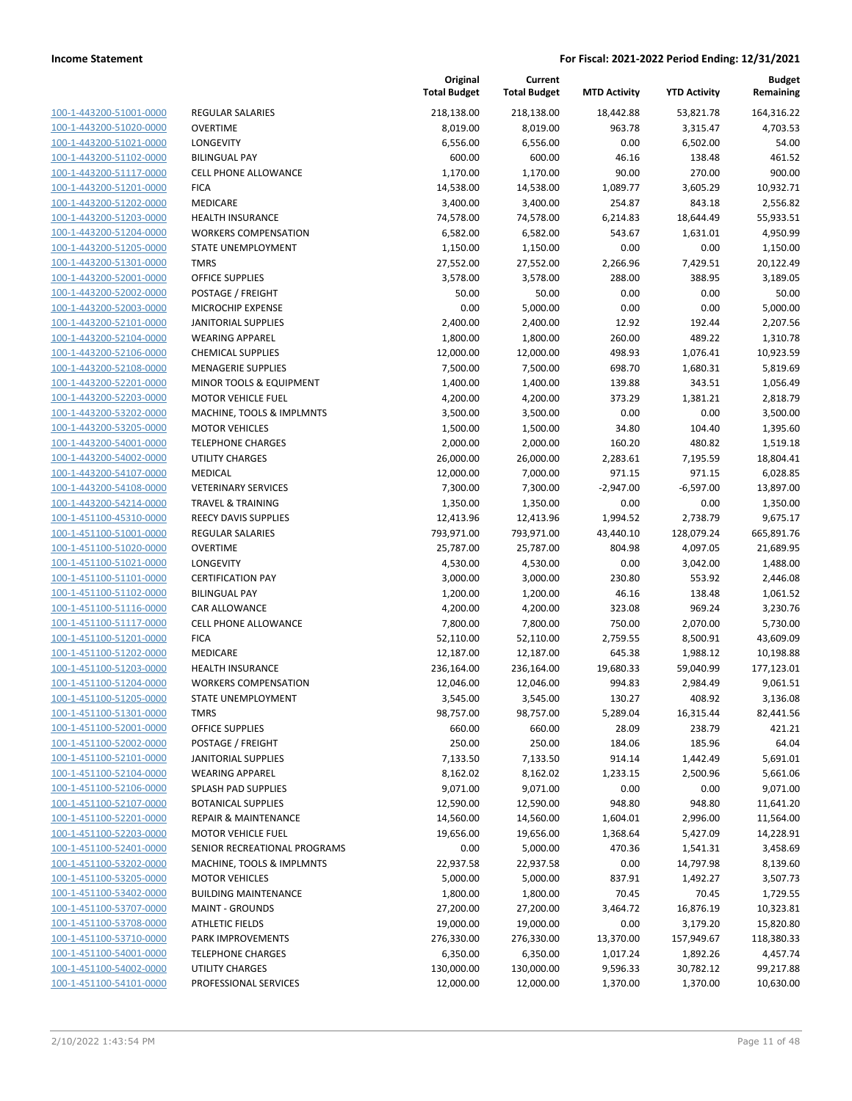| 100-1-443200-51001-0000        |
|--------------------------------|
| 100-1-443200-51020-0000        |
| 100-1-443200-51021-0000        |
| <u>100-1-443200-51102-0000</u> |
| 100-1-443200-51117-0000        |
| 100-1-443200-51201-0000        |
| 100-1-443200-51202-0000        |
| 100-1-443200-51203-0000        |
| 100-1-443200-51204-0000        |
| 100-1-443200-51205-0000        |
| 100-1-443200-51301-0000        |
|                                |
| 100-1-443200-52001-0000        |
| 100-1-443200-52002-0000        |
| <u>100-1-443200-52003-0000</u> |
| 100-1-443200-52101-0000        |
| 100-1-443200-52104-0000        |
| 100-1-443200-52106-0000        |
| 100-1-443200-52108-0000        |
| 100-1-443200-52201-0000        |
| 100-1-443200-52203-0000        |
| 100-1-443200-53202-0000        |
| 100-1-443200-53205-0000        |
| 100-1-443200-54001-0000        |
| <u>100-1-443200-54002-0000</u> |
| 100-1-443200-54107-0000        |
| 100-1-443200-54108-0000        |
| 100-1-443200-54214-0000        |
| 100-1-451100-45310-0000        |
| <u>100-1-451100-51001-0000</u> |
| 100-1-451100-51020-0000        |
|                                |
| 100-1-451100-51021-0000        |
| 100-1-451100-51101-0000        |
| 100-1-451100-51102-0000        |
| <u>100-1-451100-51116-0000</u> |
| 100-1-451100-51117-0000        |
| 100-1-451100-51201-0000        |
| 100-1-451100-51202-0000        |
| 100-1-451100-51203-0000        |
| 100-1-451100-51204-0000        |
| 100-1-451100-51205-0000        |
| 100-1-451100-51301-0000        |
| 100-1-451100-52001-0000        |
| 100-1-451100-52002-0000        |
| <u>100-1-451100-52101-0000</u> |
| 100-1-451100-52104-0000        |
| 100-1-451100-52106-0000        |
| 100-1-451100-52107-0000        |
| 100-1-451100-52201-0000        |
| <u>100-1-451100-52203-0000</u> |
|                                |
| <u>100-1-451100-52401-0000</u> |
| 100-1-451100-53202-0000        |
| 100-1-451100-53205-0000        |
| <u>100-1-451100-53402-0000</u> |
| <u>100-1-451100-53707-0000</u> |
| <u>100-1-451100-53708-0000</u> |
| 100-1-451100-53710-0000        |
| 100-1-451100-54001-0000        |
| <u>100-1-451100-54002-0000</u> |
| <u>100-1-451100-54101-0000</u> |
|                                |

| REGULAR SALARIES                   |
|------------------------------------|
| )VERTIME                           |
| ONGEVITY.                          |
| <b>BILINGUAL PAY</b>               |
| <b>CELL PHONE ALLOWANCE</b>        |
| <b>ICA</b>                         |
| MEDICARE                           |
| <b>IEALTH INSURANCE</b>            |
| <b>NORKERS COMPENSATION</b>        |
| TATE UNEMPLOYMENT                  |
| <b>MRS</b>                         |
| DFFICE SUPPLIES                    |
| POSTAGE / FREIGHT                  |
| <b>MICROCHIP EXPENSE</b>           |
| ANITORIAL SUPPLIES                 |
| VEARING APPAREL                    |
| <b>HEMICAL SUPPLIES</b>            |
| <b>MENAGERIE SUPPLIES</b>          |
| MINOR TOOLS & EQUIPMENT            |
| MOTOR VEHICLE FUEL                 |
| MACHINE, TOOLS & IMPLMNTS          |
| MOTOR VEHICLES                     |
| <b>ELEPHONE CHARGES</b>            |
| <b>JTILITY CHARGES</b>             |
| MEDICAL                            |
| /ETERINARY SERVICES                |
| TRAVEL & TRAINING                  |
| REECY DAVIS SUPPLIES               |
| <b>REGULAR SALARIES</b>            |
| <b>DVERTIME</b>                    |
| ONGEVITY.                          |
| <b>ERTIFICATION PAY</b>            |
| BILINGUAL PAY                      |
| CAR ALLOWANCE                      |
| CELL PHONE ALLOWANCE               |
| <b>ICA</b>                         |
| <b>MEDICARE</b>                    |
| IEALTH INSURANCE                   |
| <b>NORKERS COMPENSATION</b>        |
| STATE UNEMPLOYMENT                 |
| <b>MRS</b>                         |
| DFFICE SUPPLIES                    |
| OSTAGE / FREIGHT                   |
| <b>ANITORIAL SUPPLIES</b>          |
| VEARING APPAREL                    |
| PLASH PAD SUPPLIES                 |
| <b>BOTANICAL SUPPLIES</b>          |
| REPAIR & MAINTENANCE               |
| <b>MOTOR VEHICLE FUEL</b>          |
| <b>ENIOR RECREATIONAL PROGRAMS</b> |
| MACHINE, TOOLS & IMPLMNTS          |
| <b>MOTOR VEHICLES</b>              |
| <b>BUILDING MAINTENANCE</b>        |
| <b>MAINT - GROUNDS</b>             |
| <b>ITHLETIC FIELDS</b>             |
| <b>PARK IMPROVEMENTS</b>           |
| ELEPHONE CHARGES                   |
| <b>JTILITY CHARGES</b>             |

|                                                    |                                                                 | Original<br><b>Total Budget</b> | Current<br><b>Total Budget</b> | <b>MTD Activity</b> | <b>YTD Activity</b> | <b>Budget</b><br>Remaining |
|----------------------------------------------------|-----------------------------------------------------------------|---------------------------------|--------------------------------|---------------------|---------------------|----------------------------|
| 100-1-443200-51001-0000                            | <b>REGULAR SALARIES</b>                                         | 218,138.00                      | 218,138.00                     | 18,442.88           | 53,821.78           | 164,316.22                 |
| 100-1-443200-51020-0000                            | OVERTIME                                                        | 8,019.00                        | 8,019.00                       | 963.78              | 3,315.47            | 4,703.53                   |
| 100-1-443200-51021-0000                            | LONGEVITY                                                       | 6,556.00                        | 6,556.00                       | 0.00                | 6,502.00            | 54.00                      |
| 100-1-443200-51102-0000                            | <b>BILINGUAL PAY</b>                                            | 600.00                          | 600.00                         | 46.16               | 138.48              | 461.52                     |
| 100-1-443200-51117-0000                            | <b>CELL PHONE ALLOWANCE</b>                                     | 1,170.00                        | 1,170.00                       | 90.00               | 270.00              | 900.00                     |
| 100-1-443200-51201-0000                            | <b>FICA</b>                                                     | 14,538.00                       | 14,538.00                      | 1,089.77            | 3,605.29            | 10,932.71                  |
| 100-1-443200-51202-0000                            | MEDICARE                                                        | 3,400.00                        | 3,400.00                       | 254.87              | 843.18              | 2,556.82                   |
| 100-1-443200-51203-0000                            | HEALTH INSURANCE                                                | 74,578.00                       | 74,578.00                      | 6,214.83            | 18,644.49           | 55,933.51                  |
| 100-1-443200-51204-0000                            | <b>WORKERS COMPENSATION</b>                                     | 6,582.00                        | 6,582.00                       | 543.67              | 1,631.01            | 4,950.99                   |
| 100-1-443200-51205-0000                            | STATE UNEMPLOYMENT                                              | 1,150.00                        | 1,150.00                       | 0.00                | 0.00                | 1,150.00                   |
| 100-1-443200-51301-0000                            | <b>TMRS</b>                                                     | 27,552.00                       | 27,552.00                      | 2,266.96            | 7,429.51            | 20,122.49                  |
| 100-1-443200-52001-0000                            | OFFICE SUPPLIES                                                 | 3,578.00                        | 3,578.00                       | 288.00              | 388.95              | 3,189.05                   |
| 100-1-443200-52002-0000                            | POSTAGE / FREIGHT                                               | 50.00                           | 50.00                          | 0.00                | 0.00                | 50.00                      |
| 100-1-443200-52003-0000                            | MICROCHIP EXPENSE                                               | 0.00                            | 5,000.00                       | 0.00                | 0.00                | 5,000.00                   |
| 100-1-443200-52101-0000                            | <b>JANITORIAL SUPPLIES</b>                                      | 2,400.00                        | 2,400.00                       | 12.92               | 192.44              | 2,207.56                   |
| 100-1-443200-52104-0000                            | <b>WEARING APPAREL</b>                                          | 1,800.00                        | 1,800.00                       | 260.00              | 489.22              | 1,310.78                   |
| 100-1-443200-52106-0000                            | <b>CHEMICAL SUPPLIES</b>                                        | 12,000.00                       | 12,000.00                      | 498.93              | 1,076.41            | 10,923.59                  |
| 100-1-443200-52108-0000<br>100-1-443200-52201-0000 | <b>MENAGERIE SUPPLIES</b>                                       | 7,500.00                        | 7,500.00                       | 698.70              | 1,680.31            | 5,819.69                   |
| 100-1-443200-52203-0000                            | <b>MINOR TOOLS &amp; EQUIPMENT</b><br><b>MOTOR VEHICLE FUEL</b> | 1,400.00                        | 1,400.00                       | 139.88              | 343.51              | 1,056.49<br>2,818.79       |
|                                                    |                                                                 | 4,200.00                        | 4,200.00                       | 373.29              | 1,381.21            |                            |
| 100-1-443200-53202-0000<br>100-1-443200-53205-0000 | MACHINE, TOOLS & IMPLMNTS<br><b>MOTOR VEHICLES</b>              | 3,500.00                        | 3,500.00                       | 0.00<br>34.80       | 0.00<br>104.40      | 3,500.00                   |
| 100-1-443200-54001-0000                            | <b>TELEPHONE CHARGES</b>                                        | 1,500.00<br>2,000.00            | 1,500.00<br>2,000.00           | 160.20              | 480.82              | 1,395.60<br>1,519.18       |
| 100-1-443200-54002-0000                            | <b>UTILITY CHARGES</b>                                          | 26,000.00                       | 26,000.00                      | 2,283.61            | 7,195.59            | 18,804.41                  |
| 100-1-443200-54107-0000                            | MEDICAL                                                         | 12,000.00                       | 7,000.00                       | 971.15              | 971.15              | 6,028.85                   |
| 100-1-443200-54108-0000                            | <b>VETERINARY SERVICES</b>                                      | 7,300.00                        | 7,300.00                       | $-2,947.00$         | $-6,597.00$         | 13,897.00                  |
| 100-1-443200-54214-0000                            | <b>TRAVEL &amp; TRAINING</b>                                    | 1,350.00                        | 1,350.00                       | 0.00                | 0.00                | 1,350.00                   |
| 100-1-451100-45310-0000                            | <b>REECY DAVIS SUPPLIES</b>                                     | 12,413.96                       | 12,413.96                      | 1,994.52            | 2,738.79            | 9,675.17                   |
| 100-1-451100-51001-0000                            | <b>REGULAR SALARIES</b>                                         | 793,971.00                      | 793,971.00                     | 43,440.10           | 128,079.24          | 665,891.76                 |
| 100-1-451100-51020-0000                            | <b>OVERTIME</b>                                                 | 25,787.00                       | 25,787.00                      | 804.98              | 4,097.05            | 21,689.95                  |
| 100-1-451100-51021-0000                            | LONGEVITY                                                       | 4,530.00                        | 4,530.00                       | 0.00                | 3,042.00            | 1,488.00                   |
| 100-1-451100-51101-0000                            | <b>CERTIFICATION PAY</b>                                        | 3,000.00                        | 3,000.00                       | 230.80              | 553.92              | 2,446.08                   |
| 100-1-451100-51102-0000                            | <b>BILINGUAL PAY</b>                                            | 1,200.00                        | 1,200.00                       | 46.16               | 138.48              | 1,061.52                   |
| 100-1-451100-51116-0000                            | CAR ALLOWANCE                                                   | 4,200.00                        | 4,200.00                       | 323.08              | 969.24              | 3,230.76                   |
| 100-1-451100-51117-0000                            | <b>CELL PHONE ALLOWANCE</b>                                     | 7,800.00                        | 7,800.00                       | 750.00              | 2,070.00            | 5,730.00                   |
| 100-1-451100-51201-0000                            | <b>FICA</b>                                                     | 52,110.00                       | 52,110.00                      | 2,759.55            | 8,500.91            | 43,609.09                  |
| 100-1-451100-51202-0000                            | MEDICARE                                                        | 12,187.00                       | 12,187.00                      | 645.38              | 1,988.12            | 10,198.88                  |
| 100-1-451100-51203-0000                            | HEALTH INSURANCE                                                | 236,164.00                      | 236,164.00                     | 19,680.33           | 59,040.99           | 177,123.01                 |
| 100-1-451100-51204-0000                            | <b>WORKERS COMPENSATION</b>                                     | 12,046.00                       | 12,046.00                      | 994.83              | 2,984.49            | 9,061.51                   |
| 100-1-451100-51205-0000                            | STATE UNEMPLOYMENT                                              | 3,545.00                        | 3,545.00                       | 130.27              | 408.92              | 3,136.08                   |
| 100-1-451100-51301-0000                            | <b>TMRS</b>                                                     | 98,757.00                       | 98,757.00                      | 5,289.04            | 16,315.44           | 82,441.56                  |
| 100-1-451100-52001-0000                            | OFFICE SUPPLIES                                                 | 660.00                          | 660.00                         | 28.09               | 238.79              | 421.21                     |
| 100-1-451100-52002-0000                            | POSTAGE / FREIGHT                                               | 250.00                          | 250.00                         | 184.06              | 185.96              | 64.04                      |
| 100-1-451100-52101-0000                            | <b>JANITORIAL SUPPLIES</b>                                      | 7,133.50                        | 7,133.50                       | 914.14              | 1,442.49            | 5,691.01                   |
| 100-1-451100-52104-0000                            | <b>WEARING APPAREL</b>                                          | 8,162.02                        | 8,162.02                       | 1,233.15            | 2,500.96            | 5,661.06                   |
| 100-1-451100-52106-0000                            | SPLASH PAD SUPPLIES                                             | 9,071.00                        | 9,071.00                       | 0.00                | 0.00                | 9,071.00                   |
| 100-1-451100-52107-0000                            | <b>BOTANICAL SUPPLIES</b>                                       | 12,590.00                       | 12,590.00                      | 948.80              | 948.80              | 11,641.20                  |
| 100-1-451100-52201-0000                            | <b>REPAIR &amp; MAINTENANCE</b>                                 | 14,560.00                       | 14,560.00                      | 1,604.01            | 2,996.00            | 11,564.00                  |
| 100-1-451100-52203-0000                            | <b>MOTOR VEHICLE FUEL</b>                                       | 19,656.00                       | 19,656.00                      | 1,368.64            | 5,427.09            | 14,228.91                  |
| 100-1-451100-52401-0000                            | SENIOR RECREATIONAL PROGRAMS                                    | 0.00                            | 5,000.00                       | 470.36              | 1,541.31            | 3,458.69                   |
| 100-1-451100-53202-0000                            | MACHINE, TOOLS & IMPLMNTS                                       | 22,937.58                       | 22,937.58                      | 0.00                | 14,797.98           | 8,139.60                   |
| 100-1-451100-53205-0000                            | <b>MOTOR VEHICLES</b>                                           | 5,000.00                        | 5,000.00                       | 837.91              | 1,492.27            | 3,507.73                   |
| 100-1-451100-53402-0000                            | <b>BUILDING MAINTENANCE</b>                                     | 1,800.00                        | 1,800.00                       | 70.45               | 70.45               | 1,729.55                   |
| 100-1-451100-53707-0000                            | <b>MAINT - GROUNDS</b>                                          | 27,200.00                       | 27,200.00                      | 3,464.72            | 16,876.19           | 10,323.81                  |
| 100-1-451100-53708-0000                            | <b>ATHLETIC FIELDS</b>                                          | 19,000.00                       | 19,000.00                      | 0.00                | 3,179.20            | 15,820.80                  |
| 100-1-451100-53710-0000                            | PARK IMPROVEMENTS                                               | 276,330.00                      | 276,330.00                     | 13,370.00           | 157,949.67          | 118,380.33                 |
| 100-1-451100-54001-0000                            | <b>TELEPHONE CHARGES</b>                                        | 6,350.00                        | 6,350.00                       | 1,017.24            | 1,892.26            | 4,457.74                   |
| 100-1-451100-54002-0000                            | UTILITY CHARGES                                                 | 130,000.00                      | 130,000.00                     | 9,596.33            | 30,782.12           | 99,217.88                  |
| 100-1-451100-54101-0000                            | PROFESSIONAL SERVICES                                           | 12,000.00                       | 12,000.00                      | 1,370.00            | 1,370.00            | 10,630.00                  |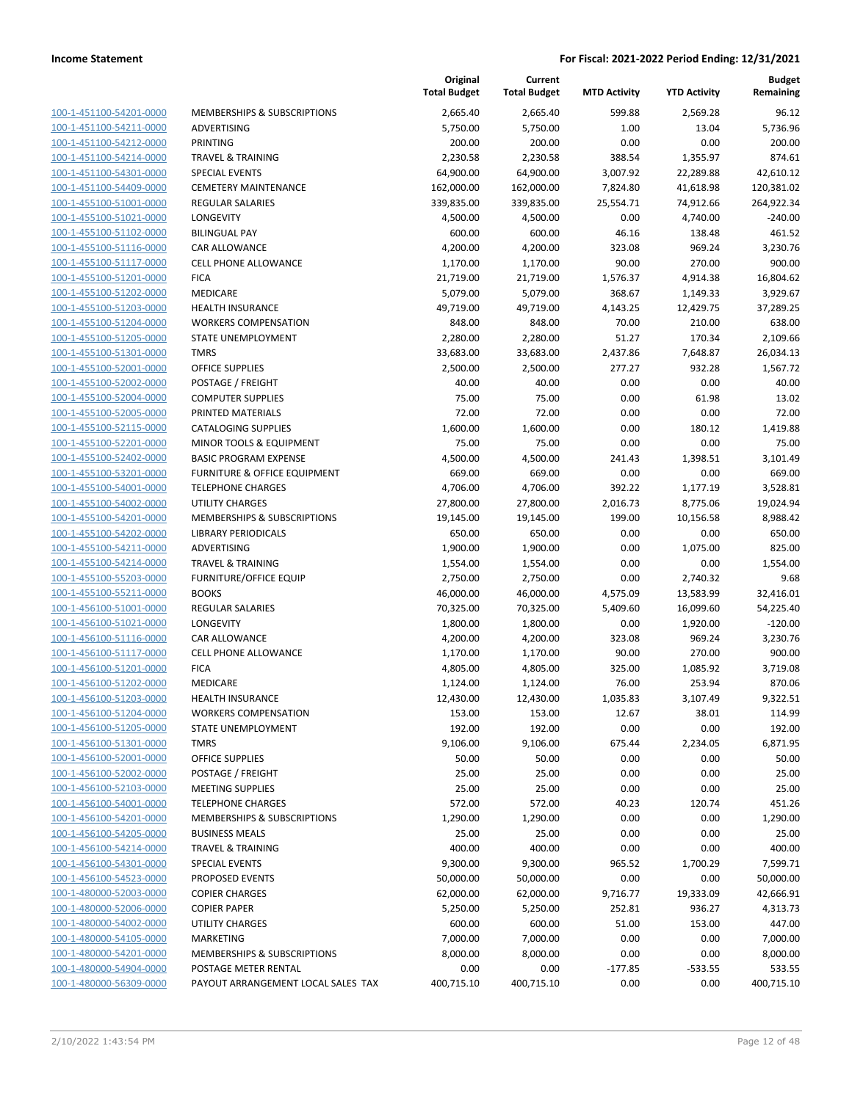| 100-1-451100-54201-0000             |
|-------------------------------------|
| 100-1-451100-54211-0000             |
| 100-1-451100-54212-0000             |
| 100-1-451100-54214-0000             |
| <u>100-1-451100-54301-0000</u>      |
| 100-1-451100-54409-0000             |
| 100-1-455100-51001-0000             |
| 100-1-455100-51021-0000             |
| 100-1-455100-51102-0000             |
| 100-1-455100-51116-0000             |
| 100-1-455100-51117-0000             |
| 100-1-455100-51201-0000             |
| 100-1-455100-51202-0000             |
| 100-1-455100-51203-0000             |
|                                     |
| <u>100-1-455100-51204-0000</u>      |
| 100-1-455100-51205-0000             |
| 100-1-455100-51301-0000             |
| 100-1-455100-52001-0000             |
| 100-1-455100-52002-0000             |
| <u>100-1-455100-52004-0000</u>      |
| 100-1-455100-52005-0000             |
| 100-1-455100-52115-0000             |
| 100-1-455100-52201-0000             |
| 100-1-455100-52402-0000             |
| <u>100-1-455100-53201-0000</u>      |
| 100-1-455100-54001-0000             |
| 100-1-455100-54002-0000             |
| 100-1-455100-54201-0000             |
| 100-1-455100-54202-0000             |
| <u>100-1-455100-54211-0000</u>      |
|                                     |
| 100-1-455100-54214-0000             |
| 100-1-455100-55203-0000             |
| 100-1-455100-55211-0000             |
| 100-1-456100-51001-0000             |
| <u>100-1-456100-51021-0000</u>      |
| 100-1-456100-51116-0000             |
| 100-1-456100-51117-0000             |
| 100-1-456100-51201-0000             |
| 100-1-456100-51202-0000             |
| 100-1-456100-51203-0000             |
| 100-1-456100-51204-0000             |
| 100-1-456100-51205-0000             |
| 100-1-456100-51301-0000             |
| <u>100-1-456100-52001-0000</u>      |
| 100-1-456100-52002-0000             |
| <u>100-1-456100-52103-0000</u>      |
|                                     |
| 100-1-456100-54001-0000             |
| 100-1-456100-54201-0000             |
| <u>100-1-456100-54205-0000</u>      |
| 100-1-456100-54214-0000             |
| <u>100-1-456100-54301-0000</u>      |
| 1-456100-54523-0000<br>100-         |
| 100-1-480000-52003-0000             |
| <u>100-1-480000-52006-0000</u>      |
| 100-1-480000-54002-0000             |
| <u>100-1-480000-54105-0000</u>      |
| 1-480000-54201-0000<br><u> 100-</u> |
| <u>100-1-480000-54904-0000</u>      |
| <u>100-1-480000-56309-0000</u>      |
|                                     |

|                                                    |                                              | Original<br><b>Total Budget</b> | Current<br><b>Total Budget</b> | <b>MTD Activity</b> | <b>YTD Activity</b> | <b>Budget</b><br>Remaining |
|----------------------------------------------------|----------------------------------------------|---------------------------------|--------------------------------|---------------------|---------------------|----------------------------|
| 100-1-451100-54201-0000                            | MEMBERSHIPS & SUBSCRIPTIONS                  | 2,665.40                        | 2,665.40                       | 599.88              | 2,569.28            | 96.12                      |
| 100-1-451100-54211-0000                            | ADVERTISING                                  | 5,750.00                        | 5,750.00                       | 1.00                | 13.04               | 5,736.96                   |
| 100-1-451100-54212-0000                            | <b>PRINTING</b>                              | 200.00                          | 200.00                         | 0.00                | 0.00                | 200.00                     |
| 100-1-451100-54214-0000                            | <b>TRAVEL &amp; TRAINING</b>                 | 2,230.58                        | 2,230.58                       | 388.54              | 1,355.97            | 874.61                     |
| 100-1-451100-54301-0000                            | <b>SPECIAL EVENTS</b>                        | 64,900.00                       | 64,900.00                      | 3,007.92            | 22,289.88           | 42,610.12                  |
| 100-1-451100-54409-0000                            | <b>CEMETERY MAINTENANCE</b>                  | 162,000.00                      | 162,000.00                     | 7,824.80            | 41,618.98           | 120,381.02                 |
| 100-1-455100-51001-0000                            | <b>REGULAR SALARIES</b>                      | 339,835.00                      | 339,835.00                     | 25,554.71           | 74,912.66           | 264,922.34                 |
| 100-1-455100-51021-0000                            | <b>LONGEVITY</b>                             | 4,500.00                        | 4,500.00                       | 0.00                | 4,740.00            | $-240.00$                  |
| 100-1-455100-51102-0000                            | <b>BILINGUAL PAY</b>                         | 600.00                          | 600.00                         | 46.16               | 138.48              | 461.52                     |
| 100-1-455100-51116-0000                            | <b>CAR ALLOWANCE</b>                         | 4,200.00                        | 4,200.00                       | 323.08              | 969.24              | 3,230.76                   |
| 100-1-455100-51117-0000                            | <b>CELL PHONE ALLOWANCE</b>                  | 1,170.00                        | 1,170.00                       | 90.00               | 270.00              | 900.00                     |
| 100-1-455100-51201-0000                            | <b>FICA</b>                                  | 21,719.00                       | 21,719.00                      | 1,576.37            | 4,914.38            | 16,804.62                  |
| 100-1-455100-51202-0000                            | MEDICARE                                     | 5,079.00                        | 5,079.00                       | 368.67              | 1,149.33            | 3,929.67                   |
| 100-1-455100-51203-0000                            | <b>HEALTH INSURANCE</b>                      | 49,719.00                       | 49,719.00                      | 4,143.25            | 12,429.75           | 37,289.25                  |
| 100-1-455100-51204-0000                            | <b>WORKERS COMPENSATION</b>                  | 848.00                          | 848.00                         | 70.00               | 210.00              | 638.00                     |
| 100-1-455100-51205-0000                            | STATE UNEMPLOYMENT                           | 2,280.00                        | 2,280.00                       | 51.27               | 170.34              | 2,109.66                   |
| 100-1-455100-51301-0000                            | <b>TMRS</b>                                  | 33,683.00                       | 33,683.00                      | 2,437.86            | 7,648.87            | 26,034.13                  |
| 100-1-455100-52001-0000                            | <b>OFFICE SUPPLIES</b>                       | 2,500.00                        | 2,500.00                       | 277.27              | 932.28              | 1,567.72                   |
| 100-1-455100-52002-0000                            | POSTAGE / FREIGHT                            | 40.00                           | 40.00                          | 0.00                | 0.00                | 40.00                      |
| 100-1-455100-52004-0000                            | <b>COMPUTER SUPPLIES</b>                     | 75.00                           | 75.00                          | 0.00                | 61.98               | 13.02                      |
| 100-1-455100-52005-0000                            | PRINTED MATERIALS                            | 72.00                           | 72.00                          | 0.00                | 0.00                | 72.00                      |
| 100-1-455100-52115-0000                            | <b>CATALOGING SUPPLIES</b>                   | 1,600.00                        | 1,600.00                       | 0.00                | 180.12              | 1,419.88                   |
| 100-1-455100-52201-0000                            | <b>MINOR TOOLS &amp; EQUIPMENT</b>           | 75.00                           | 75.00                          | 0.00                | 0.00                | 75.00                      |
| 100-1-455100-52402-0000                            | <b>BASIC PROGRAM EXPENSE</b>                 | 4,500.00                        | 4,500.00                       | 241.43              | 1,398.51            | 3,101.49                   |
| 100-1-455100-53201-0000                            | <b>FURNITURE &amp; OFFICE EQUIPMENT</b>      | 669.00                          | 669.00                         | 0.00                | 0.00                | 669.00                     |
| 100-1-455100-54001-0000                            | <b>TELEPHONE CHARGES</b>                     | 4,706.00                        | 4,706.00                       | 392.22              | 1,177.19            | 3,528.81                   |
| 100-1-455100-54002-0000                            | <b>UTILITY CHARGES</b>                       | 27,800.00                       | 27,800.00                      | 2,016.73            | 8,775.06            | 19,024.94                  |
| 100-1-455100-54201-0000                            | MEMBERSHIPS & SUBSCRIPTIONS                  | 19,145.00                       | 19,145.00                      | 199.00              | 10,156.58           | 8,988.42                   |
| 100-1-455100-54202-0000                            | <b>LIBRARY PERIODICALS</b>                   | 650.00                          | 650.00                         | 0.00                | 0.00                | 650.00                     |
| 100-1-455100-54211-0000                            | ADVERTISING                                  | 1,900.00                        | 1,900.00                       | 0.00                | 1,075.00            | 825.00                     |
| 100-1-455100-54214-0000                            | <b>TRAVEL &amp; TRAINING</b>                 | 1,554.00                        | 1,554.00                       | 0.00                | 0.00                | 1,554.00                   |
| 100-1-455100-55203-0000                            | <b>FURNITURE/OFFICE EQUIP</b>                | 2,750.00                        | 2,750.00                       | 0.00                | 2,740.32            | 9.68                       |
| 100-1-455100-55211-0000                            | <b>BOOKS</b>                                 | 46,000.00                       | 46,000.00                      | 4,575.09            | 13,583.99           | 32,416.01                  |
| 100-1-456100-51001-0000                            | <b>REGULAR SALARIES</b><br><b>LONGEVITY</b>  | 70,325.00                       | 70,325.00                      | 5,409.60            | 16,099.60           | 54,225.40                  |
| 100-1-456100-51021-0000                            |                                              | 1,800.00                        | 1,800.00                       | 0.00                | 1,920.00            | $-120.00$                  |
| 100-1-456100-51116-0000<br>100-1-456100-51117-0000 | CAR ALLOWANCE<br><b>CELL PHONE ALLOWANCE</b> | 4,200.00                        | 4,200.00<br>1,170.00           | 323.08<br>90.00     | 969.24<br>270.00    | 3,230.76<br>900.00         |
| 100-1-456100-51201-0000                            |                                              | 1,170.00<br>4,805.00            | 4,805.00                       |                     |                     |                            |
| 100-1-456100-51202-0000                            | <b>FICA</b><br><b>MEDICARE</b>               |                                 | 1,124.00                       | 325.00<br>76.00     | 1,085.92<br>253.94  | 3,719.08<br>870.06         |
| 100-1-456100-51203-0000                            | <b>HEALTH INSURANCE</b>                      | 1,124.00<br>12,430.00           | 12,430.00                      | 1,035.83            | 3,107.49            | 9,322.51                   |
| 100-1-456100-51204-0000                            | <b>WORKERS COMPENSATION</b>                  | 153.00                          | 153.00                         | 12.67               | 38.01               | 114.99                     |
| 100-1-456100-51205-0000                            | STATE UNEMPLOYMENT                           | 192.00                          | 192.00                         | 0.00                | 0.00                | 192.00                     |
| 100-1-456100-51301-0000                            | <b>TMRS</b>                                  | 9,106.00                        | 9,106.00                       | 675.44              | 2,234.05            | 6,871.95                   |
| 100-1-456100-52001-0000                            | OFFICE SUPPLIES                              | 50.00                           | 50.00                          | 0.00                | 0.00                | 50.00                      |
| 100-1-456100-52002-0000                            | POSTAGE / FREIGHT                            | 25.00                           | 25.00                          | 0.00                | 0.00                | 25.00                      |
| 100-1-456100-52103-0000                            | <b>MEETING SUPPLIES</b>                      | 25.00                           | 25.00                          | 0.00                | 0.00                | 25.00                      |
| 100-1-456100-54001-0000                            | <b>TELEPHONE CHARGES</b>                     | 572.00                          | 572.00                         | 40.23               | 120.74              | 451.26                     |
| 100-1-456100-54201-0000                            | MEMBERSHIPS & SUBSCRIPTIONS                  | 1,290.00                        | 1,290.00                       | 0.00                | 0.00                | 1,290.00                   |
| 100-1-456100-54205-0000                            | <b>BUSINESS MEALS</b>                        | 25.00                           | 25.00                          | 0.00                | 0.00                | 25.00                      |
| 100-1-456100-54214-0000                            | TRAVEL & TRAINING                            | 400.00                          | 400.00                         | 0.00                | 0.00                | 400.00                     |
| 100-1-456100-54301-0000                            | SPECIAL EVENTS                               | 9,300.00                        | 9,300.00                       | 965.52              | 1,700.29            | 7,599.71                   |
| 100-1-456100-54523-0000                            | PROPOSED EVENTS                              | 50,000.00                       | 50,000.00                      | 0.00                | 0.00                | 50,000.00                  |
| 100-1-480000-52003-0000                            | <b>COPIER CHARGES</b>                        | 62,000.00                       | 62,000.00                      | 9,716.77            | 19,333.09           | 42,666.91                  |
| 100-1-480000-52006-0000                            | <b>COPIER PAPER</b>                          | 5,250.00                        | 5,250.00                       | 252.81              | 936.27              | 4,313.73                   |
| 100-1-480000-54002-0000                            | UTILITY CHARGES                              | 600.00                          | 600.00                         | 51.00               | 153.00              | 447.00                     |
| 100-1-480000-54105-0000                            | <b>MARKETING</b>                             | 7,000.00                        | 7,000.00                       | 0.00                | 0.00                | 7,000.00                   |
| 100-1-480000-54201-0000                            | MEMBERSHIPS & SUBSCRIPTIONS                  | 8,000.00                        | 8,000.00                       | 0.00                | 0.00                | 8,000.00                   |
| 100-1-480000-54904-0000                            | POSTAGE METER RENTAL                         | 0.00                            | 0.00                           | $-177.85$           | $-533.55$           | 533.55                     |
| 100-1-480000-56309-0000                            | PAYOUT ARRANGEMENT LOCAL SALES TAX           | 400,715.10                      | 400,715.10                     | 0.00                | 0.00                | 400,715.10                 |
|                                                    |                                              |                                 |                                |                     |                     |                            |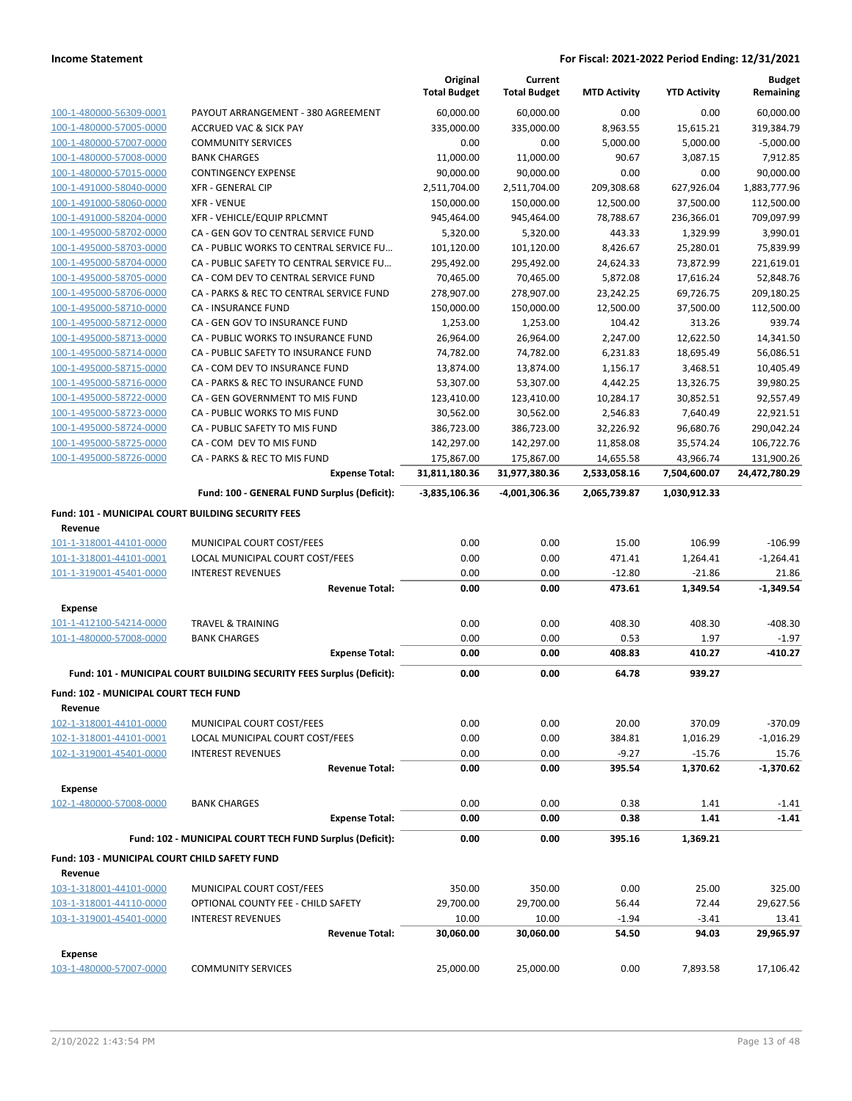|                                                               |                                                                       | Original<br><b>Total Budget</b> | Current<br><b>Total Budget</b> | <b>MTD Activity</b> | <b>YTD Activity</b> | <b>Budget</b><br>Remaining |
|---------------------------------------------------------------|-----------------------------------------------------------------------|---------------------------------|--------------------------------|---------------------|---------------------|----------------------------|
| 100-1-480000-56309-0001                                       | PAYOUT ARRANGEMENT - 380 AGREEMENT                                    | 60,000.00                       | 60,000.00                      | 0.00                | 0.00                | 60,000.00                  |
| 100-1-480000-57005-0000                                       | <b>ACCRUED VAC &amp; SICK PAY</b>                                     | 335,000.00                      | 335,000.00                     | 8,963.55            | 15,615.21           | 319,384.79                 |
| 100-1-480000-57007-0000                                       | <b>COMMUNITY SERVICES</b>                                             | 0.00                            | 0.00                           | 5,000.00            | 5,000.00            | $-5,000.00$                |
| 100-1-480000-57008-0000                                       | <b>BANK CHARGES</b>                                                   | 11,000.00                       | 11,000.00                      | 90.67               | 3,087.15            | 7,912.85                   |
| 100-1-480000-57015-0000                                       | <b>CONTINGENCY EXPENSE</b>                                            | 90,000.00                       | 90,000.00                      | 0.00                | 0.00                | 90,000.00                  |
| 100-1-491000-58040-0000                                       | <b>XFR - GENERAL CIP</b>                                              | 2,511,704.00                    | 2,511,704.00                   | 209,308.68          | 627,926.04          | 1,883,777.96               |
| 100-1-491000-58060-0000                                       | <b>XFR - VENUE</b>                                                    | 150,000.00                      | 150,000.00                     | 12,500.00           | 37,500.00           | 112,500.00                 |
| 100-1-491000-58204-0000                                       | XFR - VEHICLE/EQUIP RPLCMNT                                           | 945,464.00                      | 945,464.00                     | 78,788.67           | 236,366.01          | 709,097.99                 |
| 100-1-495000-58702-0000                                       | CA - GEN GOV TO CENTRAL SERVICE FUND                                  | 5,320.00                        | 5,320.00                       | 443.33              | 1,329.99            | 3,990.01                   |
| 100-1-495000-58703-0000                                       | CA - PUBLIC WORKS TO CENTRAL SERVICE FU                               | 101,120.00                      | 101,120.00                     | 8,426.67            | 25,280.01           | 75,839.99                  |
| 100-1-495000-58704-0000                                       | CA - PUBLIC SAFETY TO CENTRAL SERVICE FU                              | 295,492.00                      | 295,492.00                     | 24,624.33           | 73,872.99           | 221,619.01                 |
| 100-1-495000-58705-0000                                       | CA - COM DEV TO CENTRAL SERVICE FUND                                  | 70,465.00                       | 70,465.00                      | 5,872.08            | 17,616.24           | 52,848.76                  |
| 100-1-495000-58706-0000                                       | CA - PARKS & REC TO CENTRAL SERVICE FUND                              | 278,907.00                      | 278,907.00                     | 23,242.25           | 69,726.75           | 209,180.25                 |
| 100-1-495000-58710-0000                                       | CA - INSURANCE FUND                                                   | 150,000.00                      | 150,000.00                     | 12,500.00           | 37,500.00           | 112,500.00                 |
| 100-1-495000-58712-0000                                       | CA - GEN GOV TO INSURANCE FUND                                        | 1,253.00                        | 1,253.00                       | 104.42              | 313.26              | 939.74                     |
| 100-1-495000-58713-0000                                       | CA - PUBLIC WORKS TO INSURANCE FUND                                   | 26,964.00                       | 26,964.00                      | 2,247.00            | 12,622.50           | 14,341.50                  |
| 100-1-495000-58714-0000                                       | CA - PUBLIC SAFETY TO INSURANCE FUND                                  | 74,782.00                       | 74,782.00                      | 6,231.83            | 18,695.49           | 56,086.51                  |
| 100-1-495000-58715-0000                                       | CA - COM DEV TO INSURANCE FUND                                        | 13,874.00                       | 13,874.00                      | 1,156.17            | 3,468.51            | 10,405.49                  |
| 100-1-495000-58716-0000                                       | CA - PARKS & REC TO INSURANCE FUND                                    |                                 | 53,307.00                      | 4,442.25            | 13,326.75           | 39,980.25                  |
| 100-1-495000-58722-0000                                       | CA - GEN GOVERNMENT TO MIS FUND                                       | 123,410.00                      | 123,410.00                     | 10,284.17           | 30,852.51           | 92,557.49                  |
| 100-1-495000-58723-0000                                       | CA - PUBLIC WORKS TO MIS FUND                                         | 30,562.00                       | 30,562.00                      | 2,546.83            | 7,640.49            | 22,921.51                  |
| 100-1-495000-58724-0000                                       | CA - PUBLIC SAFETY TO MIS FUND                                        | 386,723.00                      | 386,723.00                     | 32,226.92           | 96,680.76           | 290,042.24                 |
| 100-1-495000-58725-0000                                       | CA - COM DEV TO MIS FUND                                              | 142,297.00                      | 142,297.00                     | 11,858.08           | 35,574.24           | 106,722.76                 |
| 100-1-495000-58726-0000                                       | CA - PARKS & REC TO MIS FUND                                          | 175,867.00                      | 175,867.00                     | 14,655.58           | 43,966.74           | 131,900.26                 |
|                                                               | <b>Expense Total:</b>                                                 | 31,811,180.36                   | 31,977,380.36                  | 2,533,058.16        | 7,504,600.07        | 24,472,780.29              |
|                                                               | Fund: 100 - GENERAL FUND Surplus (Deficit):                           | -3,835,106.36                   | -4,001,306.36                  | 2,065,739.87        | 1,030,912.33        |                            |
| Fund: 101 - MUNICIPAL COURT BUILDING SECURITY FEES<br>Revenue |                                                                       |                                 |                                |                     |                     |                            |
| 101-1-318001-44101-0000                                       | MUNICIPAL COURT COST/FEES                                             | 0.00                            | 0.00                           | 15.00               | 106.99              | $-106.99$                  |
| 101-1-318001-44101-0001                                       | LOCAL MUNICIPAL COURT COST/FEES                                       | 0.00                            | 0.00                           | 471.41              | 1,264.41            | $-1,264.41$                |
| 101-1-319001-45401-0000                                       | <b>INTEREST REVENUES</b>                                              | 0.00                            | 0.00                           | $-12.80$            | $-21.86$            | 21.86                      |
|                                                               | <b>Revenue Total:</b>                                                 | 0.00                            | 0.00                           | 473.61              | 1,349.54            | $-1,349.54$                |
| <b>Expense</b>                                                |                                                                       |                                 |                                |                     |                     |                            |
| 101-1-412100-54214-0000                                       | <b>TRAVEL &amp; TRAINING</b>                                          | 0.00                            | 0.00                           | 408.30              | 408.30              | $-408.30$                  |
| 101-1-480000-57008-0000                                       | <b>BANK CHARGES</b>                                                   | 0.00                            | 0.00                           | 0.53                | 1.97                | $-1.97$                    |
|                                                               | <b>Expense Total:</b>                                                 | 0.00                            | 0.00                           | 408.83              | 410.27              | $-410.27$                  |
|                                                               | Fund: 101 - MUNICIPAL COURT BUILDING SECURITY FEES Surplus (Deficit): | 0.00                            | 0.00                           | 64.78               | 939.27              |                            |
| Fund: 102 - MUNICIPAL COURT TECH FUND                         |                                                                       |                                 |                                |                     |                     |                            |
| Revenue                                                       |                                                                       |                                 |                                |                     |                     |                            |
| 102-1-318001-44101-0000                                       | MUNICIPAL COURT COST/FEES                                             | 0.00                            | 0.00                           | 20.00               | 370.09              | $-370.09$                  |
| 102-1-318001-44101-0001                                       | LOCAL MUNICIPAL COURT COST/FEES                                       | 0.00                            | 0.00                           | 384.81              | 1,016.29            | $-1,016.29$                |
| 102-1-319001-45401-0000                                       | <b>INTEREST REVENUES</b>                                              | 0.00                            | 0.00                           | $-9.27$             | $-15.76$            | 15.76                      |
|                                                               | <b>Revenue Total:</b>                                                 | 0.00                            | 0.00                           | 395.54              | 1,370.62            | $-1,370.62$                |
| <b>Expense</b>                                                |                                                                       |                                 |                                |                     |                     |                            |
| 102-1-480000-57008-0000                                       | <b>BANK CHARGES</b>                                                   | 0.00                            | 0.00                           | 0.38                | 1.41                | $-1.41$                    |
|                                                               | <b>Expense Total:</b>                                                 | 0.00                            | 0.00                           | 0.38                | 1.41                | $-1.41$                    |
|                                                               | Fund: 102 - MUNICIPAL COURT TECH FUND Surplus (Deficit):              | 0.00                            | 0.00                           | 395.16              | 1,369.21            |                            |
| <b>Fund: 103 - MUNICIPAL COURT CHILD SAFETY FUND</b>          |                                                                       |                                 |                                |                     |                     |                            |
| Revenue                                                       |                                                                       |                                 |                                |                     |                     |                            |
| 103-1-318001-44101-0000                                       | MUNICIPAL COURT COST/FEES                                             | 350.00<br>29,700.00             | 350.00<br>29,700.00            | 0.00<br>56.44       | 25.00<br>72.44      | 325.00<br>29,627.56        |
| 103-1-318001-44110-0000<br>103-1-319001-45401-0000            | OPTIONAL COUNTY FEE - CHILD SAFETY                                    |                                 |                                | $-1.94$             | $-3.41$             | 13.41                      |
|                                                               | <b>INTEREST REVENUES</b><br><b>Revenue Total:</b>                     | 10.00<br>30,060.00              | 10.00<br>30,060.00             | 54.50               | 94.03               | 29,965.97                  |
| <b>Expense</b>                                                |                                                                       |                                 |                                |                     |                     |                            |
| 103-1-480000-57007-0000                                       | <b>COMMUNITY SERVICES</b>                                             | 25,000.00                       | 25,000.00                      | 0.00                | 7,893.58            | 17,106.42                  |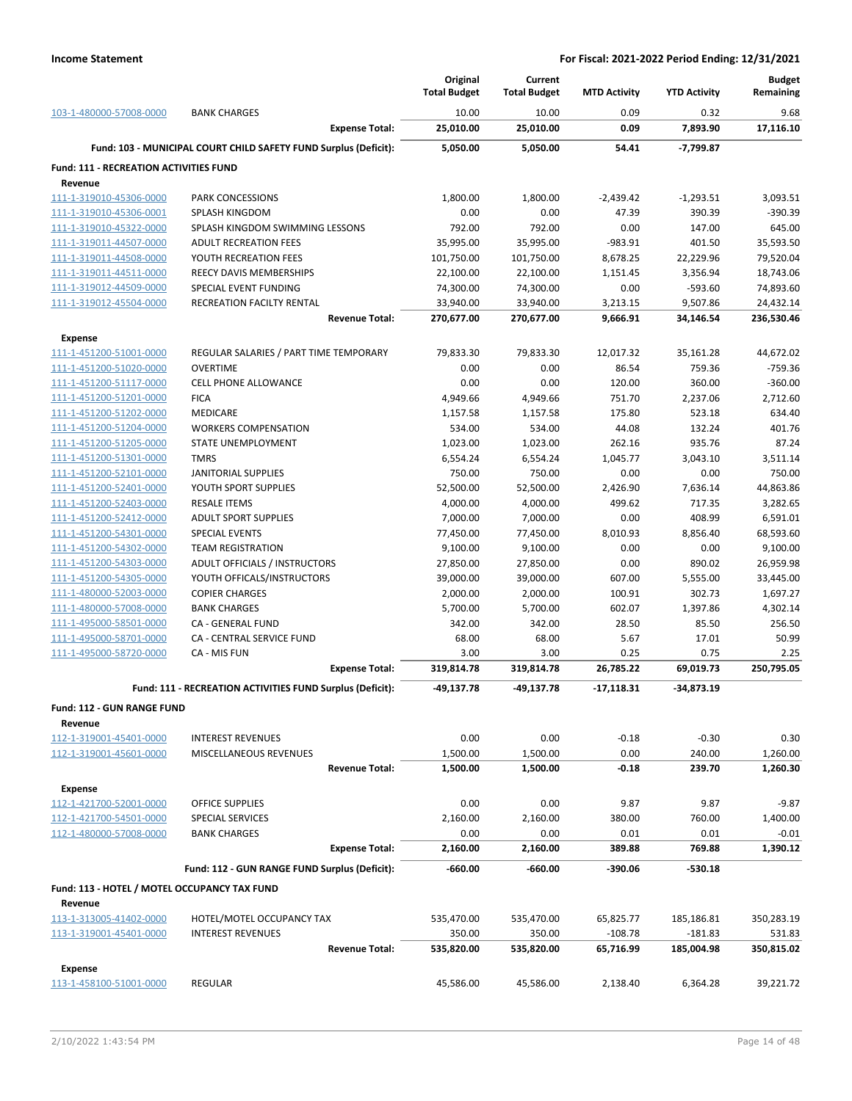|                                                          |                                                                  | Original<br><b>Total Budget</b> | Current<br><b>Total Budget</b> | <b>MTD Activity</b> | <b>YTD Activity</b> | <b>Budget</b><br>Remaining |
|----------------------------------------------------------|------------------------------------------------------------------|---------------------------------|--------------------------------|---------------------|---------------------|----------------------------|
| 103-1-480000-57008-0000                                  | <b>BANK CHARGES</b>                                              | 10.00                           | 10.00                          | 0.09                | 0.32                | 9.68                       |
|                                                          | <b>Expense Total:</b>                                            | 25,010.00                       | 25,010.00                      | 0.09                | 7,893.90            | 17,116.10                  |
|                                                          | Fund: 103 - MUNICIPAL COURT CHILD SAFETY FUND Surplus (Deficit): | 5,050.00                        | 5,050.00                       | 54.41               | -7,799.87           |                            |
| <b>Fund: 111 - RECREATION ACTIVITIES FUND</b><br>Revenue |                                                                  |                                 |                                |                     |                     |                            |
| 111-1-319010-45306-0000                                  | <b>PARK CONCESSIONS</b>                                          | 1,800.00                        | 1,800.00                       | $-2,439.42$         | $-1,293.51$         | 3,093.51                   |
| 111-1-319010-45306-0001                                  | <b>SPLASH KINGDOM</b>                                            | 0.00                            | 0.00                           | 47.39               | 390.39              | $-390.39$                  |
| 111-1-319010-45322-0000                                  | SPLASH KINGDOM SWIMMING LESSONS                                  | 792.00                          | 792.00                         | 0.00                | 147.00              | 645.00                     |
| 111-1-319011-44507-0000                                  | <b>ADULT RECREATION FEES</b>                                     | 35,995.00                       | 35,995.00                      | $-983.91$           | 401.50              | 35,593.50                  |
| 111-1-319011-44508-0000                                  | YOUTH RECREATION FEES                                            | 101,750.00                      | 101,750.00                     | 8,678.25            | 22,229.96           | 79,520.04                  |
| 111-1-319011-44511-0000                                  | REECY DAVIS MEMBERSHIPS                                          | 22,100.00                       | 22,100.00                      | 1,151.45            | 3,356.94            | 18,743.06                  |
| 111-1-319012-44509-0000                                  | SPECIAL EVENT FUNDING                                            | 74,300.00                       | 74,300.00                      | 0.00                | $-593.60$           | 74,893.60                  |
| 111-1-319012-45504-0000                                  | RECREATION FACILTY RENTAL                                        | 33,940.00                       | 33,940.00                      | 3,213.15            | 9,507.86            | 24,432.14                  |
| <b>Expense</b>                                           | <b>Revenue Total:</b>                                            | 270,677.00                      | 270,677.00                     | 9,666.91            | 34,146.54           | 236,530.46                 |
| 111-1-451200-51001-0000                                  | REGULAR SALARIES / PART TIME TEMPORARY                           | 79,833.30                       | 79,833.30                      | 12,017.32           | 35,161.28           | 44,672.02                  |
| 111-1-451200-51020-0000                                  | <b>OVERTIME</b>                                                  | 0.00                            | 0.00                           | 86.54               | 759.36              | $-759.36$                  |
| 111-1-451200-51117-0000                                  | <b>CELL PHONE ALLOWANCE</b>                                      | 0.00                            | 0.00                           | 120.00              | 360.00              | $-360.00$                  |
| 111-1-451200-51201-0000                                  | <b>FICA</b>                                                      | 4,949.66                        | 4,949.66                       | 751.70              | 2,237.06            | 2,712.60                   |
| 111-1-451200-51202-0000                                  | MEDICARE                                                         | 1,157.58                        | 1,157.58                       | 175.80              | 523.18              | 634.40                     |
| 111-1-451200-51204-0000                                  | <b>WORKERS COMPENSATION</b>                                      | 534.00                          | 534.00                         | 44.08               | 132.24              | 401.76                     |
| 111-1-451200-51205-0000                                  | STATE UNEMPLOYMENT                                               | 1,023.00                        | 1,023.00                       | 262.16              | 935.76              | 87.24                      |
| 111-1-451200-51301-0000                                  | <b>TMRS</b>                                                      | 6,554.24                        | 6,554.24                       | 1,045.77            | 3,043.10            | 3,511.14                   |
| 111-1-451200-52101-0000                                  | <b>JANITORIAL SUPPLIES</b>                                       | 750.00                          | 750.00                         | 0.00                | 0.00                | 750.00                     |
| 111-1-451200-52401-0000                                  | YOUTH SPORT SUPPLIES                                             | 52,500.00                       | 52,500.00                      | 2,426.90            | 7,636.14            | 44,863.86                  |
| 111-1-451200-52403-0000                                  | <b>RESALE ITEMS</b>                                              | 4,000.00                        | 4,000.00                       | 499.62              | 717.35              | 3,282.65                   |
| 111-1-451200-52412-0000                                  | <b>ADULT SPORT SUPPLIES</b>                                      | 7,000.00                        | 7,000.00                       | 0.00                | 408.99              | 6,591.01                   |
| 111-1-451200-54301-0000                                  | <b>SPECIAL EVENTS</b>                                            | 77,450.00                       | 77,450.00                      | 8,010.93            | 8,856.40            | 68,593.60                  |
| 111-1-451200-54302-0000                                  | <b>TEAM REGISTRATION</b>                                         | 9,100.00                        | 9,100.00                       | 0.00                | 0.00                | 9,100.00                   |
| 111-1-451200-54303-0000                                  | ADULT OFFICIALS / INSTRUCTORS                                    | 27,850.00                       | 27,850.00                      | 0.00                | 890.02              | 26,959.98                  |
| 111-1-451200-54305-0000                                  | YOUTH OFFICALS/INSTRUCTORS                                       | 39,000.00                       | 39,000.00                      | 607.00              | 5,555.00            | 33,445.00                  |
| 111-1-480000-52003-0000                                  | <b>COPIER CHARGES</b>                                            | 2,000.00                        | 2,000.00                       | 100.91              | 302.73              | 1,697.27                   |
| 111-1-480000-57008-0000                                  | <b>BANK CHARGES</b>                                              | 5,700.00                        | 5,700.00                       | 602.07              | 1,397.86            | 4,302.14                   |
| 111-1-495000-58501-0000                                  | <b>CA - GENERAL FUND</b>                                         | 342.00                          | 342.00                         | 28.50               | 85.50               | 256.50                     |
| 111-1-495000-58701-0000                                  | CA - CENTRAL SERVICE FUND                                        | 68.00                           | 68.00                          | 5.67                | 17.01               | 50.99                      |
| 111-1-495000-58720-0000                                  | CA - MIS FUN<br><b>Expense Total:</b>                            | 3.00<br>319,814.78              | 3.00<br>319,814.78             | 0.25<br>26,785.22   | 0.75<br>69,019.73   | 2.25<br>250,795.05         |
|                                                          | Fund: 111 - RECREATION ACTIVITIES FUND Surplus (Deficit):        | -49,137.78                      | -49,137.78                     | -17,118.31          | $-34.873.19$        |                            |
| <b>Fund: 112 - GUN RANGE FUND</b>                        |                                                                  |                                 |                                |                     |                     |                            |
| Revenue                                                  |                                                                  |                                 |                                |                     |                     |                            |
| 112-1-319001-45401-0000                                  | <b>INTEREST REVENUES</b>                                         | 0.00                            | 0.00                           | $-0.18$             | $-0.30$             | 0.30                       |
| 112-1-319001-45601-0000                                  | MISCELLANEOUS REVENUES                                           | 1,500.00                        | 1,500.00                       | 0.00                | 240.00              | 1,260.00                   |
|                                                          | <b>Revenue Total:</b>                                            | 1,500.00                        | 1,500.00                       | $-0.18$             | 239.70              | 1,260.30                   |
| Expense<br>112-1-421700-52001-0000                       | OFFICE SUPPLIES                                                  | 0.00                            | 0.00                           | 9.87                | 9.87                | $-9.87$                    |
| 112-1-421700-54501-0000                                  | SPECIAL SERVICES                                                 | 2,160.00                        | 2,160.00                       | 380.00              | 760.00              | 1,400.00                   |
| 112-1-480000-57008-0000                                  | <b>BANK CHARGES</b>                                              | 0.00                            | 0.00                           | 0.01                | 0.01                | $-0.01$                    |
|                                                          | <b>Expense Total:</b>                                            | 2,160.00                        | 2,160.00                       | 389.88              | 769.88              | 1,390.12                   |
|                                                          | Fund: 112 - GUN RANGE FUND Surplus (Deficit):                    | $-660.00$                       | $-660.00$                      | -390.06             | $-530.18$           |                            |
| Fund: 113 - HOTEL / MOTEL OCCUPANCY TAX FUND             |                                                                  |                                 |                                |                     |                     |                            |
| Revenue                                                  |                                                                  |                                 |                                |                     |                     |                            |
| 113-1-313005-41402-0000                                  | HOTEL/MOTEL OCCUPANCY TAX                                        | 535,470.00                      | 535,470.00                     | 65,825.77           | 185,186.81          | 350,283.19                 |
| 113-1-319001-45401-0000                                  | <b>INTEREST REVENUES</b>                                         | 350.00                          | 350.00                         | $-108.78$           | $-181.83$           | 531.83                     |
|                                                          | <b>Revenue Total:</b>                                            | 535,820.00                      | 535,820.00                     | 65,716.99           | 185,004.98          | 350,815.02                 |
| Expense                                                  |                                                                  |                                 |                                |                     |                     |                            |
| 113-1-458100-51001-0000                                  | REGULAR                                                          | 45,586.00                       | 45,586.00                      | 2,138.40            | 6,364.28            | 39,221.72                  |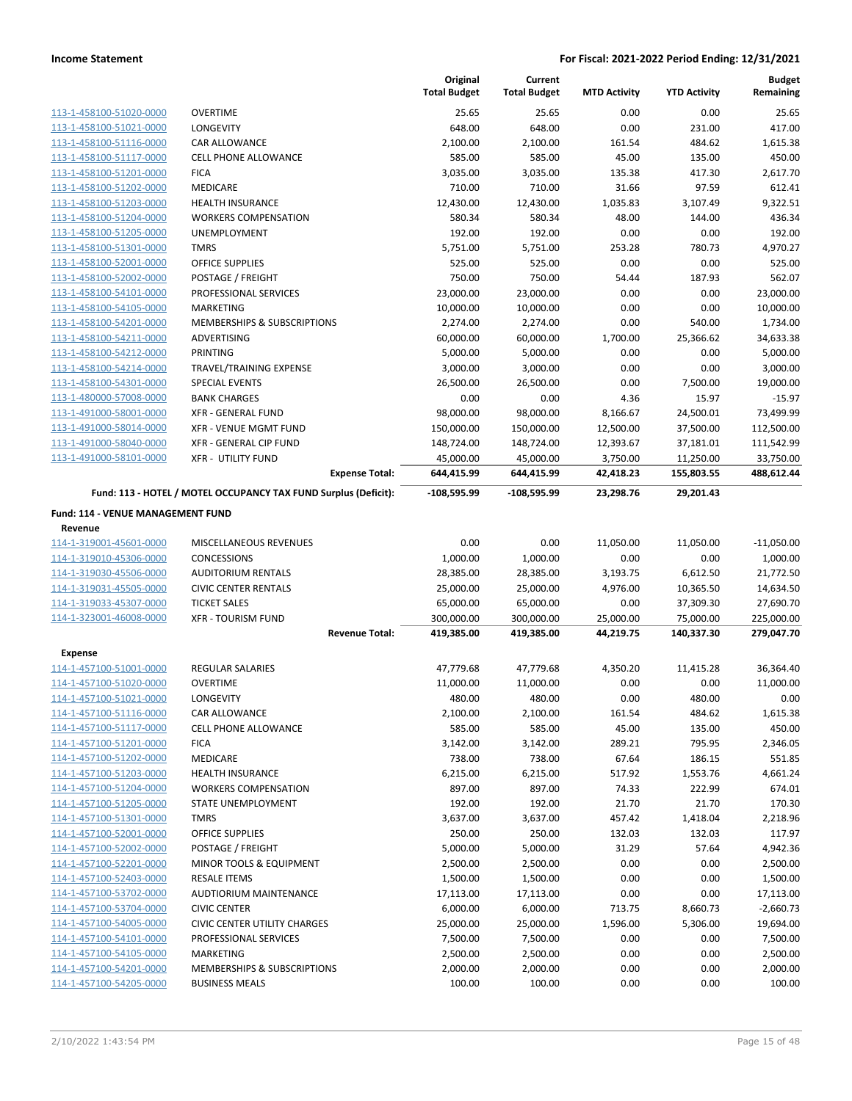|                                   |                                                                 | Original<br><b>Total Budget</b> | Current<br><b>Total Budget</b> | <b>MTD Activity</b> | <b>YTD Activity</b> | <b>Budget</b><br>Remaining |
|-----------------------------------|-----------------------------------------------------------------|---------------------------------|--------------------------------|---------------------|---------------------|----------------------------|
| 113-1-458100-51020-0000           | <b>OVERTIME</b>                                                 | 25.65                           | 25.65                          | 0.00                | 0.00                | 25.65                      |
| 113-1-458100-51021-0000           | LONGEVITY                                                       | 648.00                          | 648.00                         | 0.00                | 231.00              | 417.00                     |
| 113-1-458100-51116-0000           | <b>CAR ALLOWANCE</b>                                            | 2,100.00                        | 2,100.00                       | 161.54              | 484.62              | 1,615.38                   |
| 113-1-458100-51117-0000           | <b>CELL PHONE ALLOWANCE</b>                                     | 585.00                          | 585.00                         | 45.00               | 135.00              | 450.00                     |
| 113-1-458100-51201-0000           | <b>FICA</b>                                                     | 3,035.00                        | 3,035.00                       | 135.38              | 417.30              | 2,617.70                   |
| 113-1-458100-51202-0000           | <b>MEDICARE</b>                                                 | 710.00                          | 710.00                         | 31.66               | 97.59               | 612.41                     |
| 113-1-458100-51203-0000           | HEALTH INSURANCE                                                | 12,430.00                       | 12,430.00                      | 1,035.83            | 3,107.49            | 9,322.51                   |
| 113-1-458100-51204-0000           | <b>WORKERS COMPENSATION</b>                                     | 580.34                          | 580.34                         | 48.00               | 144.00              | 436.34                     |
| 113-1-458100-51205-0000           | UNEMPLOYMENT                                                    | 192.00                          | 192.00                         | 0.00                | 0.00                | 192.00                     |
| 113-1-458100-51301-0000           | <b>TMRS</b>                                                     | 5,751.00                        | 5,751.00                       | 253.28              | 780.73              | 4,970.27                   |
| 113-1-458100-52001-0000           | OFFICE SUPPLIES                                                 | 525.00                          | 525.00                         | 0.00                | 0.00                | 525.00                     |
| 113-1-458100-52002-0000           | POSTAGE / FREIGHT                                               | 750.00                          | 750.00                         | 54.44               | 187.93              | 562.07                     |
| 113-1-458100-54101-0000           | PROFESSIONAL SERVICES                                           | 23,000.00                       | 23,000.00                      | 0.00                | 0.00                | 23,000.00                  |
| 113-1-458100-54105-0000           | <b>MARKETING</b>                                                | 10,000.00                       | 10,000.00                      | 0.00                | 0.00                | 10,000.00                  |
| 113-1-458100-54201-0000           | MEMBERSHIPS & SUBSCRIPTIONS                                     | 2,274.00                        | 2,274.00                       | 0.00                | 540.00              | 1,734.00                   |
| 113-1-458100-54211-0000           | ADVERTISING                                                     | 60,000.00                       | 60,000.00                      | 1,700.00            | 25,366.62           | 34,633.38                  |
| 113-1-458100-54212-0000           | PRINTING                                                        | 5,000.00                        | 5,000.00                       | 0.00                | 0.00                | 5,000.00                   |
| 113-1-458100-54214-0000           | TRAVEL/TRAINING EXPENSE                                         | 3,000.00                        | 3,000.00                       | 0.00                | 0.00                | 3,000.00                   |
| 113-1-458100-54301-0000           | SPECIAL EVENTS                                                  | 26,500.00                       | 26,500.00                      | 0.00                | 7,500.00            | 19,000.00                  |
| 113-1-480000-57008-0000           | <b>BANK CHARGES</b>                                             | 0.00                            | 0.00                           | 4.36                | 15.97               | $-15.97$                   |
| 113-1-491000-58001-0000           | <b>XFR - GENERAL FUND</b>                                       | 98,000.00                       | 98,000.00                      | 8,166.67            | 24,500.01           | 73,499.99                  |
| 113-1-491000-58014-0000           | XFR - VENUE MGMT FUND                                           | 150,000.00                      | 150,000.00                     | 12,500.00           | 37,500.00           | 112,500.00                 |
| 113-1-491000-58040-0000           | XFR - GENERAL CIP FUND                                          | 148,724.00                      | 148,724.00                     | 12,393.67           | 37,181.01           | 111,542.99                 |
| 113-1-491000-58101-0000           | <b>XFR - UTILITY FUND</b>                                       | 45,000.00                       | 45,000.00                      | 3,750.00            | 11,250.00           | 33,750.00                  |
|                                   | <b>Expense Total:</b>                                           | 644,415.99                      | 644,415.99                     | 42,418.23           | 155,803.55          | 488,612.44                 |
|                                   | Fund: 113 - HOTEL / MOTEL OCCUPANCY TAX FUND Surplus (Deficit): | -108,595.99                     | -108,595.99                    | 23,298.76           | 29,201.43           |                            |
| Fund: 114 - VENUE MANAGEMENT FUND |                                                                 |                                 |                                |                     |                     |                            |
| Revenue                           |                                                                 |                                 |                                |                     |                     |                            |
| 114-1-319001-45601-0000           | MISCELLANEOUS REVENUES                                          | 0.00                            | 0.00                           | 11,050.00           | 11,050.00           | $-11,050.00$               |
| 114-1-319010-45306-0000           | CONCESSIONS                                                     | 1,000.00                        | 1,000.00                       | 0.00                | 0.00                | 1,000.00                   |
| 114-1-319030-45506-0000           | <b>AUDITORIUM RENTALS</b>                                       | 28,385.00                       | 28,385.00                      | 3,193.75            | 6,612.50            | 21,772.50                  |
| 114-1-319031-45505-0000           | <b>CIVIC CENTER RENTALS</b>                                     | 25,000.00                       | 25,000.00                      | 4,976.00            | 10,365.50           | 14,634.50                  |
| 114-1-319033-45307-0000           | <b>TICKET SALES</b>                                             | 65,000.00                       | 65,000.00                      | 0.00                | 37,309.30           | 27,690.70                  |
| 114-1-323001-46008-0000           | <b>XFR - TOURISM FUND</b>                                       | 300,000.00                      | 300,000.00                     | 25,000.00           | 75,000.00           | 225,000.00                 |
|                                   | <b>Revenue Total:</b>                                           | 419,385.00                      | 419,385.00                     | 44,219.75           | 140,337.30          | 279,047.70                 |
| <b>Expense</b>                    |                                                                 |                                 |                                |                     |                     |                            |
| 114-1-457100-51001-0000           | <b>REGULAR SALARIES</b>                                         | 47,779.68                       | 47,779.68                      | 4,350.20            | 11,415.28           | 36,364.40                  |
| 114-1-457100-51020-0000           | <b>OVERTIME</b>                                                 | 11,000.00                       | 11,000.00                      | 0.00                | 0.00                | 11,000.00                  |
| 114-1-457100-51021-0000           | LONGEVITY                                                       | 480.00                          | 480.00                         | 0.00                | 480.00              | 0.00                       |
| 114-1-457100-51116-0000           | CAR ALLOWANCE                                                   | 2,100.00                        | 2,100.00                       | 161.54              | 484.62              | 1,615.38                   |
| 114-1-457100-51117-0000           | CELL PHONE ALLOWANCE                                            | 585.00                          | 585.00                         | 45.00               | 135.00              | 450.00                     |
| 114-1-457100-51201-0000           | <b>FICA</b>                                                     | 3,142.00                        | 3,142.00                       | 289.21              | 795.95              | 2,346.05                   |
| 114-1-457100-51202-0000           | MEDICARE                                                        | 738.00                          | 738.00                         | 67.64               | 186.15              | 551.85                     |
| 114-1-457100-51203-0000           | <b>HEALTH INSURANCE</b>                                         | 6,215.00                        | 6,215.00                       | 517.92              | 1,553.76            | 4,661.24                   |
| 114-1-457100-51204-0000           | <b>WORKERS COMPENSATION</b>                                     | 897.00                          | 897.00                         | 74.33               | 222.99              | 674.01                     |
| 114-1-457100-51205-0000           | <b>STATE UNEMPLOYMENT</b>                                       | 192.00                          | 192.00                         | 21.70               | 21.70               | 170.30                     |
| 114-1-457100-51301-0000           | <b>TMRS</b>                                                     | 3,637.00                        | 3,637.00                       | 457.42              | 1,418.04            | 2,218.96                   |
| 114-1-457100-52001-0000           | OFFICE SUPPLIES                                                 | 250.00                          | 250.00                         | 132.03              | 132.03              | 117.97                     |
| 114-1-457100-52002-0000           | POSTAGE / FREIGHT                                               | 5,000.00                        | 5,000.00                       | 31.29               | 57.64               | 4,942.36                   |
| 114-1-457100-52201-0000           | MINOR TOOLS & EQUIPMENT                                         | 2,500.00                        | 2,500.00                       | 0.00                | 0.00                | 2,500.00                   |
| 114-1-457100-52403-0000           | <b>RESALE ITEMS</b>                                             | 1,500.00                        | 1,500.00                       | 0.00                | 0.00                | 1,500.00                   |
| 114-1-457100-53702-0000           | AUDTIORIUM MAINTENANCE                                          | 17,113.00                       | 17,113.00                      | 0.00                | 0.00                | 17,113.00                  |
| 114-1-457100-53704-0000           | <b>CIVIC CENTER</b>                                             | 6,000.00                        | 6,000.00                       | 713.75              | 8,660.73            | $-2,660.73$                |
| 114-1-457100-54005-0000           | CIVIC CENTER UTILITY CHARGES                                    | 25,000.00                       | 25,000.00                      | 1,596.00            | 5,306.00            | 19,694.00                  |
| 114-1-457100-54101-0000           | PROFESSIONAL SERVICES                                           | 7,500.00                        | 7,500.00                       | 0.00                | 0.00                | 7,500.00                   |
| 114-1-457100-54105-0000           | MARKETING                                                       | 2,500.00                        | 2,500.00                       | 0.00                | 0.00                | 2,500.00                   |
| 114-1-457100-54201-0000           | MEMBERSHIPS & SUBSCRIPTIONS                                     | 2,000.00                        | 2,000.00                       | 0.00                | 0.00                | 2,000.00                   |
| 114-1-457100-54205-0000           | <b>BUSINESS MEALS</b>                                           | 100.00                          | 100.00                         | 0.00                | 0.00                | 100.00                     |
|                                   |                                                                 |                                 |                                |                     |                     |                            |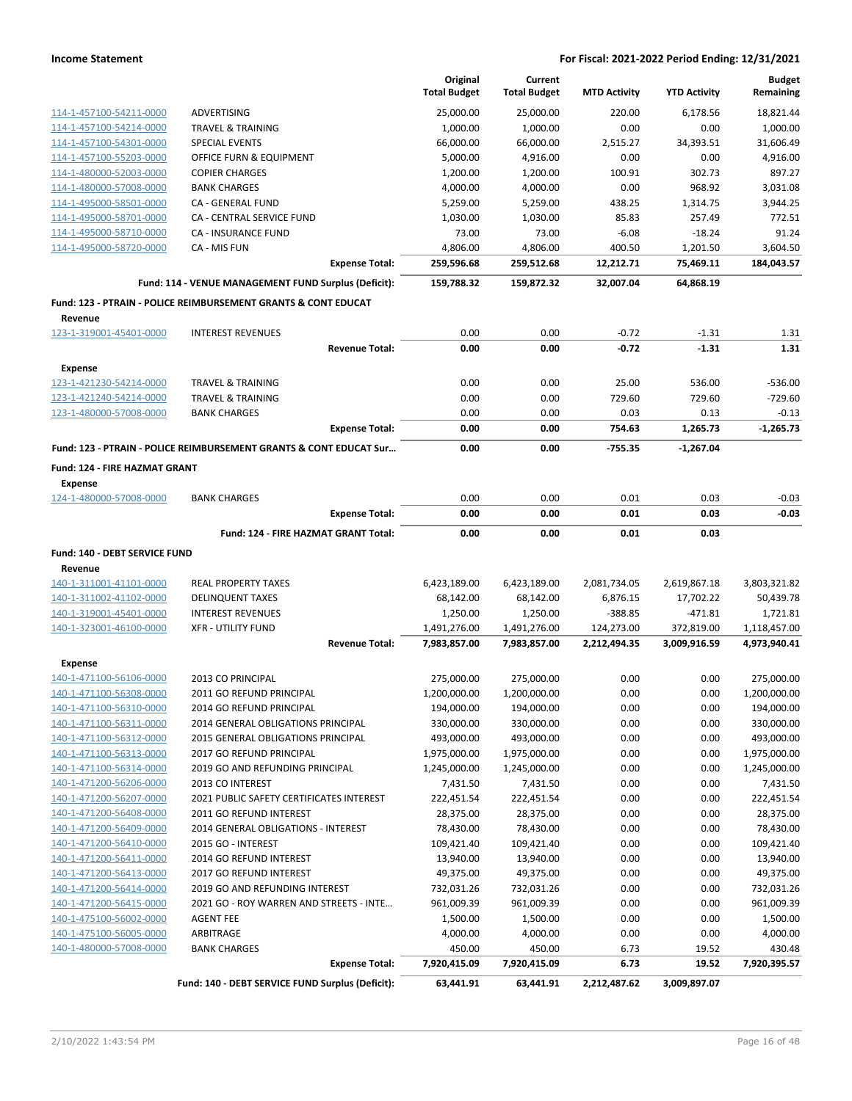|                                                    |                                                                    |                       | Original<br><b>Total Budget</b> | Current<br><b>Total Budget</b> | <b>MTD Activity</b> | <b>YTD Activity</b>   | <b>Budget</b><br>Remaining |
|----------------------------------------------------|--------------------------------------------------------------------|-----------------------|---------------------------------|--------------------------------|---------------------|-----------------------|----------------------------|
| 114-1-457100-54211-0000                            | <b>ADVERTISING</b>                                                 |                       | 25,000.00                       | 25,000.00                      | 220.00              | 6,178.56              | 18,821.44                  |
| 114-1-457100-54214-0000                            | <b>TRAVEL &amp; TRAINING</b>                                       |                       | 1,000.00                        | 1,000.00                       | 0.00                | 0.00                  | 1,000.00                   |
| 114-1-457100-54301-0000                            | <b>SPECIAL EVENTS</b>                                              |                       | 66,000.00                       | 66,000.00                      | 2,515.27            | 34,393.51             | 31,606.49                  |
| 114-1-457100-55203-0000                            | OFFICE FURN & EQUIPMENT                                            |                       | 5,000.00                        | 4,916.00                       | 0.00                | 0.00                  | 4,916.00                   |
| 114-1-480000-52003-0000                            | <b>COPIER CHARGES</b>                                              |                       | 1,200.00                        | 1,200.00                       | 100.91              | 302.73                | 897.27                     |
| 114-1-480000-57008-0000                            | <b>BANK CHARGES</b>                                                |                       | 4,000.00                        | 4,000.00                       | 0.00                | 968.92                | 3,031.08                   |
| 114-1-495000-58501-0000                            | CA - GENERAL FUND                                                  |                       | 5,259.00                        | 5,259.00                       | 438.25              | 1,314.75              | 3,944.25                   |
| 114-1-495000-58701-0000                            | CA - CENTRAL SERVICE FUND                                          |                       | 1,030.00                        | 1,030.00                       | 85.83               | 257.49                | 772.51                     |
| 114-1-495000-58710-0000                            | CA - INSURANCE FUND                                                |                       | 73.00                           | 73.00                          | $-6.08$             | $-18.24$              | 91.24                      |
| 114-1-495000-58720-0000                            | CA - MIS FUN                                                       | <b>Expense Total:</b> | 4,806.00<br>259,596.68          | 4,806.00<br>259,512.68         | 400.50<br>12,212.71 | 1,201.50<br>75,469.11 | 3,604.50<br>184,043.57     |
|                                                    |                                                                    |                       |                                 |                                | 32,007.04           |                       |                            |
|                                                    | Fund: 114 - VENUE MANAGEMENT FUND Surplus (Deficit):               |                       | 159,788.32                      | 159,872.32                     |                     | 64,868.19             |                            |
| Revenue                                            | Fund: 123 - PTRAIN - POLICE REIMBURSEMENT GRANTS & CONT EDUCAT     |                       |                                 |                                |                     |                       |                            |
| 123-1-319001-45401-0000                            | <b>INTEREST REVENUES</b>                                           |                       | 0.00                            | 0.00                           | $-0.72$             | $-1.31$               | 1.31                       |
|                                                    |                                                                    | <b>Revenue Total:</b> | 0.00                            | 0.00                           | $-0.72$             | $-1.31$               | 1.31                       |
| <b>Expense</b>                                     |                                                                    |                       |                                 |                                |                     |                       |                            |
| 123-1-421230-54214-0000                            | <b>TRAVEL &amp; TRAINING</b>                                       |                       | 0.00                            | 0.00                           | 25.00               | 536.00                | $-536.00$                  |
| 123-1-421240-54214-0000                            | <b>TRAVEL &amp; TRAINING</b>                                       |                       | 0.00                            | 0.00                           | 729.60              | 729.60                | $-729.60$                  |
| 123-1-480000-57008-0000                            | <b>BANK CHARGES</b>                                                |                       | 0.00                            | 0.00                           | 0.03                | 0.13                  | $-0.13$                    |
|                                                    |                                                                    | <b>Expense Total:</b> | 0.00                            | 0.00                           | 754.63              | 1,265.73              | $-1.265.73$                |
|                                                    | Fund: 123 - PTRAIN - POLICE REIMBURSEMENT GRANTS & CONT EDUCAT Sur |                       | 0.00                            | 0.00                           | $-755.35$           | $-1,267.04$           |                            |
| Fund: 124 - FIRE HAZMAT GRANT<br><b>Expense</b>    |                                                                    |                       |                                 |                                |                     |                       |                            |
| 124-1-480000-57008-0000                            | <b>BANK CHARGES</b>                                                |                       | 0.00                            | 0.00                           | 0.01                | 0.03                  | $-0.03$                    |
|                                                    |                                                                    | <b>Expense Total:</b> | 0.00                            | 0.00                           | 0.01                | 0.03                  | $-0.03$                    |
|                                                    | Fund: 124 - FIRE HAZMAT GRANT Total:                               |                       | 0.00                            | 0.00                           | 0.01                | 0.03                  |                            |
| Fund: 140 - DEBT SERVICE FUND                      |                                                                    |                       |                                 |                                |                     |                       |                            |
| Revenue                                            |                                                                    |                       |                                 |                                |                     |                       |                            |
| 140-1-311001-41101-0000                            | <b>REAL PROPERTY TAXES</b>                                         |                       | 6,423,189.00                    | 6,423,189.00                   | 2,081,734.05        | 2,619,867.18          | 3,803,321.82               |
| 140-1-311002-41102-0000                            | <b>DELINQUENT TAXES</b>                                            |                       | 68,142.00                       | 68,142.00                      | 6,876.15            | 17,702.22             | 50,439.78                  |
| 140-1-319001-45401-0000                            | <b>INTEREST REVENUES</b>                                           |                       | 1,250.00                        | 1,250.00                       | $-388.85$           | $-471.81$             | 1,721.81                   |
| 140-1-323001-46100-0000                            | <b>XFR - UTILITY FUND</b>                                          |                       | 1,491,276.00                    | 1,491,276.00                   | 124,273.00          | 372,819.00            | 1,118,457.00               |
|                                                    |                                                                    | <b>Revenue Total:</b> | 7,983,857.00                    | 7,983,857.00                   | 2,212,494.35        | 3,009,916.59          | 4,973,940.41               |
| <b>Expense</b>                                     |                                                                    |                       |                                 |                                |                     |                       |                            |
| 140-1-471100-56106-0000                            | 2013 CO PRINCIPAL                                                  |                       | 275,000.00                      | 275,000.00                     | 0.00                | 0.00                  | 275,000.00                 |
| 140-1-471100-56308-0000                            | 2011 GO REFUND PRINCIPAL                                           |                       | 1,200,000.00                    | 1,200,000.00                   | 0.00                | 0.00                  | 1,200,000.00               |
| 140-1-471100-56310-0000                            | 2014 GO REFUND PRINCIPAL                                           |                       | 194,000.00                      | 194,000.00                     | 0.00                | 0.00                  | 194,000.00                 |
| 140-1-471100-56311-0000                            | 2014 GENERAL OBLIGATIONS PRINCIPAL                                 |                       | 330,000.00                      | 330,000.00                     | 0.00                | 0.00                  | 330,000.00                 |
| 140-1-471100-56312-0000                            | 2015 GENERAL OBLIGATIONS PRINCIPAL                                 |                       | 493,000.00                      | 493,000.00                     | 0.00                | 0.00                  | 493,000.00                 |
| 140-1-471100-56313-0000                            | 2017 GO REFUND PRINCIPAL                                           |                       | 1,975,000.00                    | 1,975,000.00                   | 0.00                | 0.00                  | 1,975,000.00               |
| 140-1-471100-56314-0000                            | 2019 GO AND REFUNDING PRINCIPAL                                    |                       | 1,245,000.00                    | 1,245,000.00                   | 0.00                | 0.00                  | 1,245,000.00               |
| 140-1-471200-56206-0000                            | 2013 CO INTEREST                                                   |                       | 7,431.50                        | 7,431.50                       | 0.00                | 0.00                  | 7,431.50                   |
| 140-1-471200-56207-0000<br>140-1-471200-56408-0000 | 2021 PUBLIC SAFETY CERTIFICATES INTEREST                           |                       | 222,451.54<br>28,375.00         | 222,451.54<br>28,375.00        | 0.00                | 0.00                  | 222,451.54                 |
| 140-1-471200-56409-0000                            | 2011 GO REFUND INTEREST<br>2014 GENERAL OBLIGATIONS - INTEREST     |                       |                                 |                                | 0.00<br>0.00        | 0.00<br>0.00          | 28,375.00<br>78,430.00     |
| 140-1-471200-56410-0000                            | 2015 GO - INTEREST                                                 |                       | 78,430.00<br>109,421.40         | 78,430.00<br>109,421.40        | 0.00                | 0.00                  | 109,421.40                 |
| 140-1-471200-56411-0000                            | 2014 GO REFUND INTEREST                                            |                       | 13,940.00                       | 13,940.00                      | 0.00                | 0.00                  | 13,940.00                  |
| 140-1-471200-56413-0000                            | 2017 GO REFUND INTEREST                                            |                       | 49,375.00                       | 49,375.00                      | 0.00                | 0.00                  | 49,375.00                  |
| 140-1-471200-56414-0000                            | 2019 GO AND REFUNDING INTEREST                                     |                       | 732,031.26                      | 732,031.26                     | 0.00                | 0.00                  | 732,031.26                 |
| 140-1-471200-56415-0000                            | 2021 GO - ROY WARREN AND STREETS - INTE                            |                       | 961,009.39                      | 961,009.39                     | 0.00                | 0.00                  | 961,009.39                 |
| 140-1-475100-56002-0000                            | <b>AGENT FEE</b>                                                   |                       | 1,500.00                        | 1,500.00                       | 0.00                | 0.00                  | 1,500.00                   |
| 140-1-475100-56005-0000                            | ARBITRAGE                                                          |                       | 4,000.00                        | 4,000.00                       | 0.00                | 0.00                  | 4,000.00                   |
| 140-1-480000-57008-0000                            | <b>BANK CHARGES</b>                                                |                       | 450.00                          | 450.00                         | 6.73                | 19.52                 | 430.48                     |
|                                                    |                                                                    | <b>Expense Total:</b> | 7,920,415.09                    | 7,920,415.09                   | 6.73                | 19.52                 | 7,920,395.57               |
|                                                    | Fund: 140 - DEBT SERVICE FUND Surplus (Deficit):                   |                       | 63,441.91                       | 63,441.91                      | 2,212,487.62        | 3,009,897.07          |                            |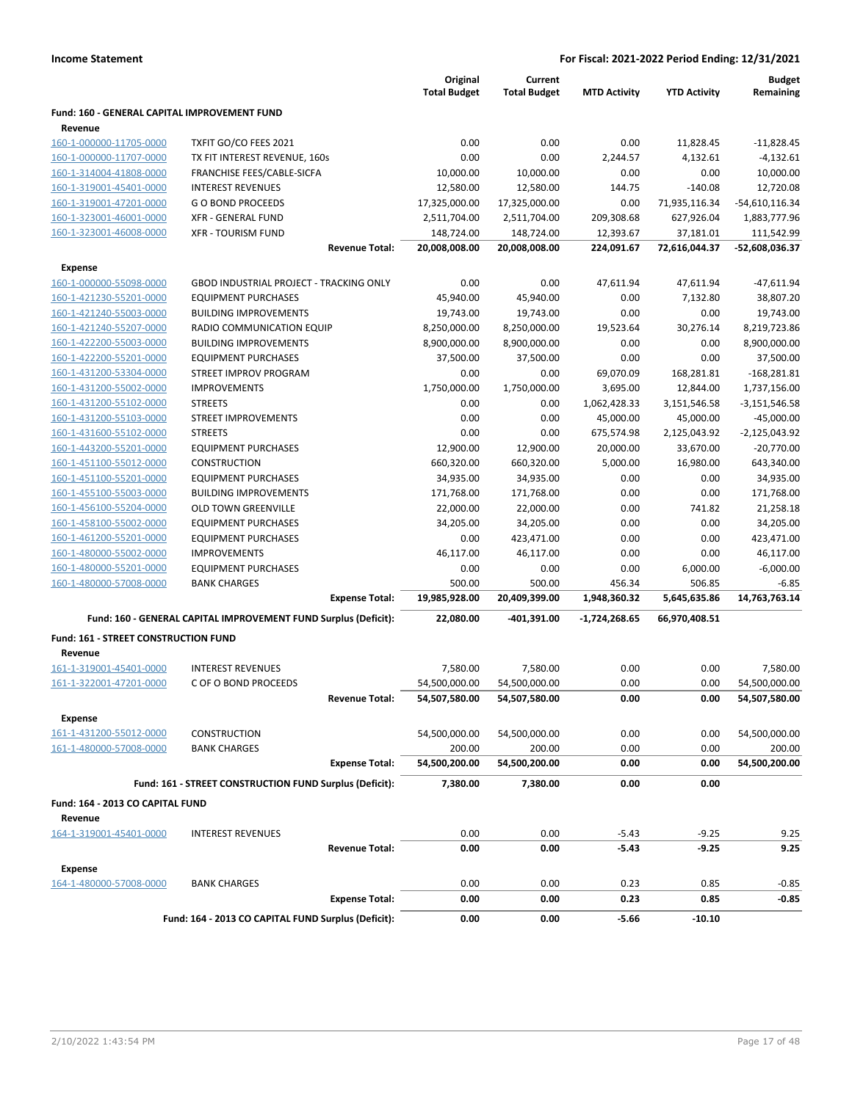|                                              |                                                                 |                       | Original<br><b>Total Budget</b> | Current<br><b>Total Budget</b> | <b>MTD Activity</b> | <b>YTD Activity</b> | <b>Budget</b><br>Remaining |
|----------------------------------------------|-----------------------------------------------------------------|-----------------------|---------------------------------|--------------------------------|---------------------|---------------------|----------------------------|
| Fund: 160 - GENERAL CAPITAL IMPROVEMENT FUND |                                                                 |                       |                                 |                                |                     |                     |                            |
| Revenue                                      |                                                                 |                       |                                 |                                |                     |                     |                            |
| 160-1-000000-11705-0000                      | TXFIT GO/CO FEES 2021                                           |                       | 0.00                            | 0.00                           | 0.00                | 11,828.45           | $-11,828.45$               |
| 160-1-000000-11707-0000                      | TX FIT INTEREST REVENUE, 160s                                   |                       | 0.00                            | 0.00                           | 2,244.57            | 4,132.61            | $-4,132.61$                |
| 160-1-314004-41808-0000                      | FRANCHISE FEES/CABLE-SICFA                                      |                       | 10,000.00                       | 10,000.00                      | 0.00                | 0.00                | 10,000.00                  |
| 160-1-319001-45401-0000                      | <b>INTEREST REVENUES</b>                                        |                       | 12,580.00                       | 12,580.00                      | 144.75              | $-140.08$           | 12,720.08                  |
| 160-1-319001-47201-0000                      | <b>GO BOND PROCEEDS</b>                                         |                       | 17,325,000.00                   | 17,325,000.00                  | 0.00                | 71,935,116.34       | $-54,610,116.34$           |
| 160-1-323001-46001-0000                      | <b>XFR - GENERAL FUND</b>                                       |                       | 2,511,704.00                    | 2,511,704.00                   | 209,308.68          | 627,926.04          | 1,883,777.96               |
| 160-1-323001-46008-0000                      | <b>XFR - TOURISM FUND</b>                                       |                       | 148,724.00                      | 148,724.00                     | 12,393.67           | 37,181.01           | 111,542.99                 |
|                                              |                                                                 | <b>Revenue Total:</b> | 20,008,008.00                   | 20,008,008.00                  | 224,091.67          | 72,616,044.37       | -52,608,036.37             |
| <b>Expense</b>                               |                                                                 |                       |                                 |                                |                     |                     |                            |
| 160-1-000000-55098-0000                      | <b>GBOD INDUSTRIAL PROJECT - TRACKING ONLY</b>                  |                       | 0.00                            | 0.00                           | 47,611.94           | 47,611.94           | $-47,611.94$               |
| 160-1-421230-55201-0000                      | <b>EQUIPMENT PURCHASES</b>                                      |                       | 45,940.00                       | 45,940.00                      | 0.00                | 7,132.80            | 38,807.20                  |
| 160-1-421240-55003-0000                      | <b>BUILDING IMPROVEMENTS</b>                                    |                       | 19,743.00                       | 19,743.00                      | 0.00                | 0.00                | 19,743.00                  |
| 160-1-421240-55207-0000                      | RADIO COMMUNICATION EQUIP                                       |                       | 8,250,000.00                    | 8,250,000.00                   | 19,523.64           | 30,276.14           | 8,219,723.86               |
| 160-1-422200-55003-0000                      | <b>BUILDING IMPROVEMENTS</b>                                    |                       | 8,900,000.00                    | 8,900,000.00                   | 0.00                | 0.00                | 8,900,000.00               |
| 160-1-422200-55201-0000                      | <b>EQUIPMENT PURCHASES</b>                                      |                       | 37,500.00                       | 37,500.00                      | 0.00                | 0.00                | 37,500.00                  |
| 160-1-431200-53304-0000                      | STREET IMPROV PROGRAM                                           |                       | 0.00                            | 0.00                           | 69,070.09           | 168,281.81          | $-168,281.81$              |
| 160-1-431200-55002-0000                      | <b>IMPROVEMENTS</b>                                             |                       | 1,750,000.00                    | 1,750,000.00                   | 3,695.00            | 12,844.00           | 1,737,156.00               |
| 160-1-431200-55102-0000                      | <b>STREETS</b>                                                  |                       | 0.00                            | 0.00                           | 1,062,428.33        | 3,151,546.58        | $-3,151,546.58$            |
| 160-1-431200-55103-0000                      | <b>STREET IMPROVEMENTS</b>                                      |                       | 0.00                            | 0.00                           | 45,000.00           | 45,000.00           | $-45,000.00$               |
| 160-1-431600-55102-0000                      | <b>STREETS</b>                                                  |                       | 0.00                            | 0.00                           | 675,574.98          | 2,125,043.92        | $-2,125,043.92$            |
| 160-1-443200-55201-0000                      | <b>EQUIPMENT PURCHASES</b>                                      |                       | 12,900.00                       | 12,900.00                      | 20,000.00           | 33,670.00           | $-20,770.00$               |
| 160-1-451100-55012-0000                      | <b>CONSTRUCTION</b>                                             |                       | 660,320.00                      | 660,320.00                     | 5,000.00            | 16,980.00           | 643,340.00                 |
| 160-1-451100-55201-0000                      | <b>EQUIPMENT PURCHASES</b>                                      |                       | 34,935.00                       | 34,935.00                      | 0.00                | 0.00                | 34,935.00                  |
| 160-1-455100-55003-0000                      | <b>BUILDING IMPROVEMENTS</b>                                    |                       | 171,768.00                      | 171,768.00                     | 0.00                | 0.00                | 171,768.00                 |
| 160-1-456100-55204-0000                      | <b>OLD TOWN GREENVILLE</b>                                      |                       | 22,000.00                       | 22,000.00                      | 0.00                | 741.82              | 21,258.18                  |
| 160-1-458100-55002-0000                      | <b>EQUIPMENT PURCHASES</b>                                      |                       | 34,205.00                       | 34,205.00                      | 0.00                | 0.00                | 34,205.00                  |
| 160-1-461200-55201-0000                      | <b>EQUIPMENT PURCHASES</b>                                      |                       | 0.00                            | 423,471.00                     | 0.00                | 0.00                | 423,471.00                 |
| 160-1-480000-55002-0000                      | <b>IMPROVEMENTS</b>                                             |                       | 46,117.00                       | 46,117.00                      | 0.00                | 0.00                | 46,117.00                  |
| 160-1-480000-55201-0000                      | <b>EQUIPMENT PURCHASES</b>                                      |                       | 0.00                            | 0.00                           | 0.00                | 6,000.00            | $-6,000.00$                |
| 160-1-480000-57008-0000                      | <b>BANK CHARGES</b>                                             |                       | 500.00                          | 500.00                         | 456.34              | 506.85              | $-6.85$                    |
|                                              |                                                                 | <b>Expense Total:</b> | 19,985,928.00                   | 20,409,399.00                  | 1,948,360.32        | 5,645,635.86        | 14,763,763.14              |
|                                              | Fund: 160 - GENERAL CAPITAL IMPROVEMENT FUND Surplus (Deficit): |                       | 22,080.00                       | -401,391.00                    | -1,724,268.65       | 66,970,408.51       |                            |
| Fund: 161 - STREET CONSTRUCTION FUND         |                                                                 |                       |                                 |                                |                     |                     |                            |
| Revenue                                      |                                                                 |                       |                                 |                                |                     |                     |                            |
| 161-1-319001-45401-0000                      | <b>INTEREST REVENUES</b>                                        |                       | 7,580.00                        | 7,580.00                       | 0.00                | 0.00                | 7,580.00                   |
| 161-1-322001-47201-0000                      | C OF O BOND PROCEEDS                                            |                       | 54,500,000.00                   | 54,500,000.00                  | 0.00                | 0.00                | 54,500,000.00              |
|                                              |                                                                 | <b>Revenue Total:</b> | 54,507,580.00                   | 54,507,580.00                  | 0.00                | 0.00                | 54,507,580.00              |
| <b>Expense</b>                               |                                                                 |                       |                                 |                                |                     |                     |                            |
| 161-1-431200-55012-0000                      | <b>CONSTRUCTION</b>                                             |                       | 54,500,000.00                   | 54,500,000.00                  | 0.00                | 0.00                | 54,500,000.00              |
| 161-1-480000-57008-0000                      | <b>BANK CHARGES</b>                                             |                       | 200.00                          | 200.00                         | 0.00                | 0.00                | 200.00                     |
|                                              |                                                                 | <b>Expense Total:</b> | 54,500,200.00                   | 54,500,200.00                  | 0.00                | 0.00                | 54,500,200.00              |
|                                              | Fund: 161 - STREET CONSTRUCTION FUND Surplus (Deficit):         |                       | 7,380.00                        | 7,380.00                       | 0.00                | 0.00                |                            |
|                                              |                                                                 |                       |                                 |                                |                     |                     |                            |
| Fund: 164 - 2013 CO CAPITAL FUND<br>Revenue  |                                                                 |                       |                                 |                                |                     |                     |                            |
| 164-1-319001-45401-0000                      | <b>INTEREST REVENUES</b>                                        |                       | 0.00                            | 0.00                           | $-5.43$             | $-9.25$             | 9.25                       |
|                                              |                                                                 | <b>Revenue Total:</b> | 0.00                            | 0.00                           | $-5.43$             | $-9.25$             | 9.25                       |
| <b>Expense</b>                               |                                                                 |                       |                                 |                                |                     |                     |                            |
| 164-1-480000-57008-0000                      | <b>BANK CHARGES</b>                                             |                       | 0.00                            | 0.00                           | 0.23                | 0.85                | $-0.85$                    |
|                                              |                                                                 | <b>Expense Total:</b> | 0.00                            | 0.00                           | 0.23                | 0.85                | -0.85                      |
|                                              | Fund: 164 - 2013 CO CAPITAL FUND Surplus (Deficit):             |                       | 0.00                            | 0.00                           | $-5.66$             | $-10.10$            |                            |
|                                              |                                                                 |                       |                                 |                                |                     |                     |                            |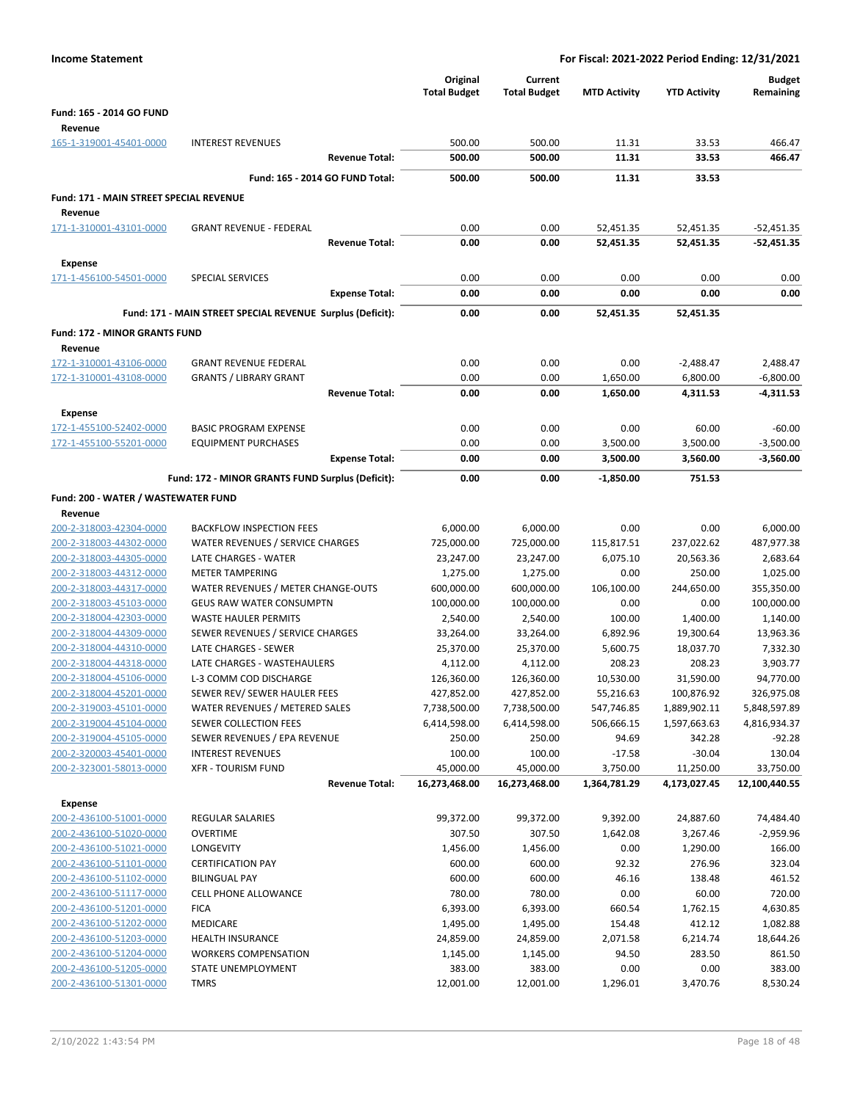| <b>Income Statement</b>                            |                                                            |                                 | For Fiscal: 2021-2022 Period Ending: 12/31/2021 |                      |                       |                            |  |
|----------------------------------------------------|------------------------------------------------------------|---------------------------------|-------------------------------------------------|----------------------|-----------------------|----------------------------|--|
|                                                    |                                                            | Original<br><b>Total Budget</b> | Current<br><b>Total Budget</b>                  | <b>MTD Activity</b>  | <b>YTD Activity</b>   | <b>Budget</b><br>Remaining |  |
| Fund: 165 - 2014 GO FUND                           |                                                            |                                 |                                                 |                      |                       |                            |  |
| Revenue                                            |                                                            |                                 |                                                 |                      |                       |                            |  |
| 165-1-319001-45401-0000                            | <b>INTEREST REVENUES</b>                                   | 500.00                          | 500.00                                          | 11.31                | 33.53                 | 466.47                     |  |
|                                                    | <b>Revenue Total:</b>                                      | 500.00                          | 500.00                                          | 11.31                | 33.53                 | 466.47                     |  |
|                                                    | Fund: 165 - 2014 GO FUND Total:                            | 500.00                          | 500.00                                          | 11.31                | 33.53                 |                            |  |
| <b>Fund: 171 - MAIN STREET SPECIAL REVENUE</b>     |                                                            |                                 |                                                 |                      |                       |                            |  |
| Revenue                                            |                                                            |                                 |                                                 |                      |                       |                            |  |
| 171-1-310001-43101-0000                            | <b>GRANT REVENUE - FEDERAL</b>                             | 0.00                            | 0.00                                            | 52,451.35            | 52,451.35             | $-52,451.35$               |  |
|                                                    | <b>Revenue Total:</b>                                      | 0.00                            | 0.00                                            | 52,451.35            | 52,451.35             | $-52,451.35$               |  |
| <b>Expense</b>                                     |                                                            |                                 |                                                 |                      |                       |                            |  |
| 171-1-456100-54501-0000                            | <b>SPECIAL SERVICES</b>                                    | 0.00                            | 0.00                                            | 0.00                 | 0.00                  | 0.00                       |  |
|                                                    | <b>Expense Total:</b>                                      | 0.00                            | 0.00                                            | 0.00                 | 0.00                  | 0.00                       |  |
|                                                    | Fund: 171 - MAIN STREET SPECIAL REVENUE Surplus (Deficit): | 0.00                            | 0.00                                            | 52,451.35            | 52,451.35             |                            |  |
| Fund: 172 - MINOR GRANTS FUND                      |                                                            |                                 |                                                 |                      |                       |                            |  |
| Revenue                                            |                                                            |                                 |                                                 |                      |                       |                            |  |
| 172-1-310001-43106-0000                            | <b>GRANT REVENUE FEDERAL</b>                               | 0.00                            | 0.00                                            | 0.00                 | $-2,488.47$           | 2,488.47                   |  |
| 172-1-310001-43108-0000                            | <b>GRANTS / LIBRARY GRANT</b><br><b>Revenue Total:</b>     | 0.00<br>0.00                    | 0.00<br>0.00                                    | 1,650.00<br>1,650.00 | 6,800.00<br>4,311.53  | $-6,800.00$<br>$-4,311.53$ |  |
|                                                    |                                                            |                                 |                                                 |                      |                       |                            |  |
| <b>Expense</b>                                     |                                                            |                                 |                                                 |                      |                       |                            |  |
| 172-1-455100-52402-0000<br>172-1-455100-55201-0000 | <b>BASIC PROGRAM EXPENSE</b><br><b>EQUIPMENT PURCHASES</b> | 0.00<br>0.00                    | 0.00<br>0.00                                    | 0.00<br>3,500.00     | 60.00<br>3,500.00     | $-60.00$<br>$-3,500.00$    |  |
|                                                    | <b>Expense Total:</b>                                      | 0.00                            | 0.00                                            | 3,500.00             | 3,560.00              | $-3,560.00$                |  |
|                                                    |                                                            | 0.00                            | 0.00                                            |                      | 751.53                |                            |  |
|                                                    | Fund: 172 - MINOR GRANTS FUND Surplus (Deficit):           |                                 |                                                 | $-1,850.00$          |                       |                            |  |
| Fund: 200 - WATER / WASTEWATER FUND                |                                                            |                                 |                                                 |                      |                       |                            |  |
| Revenue<br>200-2-318003-42304-0000                 | <b>BACKFLOW INSPECTION FEES</b>                            | 6,000.00                        | 6,000.00                                        | 0.00                 | 0.00                  | 6,000.00                   |  |
| 200-2-318003-44302-0000                            | WATER REVENUES / SERVICE CHARGES                           | 725,000.00                      | 725,000.00                                      | 115,817.51           | 237,022.62            | 487,977.38                 |  |
| 200-2-318003-44305-0000                            | LATE CHARGES - WATER                                       | 23,247.00                       | 23,247.00                                       | 6,075.10             | 20,563.36             | 2,683.64                   |  |
| 200-2-318003-44312-0000                            | <b>METER TAMPERING</b>                                     | 1,275.00                        | 1,275.00                                        | 0.00                 | 250.00                | 1,025.00                   |  |
| 200-2-318003-44317-0000                            | WATER REVENUES / METER CHANGE-OUTS                         | 600,000.00                      | 600,000.00                                      | 106,100.00           | 244,650.00            | 355,350.00                 |  |
| 200-2-318003-45103-0000                            | <b>GEUS RAW WATER CONSUMPTN</b>                            | 100,000.00                      | 100,000.00                                      | 0.00                 | 0.00                  | 100,000.00                 |  |
| 200-2-318004-42303-0000                            | <b>WASTE HAULER PERMITS</b>                                | 2,540.00                        | 2,540.00                                        | 100.00               | 1,400.00              | 1,140.00                   |  |
| 200-2-318004-44309-0000                            | SEWER REVENUES / SERVICE CHARGES                           | 33,264.00                       | 33,264.00                                       | 6,892.96             | 19,300.64             | 13,963.36                  |  |
| 200-2-318004-44310-0000<br>200-2-318004-44318-0000 | LATE CHARGES - SEWER<br>LATE CHARGES - WASTEHAULERS        | 25,370.00<br>4,112.00           | 25,370.00<br>4,112.00                           | 5,600.75<br>208.23   | 18,037.70<br>208.23   | 7,332.30<br>3,903.77       |  |
| 200-2-318004-45106-0000                            | L-3 COMM COD DISCHARGE                                     | 126,360.00                      | 126,360.00                                      | 10,530.00            | 31,590.00             | 94,770.00                  |  |
| 200-2-318004-45201-0000                            | SEWER REV/ SEWER HAULER FEES                               | 427,852.00                      | 427,852.00                                      | 55,216.63            | 100,876.92            | 326,975.08                 |  |
| 200-2-319003-45101-0000                            | WATER REVENUES / METERED SALES                             | 7,738,500.00                    | 7,738,500.00                                    | 547,746.85           | 1,889,902.11          | 5,848,597.89               |  |
| 200-2-319004-45104-0000                            | SEWER COLLECTION FEES                                      | 6,414,598.00                    | 6,414,598.00                                    | 506,666.15           | 1,597,663.63          | 4,816,934.37               |  |
| 200-2-319004-45105-0000                            | SEWER REVENUES / EPA REVENUE                               | 250.00                          | 250.00                                          | 94.69                | 342.28                | $-92.28$                   |  |
| 200-2-320003-45401-0000                            | <b>INTEREST REVENUES</b>                                   | 100.00                          | 100.00                                          | $-17.58$             | $-30.04$              | 130.04                     |  |
| 200-2-323001-58013-0000                            | <b>XFR - TOURISM FUND</b>                                  | 45,000.00                       | 45,000.00                                       | 3,750.00             | 11,250.00             | 33,750.00                  |  |
|                                                    | <b>Revenue Total:</b>                                      | 16,273,468.00                   | 16,273,468.00                                   | 1,364,781.29         | 4,173,027.45          | 12,100,440.55              |  |
| <b>Expense</b>                                     |                                                            |                                 |                                                 |                      |                       |                            |  |
| 200-2-436100-51001-0000<br>200-2-436100-51020-0000 | <b>REGULAR SALARIES</b><br><b>OVERTIME</b>                 | 99,372.00<br>307.50             | 99,372.00<br>307.50                             | 9,392.00<br>1,642.08 | 24,887.60<br>3,267.46 | 74,484.40<br>$-2,959.96$   |  |
| 200-2-436100-51021-0000                            | LONGEVITY                                                  | 1,456.00                        | 1,456.00                                        | 0.00                 | 1,290.00              | 166.00                     |  |
| 200-2-436100-51101-0000                            | <b>CERTIFICATION PAY</b>                                   | 600.00                          | 600.00                                          | 92.32                | 276.96                | 323.04                     |  |
| 200-2-436100-51102-0000                            | <b>BILINGUAL PAY</b>                                       | 600.00                          | 600.00                                          | 46.16                | 138.48                | 461.52                     |  |
| 200-2-436100-51117-0000                            | CELL PHONE ALLOWANCE                                       | 780.00                          | 780.00                                          | 0.00                 | 60.00                 | 720.00                     |  |
| 200-2-436100-51201-0000                            | <b>FICA</b>                                                | 6,393.00                        | 6,393.00                                        | 660.54               | 1,762.15              | 4,630.85                   |  |
| 200-2-436100-51202-0000                            | MEDICARE                                                   | 1,495.00                        | 1,495.00                                        | 154.48               | 412.12                | 1,082.88                   |  |
| 200-2-436100-51203-0000                            | <b>HEALTH INSURANCE</b>                                    | 24,859.00                       | 24,859.00                                       | 2,071.58             | 6,214.74              | 18,644.26                  |  |
| 200-2-436100-51204-0000<br>200-2-436100-51205-0000 | <b>WORKERS COMPENSATION</b><br>STATE UNEMPLOYMENT          | 1,145.00<br>383.00              | 1,145.00<br>383.00                              | 94.50<br>0.00        | 283.50<br>0.00        | 861.50<br>383.00           |  |
| 200-2-436100-51301-0000                            | <b>TMRS</b>                                                | 12,001.00                       | 12,001.00                                       | 1,296.01             | 3,470.76              | 8,530.24                   |  |
|                                                    |                                                            |                                 |                                                 |                      |                       |                            |  |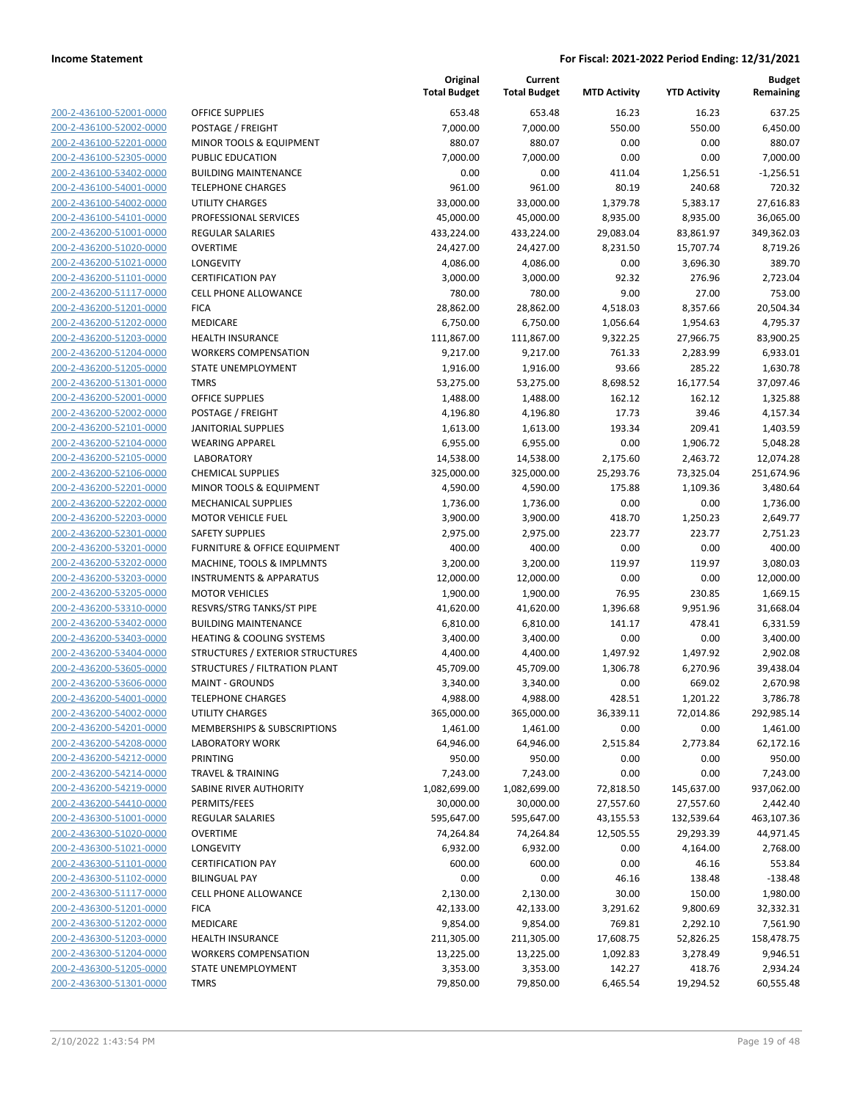| 200-2-436100-52001-0000          |
|----------------------------------|
| 200-2-436100-52002-0000          |
| 200-2-436100-52201-0000          |
| 200-2-436100-52305-0000          |
| 200-2-436100-53402-0000          |
| 200-2-436100-54001-0000          |
| 200-2-436100-54002-0000          |
| 200-2-436100-54101-0000          |
| 200-2-436200-51001-0000          |
| 200-2-436200-51020-0000          |
| 200-2-436200-51021-0000          |
| 2-436200-51101-<br>200-<br>-0000 |
| 200-2-436200-51117-0000          |
| 200-2-436200-51201-0000          |
| 200-2-436200-51202-0000          |
| 200-2-436200-51203-0000          |
| 2-436200-51204-0000<br>200-      |
| 200-2-436200-51205-0000          |
| 200-2-436200-51301-0000          |
| 200-2-436200-52001-0000          |
| 200-2-436200-52002-0000          |
| 2-436200-52101-<br>200-<br>-0000 |
| 200-2-436200-52104-0000          |
| 200-2-436200-52105-0000          |
| 200-2-436200-52106-0000          |
| 200-2-436200-52201-0000          |
| 2-436200-52202-0000<br>200-      |
| 200-2-436200-52203-0000          |
| 200-2-436200-52301-0000          |
| <u>200-2-436200-53201-0000</u>   |
| 200-2-436200-53202-0000          |
| 2-436200-53203-0000<br>200-      |
| 200-2-436200-53205-0000          |
| 200-2-436200-53310-0000          |
| <u>200-2-436200-53402-0000</u>   |
| 200-2-436200-53403-0000          |
| 200-2-436200-53404-0000          |
| 200-2-436200-53605-0000          |
| 200-2-436200-53606-0000          |
| 200-2-436200-54001-0000          |
| 200-2-436200-54002-0000          |
| 200-2-436200-54201-0000          |
| 200-2-436200-54208-0000          |
|                                  |
| 200-2-436200-54212-0000          |
| <u>200-2-436200-54214-0000</u>   |
| 200-2-436200-54219-0000          |
| 200-2-436200-54410-0000          |
| 200-2-436300-51001-0000          |
| 200-2-436300-51020-0000          |
| 200-2-436300-51021-0000          |
| <u>200-2-436300-51101-0000</u>   |
| 2-436300-51102-0000<br>200-      |
| 200-2-436300-51117-0000          |
| 200-2-436300-51201-0000          |
| <u>200-2-436300-51202-0000</u>   |
| 200-2-436300-51203-0000          |
| 2-436300-51204-0000<br>200-      |
| 200-2-436300-51205-0000          |
| 200-2-436300-51301-0000          |
|                                  |

|                                                    |                                               | Original<br><b>Total Budget</b> | Current<br><b>Total Budget</b> | <b>MTD Activity</b>   | <b>YTD Activity</b>   | <b>Budget</b><br>Remaining |
|----------------------------------------------------|-----------------------------------------------|---------------------------------|--------------------------------|-----------------------|-----------------------|----------------------------|
| 200-2-436100-52001-0000                            | <b>OFFICE SUPPLIES</b>                        | 653.48                          | 653.48                         | 16.23                 | 16.23                 | 637.25                     |
| 200-2-436100-52002-0000                            | POSTAGE / FREIGHT                             | 7,000.00                        | 7,000.00                       | 550.00                | 550.00                | 6,450.00                   |
| 200-2-436100-52201-0000                            | MINOR TOOLS & EQUIPMENT                       | 880.07                          | 880.07                         | 0.00                  | 0.00                  | 880.07                     |
| 200-2-436100-52305-0000                            | PUBLIC EDUCATION                              | 7,000.00                        | 7,000.00                       | 0.00                  | 0.00                  | 7,000.00                   |
| 200-2-436100-53402-0000                            | <b>BUILDING MAINTENANCE</b>                   | 0.00                            | 0.00                           | 411.04                | 1,256.51              | $-1,256.51$                |
| 200-2-436100-54001-0000                            | <b>TELEPHONE CHARGES</b>                      | 961.00                          | 961.00                         | 80.19                 | 240.68                | 720.32                     |
| 200-2-436100-54002-0000                            | <b>UTILITY CHARGES</b>                        | 33,000.00                       | 33,000.00                      | 1,379.78              | 5,383.17              | 27,616.83                  |
| 200-2-436100-54101-0000                            | PROFESSIONAL SERVICES                         | 45,000.00                       | 45,000.00                      | 8,935.00              | 8,935.00              | 36,065.00                  |
| 200-2-436200-51001-0000                            | <b>REGULAR SALARIES</b>                       | 433,224.00                      | 433,224.00                     | 29,083.04             | 83,861.97             | 349,362.03                 |
| 200-2-436200-51020-0000                            | <b>OVERTIME</b>                               | 24,427.00                       | 24,427.00                      | 8,231.50              | 15,707.74             | 8,719.26                   |
| 200-2-436200-51021-0000                            | LONGEVITY                                     | 4,086.00                        | 4,086.00                       | 0.00                  | 3,696.30              | 389.70                     |
| 200-2-436200-51101-0000                            | <b>CERTIFICATION PAY</b>                      | 3,000.00                        | 3,000.00                       | 92.32                 | 276.96                | 2,723.04                   |
| 200-2-436200-51117-0000                            | <b>CELL PHONE ALLOWANCE</b>                   | 780.00                          | 780.00                         | 9.00                  | 27.00                 | 753.00                     |
| 200-2-436200-51201-0000                            | <b>FICA</b>                                   | 28,862.00                       | 28,862.00                      | 4,518.03              | 8,357.66              | 20,504.34                  |
| 200-2-436200-51202-0000                            | MEDICARE                                      | 6,750.00                        | 6,750.00                       | 1,056.64              | 1,954.63              | 4,795.37                   |
| 200-2-436200-51203-0000                            | <b>HEALTH INSURANCE</b>                       | 111,867.00                      | 111,867.00                     | 9,322.25              | 27,966.75             | 83,900.25                  |
| 200-2-436200-51204-0000                            | <b>WORKERS COMPENSATION</b>                   | 9,217.00                        | 9,217.00                       | 761.33                | 2,283.99              | 6,933.01                   |
| 200-2-436200-51205-0000                            | STATE UNEMPLOYMENT                            | 1,916.00                        | 1,916.00                       | 93.66                 | 285.22                | 1,630.78                   |
| 200-2-436200-51301-0000                            | <b>TMRS</b>                                   | 53,275.00                       | 53,275.00                      | 8,698.52              | 16,177.54             | 37,097.46                  |
| 200-2-436200-52001-0000                            | <b>OFFICE SUPPLIES</b>                        | 1,488.00                        | 1,488.00                       | 162.12                | 162.12                | 1,325.88                   |
| 200-2-436200-52002-0000                            | POSTAGE / FREIGHT                             | 4,196.80                        | 4,196.80                       | 17.73                 | 39.46                 | 4,157.34                   |
| 200-2-436200-52101-0000                            | <b>JANITORIAL SUPPLIES</b>                    | 1,613.00                        | 1,613.00                       | 193.34                | 209.41                | 1,403.59                   |
| 200-2-436200-52104-0000                            | <b>WEARING APPAREL</b>                        | 6,955.00                        | 6,955.00                       | 0.00                  | 1,906.72              | 5,048.28                   |
| 200-2-436200-52105-0000<br>200-2-436200-52106-0000 | <b>LABORATORY</b><br><b>CHEMICAL SUPPLIES</b> | 14,538.00<br>325,000.00         | 14,538.00<br>325,000.00        | 2,175.60<br>25,293.76 | 2,463.72<br>73,325.04 | 12,074.28<br>251,674.96    |
| 200-2-436200-52201-0000                            | MINOR TOOLS & EQUIPMENT                       | 4,590.00                        | 4,590.00                       | 175.88                | 1,109.36              | 3,480.64                   |
| 200-2-436200-52202-0000                            | MECHANICAL SUPPLIES                           | 1,736.00                        | 1,736.00                       | 0.00                  | 0.00                  | 1,736.00                   |
| 200-2-436200-52203-0000                            | <b>MOTOR VEHICLE FUEL</b>                     | 3,900.00                        | 3,900.00                       | 418.70                | 1,250.23              | 2,649.77                   |
| 200-2-436200-52301-0000                            | <b>SAFETY SUPPLIES</b>                        | 2,975.00                        | 2,975.00                       | 223.77                | 223.77                | 2,751.23                   |
| 200-2-436200-53201-0000                            | FURNITURE & OFFICE EQUIPMENT                  | 400.00                          | 400.00                         | 0.00                  | 0.00                  | 400.00                     |
| 200-2-436200-53202-0000                            | MACHINE, TOOLS & IMPLMNTS                     | 3,200.00                        | 3,200.00                       | 119.97                | 119.97                | 3,080.03                   |
| 200-2-436200-53203-0000                            | <b>INSTRUMENTS &amp; APPARATUS</b>            | 12,000.00                       | 12,000.00                      | 0.00                  | 0.00                  | 12,000.00                  |
| 200-2-436200-53205-0000                            | <b>MOTOR VEHICLES</b>                         | 1,900.00                        | 1,900.00                       | 76.95                 | 230.85                | 1,669.15                   |
| 200-2-436200-53310-0000                            | RESVRS/STRG TANKS/ST PIPE                     | 41,620.00                       | 41,620.00                      | 1,396.68              | 9,951.96              | 31,668.04                  |
| 200-2-436200-53402-0000                            | <b>BUILDING MAINTENANCE</b>                   | 6,810.00                        | 6,810.00                       | 141.17                | 478.41                | 6,331.59                   |
| 200-2-436200-53403-0000                            | <b>HEATING &amp; COOLING SYSTEMS</b>          | 3,400.00                        | 3,400.00                       | 0.00                  | 0.00                  | 3,400.00                   |
| 200-2-436200-53404-0000                            | STRUCTURES / EXTERIOR STRUCTURES              | 4,400.00                        | 4,400.00                       | 1,497.92              | 1,497.92              | 2,902.08                   |
| 200-2-436200-53605-0000                            | STRUCTURES / FILTRATION PLANT                 | 45,709.00                       | 45,709.00                      | 1,306.78              | 6,270.96              | 39,438.04                  |
| 200-2-436200-53606-0000                            | <b>MAINT - GROUNDS</b>                        | 3,340.00                        | 3,340.00                       | 0.00                  | 669.02                | 2,670.98                   |
| 200-2-436200-54001-0000                            | <b>TELEPHONE CHARGES</b>                      | 4,988.00                        | 4,988.00                       | 428.51                | 1,201.22              | 3,786.78                   |
| 200-2-436200-54002-0000                            | UTILITY CHARGES                               | 365,000.00                      | 365,000.00                     | 36,339.11             | 72,014.86             | 292,985.14                 |
| 200-2-436200-54201-0000                            | MEMBERSHIPS & SUBSCRIPTIONS                   | 1,461.00                        | 1,461.00                       | 0.00                  | 0.00                  | 1,461.00                   |
| 200-2-436200-54208-0000                            | <b>LABORATORY WORK</b>                        | 64,946.00                       | 64,946.00                      | 2,515.84              | 2,773.84              | 62,172.16                  |
| 200-2-436200-54212-0000                            | PRINTING                                      | 950.00                          | 950.00                         | 0.00                  | 0.00                  | 950.00                     |
| 200-2-436200-54214-0000                            | <b>TRAVEL &amp; TRAINING</b>                  | 7,243.00                        | 7,243.00                       | 0.00                  | 0.00                  | 7,243.00                   |
| 200-2-436200-54219-0000                            | SABINE RIVER AUTHORITY                        | 1,082,699.00                    | 1,082,699.00                   | 72,818.50             | 145,637.00            | 937,062.00                 |
| 200-2-436200-54410-0000                            | PERMITS/FEES                                  | 30,000.00                       | 30,000.00                      | 27,557.60             | 27,557.60             | 2,442.40                   |
| 200-2-436300-51001-0000                            | <b>REGULAR SALARIES</b>                       | 595,647.00                      | 595,647.00                     | 43,155.53             | 132,539.64            | 463,107.36                 |
| 200-2-436300-51020-0000                            | <b>OVERTIME</b>                               | 74,264.84                       | 74,264.84                      | 12,505.55             | 29,293.39             | 44,971.45                  |
| 200-2-436300-51021-0000                            | LONGEVITY                                     | 6,932.00                        | 6,932.00                       | 0.00                  | 4,164.00              | 2,768.00                   |
| 200-2-436300-51101-0000                            | <b>CERTIFICATION PAY</b>                      | 600.00                          | 600.00                         | 0.00                  | 46.16                 | 553.84                     |
| 200-2-436300-51102-0000                            | <b>BILINGUAL PAY</b>                          | 0.00                            | 0.00                           | 46.16                 | 138.48                | $-138.48$                  |
| 200-2-436300-51117-0000                            | <b>CELL PHONE ALLOWANCE</b>                   | 2,130.00                        | 2,130.00                       | 30.00                 | 150.00                | 1,980.00                   |
| 200-2-436300-51201-0000                            | <b>FICA</b>                                   | 42,133.00                       | 42,133.00                      | 3,291.62              | 9,800.69              | 32,332.31                  |
| 200-2-436300-51202-0000                            | MEDICARE                                      | 9,854.00                        | 9,854.00                       | 769.81                | 2,292.10              | 7,561.90                   |
| 200-2-436300-51203-0000                            | HEALTH INSURANCE                              | 211,305.00                      | 211,305.00                     | 17,608.75             | 52,826.25             | 158,478.75                 |
| 200-2-436300-51204-0000                            | <b>WORKERS COMPENSATION</b>                   | 13,225.00                       | 13,225.00                      | 1,092.83              | 3,278.49              | 9,946.51                   |
| 200-2-436300-51205-0000                            | STATE UNEMPLOYMENT                            | 3,353.00                        | 3,353.00                       | 142.27                | 418.76                | 2,934.24                   |
| 200-2-436300-51301-0000                            | <b>TMRS</b>                                   | 79,850.00                       | 79,850.00                      | 6,465.54              | 19,294.52             | 60,555.48                  |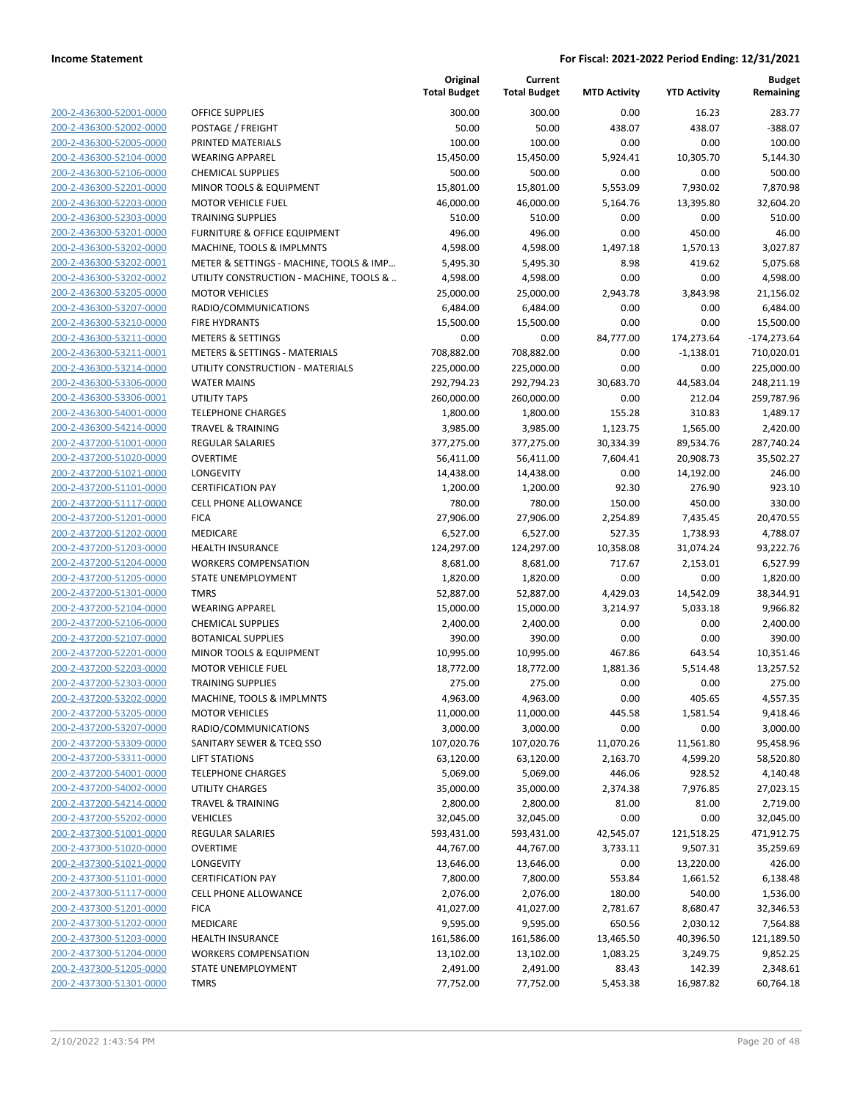|                                                    |                                                   | Original<br><b>Total Budget</b> | Current<br><b>Total Budget</b> | <b>MTD Activity</b> | <b>YTD Activity</b> | <b>Budget</b><br>Remaining |
|----------------------------------------------------|---------------------------------------------------|---------------------------------|--------------------------------|---------------------|---------------------|----------------------------|
| 200-2-436300-52001-0000                            | <b>OFFICE SUPPLIES</b>                            | 300.00                          | 300.00                         | 0.00                | 16.23               | 283.77                     |
| 200-2-436300-52002-0000                            | POSTAGE / FREIGHT                                 | 50.00                           | 50.00                          | 438.07              | 438.07              | $-388.07$                  |
| 200-2-436300-52005-0000                            | PRINTED MATERIALS                                 | 100.00                          | 100.00                         | 0.00                | 0.00                | 100.00                     |
| 200-2-436300-52104-0000                            | <b>WEARING APPAREL</b>                            | 15,450.00                       | 15,450.00                      | 5,924.41            | 10,305.70           | 5,144.30                   |
| 200-2-436300-52106-0000                            | <b>CHEMICAL SUPPLIES</b>                          | 500.00                          | 500.00                         | 0.00                | 0.00                | 500.00                     |
| 200-2-436300-52201-0000                            | MINOR TOOLS & EQUIPMENT                           | 15,801.00                       | 15,801.00                      | 5,553.09            | 7,930.02            | 7,870.98                   |
| 200-2-436300-52203-0000                            | <b>MOTOR VEHICLE FUEL</b>                         | 46,000.00                       | 46,000.00                      | 5,164.76            | 13,395.80           | 32,604.20                  |
| 200-2-436300-52303-0000                            | <b>TRAINING SUPPLIES</b>                          | 510.00                          | 510.00                         | 0.00                | 0.00                | 510.00                     |
| 200-2-436300-53201-0000                            | <b>FURNITURE &amp; OFFICE EQUIPMENT</b>           | 496.00                          | 496.00                         | 0.00                | 450.00              | 46.00                      |
| 200-2-436300-53202-0000                            | MACHINE, TOOLS & IMPLMNTS                         | 4,598.00                        | 4,598.00                       | 1,497.18            | 1,570.13            | 3,027.87                   |
| 200-2-436300-53202-0001                            | METER & SETTINGS - MACHINE, TOOLS & IMP           | 5,495.30                        | 5,495.30                       | 8.98                | 419.62              | 5,075.68                   |
| 200-2-436300-53202-0002                            | UTILITY CONSTRUCTION - MACHINE, TOOLS &           | 4,598.00                        | 4,598.00                       | 0.00                | 0.00                | 4,598.00                   |
| 200-2-436300-53205-0000                            | <b>MOTOR VEHICLES</b>                             | 25,000.00                       | 25,000.00                      | 2,943.78            | 3,843.98            | 21,156.02                  |
| 200-2-436300-53207-0000                            | RADIO/COMMUNICATIONS                              | 6,484.00                        | 6,484.00                       | 0.00                | 0.00                | 6,484.00                   |
| 200-2-436300-53210-0000                            | <b>FIRE HYDRANTS</b>                              | 15,500.00                       | 15,500.00                      | 0.00                | 0.00                | 15,500.00                  |
| 200-2-436300-53211-0000                            | <b>METERS &amp; SETTINGS</b>                      | 0.00                            | 0.00                           | 84,777.00           | 174,273.64          | $-174,273.64$              |
| 200-2-436300-53211-0001                            | <b>METERS &amp; SETTINGS - MATERIALS</b>          | 708,882.00                      | 708,882.00                     | 0.00                | $-1,138.01$         | 710,020.01                 |
| 200-2-436300-53214-0000                            | UTILITY CONSTRUCTION - MATERIALS                  | 225,000.00                      | 225,000.00                     | 0.00                | 0.00                | 225,000.00                 |
| 200-2-436300-53306-0000                            | <b>WATER MAINS</b>                                | 292,794.23                      | 292,794.23                     | 30,683.70           | 44,583.04           | 248,211.19                 |
| 200-2-436300-53306-0001                            | <b>UTILITY TAPS</b>                               | 260,000.00                      | 260,000.00                     | 0.00                | 212.04              | 259,787.96                 |
| 200-2-436300-54001-0000                            | <b>TELEPHONE CHARGES</b>                          | 1,800.00                        | 1,800.00                       | 155.28              | 310.83              | 1,489.17                   |
| 200-2-436300-54214-0000                            | <b>TRAVEL &amp; TRAINING</b>                      | 3,985.00                        | 3,985.00                       | 1,123.75            | 1,565.00            | 2,420.00                   |
| 200-2-437200-51001-0000                            | <b>REGULAR SALARIES</b>                           | 377,275.00                      | 377,275.00                     | 30,334.39           | 89,534.76           | 287,740.24                 |
| 200-2-437200-51020-0000                            | <b>OVERTIME</b>                                   | 56,411.00                       | 56,411.00                      | 7,604.41            | 20,908.73           | 35,502.27                  |
| 200-2-437200-51021-0000                            | LONGEVITY                                         | 14,438.00                       | 14,438.00                      | 0.00                | 14,192.00           | 246.00                     |
| 200-2-437200-51101-0000                            | <b>CERTIFICATION PAY</b>                          | 1,200.00                        | 1,200.00                       | 92.30               | 276.90              | 923.10                     |
| 200-2-437200-51117-0000                            | <b>CELL PHONE ALLOWANCE</b>                       | 780.00                          | 780.00                         | 150.00              | 450.00              | 330.00                     |
| 200-2-437200-51201-0000                            | <b>FICA</b>                                       | 27,906.00                       | 27,906.00                      | 2,254.89            | 7,435.45            | 20,470.55                  |
| 200-2-437200-51202-0000                            | MEDICARE                                          | 6,527.00                        | 6,527.00                       | 527.35              | 1,738.93            | 4,788.07                   |
| 200-2-437200-51203-0000                            | <b>HEALTH INSURANCE</b>                           | 124,297.00                      | 124,297.00                     | 10,358.08           | 31,074.24           | 93,222.76                  |
| 200-2-437200-51204-0000                            | <b>WORKERS COMPENSATION</b>                       | 8,681.00                        | 8,681.00                       | 717.67              | 2,153.01            | 6,527.99                   |
| 200-2-437200-51205-0000                            | STATE UNEMPLOYMENT                                | 1,820.00                        | 1,820.00                       | 0.00                | 0.00                | 1,820.00                   |
| 200-2-437200-51301-0000                            | <b>TMRS</b>                                       | 52,887.00                       | 52,887.00                      | 4,429.03            | 14,542.09           | 38,344.91                  |
| 200-2-437200-52104-0000                            | <b>WEARING APPAREL</b>                            | 15,000.00                       | 15,000.00                      | 3,214.97            | 5,033.18            | 9,966.82                   |
| 200-2-437200-52106-0000                            | <b>CHEMICAL SUPPLIES</b>                          | 2,400.00                        | 2,400.00                       | 0.00                | 0.00                | 2,400.00                   |
| 200-2-437200-52107-0000                            | <b>BOTANICAL SUPPLIES</b>                         | 390.00                          | 390.00                         | 0.00                | 0.00                | 390.00                     |
| 200-2-437200-52201-0000                            | MINOR TOOLS & EQUIPMENT                           | 10,995.00                       | 10,995.00                      | 467.86              | 643.54              | 10,351.46                  |
| 200-2-437200-52203-0000                            | <b>MOTOR VEHICLE FUEL</b>                         | 18,772.00                       | 18,772.00                      | 1,881.36            | 5,514.48            | 13,257.52                  |
| 200-2-437200-52303-0000                            | <b>TRAINING SUPPLIES</b>                          | 275.00                          | 275.00                         | 0.00                | 0.00                | 275.00                     |
| 200-2-437200-53202-0000                            | MACHINE, TOOLS & IMPLMNTS                         | 4,963.00                        | 4,963.00                       | 0.00                | 405.65              | 4,557.35                   |
| 200-2-437200-53205-0000                            | <b>MOTOR VEHICLES</b>                             | 11,000.00<br>3,000.00           | 11,000.00                      | 445.58              | 1,581.54            | 9,418.46                   |
| 200-2-437200-53207-0000<br>200-2-437200-53309-0000 | RADIO/COMMUNICATIONS<br>SANITARY SEWER & TCEQ SSO | 107,020.76                      | 3,000.00<br>107,020.76         | 0.00<br>11,070.26   | 0.00<br>11,561.80   | 3,000.00<br>95,458.96      |
| 200-2-437200-53311-0000                            | <b>LIFT STATIONS</b>                              | 63,120.00                       | 63,120.00                      | 2,163.70            | 4,599.20            | 58,520.80                  |
| 200-2-437200-54001-0000                            | <b>TELEPHONE CHARGES</b>                          | 5,069.00                        | 5,069.00                       | 446.06              | 928.52              | 4,140.48                   |
| 200-2-437200-54002-0000                            | UTILITY CHARGES                                   | 35,000.00                       | 35,000.00                      | 2,374.38            | 7,976.85            | 27,023.15                  |
| 200-2-437200-54214-0000                            | <b>TRAVEL &amp; TRAINING</b>                      | 2,800.00                        | 2,800.00                       | 81.00               | 81.00               | 2,719.00                   |
| 200-2-437200-55202-0000                            | <b>VEHICLES</b>                                   | 32,045.00                       | 32,045.00                      | 0.00                | 0.00                | 32,045.00                  |
| 200-2-437300-51001-0000                            | <b>REGULAR SALARIES</b>                           | 593,431.00                      | 593,431.00                     | 42,545.07           | 121,518.25          | 471,912.75                 |
| 200-2-437300-51020-0000                            | <b>OVERTIME</b>                                   | 44,767.00                       | 44,767.00                      | 3,733.11            | 9,507.31            | 35,259.69                  |
| 200-2-437300-51021-0000                            | LONGEVITY                                         | 13,646.00                       | 13,646.00                      | 0.00                | 13,220.00           | 426.00                     |
| 200-2-437300-51101-0000                            | <b>CERTIFICATION PAY</b>                          | 7,800.00                        | 7,800.00                       | 553.84              | 1,661.52            | 6,138.48                   |
| 200-2-437300-51117-0000                            | <b>CELL PHONE ALLOWANCE</b>                       | 2,076.00                        | 2,076.00                       | 180.00              | 540.00              | 1,536.00                   |
| 200-2-437300-51201-0000                            | <b>FICA</b>                                       | 41,027.00                       | 41,027.00                      | 2,781.67            | 8,680.47            | 32,346.53                  |
| 200-2-437300-51202-0000                            | MEDICARE                                          | 9,595.00                        | 9,595.00                       | 650.56              | 2,030.12            | 7,564.88                   |
| 200-2-437300-51203-0000                            | <b>HEALTH INSURANCE</b>                           | 161,586.00                      | 161,586.00                     | 13,465.50           | 40,396.50           | 121,189.50                 |
| 200-2-437300-51204-0000                            | <b>WORKERS COMPENSATION</b>                       | 13,102.00                       | 13,102.00                      | 1,083.25            | 3,249.75            | 9,852.25                   |
| 200-2-437300-51205-0000                            | STATE UNEMPLOYMENT                                | 2,491.00                        | 2,491.00                       | 83.43               | 142.39              | 2,348.61                   |
| 200-2-437300-51301-0000                            | <b>TMRS</b>                                       | 77,752.00                       | 77,752.00                      | 5,453.38            | 16,987.82           | 60,764.18                  |
|                                                    |                                                   |                                 |                                |                     |                     |                            |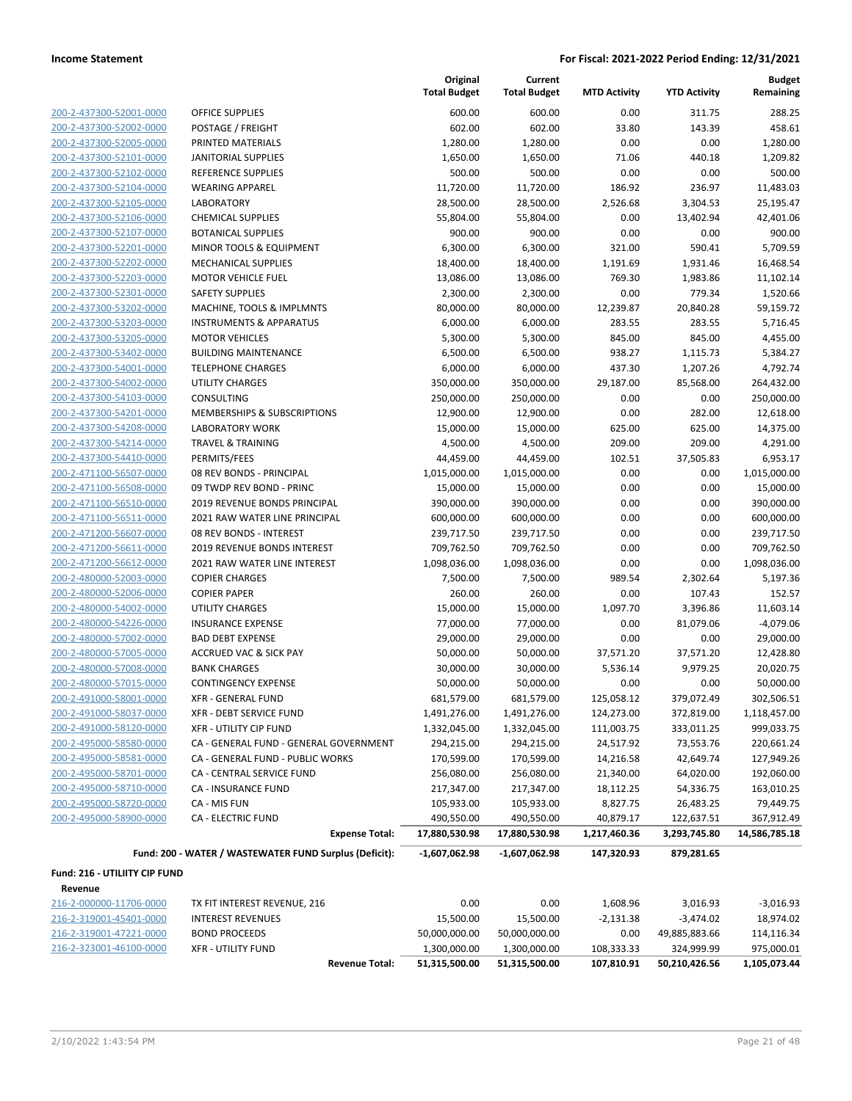| 200-2-437300-52001-0000     |
|-----------------------------|
| 200-2-437300-52002-0000     |
| 200-2-437300-52005-0000     |
| 2-437300-52101-0000<br>200- |
| 200-2-437300-52102-0000     |
| 200-2-437300-52104-0000     |
| 200-2-437300-52105-0000     |
| 200-2-437300-52106-0000     |
| 2-437300-52107-0000<br>200- |
| 200-2-437300-52201-0000     |
| 200-2-437300-52202-0000     |
| 200-2-437300-52203-0000     |
| 200-2-437300-52301-0000     |
| 2-437300-53202-0000<br>200- |
| 200-2-437300-53203-0000     |
| 200-2-437300-53205-0000     |
| 200-2-437300-53402-0000     |
| 200-2-437300-54001-0000     |
| 2-437300-54002-0000<br>200- |
| 200-2-437300-54103-0000     |
| 200-2-437300-54201-0000     |
| 200-2-437300-54208-0000     |
| 200-2-437300-54214-0000     |
| 2-437300-54410-0000<br>200- |
| 200-2-471100-56507-0000     |
|                             |
| 200-2-471100-56508-0000     |
| 200-2-471100-56510-0000     |
| 200-2-471100-56511-0000     |
| 2-471200-56607-0000<br>200- |
| 200-2-471200-56611-0000     |
| 200-2-471200-56612-0000     |
| 200-2-480000-52003-0000     |
| 200-2-480000-52006-0000     |
| 200-2-480000-54002-0000     |
| 200-2-480000-54226-0000     |
| 200-2-480000-57002-0000     |
| 200-2-480000-57005-0000     |
| 200-2-480000-57008-0000     |
| 200-2-480000-57015-0000     |
| 200-2-491000-58001-0000     |
| 200-2-491000-58037-0000     |
| 200-2-491000-58120-0000     |
| 200-2-495000-58580-0000     |
| 200-2-495000-58581-0000     |
| 200-2-495000-58701-0000     |
| 200-2-495000-58710-0000     |
| 200-2-495000-58720-0000     |
| 200-2-495000-58900-0000     |
|                             |

|                               |                                                        | Original<br><b>Total Budget</b> | Current<br><b>Total Budget</b> | <b>MTD Activity</b> | <b>YTD Activity</b> | <b>Budget</b><br>Remaining |
|-------------------------------|--------------------------------------------------------|---------------------------------|--------------------------------|---------------------|---------------------|----------------------------|
| 200-2-437300-52001-0000       | <b>OFFICE SUPPLIES</b>                                 | 600.00                          | 600.00                         | 0.00                | 311.75              | 288.25                     |
| 200-2-437300-52002-0000       | POSTAGE / FREIGHT                                      | 602.00                          | 602.00                         | 33.80               | 143.39              | 458.61                     |
| 200-2-437300-52005-0000       | PRINTED MATERIALS                                      | 1,280.00                        | 1,280.00                       | 0.00                | 0.00                | 1,280.00                   |
| 200-2-437300-52101-0000       | <b>JANITORIAL SUPPLIES</b>                             | 1,650.00                        | 1,650.00                       | 71.06               | 440.18              | 1,209.82                   |
| 200-2-437300-52102-0000       | REFERENCE SUPPLIES                                     | 500.00                          | 500.00                         | 0.00                | 0.00                | 500.00                     |
| 200-2-437300-52104-0000       | <b>WEARING APPAREL</b>                                 | 11,720.00                       | 11,720.00                      | 186.92              | 236.97              | 11,483.03                  |
| 200-2-437300-52105-0000       | <b>LABORATORY</b>                                      | 28,500.00                       | 28,500.00                      | 2,526.68            | 3,304.53            | 25,195.47                  |
| 200-2-437300-52106-0000       | <b>CHEMICAL SUPPLIES</b>                               | 55,804.00                       | 55,804.00                      | 0.00                | 13,402.94           | 42,401.06                  |
| 200-2-437300-52107-0000       | <b>BOTANICAL SUPPLIES</b>                              | 900.00                          | 900.00                         | 0.00                | 0.00                | 900.00                     |
| 200-2-437300-52201-0000       | MINOR TOOLS & EQUIPMENT                                | 6,300.00                        | 6,300.00                       | 321.00              | 590.41              | 5,709.59                   |
| 200-2-437300-52202-0000       | <b>MECHANICAL SUPPLIES</b>                             | 18,400.00                       | 18,400.00                      | 1,191.69            | 1,931.46            | 16,468.54                  |
| 200-2-437300-52203-0000       | <b>MOTOR VEHICLE FUEL</b>                              | 13,086.00                       | 13,086.00                      | 769.30              | 1,983.86            | 11,102.14                  |
| 200-2-437300-52301-0000       | <b>SAFETY SUPPLIES</b>                                 | 2,300.00                        | 2,300.00                       | 0.00                | 779.34              | 1,520.66                   |
| 200-2-437300-53202-0000       | MACHINE, TOOLS & IMPLMNTS                              | 80,000.00                       | 80,000.00                      | 12,239.87           | 20,840.28           | 59,159.72                  |
| 200-2-437300-53203-0000       | <b>INSTRUMENTS &amp; APPARATUS</b>                     | 6,000.00                        | 6,000.00                       | 283.55              | 283.55              | 5,716.45                   |
| 200-2-437300-53205-0000       | <b>MOTOR VEHICLES</b>                                  | 5,300.00                        | 5,300.00                       | 845.00              | 845.00              | 4,455.00                   |
| 200-2-437300-53402-0000       | <b>BUILDING MAINTENANCE</b>                            | 6,500.00                        | 6,500.00                       | 938.27              | 1,115.73            | 5,384.27                   |
| 200-2-437300-54001-0000       | <b>TELEPHONE CHARGES</b>                               | 6,000.00                        | 6,000.00                       | 437.30              | 1,207.26            | 4,792.74                   |
| 200-2-437300-54002-0000       | <b>UTILITY CHARGES</b>                                 | 350,000.00                      | 350,000.00                     | 29,187.00           | 85,568.00           | 264,432.00                 |
| 200-2-437300-54103-0000       | <b>CONSULTING</b>                                      | 250,000.00                      | 250,000.00                     | 0.00                | 0.00                | 250,000.00                 |
| 200-2-437300-54201-0000       | MEMBERSHIPS & SUBSCRIPTIONS                            | 12,900.00                       | 12,900.00                      | 0.00                | 282.00              | 12,618.00                  |
| 200-2-437300-54208-0000       | <b>LABORATORY WORK</b>                                 | 15,000.00                       | 15,000.00                      | 625.00              | 625.00              | 14,375.00                  |
| 200-2-437300-54214-0000       | <b>TRAVEL &amp; TRAINING</b>                           | 4,500.00                        | 4,500.00                       | 209.00              | 209.00              | 4,291.00                   |
| 200-2-437300-54410-0000       | PERMITS/FEES                                           | 44,459.00                       | 44,459.00                      | 102.51              | 37,505.83           | 6,953.17                   |
| 200-2-471100-56507-0000       | 08 REV BONDS - PRINCIPAL                               | 1,015,000.00                    | 1,015,000.00                   | 0.00                | 0.00                | 1,015,000.00               |
| 200-2-471100-56508-0000       | 09 TWDP REV BOND - PRINC                               | 15,000.00                       | 15,000.00                      | 0.00                | 0.00                | 15,000.00                  |
| 200-2-471100-56510-0000       | 2019 REVENUE BONDS PRINCIPAL                           | 390,000.00                      | 390,000.00                     | 0.00                | 0.00                | 390,000.00                 |
| 200-2-471100-56511-0000       | 2021 RAW WATER LINE PRINCIPAL                          | 600,000.00                      | 600,000.00                     | 0.00                | 0.00                | 600,000.00                 |
| 200-2-471200-56607-0000       | 08 REV BONDS - INTEREST                                | 239,717.50                      | 239,717.50                     | 0.00                | 0.00                | 239,717.50                 |
| 200-2-471200-56611-0000       | <b>2019 REVENUE BONDS INTEREST</b>                     | 709,762.50                      | 709,762.50                     | 0.00                | 0.00                | 709,762.50                 |
| 200-2-471200-56612-0000       | 2021 RAW WATER LINE INTEREST                           | 1,098,036.00                    | 1,098,036.00                   | 0.00                | 0.00                | 1,098,036.00               |
| 200-2-480000-52003-0000       | <b>COPIER CHARGES</b>                                  | 7,500.00                        | 7,500.00                       | 989.54              | 2,302.64            | 5,197.36                   |
| 200-2-480000-52006-0000       | <b>COPIER PAPER</b>                                    | 260.00                          | 260.00                         | 0.00                | 107.43              | 152.57                     |
| 200-2-480000-54002-0000       | <b>UTILITY CHARGES</b>                                 | 15,000.00                       | 15,000.00                      | 1,097.70            | 3,396.86            | 11,603.14                  |
| 200-2-480000-54226-0000       | <b>INSURANCE EXPENSE</b>                               | 77,000.00                       | 77,000.00                      | 0.00                | 81,079.06           | $-4,079.06$                |
| 200-2-480000-57002-0000       | <b>BAD DEBT EXPENSE</b>                                | 29,000.00                       | 29,000.00                      | 0.00                | 0.00                | 29,000.00                  |
| 200-2-480000-57005-0000       | <b>ACCRUED VAC &amp; SICK PAY</b>                      | 50,000.00                       | 50,000.00                      | 37,571.20           | 37,571.20           | 12,428.80                  |
| 200-2-480000-57008-0000       | <b>BANK CHARGES</b>                                    | 30,000.00                       | 30,000.00                      | 5,536.14            | 9,979.25            | 20,020.75                  |
| 200-2-480000-57015-0000       | <b>CONTINGENCY EXPENSE</b>                             | 50,000.00                       | 50,000.00                      | 0.00                | 0.00                | 50,000.00                  |
| 200-2-491000-58001-0000       | <b>XFR - GENERAL FUND</b>                              | 681,579.00                      | 681,579.00                     | 125,058.12          | 379,072.49          | 302,506.51                 |
| 200-2-491000-58037-0000       | XFR - DEBT SERVICE FUND                                | 1,491,276.00                    | 1,491,276.00                   | 124,273.00          | 372,819.00          | 1,118,457.00               |
| 200-2-491000-58120-0000       | XFR - UTILITY CIP FUND                                 | 1,332,045.00                    | 1,332,045.00                   | 111,003.75          | 333,011.25          | 999,033.75                 |
| 200-2-495000-58580-0000       | CA - GENERAL FUND - GENERAL GOVERNMENT                 | 294,215.00                      | 294,215.00                     | 24,517.92           | 73,553.76           | 220,661.24                 |
| 200-2-495000-58581-0000       | CA - GENERAL FUND - PUBLIC WORKS                       | 170,599.00                      | 170,599.00                     | 14,216.58           | 42,649.74           | 127,949.26                 |
| 200-2-495000-58701-0000       | CA - CENTRAL SERVICE FUND                              | 256,080.00                      | 256,080.00                     | 21,340.00           | 64,020.00           | 192,060.00                 |
| 200-2-495000-58710-0000       | <b>CA - INSURANCE FUND</b>                             | 217,347.00                      | 217,347.00                     | 18,112.25           | 54,336.75           | 163,010.25                 |
| 200-2-495000-58720-0000       | CA - MIS FUN                                           | 105,933.00                      | 105,933.00                     | 8,827.75            | 26,483.25           | 79,449.75                  |
| 200-2-495000-58900-0000       | <b>CA - ELECTRIC FUND</b>                              | 490,550.00                      | 490,550.00                     | 40,879.17           | 122,637.51          | 367,912.49                 |
|                               | <b>Expense Total:</b>                                  | 17,880,530.98                   | 17,880,530.98                  | 1,217,460.36        | 3,293,745.80        | 14,586,785.18              |
|                               | Fund: 200 - WATER / WASTEWATER FUND Surplus (Deficit): | $-1,607,062.98$                 | $-1,607,062.98$                | 147,320.93          | 879,281.65          |                            |
| Fund: 216 - UTILIITY CIP FUND |                                                        |                                 |                                |                     |                     |                            |
| Revenue                       |                                                        |                                 |                                |                     |                     |                            |
| 216-2-000000-11706-0000       | TX FIT INTEREST REVENUE, 216                           | 0.00                            | 0.00                           | 1,608.96            | 3,016.93            | $-3,016.93$                |
| 216-2-319001-45401-0000       | <b>INTEREST REVENUES</b>                               | 15,500.00                       | 15,500.00                      | $-2,131.38$         | $-3,474.02$         | 18,974.02                  |
| 216-2-319001-47221-0000       | <b>BOND PROCEEDS</b>                                   | 50,000,000.00                   | 50,000,000.00                  | 0.00                | 49,885,883.66       | 114,116.34                 |
| 216-2-323001-46100-0000       | <b>XFR - UTILITY FUND</b>                              | 1,300,000.00                    | 1,300,000.00                   | 108,333.33          | 324,999.99          | 975,000.01                 |

**Revenue Total: 51,315,500.00 51,315,500.00 107,810.91 50,210,426.56 1,105,073.44**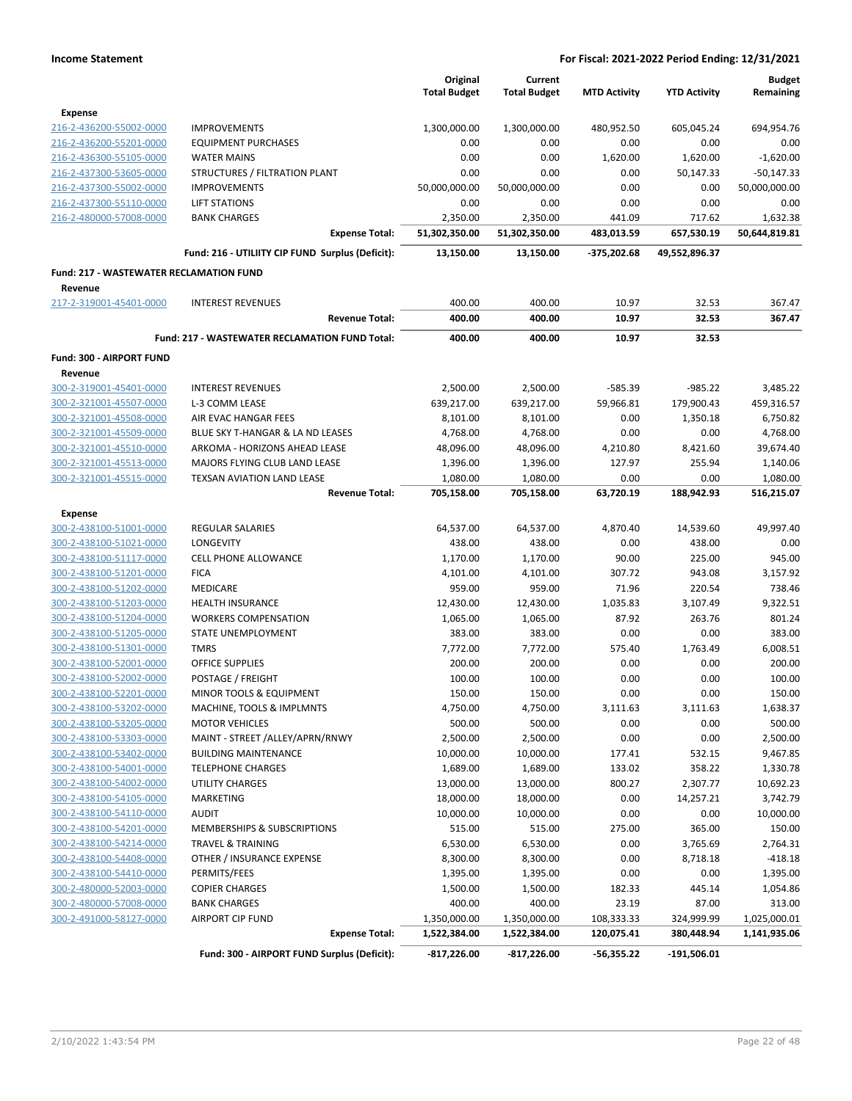|                                                |                                                       | Original<br><b>Total Budget</b> | Current<br><b>Total Budget</b> | <b>MTD Activity</b> | <b>YTD Activity</b> | <b>Budget</b><br>Remaining |
|------------------------------------------------|-------------------------------------------------------|---------------------------------|--------------------------------|---------------------|---------------------|----------------------------|
| <b>Expense</b>                                 |                                                       |                                 |                                |                     |                     |                            |
| 216-2-436200-55002-0000                        | <b>IMPROVEMENTS</b>                                   | 1,300,000.00                    | 1,300,000.00                   | 480,952.50          | 605,045.24          | 694,954.76                 |
| 216-2-436200-55201-0000                        | <b>EQUIPMENT PURCHASES</b>                            | 0.00                            | 0.00                           | 0.00                | 0.00                | 0.00                       |
| 216-2-436300-55105-0000                        | <b>WATER MAINS</b>                                    | 0.00                            | 0.00                           | 1,620.00            | 1,620.00            | $-1,620.00$                |
| 216-2-437300-53605-0000                        | STRUCTURES / FILTRATION PLANT                         | 0.00                            | 0.00                           | 0.00                | 50,147.33           | $-50,147.33$               |
| 216-2-437300-55002-0000                        | <b>IMPROVEMENTS</b>                                   | 50,000,000.00                   | 50,000,000.00                  | 0.00                | 0.00                | 50,000,000.00              |
| 216-2-437300-55110-0000                        | <b>LIFT STATIONS</b>                                  | 0.00                            | 0.00                           | 0.00                | 0.00                | 0.00                       |
| 216-2-480000-57008-0000                        | <b>BANK CHARGES</b>                                   | 2,350.00                        | 2,350.00                       | 441.09              | 717.62              | 1,632.38                   |
|                                                | <b>Expense Total:</b>                                 | 51,302,350.00                   | 51,302,350.00                  | 483,013.59          | 657,530.19          | 50,644,819.81              |
|                                                | Fund: 216 - UTILIITY CIP FUND Surplus (Deficit):      | 13,150.00                       | 13,150.00                      | -375,202.68         | 49,552,896.37       |                            |
| <b>Fund: 217 - WASTEWATER RECLAMATION FUND</b> |                                                       |                                 |                                |                     |                     |                            |
| Revenue                                        |                                                       |                                 |                                |                     |                     |                            |
| 217-2-319001-45401-0000                        | <b>INTEREST REVENUES</b>                              | 400.00                          | 400.00                         | 10.97               | 32.53               | 367.47                     |
|                                                | <b>Revenue Total:</b>                                 | 400.00                          | 400.00                         | 10.97               | 32.53               | 367.47                     |
|                                                | <b>Fund: 217 - WASTEWATER RECLAMATION FUND Total:</b> | 400.00                          | 400.00                         | 10.97               | 32.53               |                            |
| Fund: 300 - AIRPORT FUND                       |                                                       |                                 |                                |                     |                     |                            |
| Revenue                                        |                                                       |                                 |                                |                     |                     |                            |
| 300-2-319001-45401-0000                        | <b>INTEREST REVENUES</b>                              | 2,500.00                        | 2,500.00                       | $-585.39$           | $-985.22$           | 3,485.22                   |
| 300-2-321001-45507-0000                        | L-3 COMM LEASE                                        | 639,217.00                      | 639,217.00                     | 59,966.81           | 179,900.43          | 459,316.57                 |
| 300-2-321001-45508-0000                        | AIR EVAC HANGAR FEES                                  | 8,101.00                        | 8,101.00                       | 0.00                | 1,350.18            | 6,750.82                   |
| 300-2-321001-45509-0000                        | BLUE SKY T-HANGAR & LA ND LEASES                      | 4,768.00                        | 4,768.00                       | 0.00                | 0.00                | 4,768.00                   |
| 300-2-321001-45510-0000                        | ARKOMA - HORIZONS AHEAD LEASE                         | 48,096.00                       | 48,096.00                      | 4,210.80            | 8,421.60            | 39,674.40                  |
| 300-2-321001-45513-0000                        | MAJORS FLYING CLUB LAND LEASE                         | 1,396.00                        | 1,396.00                       | 127.97              | 255.94              | 1,140.06                   |
| 300-2-321001-45515-0000                        | TEXSAN AVIATION LAND LEASE                            | 1,080.00                        | 1,080.00                       | 0.00                | 0.00                | 1,080.00                   |
|                                                | <b>Revenue Total:</b>                                 | 705,158.00                      | 705,158.00                     | 63,720.19           | 188,942.93          | 516,215.07                 |
| <b>Expense</b>                                 |                                                       |                                 |                                |                     |                     |                            |
| 300-2-438100-51001-0000                        | REGULAR SALARIES                                      | 64,537.00                       | 64,537.00                      | 4,870.40            | 14,539.60           | 49,997.40                  |
| 300-2-438100-51021-0000                        | <b>LONGEVITY</b>                                      | 438.00                          | 438.00                         | 0.00                | 438.00              | 0.00                       |
| 300-2-438100-51117-0000                        | <b>CELL PHONE ALLOWANCE</b>                           | 1,170.00                        | 1,170.00                       | 90.00               | 225.00              | 945.00                     |
| 300-2-438100-51201-0000                        | <b>FICA</b>                                           | 4,101.00                        | 4,101.00                       | 307.72              | 943.08              | 3,157.92                   |
| 300-2-438100-51202-0000                        | <b>MEDICARE</b>                                       | 959.00                          | 959.00                         | 71.96               | 220.54              | 738.46                     |
| 300-2-438100-51203-0000                        | <b>HEALTH INSURANCE</b>                               | 12,430.00                       | 12,430.00                      | 1,035.83            | 3,107.49            | 9,322.51                   |
| 300-2-438100-51204-0000                        | <b>WORKERS COMPENSATION</b>                           | 1,065.00                        | 1,065.00                       | 87.92               | 263.76              | 801.24                     |
| 300-2-438100-51205-0000                        | STATE UNEMPLOYMENT                                    | 383.00                          | 383.00                         | 0.00                | 0.00                | 383.00                     |
| 300-2-438100-51301-0000                        | <b>TMRS</b>                                           | 7,772.00                        | 7,772.00                       | 575.40              | 1,763.49            | 6,008.51                   |
| 300-2-438100-52001-0000                        | OFFICE SUPPLIES                                       | 200.00                          | 200.00                         | 0.00                | 0.00                | 200.00                     |
| 300-2-438100-52002-0000                        | POSTAGE / FREIGHT                                     | 100.00                          | 100.00                         | 0.00                | 0.00                | 100.00                     |
| 300-2-438100-52201-0000                        | MINOR TOOLS & EQUIPMENT                               | 150.00                          | 150.00                         | 0.00                | 0.00                | 150.00                     |
| 300-2-438100-53202-0000                        | MACHINE, TOOLS & IMPLMNTS                             | 4,750.00                        | 4,750.00                       | 3,111.63            | 3,111.63            | 1,638.37                   |
| 300-2-438100-53205-0000                        | <b>MOTOR VEHICLES</b>                                 | 500.00                          | 500.00                         | 0.00                | 0.00                | 500.00                     |
| 300-2-438100-53303-0000                        | MAINT - STREET /ALLEY/APRN/RNWY                       | 2,500.00                        | 2,500.00                       | 0.00                | 0.00                | 2,500.00                   |
| 300-2-438100-53402-0000                        | <b>BUILDING MAINTENANCE</b>                           | 10,000.00                       | 10,000.00                      | 177.41              | 532.15              | 9,467.85                   |
| 300-2-438100-54001-0000                        | <b>TELEPHONE CHARGES</b>                              | 1,689.00                        | 1,689.00                       | 133.02              | 358.22              | 1,330.78                   |
| 300-2-438100-54002-0000                        | <b>UTILITY CHARGES</b>                                | 13,000.00                       | 13,000.00                      | 800.27              | 2,307.77            | 10,692.23                  |
| 300-2-438100-54105-0000                        | MARKETING                                             | 18,000.00                       | 18,000.00                      | 0.00                | 14,257.21           | 3,742.79                   |
| 300-2-438100-54110-0000                        | <b>AUDIT</b>                                          | 10,000.00                       | 10,000.00                      | 0.00                | 0.00                | 10,000.00                  |
| 300-2-438100-54201-0000                        | MEMBERSHIPS & SUBSCRIPTIONS                           | 515.00                          | 515.00                         | 275.00              | 365.00              | 150.00                     |
| 300-2-438100-54214-0000                        | TRAVEL & TRAINING                                     | 6,530.00                        | 6,530.00                       | 0.00                | 3,765.69            | 2,764.31                   |
| 300-2-438100-54408-0000                        | OTHER / INSURANCE EXPENSE                             | 8,300.00                        | 8,300.00                       | 0.00                | 8,718.18            | $-418.18$                  |
| 300-2-438100-54410-0000                        | PERMITS/FEES                                          | 1,395.00                        | 1,395.00                       | 0.00                | 0.00                | 1,395.00                   |
|                                                |                                                       |                                 |                                |                     |                     |                            |
| 300-2-480000-52003-0000                        | <b>COPIER CHARGES</b>                                 | 1,500.00                        | 1,500.00                       | 182.33              | 445.14              | 1,054.86                   |
| 300-2-480000-57008-0000                        | <b>BANK CHARGES</b>                                   | 400.00                          | 400.00                         | 23.19               | 87.00               | 313.00                     |
| 300-2-491000-58127-0000                        | <b>AIRPORT CIP FUND</b>                               | 1,350,000.00                    | 1,350,000.00                   | 108,333.33          | 324,999.99          | 1,025,000.01               |
|                                                | <b>Expense Total:</b>                                 | 1,522,384.00                    | 1,522,384.00                   | 120,075.41          | 380,448.94          | 1,141,935.06               |
|                                                | Fund: 300 - AIRPORT FUND Surplus (Deficit):           | $-817,226.00$                   | $-817,226.00$                  | $-56,355.22$        | $-191,506.01$       |                            |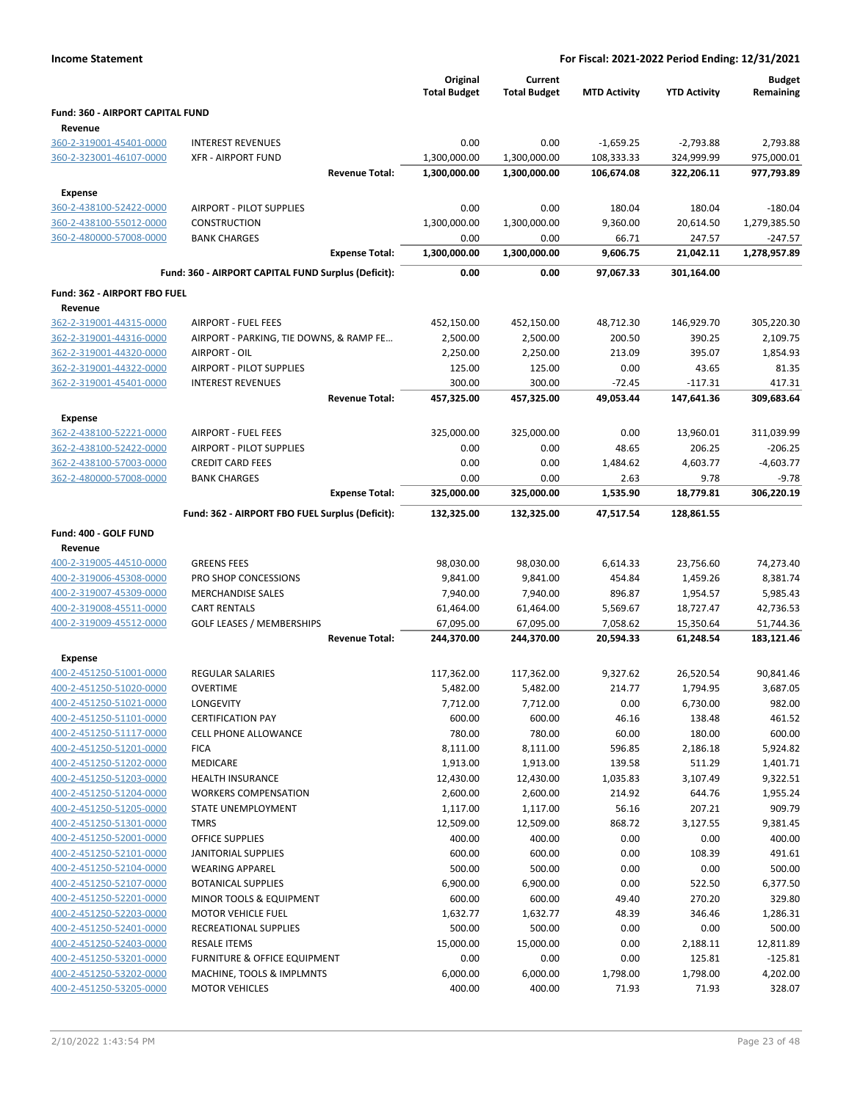| <b>Income Statement</b>                            |                                                        |                                 |                                | For Fiscal: 2021-2022 Period Ending: 12/31/2021 |                     |                            |
|----------------------------------------------------|--------------------------------------------------------|---------------------------------|--------------------------------|-------------------------------------------------|---------------------|----------------------------|
|                                                    |                                                        | Original<br><b>Total Budget</b> | Current<br><b>Total Budget</b> | <b>MTD Activity</b>                             | <b>YTD Activity</b> | <b>Budget</b><br>Remaining |
| Fund: 360 - AIRPORT CAPITAL FUND                   |                                                        |                                 |                                |                                                 |                     |                            |
| Revenue                                            |                                                        |                                 |                                |                                                 |                     |                            |
| 360-2-319001-45401-0000                            | <b>INTEREST REVENUES</b>                               | 0.00                            | 0.00                           | $-1,659.25$                                     | $-2,793.88$         | 2,793.88                   |
| 360-2-323001-46107-0000                            | <b>XFR - AIRPORT FUND</b>                              | 1,300,000.00                    | 1,300,000.00                   | 108,333.33                                      | 324,999.99          | 975,000.01                 |
|                                                    | <b>Revenue Total:</b>                                  | 1,300,000.00                    | 1,300,000.00                   | 106,674.08                                      | 322,206.11          | 977,793.89                 |
| <b>Expense</b>                                     |                                                        |                                 |                                |                                                 |                     |                            |
| 360-2-438100-52422-0000                            | AIRPORT - PILOT SUPPLIES                               | 0.00                            | 0.00                           | 180.04                                          | 180.04              | $-180.04$                  |
| 360-2-438100-55012-0000                            | CONSTRUCTION                                           | 1,300,000.00                    | 1,300,000.00                   | 9,360.00                                        | 20,614.50           | 1,279,385.50               |
| 360-2-480000-57008-0000                            | <b>BANK CHARGES</b>                                    | 0.00                            | 0.00                           | 66.71                                           | 247.57              | $-247.57$                  |
|                                                    | <b>Expense Total:</b>                                  | 1,300,000.00                    | 1,300,000.00                   | 9,606.75                                        | 21,042.11           | 1,278,957.89               |
|                                                    | Fund: 360 - AIRPORT CAPITAL FUND Surplus (Deficit):    | 0.00                            | 0.00                           | 97,067.33                                       | 301,164.00          |                            |
| Fund: 362 - AIRPORT FBO FUEL                       |                                                        |                                 |                                |                                                 |                     |                            |
| Revenue                                            |                                                        |                                 |                                |                                                 |                     |                            |
| 362-2-319001-44315-0000                            | <b>AIRPORT - FUEL FEES</b>                             | 452,150.00                      | 452,150.00                     | 48,712.30                                       | 146,929.70          | 305,220.30                 |
| 362-2-319001-44316-0000                            | AIRPORT - PARKING, TIE DOWNS, & RAMP FE                | 2,500.00                        | 2,500.00                       | 200.50                                          | 390.25              | 2,109.75                   |
| 362-2-319001-44320-0000                            | AIRPORT - OIL                                          | 2,250.00                        | 2,250.00                       | 213.09                                          | 395.07              | 1,854.93                   |
| 362-2-319001-44322-0000                            | <b>AIRPORT - PILOT SUPPLIES</b>                        | 125.00                          | 125.00                         | 0.00                                            | 43.65               | 81.35                      |
| 362-2-319001-45401-0000                            | <b>INTEREST REVENUES</b>                               | 300.00                          | 300.00                         | $-72.45$                                        | $-117.31$           | 417.31                     |
|                                                    | <b>Revenue Total:</b>                                  | 457,325.00                      | 457,325.00                     | 49,053.44                                       | 147,641.36          | 309,683.64                 |
| <b>Expense</b>                                     |                                                        |                                 |                                |                                                 |                     |                            |
| 362-2-438100-52221-0000                            | <b>AIRPORT - FUEL FEES</b>                             | 325,000.00                      | 325,000.00                     | 0.00                                            | 13,960.01           | 311,039.99                 |
| 362-2-438100-52422-0000                            | <b>AIRPORT - PILOT SUPPLIES</b>                        | 0.00                            | 0.00                           | 48.65                                           | 206.25              | $-206.25$                  |
| 362-2-438100-57003-0000                            | <b>CREDIT CARD FEES</b>                                | 0.00                            | 0.00                           | 1,484.62                                        | 4,603.77            | $-4,603.77$                |
| 362-2-480000-57008-0000                            | <b>BANK CHARGES</b>                                    | 0.00                            | 0.00                           | 2.63                                            | 9.78                | $-9.78$                    |
|                                                    | <b>Expense Total:</b>                                  | 325,000.00                      | 325,000.00                     | 1,535.90                                        | 18,779.81           | 306,220.19                 |
|                                                    | Fund: 362 - AIRPORT FBO FUEL Surplus (Deficit):        | 132,325.00                      | 132,325.00                     | 47,517.54                                       | 128,861.55          |                            |
| Fund: 400 - GOLF FUND                              |                                                        |                                 |                                |                                                 |                     |                            |
| Revenue                                            |                                                        |                                 |                                |                                                 |                     |                            |
| 400-2-319005-44510-0000                            | <b>GREENS FEES</b>                                     | 98,030.00                       | 98,030.00                      | 6,614.33                                        | 23,756.60           | 74,273.40                  |
| 400-2-319006-45308-0000                            | PRO SHOP CONCESSIONS                                   | 9,841.00                        | 9,841.00                       | 454.84                                          | 1,459.26            | 8,381.74                   |
| 400-2-319007-45309-0000                            | <b>MERCHANDISE SALES</b>                               | 7,940.00                        | 7,940.00                       | 896.87                                          | 1,954.57            | 5,985.43                   |
| 400-2-319008-45511-0000                            | <b>CART RENTALS</b>                                    | 61,464.00                       | 61,464.00                      | 5,569.67                                        | 18,727.47           | 42,736.53                  |
| 400-2-319009-45512-0000                            | <b>GOLF LEASES / MEMBERSHIPS</b>                       | 67,095.00                       | 67,095.00                      | 7,058.62                                        | 15,350.64           | 51,744.36                  |
|                                                    | <b>Revenue Total:</b>                                  | 244,370.00                      | 244,370.00                     | 20,594.33                                       | 61,248.54           | 183,121.46                 |
| <b>Expense</b>                                     |                                                        |                                 |                                |                                                 |                     |                            |
| 400-2-451250-51001-0000                            | <b>REGULAR SALARIES</b>                                | 117,362.00                      | 117,362.00                     | 9.327.62                                        | 26,520.54           | 90,841.46                  |
| 400-2-451250-51020-0000                            | <b>OVERTIME</b>                                        | 5,482.00                        | 5,482.00                       | 214.77                                          | 1,794.95            | 3,687.05                   |
| 400-2-451250-51021-0000                            | LONGEVITY                                              | 7,712.00                        | 7,712.00                       | 0.00                                            | 6,730.00            | 982.00                     |
| 400-2-451250-51101-0000                            | <b>CERTIFICATION PAY</b>                               | 600.00                          | 600.00                         | 46.16                                           | 138.48              | 461.52                     |
| 400-2-451250-51117-0000                            | CELL PHONE ALLOWANCE                                   | 780.00                          | 780.00                         | 60.00                                           | 180.00              | 600.00                     |
| 400-2-451250-51201-0000                            | <b>FICA</b>                                            | 8,111.00                        | 8,111.00                       | 596.85                                          | 2,186.18            | 5,924.82                   |
| 400-2-451250-51202-0000                            | MEDICARE                                               | 1,913.00                        | 1,913.00                       | 139.58                                          | 511.29              | 1,401.71                   |
| 400-2-451250-51203-0000<br>400-2-451250-51204-0000 | <b>HEALTH INSURANCE</b><br><b>WORKERS COMPENSATION</b> | 12,430.00<br>2,600.00           | 12,430.00<br>2,600.00          | 1,035.83<br>214.92                              | 3,107.49<br>644.76  | 9,322.51<br>1,955.24       |
| 400-2-451250-51205-0000                            | STATE UNEMPLOYMENT                                     | 1,117.00                        | 1,117.00                       | 56.16                                           | 207.21              | 909.79                     |
| 400-2-451250-51301-0000                            | TMRS                                                   | 12,509.00                       | 12,509.00                      | 868.72                                          | 3,127.55            | 9,381.45                   |
| 400-2-451250-52001-0000                            | <b>OFFICE SUPPLIES</b>                                 | 400.00                          | 400.00                         | 0.00                                            | 0.00                | 400.00                     |
| 400-2-451250-52101-0000                            | JANITORIAL SUPPLIES                                    | 600.00                          | 600.00                         | 0.00                                            | 108.39              | 491.61                     |
| 400-2-451250-52104-0000                            | <b>WEARING APPAREL</b>                                 | 500.00                          | 500.00                         | 0.00                                            | 0.00                | 500.00                     |
| 400-2-451250-52107-0000                            | <b>BOTANICAL SUPPLIES</b>                              | 6,900.00                        | 6,900.00                       | 0.00                                            | 522.50              | 6,377.50                   |
| 400-2-451250-52201-0000                            | MINOR TOOLS & EQUIPMENT                                | 600.00                          | 600.00                         | 49.40                                           | 270.20              | 329.80                     |
| 400-2-451250-52203-0000                            | <b>MOTOR VEHICLE FUEL</b>                              | 1,632.77                        | 1,632.77                       | 48.39                                           | 346.46              | 1,286.31                   |
| 400-2-451250-52401-0000                            | RECREATIONAL SUPPLIES                                  | 500.00                          | 500.00                         | 0.00                                            | 0.00                | 500.00                     |
| 400-2-451250-52403-0000                            | <b>RESALE ITEMS</b>                                    | 15,000.00                       | 15,000.00                      | 0.00                                            | 2,188.11            | 12,811.89                  |
| 400-2-451250-53201-0000                            | FURNITURE & OFFICE EQUIPMENT                           | 0.00                            | 0.00                           | 0.00                                            | 125.81              | $-125.81$                  |
| 400-2-451250-53202-0000                            | MACHINE, TOOLS & IMPLMNTS                              | 6,000.00                        | 6,000.00                       | 1,798.00                                        | 1,798.00            | 4,202.00                   |
| 400-2-451250-53205-0000                            | <b>MOTOR VEHICLES</b>                                  | 400.00                          | 400.00                         | 71.93                                           | 71.93               | 328.07                     |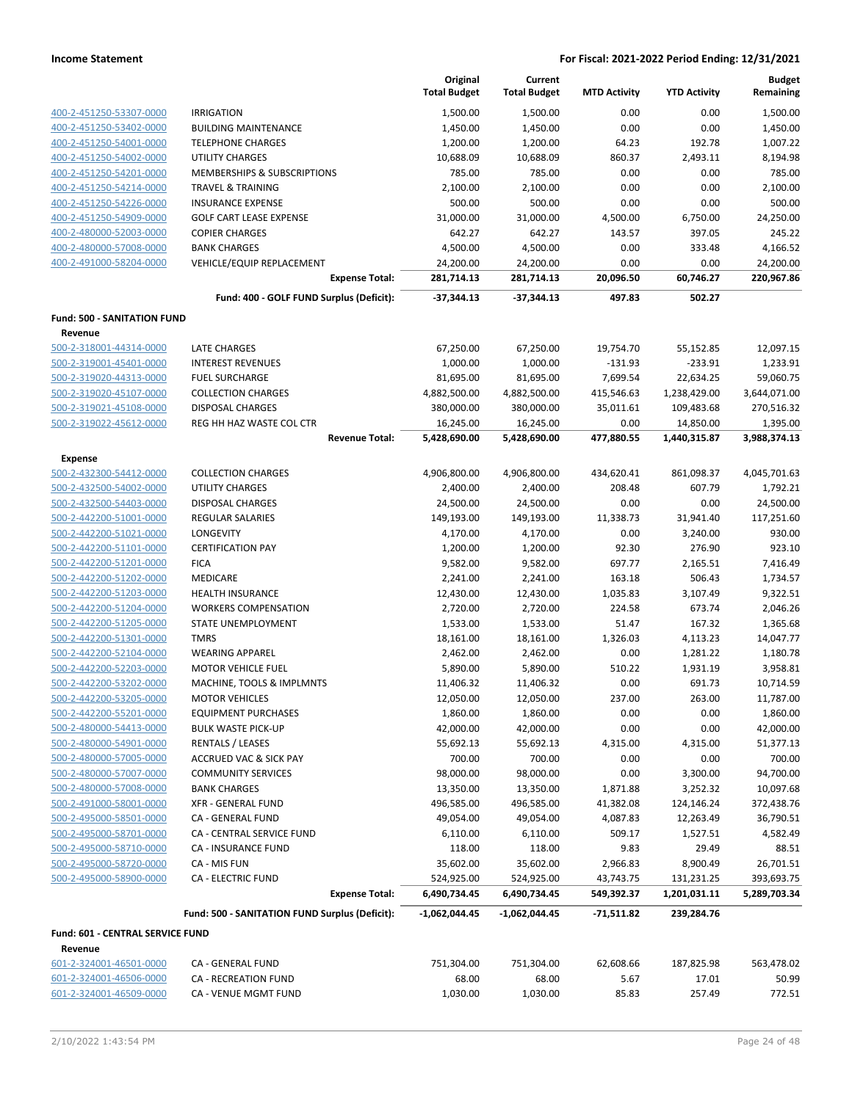|                                    |                                                | Original            | Current             |                     |                     | <b>Budget</b> |
|------------------------------------|------------------------------------------------|---------------------|---------------------|---------------------|---------------------|---------------|
|                                    |                                                | <b>Total Budget</b> | <b>Total Budget</b> | <b>MTD Activity</b> | <b>YTD Activity</b> | Remaining     |
| 400-2-451250-53307-0000            | <b>IRRIGATION</b>                              | 1,500.00            | 1,500.00            | 0.00                | 0.00                | 1,500.00      |
| 400-2-451250-53402-0000            | <b>BUILDING MAINTENANCE</b>                    | 1,450.00            | 1,450.00            | 0.00                | 0.00                | 1,450.00      |
| 400-2-451250-54001-0000            | <b>TELEPHONE CHARGES</b>                       | 1,200.00            | 1,200.00            | 64.23               | 192.78              | 1,007.22      |
| 400-2-451250-54002-0000            | <b>UTILITY CHARGES</b>                         | 10,688.09           | 10,688.09           | 860.37              | 2,493.11            | 8,194.98      |
| 400-2-451250-54201-0000            | MEMBERSHIPS & SUBSCRIPTIONS                    | 785.00              | 785.00              | 0.00                | 0.00                | 785.00        |
| 400-2-451250-54214-0000            | TRAVEL & TRAINING                              | 2,100.00            | 2,100.00            | 0.00                | 0.00                | 2,100.00      |
| 400-2-451250-54226-0000            | <b>INSURANCE EXPENSE</b>                       | 500.00              | 500.00              | 0.00                | 0.00                | 500.00        |
| 400-2-451250-54909-0000            | <b>GOLF CART LEASE EXPENSE</b>                 | 31,000.00           | 31,000.00           | 4,500.00            | 6,750.00            | 24,250.00     |
| 400-2-480000-52003-0000            | <b>COPIER CHARGES</b>                          | 642.27              | 642.27              | 143.57              | 397.05              | 245.22        |
| 400-2-480000-57008-0000            | <b>BANK CHARGES</b>                            | 4,500.00            | 4,500.00            | 0.00                | 333.48              | 4,166.52      |
| 400-2-491000-58204-0000            | VEHICLE/EQUIP REPLACEMENT                      | 24,200.00           | 24,200.00           | 0.00                | 0.00                | 24,200.00     |
|                                    | <b>Expense Total:</b>                          | 281,714.13          | 281,714.13          | 20,096.50           | 60,746.27           | 220,967.86    |
|                                    | Fund: 400 - GOLF FUND Surplus (Deficit):       | -37,344.13          | -37,344.13          | 497.83              | 502.27              |               |
| <b>Fund: 500 - SANITATION FUND</b> |                                                |                     |                     |                     |                     |               |
| Revenue                            |                                                |                     |                     |                     |                     |               |
| 500-2-318001-44314-0000            | LATE CHARGES                                   | 67,250.00           | 67,250.00           | 19,754.70           | 55,152.85           | 12,097.15     |
| 500-2-319001-45401-0000            | <b>INTEREST REVENUES</b>                       | 1,000.00            | 1,000.00            | $-131.93$           | $-233.91$           | 1,233.91      |
| 500-2-319020-44313-0000            | <b>FUEL SURCHARGE</b>                          | 81,695.00           | 81,695.00           | 7,699.54            | 22,634.25           | 59,060.75     |
| 500-2-319020-45107-0000            | <b>COLLECTION CHARGES</b>                      | 4,882,500.00        | 4,882,500.00        | 415,546.63          | 1,238,429.00        | 3,644,071.00  |
| 500-2-319021-45108-0000            | <b>DISPOSAL CHARGES</b>                        | 380,000.00          | 380,000.00          | 35,011.61           | 109,483.68          | 270,516.32    |
| 500-2-319022-45612-0000            | REG HH HAZ WASTE COL CTR                       | 16,245.00           | 16,245.00           | 0.00                | 14,850.00           | 1,395.00      |
|                                    | <b>Revenue Total:</b>                          | 5,428,690.00        | 5,428,690.00        | 477,880.55          | 1,440,315.87        | 3,988,374.13  |
| Expense                            |                                                |                     |                     |                     |                     |               |
| 500-2-432300-54412-0000            | <b>COLLECTION CHARGES</b>                      | 4,906,800.00        | 4,906,800.00        | 434,620.41          | 861,098.37          | 4,045,701.63  |
| 500-2-432500-54002-0000            | UTILITY CHARGES                                | 2,400.00            | 2,400.00            | 208.48              | 607.79              | 1,792.21      |
| 500-2-432500-54403-0000            | <b>DISPOSAL CHARGES</b>                        | 24,500.00           | 24,500.00           | 0.00                | 0.00                | 24,500.00     |
| 500-2-442200-51001-0000            | <b>REGULAR SALARIES</b>                        | 149,193.00          | 149,193.00          | 11,338.73           | 31,941.40           | 117,251.60    |
| 500-2-442200-51021-0000            | LONGEVITY                                      | 4,170.00            | 4,170.00            | 0.00                | 3,240.00            | 930.00        |
| 500-2-442200-51101-0000            | <b>CERTIFICATION PAY</b>                       | 1,200.00            | 1,200.00            | 92.30               | 276.90              | 923.10        |
| 500-2-442200-51201-0000            | <b>FICA</b>                                    | 9,582.00            | 9,582.00            | 697.77              | 2,165.51            | 7,416.49      |
| 500-2-442200-51202-0000            | MEDICARE                                       | 2,241.00            | 2,241.00            | 163.18              | 506.43              | 1,734.57      |
| 500-2-442200-51203-0000            | <b>HEALTH INSURANCE</b>                        | 12,430.00           | 12,430.00           | 1,035.83            | 3,107.49            | 9,322.51      |
| 500-2-442200-51204-0000            | <b>WORKERS COMPENSATION</b>                    | 2,720.00            | 2,720.00            | 224.58              | 673.74              | 2,046.26      |
| 500-2-442200-51205-0000            | <b>STATE UNEMPLOYMENT</b>                      | 1,533.00            | 1,533.00            | 51.47               | 167.32              | 1,365.68      |
| 500-2-442200-51301-0000            | <b>TMRS</b>                                    | 18,161.00           | 18,161.00           | 1,326.03            | 4,113.23            | 14,047.77     |
| 500-2-442200-52104-0000            | <b>WEARING APPAREL</b>                         | 2,462.00            | 2,462.00            | 0.00                | 1,281.22            | 1,180.78      |
| 500-2-442200-52203-0000            | <b>MOTOR VEHICLE FUEL</b>                      | 5,890.00            | 5,890.00            | 510.22              | 1,931.19            | 3,958.81      |
| 500-2-442200-53202-0000            | MACHINE, TOOLS & IMPLMNTS                      | 11,406.32           | 11,406.32           | 0.00                | 691.73              | 10,714.59     |
| 500-2-442200-53205-0000            | <b>MOTOR VEHICLES</b>                          | 12,050.00           | 12,050.00           | 237.00              | 263.00              | 11,787.00     |
| 500-2-442200-55201-0000            | <b>EQUIPMENT PURCHASES</b>                     | 1,860.00            | 1,860.00            | 0.00                | 0.00                | 1,860.00      |
| 500-2-480000-54413-0000            | <b>BULK WASTE PICK-UP</b>                      | 42,000.00           | 42,000.00           | 0.00                | 0.00                | 42,000.00     |
| 500-2-480000-54901-0000            | <b>RENTALS / LEASES</b>                        | 55,692.13           | 55,692.13           | 4,315.00            | 4,315.00            | 51,377.13     |
| 500-2-480000-57005-0000            | <b>ACCRUED VAC &amp; SICK PAY</b>              | 700.00              | 700.00              | 0.00                | 0.00                | 700.00        |
| 500-2-480000-57007-0000            | <b>COMMUNITY SERVICES</b>                      | 98,000.00           | 98,000.00           | 0.00                | 3,300.00            | 94,700.00     |
| 500-2-480000-57008-0000            | <b>BANK CHARGES</b>                            | 13,350.00           | 13,350.00           | 1,871.88            | 3,252.32            | 10,097.68     |
| 500-2-491000-58001-0000            | <b>XFR - GENERAL FUND</b>                      | 496,585.00          | 496,585.00          | 41,382.08           | 124,146.24          | 372,438.76    |
| 500-2-495000-58501-0000            | CA - GENERAL FUND                              | 49,054.00           | 49,054.00           | 4,087.83            | 12,263.49           | 36,790.51     |
| 500-2-495000-58701-0000            | CA - CENTRAL SERVICE FUND                      | 6,110.00            | 6,110.00            | 509.17              | 1,527.51            | 4,582.49      |
| 500-2-495000-58710-0000            | CA - INSURANCE FUND                            | 118.00              | 118.00              | 9.83                | 29.49               | 88.51         |
| 500-2-495000-58720-0000            | CA - MIS FUN                                   | 35,602.00           | 35,602.00           | 2,966.83            | 8,900.49            | 26,701.51     |
| 500-2-495000-58900-0000            | <b>CA - ELECTRIC FUND</b>                      | 524,925.00          | 524,925.00          | 43,743.75           | 131,231.25          | 393,693.75    |
|                                    | <b>Expense Total:</b>                          | 6,490,734.45        | 6,490,734.45        | 549,392.37          | 1,201,031.11        | 5,289,703.34  |
|                                    | Fund: 500 - SANITATION FUND Surplus (Deficit): | $-1,062,044.45$     | $-1,062,044.45$     | $-71,511.82$        | 239,284.76          |               |
| Fund: 601 - CENTRAL SERVICE FUND   |                                                |                     |                     |                     |                     |               |
| Revenue                            |                                                |                     |                     |                     |                     |               |
| 601-2-324001-46501-0000            | CA - GENERAL FUND                              | 751,304.00          | 751,304.00          | 62,608.66           | 187,825.98          | 563,478.02    |
| 601-2-324001-46506-0000            | CA - RECREATION FUND                           | 68.00               | 68.00               | 5.67                | 17.01               | 50.99         |
| 601-2-324001-46509-0000            | CA - VENUE MGMT FUND                           | 1,030.00            | 1,030.00            | 85.83               | 257.49              | 772.51        |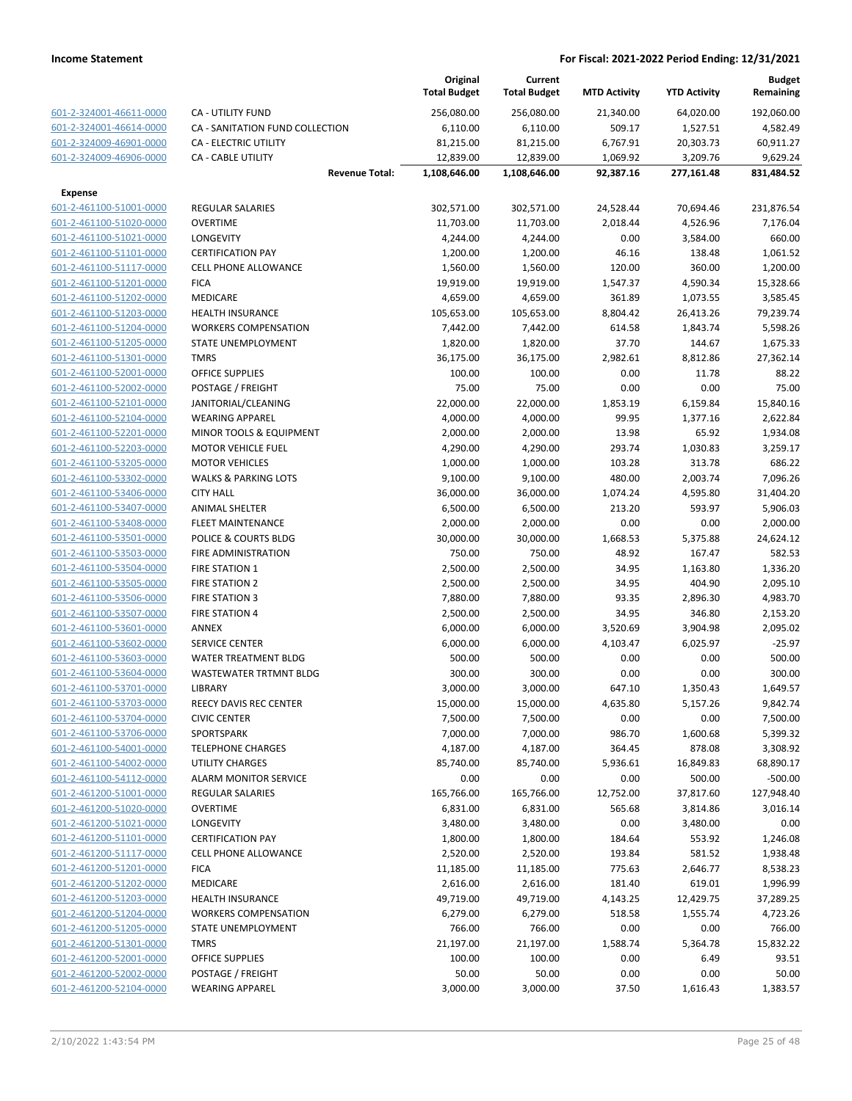|                         |                                 |                       | Original<br><b>Total Budget</b> | Current<br><b>Total Budget</b> | <b>MTD Activity</b> | <b>YTD Activity</b> | Budget<br>Remaining |
|-------------------------|---------------------------------|-----------------------|---------------------------------|--------------------------------|---------------------|---------------------|---------------------|
| 601-2-324001-46611-0000 | <b>CA - UTILITY FUND</b>        |                       | 256,080.00                      | 256,080.00                     | 21,340.00           | 64,020.00           | 192,060.00          |
| 601-2-324001-46614-0000 | CA - SANITATION FUND COLLECTION |                       | 6,110.00                        | 6,110.00                       | 509.17              | 1,527.51            | 4,582.49            |
| 601-2-324009-46901-0000 | <b>CA - ELECTRIC UTILITY</b>    |                       | 81,215.00                       | 81,215.00                      | 6,767.91            | 20,303.73           | 60,911.27           |
| 601-2-324009-46906-0000 | <b>CA - CABLE UTILITY</b>       |                       | 12,839.00                       | 12,839.00                      | 1,069.92            | 3,209.76            | 9,629.24            |
|                         |                                 | <b>Revenue Total:</b> | 1,108,646.00                    | 1,108,646.00                   | 92,387.16           | 277,161.48          | 831,484.52          |
| <b>Expense</b>          |                                 |                       |                                 |                                |                     |                     |                     |
| 601-2-461100-51001-0000 | <b>REGULAR SALARIES</b>         |                       | 302,571.00                      | 302,571.00                     | 24,528.44           | 70,694.46           | 231,876.54          |
| 601-2-461100-51020-0000 | <b>OVERTIME</b>                 |                       | 11,703.00                       | 11,703.00                      | 2,018.44            | 4,526.96            | 7,176.04            |
| 601-2-461100-51021-0000 | LONGEVITY                       |                       | 4,244.00                        | 4,244.00                       | 0.00                | 3,584.00            | 660.00              |
| 601-2-461100-51101-0000 | <b>CERTIFICATION PAY</b>        |                       | 1,200.00                        | 1,200.00                       | 46.16               | 138.48              | 1,061.52            |
| 601-2-461100-51117-0000 | <b>CELL PHONE ALLOWANCE</b>     |                       | 1,560.00                        | 1,560.00                       | 120.00              | 360.00              | 1,200.00            |
| 601-2-461100-51201-0000 | <b>FICA</b>                     |                       | 19,919.00                       | 19,919.00                      | 1,547.37            | 4,590.34            | 15,328.66           |
| 601-2-461100-51202-0000 | MEDICARE                        |                       | 4,659.00                        | 4,659.00                       | 361.89              | 1,073.55            | 3,585.45            |
| 601-2-461100-51203-0000 | <b>HEALTH INSURANCE</b>         |                       | 105,653.00                      | 105,653.00                     | 8,804.42            | 26,413.26           | 79,239.74           |
| 601-2-461100-51204-0000 | <b>WORKERS COMPENSATION</b>     |                       | 7,442.00                        | 7,442.00                       | 614.58              | 1,843.74            | 5,598.26            |
| 601-2-461100-51205-0000 | STATE UNEMPLOYMENT              |                       | 1,820.00                        | 1,820.00                       | 37.70               | 144.67              | 1,675.33            |
| 601-2-461100-51301-0000 | <b>TMRS</b>                     |                       | 36,175.00                       | 36,175.00                      | 2,982.61            | 8,812.86            | 27,362.14           |
| 601-2-461100-52001-0000 | <b>OFFICE SUPPLIES</b>          |                       | 100.00                          | 100.00                         | 0.00                | 11.78               | 88.22               |
| 601-2-461100-52002-0000 | POSTAGE / FREIGHT               |                       | 75.00                           | 75.00                          | 0.00                | 0.00                | 75.00               |
| 601-2-461100-52101-0000 | JANITORIAL/CLEANING             |                       | 22,000.00                       | 22,000.00                      | 1,853.19            | 6,159.84            | 15,840.16           |
| 601-2-461100-52104-0000 | <b>WEARING APPAREL</b>          |                       | 4,000.00                        | 4,000.00                       | 99.95               | 1,377.16            | 2,622.84            |
| 601-2-461100-52201-0000 | MINOR TOOLS & EQUIPMENT         |                       | 2,000.00                        | 2,000.00                       | 13.98               | 65.92               | 1,934.08            |
| 601-2-461100-52203-0000 | MOTOR VEHICLE FUEL              |                       | 4,290.00                        | 4,290.00                       | 293.74              | 1,030.83            | 3,259.17            |
| 601-2-461100-53205-0000 | <b>MOTOR VEHICLES</b>           |                       | 1,000.00                        | 1,000.00                       | 103.28              | 313.78              | 686.22              |
| 601-2-461100-53302-0000 | <b>WALKS &amp; PARKING LOTS</b> |                       | 9,100.00                        | 9,100.00                       | 480.00              | 2,003.74            | 7,096.26            |
| 601-2-461100-53406-0000 | <b>CITY HALL</b>                |                       | 36,000.00                       | 36,000.00                      | 1,074.24            | 4,595.80            | 31,404.20           |
| 601-2-461100-53407-0000 | <b>ANIMAL SHELTER</b>           |                       | 6,500.00                        | 6,500.00                       | 213.20              | 593.97              | 5,906.03            |
| 601-2-461100-53408-0000 | <b>FLEET MAINTENANCE</b>        |                       | 2,000.00                        | 2,000.00                       | 0.00                | 0.00                | 2,000.00            |
| 601-2-461100-53501-0000 | POLICE & COURTS BLDG            |                       | 30,000.00                       | 30,000.00                      | 1,668.53            | 5,375.88            | 24,624.12           |
| 601-2-461100-53503-0000 | FIRE ADMINISTRATION             |                       | 750.00                          | 750.00                         | 48.92               | 167.47              | 582.53              |
| 601-2-461100-53504-0000 | <b>FIRE STATION 1</b>           |                       | 2,500.00                        | 2,500.00                       | 34.95               | 1,163.80            | 1,336.20            |
| 601-2-461100-53505-0000 | <b>FIRE STATION 2</b>           |                       | 2,500.00                        | 2,500.00                       | 34.95               | 404.90              | 2,095.10            |
| 601-2-461100-53506-0000 | <b>FIRE STATION 3</b>           |                       | 7,880.00                        | 7,880.00                       | 93.35               | 2,896.30            | 4,983.70            |
| 601-2-461100-53507-0000 | <b>FIRE STATION 4</b>           |                       | 2,500.00                        | 2,500.00                       | 34.95               | 346.80              | 2,153.20            |
| 601-2-461100-53601-0000 | ANNEX                           |                       | 6,000.00                        | 6,000.00                       | 3,520.69            | 3,904.98            | 2,095.02            |
| 601-2-461100-53602-0000 | <b>SERVICE CENTER</b>           |                       | 6,000.00                        | 6,000.00                       | 4,103.47            | 6,025.97            | $-25.97$            |
| 601-2-461100-53603-0000 | WATER TREATMENT BLDG            |                       | 500.00                          | 500.00                         | 0.00                | 0.00                | 500.00              |
| 601-2-461100-53604-0000 | <b>WASTEWATER TRTMNT BLDG</b>   |                       | 300.00                          | 300.00                         | 0.00                | 0.00                | 300.00              |
| 601-2-461100-53701-0000 | LIBRARY                         |                       | 3,000.00                        | 3,000.00                       | 647.10              | 1,350.43            | 1,649.57            |
| 601-2-461100-53703-0000 | REECY DAVIS REC CENTER          |                       | 15,000.00                       | 15,000.00                      | 4,635.80            | 5,157.26            | 9,842.74            |
| 601-2-461100-53704-0000 | <b>CIVIC CENTER</b>             |                       | 7,500.00                        | 7,500.00                       | 0.00                | 0.00                | 7,500.00            |
| 601-2-461100-53706-0000 | SPORTSPARK                      |                       | 7,000.00                        | 7,000.00                       | 986.70              | 1,600.68            | 5,399.32            |
| 601-2-461100-54001-0000 | <b>TELEPHONE CHARGES</b>        |                       | 4,187.00                        | 4,187.00                       | 364.45              | 878.08              | 3,308.92            |
| 601-2-461100-54002-0000 | UTILITY CHARGES                 |                       | 85,740.00                       | 85,740.00                      | 5,936.61            | 16,849.83           | 68,890.17           |
| 601-2-461100-54112-0000 | <b>ALARM MONITOR SERVICE</b>    |                       | 0.00                            | 0.00                           | 0.00                | 500.00              | $-500.00$           |
| 601-2-461200-51001-0000 | <b>REGULAR SALARIES</b>         |                       | 165,766.00                      | 165,766.00                     | 12,752.00           | 37,817.60           | 127,948.40          |
| 601-2-461200-51020-0000 | <b>OVERTIME</b>                 |                       | 6,831.00                        | 6,831.00                       | 565.68              | 3,814.86            | 3,016.14            |
| 601-2-461200-51021-0000 | LONGEVITY                       |                       | 3,480.00                        | 3,480.00                       | 0.00                | 3,480.00            | 0.00                |
| 601-2-461200-51101-0000 | <b>CERTIFICATION PAY</b>        |                       | 1,800.00                        | 1,800.00                       | 184.64              | 553.92              | 1,246.08            |
| 601-2-461200-51117-0000 | <b>CELL PHONE ALLOWANCE</b>     |                       | 2,520.00                        | 2,520.00                       | 193.84              | 581.52              | 1,938.48            |
| 601-2-461200-51201-0000 | <b>FICA</b>                     |                       | 11,185.00                       | 11,185.00                      | 775.63              | 2,646.77            | 8,538.23            |
| 601-2-461200-51202-0000 | MEDICARE                        |                       | 2,616.00                        | 2,616.00                       | 181.40              | 619.01              | 1,996.99            |
| 601-2-461200-51203-0000 | <b>HEALTH INSURANCE</b>         |                       | 49,719.00                       | 49,719.00                      | 4,143.25            | 12,429.75           | 37,289.25           |
| 601-2-461200-51204-0000 | <b>WORKERS COMPENSATION</b>     |                       | 6,279.00                        | 6,279.00                       | 518.58              | 1,555.74            | 4,723.26            |
| 601-2-461200-51205-0000 | STATE UNEMPLOYMENT              |                       | 766.00                          | 766.00                         | 0.00                | 0.00                | 766.00              |
| 601-2-461200-51301-0000 | <b>TMRS</b>                     |                       | 21,197.00                       | 21,197.00                      | 1,588.74            | 5,364.78            | 15,832.22           |
| 601-2-461200-52001-0000 | <b>OFFICE SUPPLIES</b>          |                       | 100.00                          | 100.00                         | 0.00                | 6.49                | 93.51               |
| 601-2-461200-52002-0000 | POSTAGE / FREIGHT               |                       | 50.00                           | 50.00                          | 0.00                | 0.00                | 50.00               |
| 601-2-461200-52104-0000 | <b>WEARING APPAREL</b>          |                       | 3,000.00                        | 3,000.00                       | 37.50               | 1,616.43            | 1,383.57            |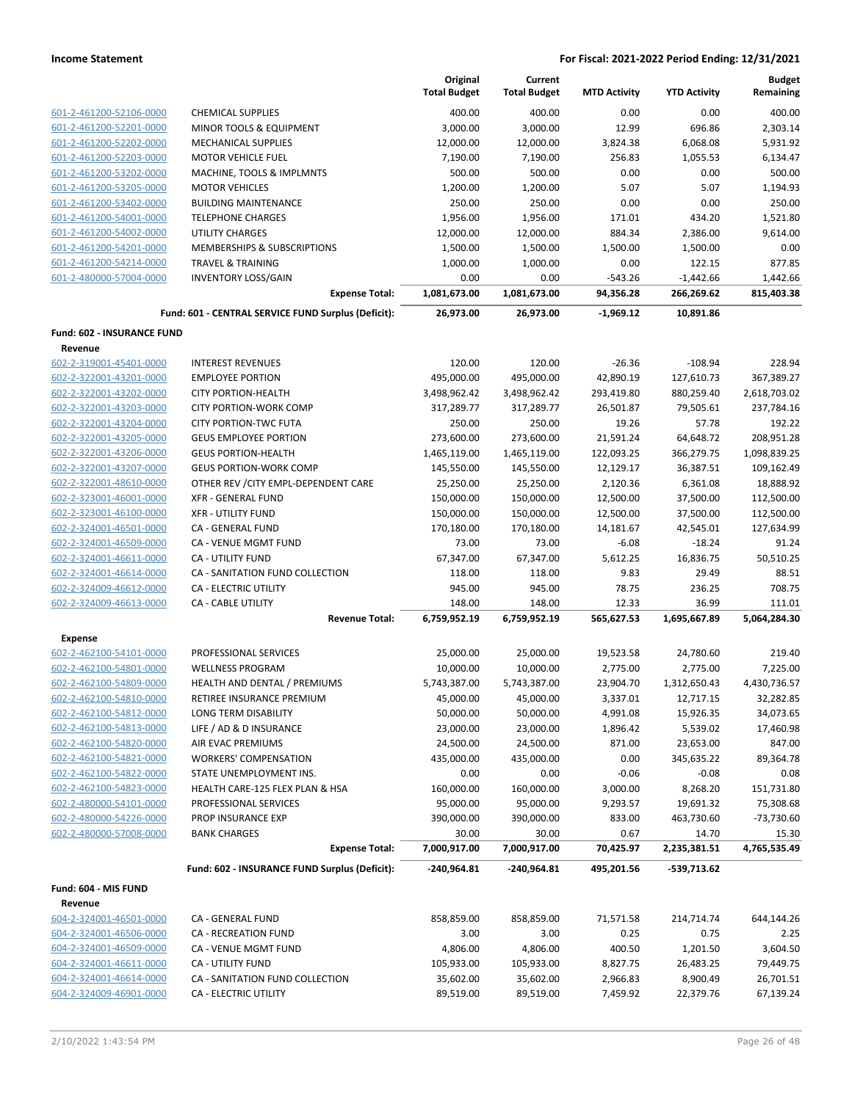|                            |                                                     | Original<br><b>Total Budget</b> | Current<br><b>Total Budget</b> | <b>MTD Activity</b> | <b>YTD Activity</b>   | <b>Budget</b><br>Remaining |
|----------------------------|-----------------------------------------------------|---------------------------------|--------------------------------|---------------------|-----------------------|----------------------------|
| 601-2-461200-52106-0000    | <b>CHEMICAL SUPPLIES</b>                            | 400.00                          | 400.00                         | 0.00                | 0.00                  | 400.00                     |
| 601-2-461200-52201-0000    | MINOR TOOLS & EQUIPMENT                             | 3,000.00                        | 3,000.00                       | 12.99               | 696.86                | 2,303.14                   |
| 601-2-461200-52202-0000    | <b>MECHANICAL SUPPLIES</b>                          | 12,000.00                       | 12,000.00                      | 3,824.38            | 6,068.08              | 5,931.92                   |
| 601-2-461200-52203-0000    | <b>MOTOR VEHICLE FUEL</b>                           | 7,190.00                        | 7,190.00                       | 256.83              | 1,055.53              | 6,134.47                   |
| 601-2-461200-53202-0000    | MACHINE, TOOLS & IMPLMNTS                           | 500.00                          | 500.00                         | 0.00                | 0.00                  | 500.00                     |
| 601-2-461200-53205-0000    | <b>MOTOR VEHICLES</b>                               | 1,200.00                        | 1,200.00                       | 5.07                | 5.07                  | 1,194.93                   |
| 601-2-461200-53402-0000    | <b>BUILDING MAINTENANCE</b>                         | 250.00                          | 250.00                         | 0.00                | 0.00                  | 250.00                     |
| 601-2-461200-54001-0000    | <b>TELEPHONE CHARGES</b>                            | 1,956.00                        | 1,956.00                       | 171.01              | 434.20                | 1,521.80                   |
| 601-2-461200-54002-0000    | <b>UTILITY CHARGES</b>                              | 12,000.00                       | 12,000.00                      | 884.34              | 2,386.00              | 9,614.00                   |
| 601-2-461200-54201-0000    | MEMBERSHIPS & SUBSCRIPTIONS                         | 1,500.00                        | 1,500.00                       | 1,500.00            | 1,500.00              | 0.00                       |
| 601-2-461200-54214-0000    | <b>TRAVEL &amp; TRAINING</b>                        | 1,000.00                        | 1,000.00                       | 0.00                | 122.15                | 877.85                     |
| 601-2-480000-57004-0000    | <b>INVENTORY LOSS/GAIN</b>                          | 0.00                            | 0.00                           | $-543.26$           | $-1,442.66$           | 1,442.66                   |
|                            | <b>Expense Total:</b>                               | 1,081,673.00                    | 1,081,673.00                   | 94,356.28           | 266,269.62            | 815,403.38                 |
|                            | Fund: 601 - CENTRAL SERVICE FUND Surplus (Deficit): | 26,973.00                       | 26,973.00                      | $-1,969.12$         | 10,891.86             |                            |
| Fund: 602 - INSURANCE FUND |                                                     |                                 |                                |                     |                       |                            |
| Revenue                    |                                                     |                                 |                                |                     |                       |                            |
| 602-2-319001-45401-0000    | <b>INTEREST REVENUES</b>                            | 120.00                          | 120.00                         | $-26.36$            | $-108.94$             | 228.94                     |
| 602-2-322001-43201-0000    | <b>EMPLOYEE PORTION</b>                             | 495,000.00                      | 495,000.00                     | 42,890.19           | 127,610.73            | 367,389.27                 |
| 602-2-322001-43202-0000    | <b>CITY PORTION-HEALTH</b>                          | 3,498,962.42                    | 3,498,962.42                   | 293,419.80          | 880,259.40            | 2,618,703.02               |
| 602-2-322001-43203-0000    | <b>CITY PORTION-WORK COMP</b>                       | 317,289.77                      | 317,289.77                     | 26,501.87           | 79,505.61             | 237,784.16                 |
| 602-2-322001-43204-0000    | <b>CITY PORTION-TWC FUTA</b>                        | 250.00                          | 250.00                         | 19.26               | 57.78                 | 192.22                     |
| 602-2-322001-43205-0000    | <b>GEUS EMPLOYEE PORTION</b>                        | 273,600.00                      | 273,600.00                     | 21,591.24           | 64,648.72             | 208,951.28                 |
| 602-2-322001-43206-0000    | <b>GEUS PORTION-HEALTH</b>                          | 1,465,119.00                    | 1,465,119.00                   | 122,093.25          | 366,279.75            | 1,098,839.25               |
| 602-2-322001-43207-0000    | <b>GEUS PORTION-WORK COMP</b>                       | 145,550.00                      | 145,550.00                     | 12,129.17           | 36,387.51             | 109,162.49                 |
| 602-2-322001-48610-0000    | OTHER REV / CITY EMPL-DEPENDENT CARE                | 25,250.00                       | 25,250.00                      | 2,120.36            | 6,361.08              | 18,888.92                  |
| 602-2-323001-46001-0000    | <b>XFR - GENERAL FUND</b>                           | 150,000.00                      | 150,000.00                     | 12,500.00           | 37,500.00             | 112,500.00                 |
| 602-2-323001-46100-0000    | <b>XFR - UTILITY FUND</b>                           | 150,000.00                      | 150,000.00                     | 12,500.00           | 37,500.00             | 112,500.00                 |
| 602-2-324001-46501-0000    | CA - GENERAL FUND                                   | 170,180.00                      | 170,180.00                     | 14,181.67           | 42,545.01             | 127,634.99                 |
| 602-2-324001-46509-0000    | CA - VENUE MGMT FUND                                | 73.00                           | 73.00                          | $-6.08$             | $-18.24$              | 91.24                      |
| 602-2-324001-46611-0000    | CA - UTILITY FUND                                   | 67,347.00                       | 67,347.00                      | 5,612.25            | 16,836.75             | 50,510.25                  |
| 602-2-324001-46614-0000    | CA - SANITATION FUND COLLECTION                     | 118.00                          | 118.00                         | 9.83                | 29.49                 | 88.51                      |
| 602-2-324009-46612-0000    | CA - ELECTRIC UTILITY                               | 945.00                          | 945.00                         | 78.75               | 236.25                | 708.75                     |
| 602-2-324009-46613-0000    | <b>CA - CABLE UTILITY</b><br><b>Revenue Total:</b>  | 148.00<br>6,759,952.19          | 148.00<br>6,759,952.19         | 12.33<br>565,627.53 | 36.99<br>1,695,667.89 | 111.01<br>5,064,284.30     |
| <b>Expense</b>             |                                                     |                                 |                                |                     |                       |                            |
| 602-2-462100-54101-0000    | PROFESSIONAL SERVICES                               | 25,000.00                       | 25,000.00                      | 19,523.58           | 24,780.60             | 219.40                     |
| 602-2-462100-54801-0000    | <b>WELLNESS PROGRAM</b>                             | 10,000.00                       | 10,000.00                      | 2,775.00            | 2,775.00              | 7,225.00                   |
| 602-2-462100-54809-0000    | HEALTH AND DENTAL / PREMIUMS                        | 5,743,387.00                    | 5,743,387.00                   | 23,904.70           | 1,312,650.43          | 4,430,736.57               |
| 602-2-462100-54810-0000    | RETIREE INSURANCE PREMIUM                           | 45,000.00                       | 45,000.00                      | 3,337.01            | 12,717.15             | 32,282.85                  |
| 602-2-462100-54812-0000    | LONG TERM DISABILITY                                | 50,000.00                       | 50,000.00                      | 4,991.08            | 15,926.35             | 34,073.65                  |
| 602-2-462100-54813-0000    | LIFE / AD & D INSURANCE                             | 23,000.00                       | 23,000.00                      | 1,896.42            | 5,539.02              | 17,460.98                  |
| 602-2-462100-54820-0000    | AIR EVAC PREMIUMS                                   | 24,500.00                       | 24,500.00                      | 871.00              | 23,653.00             | 847.00                     |
| 602-2-462100-54821-0000    | <b>WORKERS' COMPENSATION</b>                        | 435,000.00                      | 435,000.00                     | 0.00                | 345,635.22            | 89,364.78                  |
| 602-2-462100-54822-0000    | STATE UNEMPLOYMENT INS.                             | 0.00                            | 0.00                           | $-0.06$             | $-0.08$               | 0.08                       |
| 602-2-462100-54823-0000    | HEALTH CARE-125 FLEX PLAN & HSA                     | 160,000.00                      | 160,000.00                     | 3,000.00            | 8,268.20              | 151,731.80                 |
| 602-2-480000-54101-0000    | PROFESSIONAL SERVICES                               | 95,000.00                       | 95,000.00                      | 9,293.57            | 19,691.32             | 75,308.68                  |
| 602-2-480000-54226-0000    | PROP INSURANCE EXP                                  | 390,000.00                      | 390,000.00                     | 833.00              | 463,730.60            | $-73,730.60$               |
| 602-2-480000-57008-0000    | <b>BANK CHARGES</b>                                 | 30.00                           | 30.00                          | 0.67                | 14.70                 | 15.30                      |
|                            | <b>Expense Total:</b>                               | 7,000,917.00                    | 7,000,917.00                   | 70,425.97           | 2,235,381.51          | 4,765,535.49               |
|                            | Fund: 602 - INSURANCE FUND Surplus (Deficit):       | -240,964.81                     | -240,964.81                    | 495,201.56          | -539,713.62           |                            |
| Fund: 604 - MIS FUND       |                                                     |                                 |                                |                     |                       |                            |
| Revenue                    |                                                     |                                 |                                |                     |                       |                            |
| 604-2-324001-46501-0000    | CA - GENERAL FUND                                   | 858,859.00                      | 858,859.00                     | 71,571.58           | 214,714.74            | 644,144.26                 |
| 604-2-324001-46506-0000    | CA - RECREATION FUND                                | 3.00                            | 3.00                           | 0.25                | 0.75                  | 2.25                       |
| 604-2-324001-46509-0000    | CA - VENUE MGMT FUND                                | 4,806.00                        | 4,806.00                       | 400.50              | 1,201.50              | 3,604.50                   |
| 604-2-324001-46611-0000    | CA - UTILITY FUND                                   | 105,933.00                      | 105,933.00                     | 8,827.75            | 26,483.25             | 79,449.75                  |
| 604-2-324001-46614-0000    | CA - SANITATION FUND COLLECTION                     | 35,602.00                       | 35,602.00                      | 2,966.83            | 8,900.49              | 26,701.51                  |
| 604-2-324009-46901-0000    | CA - ELECTRIC UTILITY                               | 89,519.00                       | 89,519.00                      | 7,459.92            | 22,379.76             | 67,139.24                  |
|                            |                                                     |                                 |                                |                     |                       |                            |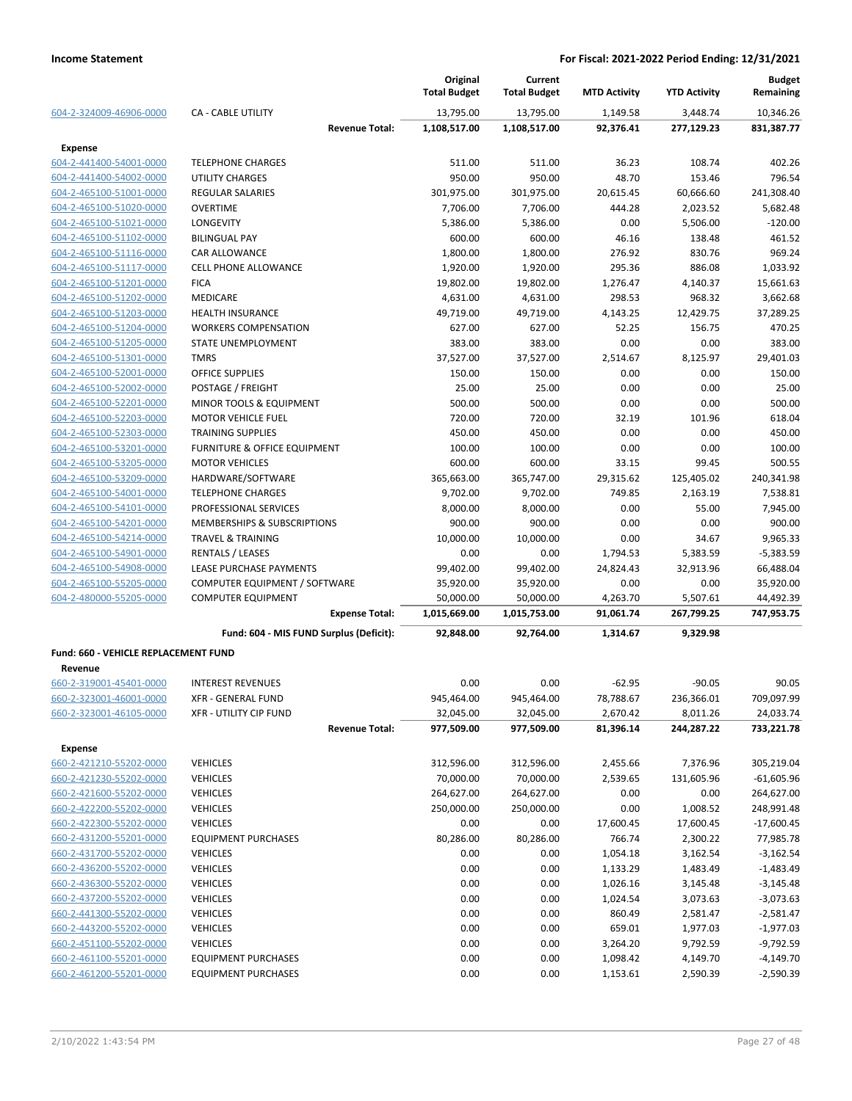|                                      |                                         | Original<br><b>Total Budget</b> | Current<br><b>Total Budget</b> | <b>MTD Activity</b> | <b>YTD Activity</b> | <b>Budget</b><br>Remaining |
|--------------------------------------|-----------------------------------------|---------------------------------|--------------------------------|---------------------|---------------------|----------------------------|
| 604-2-324009-46906-0000              | <b>CA - CABLE UTILITY</b>               | 13,795.00                       | 13,795.00                      | 1,149.58            | 3,448.74            | 10,346.26                  |
|                                      | <b>Revenue Total:</b>                   | 1,108,517.00                    | 1,108,517.00                   | 92,376.41           | 277,129.23          | 831,387.77                 |
| Expense                              |                                         |                                 |                                |                     |                     |                            |
| 604-2-441400-54001-0000              | <b>TELEPHONE CHARGES</b>                | 511.00                          | 511.00                         | 36.23               | 108.74              | 402.26                     |
| 604-2-441400-54002-0000              | UTILITY CHARGES                         | 950.00                          | 950.00                         | 48.70               | 153.46              | 796.54                     |
| 604-2-465100-51001-0000              | <b>REGULAR SALARIES</b>                 | 301,975.00                      | 301,975.00                     | 20,615.45           | 60,666.60           | 241,308.40                 |
| 604-2-465100-51020-0000              | OVERTIME                                | 7,706.00                        | 7,706.00                       | 444.28              | 2,023.52            | 5,682.48                   |
| 604-2-465100-51021-0000              | <b>LONGEVITY</b>                        | 5,386.00                        | 5,386.00                       | 0.00                | 5,506.00            | $-120.00$                  |
| 604-2-465100-51102-0000              | <b>BILINGUAL PAY</b>                    | 600.00                          | 600.00                         | 46.16               | 138.48              | 461.52                     |
| 604-2-465100-51116-0000              | CAR ALLOWANCE                           | 1,800.00                        | 1,800.00                       | 276.92              | 830.76              | 969.24                     |
| 604-2-465100-51117-0000              | <b>CELL PHONE ALLOWANCE</b>             | 1,920.00                        | 1,920.00                       | 295.36              | 886.08              | 1,033.92                   |
| 604-2-465100-51201-0000              | <b>FICA</b>                             | 19,802.00                       | 19,802.00                      | 1,276.47            | 4,140.37            | 15,661.63                  |
| 604-2-465100-51202-0000              | <b>MEDICARE</b>                         | 4,631.00                        | 4,631.00                       | 298.53              | 968.32              | 3,662.68                   |
| 604-2-465100-51203-0000              | <b>HEALTH INSURANCE</b>                 | 49,719.00                       | 49,719.00                      | 4,143.25            | 12,429.75           | 37,289.25                  |
| 604-2-465100-51204-0000              | <b>WORKERS COMPENSATION</b>             | 627.00                          | 627.00                         | 52.25               | 156.75              | 470.25                     |
| 604-2-465100-51205-0000              | STATE UNEMPLOYMENT                      | 383.00                          | 383.00                         | 0.00                | 0.00                | 383.00                     |
| 604-2-465100-51301-0000              | <b>TMRS</b>                             | 37,527.00                       | 37,527.00                      | 2,514.67            | 8,125.97            | 29,401.03                  |
| 604-2-465100-52001-0000              | <b>OFFICE SUPPLIES</b>                  | 150.00                          | 150.00                         | 0.00                | 0.00                | 150.00                     |
| 604-2-465100-52002-0000              | POSTAGE / FREIGHT                       | 25.00                           | 25.00                          | 0.00                | 0.00                | 25.00                      |
| 604-2-465100-52201-0000              | MINOR TOOLS & EQUIPMENT                 | 500.00                          | 500.00                         | 0.00                | 0.00                | 500.00                     |
| 604-2-465100-52203-0000              | <b>MOTOR VEHICLE FUEL</b>               | 720.00                          | 720.00                         | 32.19               | 101.96              | 618.04                     |
| 604-2-465100-52303-0000              | <b>TRAINING SUPPLIES</b>                | 450.00                          | 450.00                         | 0.00                | 0.00                | 450.00                     |
| 604-2-465100-53201-0000              | FURNITURE & OFFICE EQUIPMENT            | 100.00                          | 100.00                         | 0.00                | 0.00                | 100.00                     |
| 604-2-465100-53205-0000              | <b>MOTOR VEHICLES</b>                   | 600.00                          | 600.00                         | 33.15               | 99.45               | 500.55                     |
| 604-2-465100-53209-0000              | HARDWARE/SOFTWARE                       | 365,663.00                      | 365,747.00                     | 29,315.62           | 125,405.02          | 240,341.98                 |
| 604-2-465100-54001-0000              | <b>TELEPHONE CHARGES</b>                | 9,702.00                        | 9,702.00                       | 749.85              | 2,163.19            | 7,538.81                   |
| 604-2-465100-54101-0000              | PROFESSIONAL SERVICES                   | 8,000.00                        | 8,000.00                       | 0.00                | 55.00               | 7,945.00                   |
| 604-2-465100-54201-0000              | MEMBERSHIPS & SUBSCRIPTIONS             | 900.00                          | 900.00                         | 0.00                | 0.00                | 900.00                     |
| 604-2-465100-54214-0000              | <b>TRAVEL &amp; TRAINING</b>            | 10,000.00                       | 10,000.00                      | 0.00                | 34.67               | 9,965.33                   |
| 604-2-465100-54901-0000              | <b>RENTALS / LEASES</b>                 | 0.00                            | 0.00                           | 1,794.53            | 5,383.59            | $-5,383.59$                |
| 604-2-465100-54908-0000              | LEASE PURCHASE PAYMENTS                 | 99,402.00                       | 99,402.00                      | 24,824.43           | 32,913.96           | 66,488.04                  |
| 604-2-465100-55205-0000              | COMPUTER EQUIPMENT / SOFTWARE           | 35,920.00                       | 35,920.00                      | 0.00                | 0.00                | 35,920.00                  |
| 604-2-480000-55205-0000              | <b>COMPUTER EQUIPMENT</b>               | 50,000.00                       | 50,000.00                      | 4,263.70            | 5,507.61            | 44,492.39                  |
|                                      | <b>Expense Total:</b>                   | 1,015,669.00                    | 1,015,753.00                   | 91,061.74           | 267,799.25          | 747,953.75                 |
|                                      | Fund: 604 - MIS FUND Surplus (Deficit): | 92,848.00                       | 92,764.00                      | 1,314.67            | 9,329.98            |                            |
| Fund: 660 - VEHICLE REPLACEMENT FUND |                                         |                                 |                                |                     |                     |                            |
| Revenue                              |                                         |                                 |                                |                     |                     |                            |
| 660-2-319001-45401-0000              | <b>INTEREST REVENUES</b>                | 0.00                            | 0.00                           | $-62.95$            | $-90.05$            | 90.05                      |
| 660-2-323001-46001-0000              | XFR - GENERAL FUND                      | 945,464.00                      | 945,464.00                     | 78,788.67           | 236,366.01          | 709,097.99                 |
| 660-2-323001-46105-0000              | XFR - UTILITY CIP FUND                  | 32,045.00                       | 32,045.00                      | 2,670.42            | 8,011.26            | 24,033.74                  |
|                                      | <b>Revenue Total:</b>                   | 977,509.00                      | 977,509.00                     | 81,396.14           | 244,287.22          | 733,221.78                 |
| Expense                              |                                         |                                 |                                |                     |                     |                            |
| 660-2-421210-55202-0000              | <b>VEHICLES</b>                         | 312,596.00                      | 312,596.00                     | 2,455.66            | 7,376.96            | 305,219.04                 |
| 660-2-421230-55202-0000              | <b>VEHICLES</b>                         | 70,000.00                       | 70,000.00                      | 2,539.65            | 131,605.96          | $-61,605.96$               |
| 660-2-421600-55202-0000              | <b>VEHICLES</b>                         | 264,627.00                      | 264,627.00                     | 0.00                | 0.00                | 264,627.00                 |
| 660-2-422200-55202-0000              | <b>VEHICLES</b>                         | 250,000.00                      | 250,000.00                     | 0.00                | 1,008.52            | 248,991.48                 |
| 660-2-422300-55202-0000              | <b>VEHICLES</b>                         | 0.00                            | 0.00                           | 17,600.45           | 17,600.45           | $-17,600.45$               |
| 660-2-431200-55201-0000              | <b>EQUIPMENT PURCHASES</b>              | 80,286.00                       | 80,286.00                      | 766.74              | 2,300.22            | 77,985.78                  |
| 660-2-431700-55202-0000              | <b>VEHICLES</b>                         | 0.00                            | 0.00                           | 1,054.18            | 3,162.54            | $-3,162.54$                |
| 660-2-436200-55202-0000              | <b>VEHICLES</b>                         | 0.00                            | 0.00                           | 1,133.29            | 1,483.49            | $-1,483.49$                |
| 660-2-436300-55202-0000              | <b>VEHICLES</b>                         | 0.00                            | 0.00                           | 1,026.16            | 3,145.48            | $-3,145.48$                |
| 660-2-437200-55202-0000              | <b>VEHICLES</b>                         | 0.00                            | 0.00                           | 1,024.54            | 3,073.63            | $-3,073.63$                |
| 660-2-441300-55202-0000              | <b>VEHICLES</b>                         | 0.00                            | 0.00                           | 860.49              | 2,581.47            | $-2,581.47$                |
| 660-2-443200-55202-0000              | <b>VEHICLES</b>                         | 0.00                            | 0.00                           | 659.01              | 1,977.03            | $-1,977.03$                |
| 660-2-451100-55202-0000              | <b>VEHICLES</b>                         | 0.00                            | 0.00                           | 3,264.20            | 9,792.59            | $-9,792.59$                |
| 660-2-461100-55201-0000              | <b>EQUIPMENT PURCHASES</b>              | 0.00                            | 0.00                           | 1,098.42            | 4,149.70            | $-4,149.70$                |
| 660-2-461200-55201-0000              | <b>EQUIPMENT PURCHASES</b>              | 0.00                            | 0.00                           | 1,153.61            | 2,590.39            | $-2,590.39$                |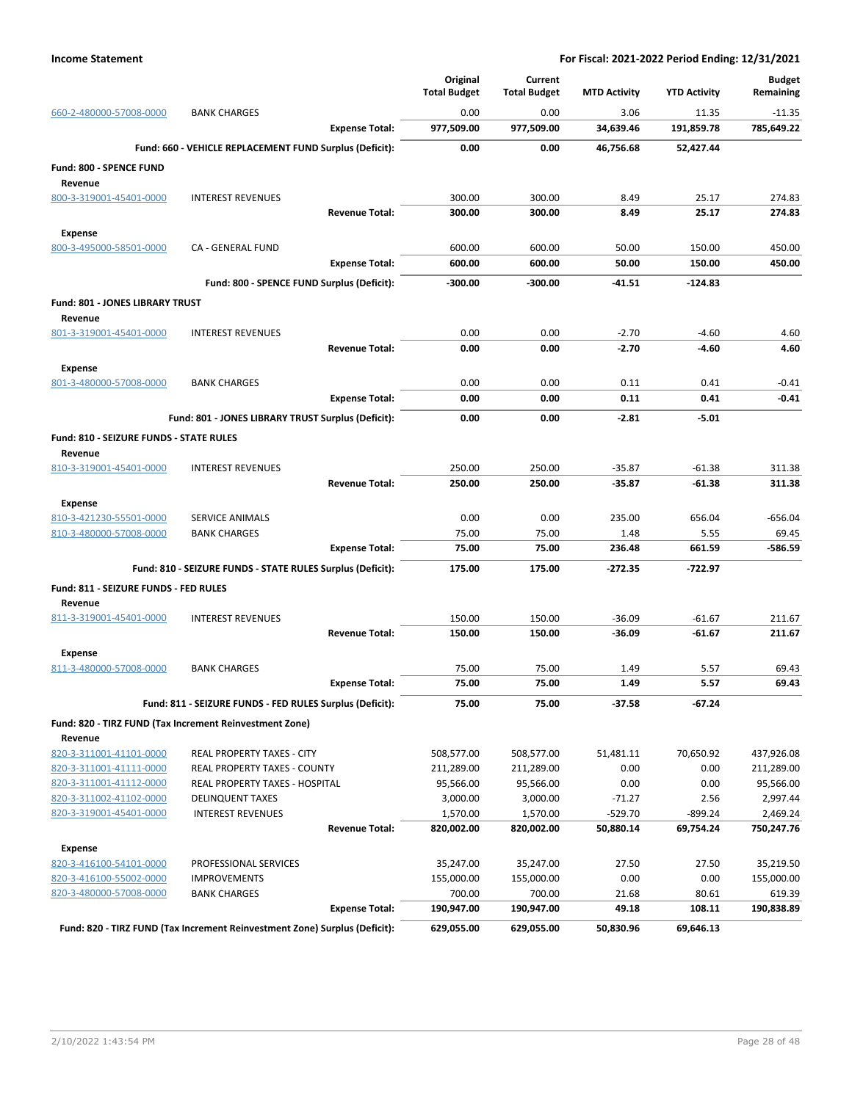|                                           |                                                                            | Original            | Current             |                     |                     | <b>Budget</b>    |
|-------------------------------------------|----------------------------------------------------------------------------|---------------------|---------------------|---------------------|---------------------|------------------|
|                                           |                                                                            | <b>Total Budget</b> | <b>Total Budget</b> | <b>MTD Activity</b> | <b>YTD Activity</b> | Remaining        |
| 660-2-480000-57008-0000                   | <b>BANK CHARGES</b>                                                        | 0.00                | 0.00                | 3.06                | 11.35               | $-11.35$         |
|                                           | <b>Expense Total:</b>                                                      | 977,509.00          | 977,509.00          | 34,639.46           | 191,859.78          | 785,649.22       |
|                                           | Fund: 660 - VEHICLE REPLACEMENT FUND Surplus (Deficit):                    | 0.00                | 0.00                | 46,756.68           | 52,427.44           |                  |
| Fund: 800 - SPENCE FUND                   |                                                                            |                     |                     |                     |                     |                  |
| Revenue                                   |                                                                            |                     |                     |                     |                     |                  |
| 800-3-319001-45401-0000                   | <b>INTEREST REVENUES</b>                                                   | 300.00              | 300.00              | 8.49                | 25.17               | 274.83           |
|                                           | <b>Revenue Total:</b>                                                      | 300.00              | 300.00              | 8.49                | 25.17               | 274.83           |
|                                           |                                                                            |                     |                     |                     |                     |                  |
| <b>Expense</b><br>800-3-495000-58501-0000 | CA - GENERAL FUND                                                          | 600.00              | 600.00              | 50.00               | 150.00              | 450.00           |
|                                           | <b>Expense Total:</b>                                                      | 600.00              | 600.00              | 50.00               | 150.00              | 450.00           |
|                                           |                                                                            |                     |                     |                     |                     |                  |
|                                           | Fund: 800 - SPENCE FUND Surplus (Deficit):                                 | -300.00             | $-300.00$           | $-41.51$            | $-124.83$           |                  |
| Fund: 801 - JONES LIBRARY TRUST           |                                                                            |                     |                     |                     |                     |                  |
| Revenue                                   |                                                                            |                     |                     |                     |                     |                  |
| 801-3-319001-45401-0000                   | <b>INTEREST REVENUES</b>                                                   | 0.00                | 0.00                | $-2.70$             | $-4.60$             | 4.60             |
|                                           | <b>Revenue Total:</b>                                                      | 0.00                | 0.00                | $-2.70$             | $-4.60$             | 4.60             |
| <b>Expense</b>                            |                                                                            |                     |                     |                     |                     |                  |
| 801-3-480000-57008-0000                   | <b>BANK CHARGES</b>                                                        | 0.00                | 0.00                | 0.11                | 0.41                | $-0.41$          |
|                                           | <b>Expense Total:</b>                                                      | 0.00                | 0.00                | 0.11                | 0.41                | $-0.41$          |
|                                           | Fund: 801 - JONES LIBRARY TRUST Surplus (Deficit):                         | 0.00                | 0.00                | $-2.81$             | $-5.01$             |                  |
| Fund: 810 - SEIZURE FUNDS - STATE RULES   |                                                                            |                     |                     |                     |                     |                  |
| Revenue                                   |                                                                            |                     |                     |                     |                     |                  |
| 810-3-319001-45401-0000                   | <b>INTEREST REVENUES</b>                                                   | 250.00              | 250.00              | $-35.87$            | $-61.38$            | 311.38           |
|                                           | <b>Revenue Total:</b>                                                      | 250.00              | 250.00              | $-35.87$            | $-61.38$            | 311.38           |
| <b>Expense</b>                            |                                                                            |                     |                     |                     |                     |                  |
| 810-3-421230-55501-0000                   | SERVICE ANIMALS                                                            | 0.00                | 0.00                | 235.00              | 656.04              | $-656.04$        |
| 810-3-480000-57008-0000                   | <b>BANK CHARGES</b>                                                        | 75.00               | 75.00               | 1.48                | 5.55                | 69.45            |
|                                           | <b>Expense Total:</b>                                                      | 75.00               | 75.00               | 236.48              | 661.59              | $-586.59$        |
|                                           | Fund: 810 - SEIZURE FUNDS - STATE RULES Surplus (Deficit):                 | 175.00              | 175.00              | $-272.35$           | -722.97             |                  |
|                                           |                                                                            |                     |                     |                     |                     |                  |
| Fund: 811 - SEIZURE FUNDS - FED RULES     |                                                                            |                     |                     |                     |                     |                  |
| Revenue                                   | <b>INTEREST REVENUES</b>                                                   | 150.00              | 150.00              | $-36.09$            | $-61.67$            |                  |
| 811-3-319001-45401-0000                   | <b>Revenue Total:</b>                                                      | 150.00              | 150.00              | $-36.09$            | $-61.67$            | 211.67<br>211.67 |
|                                           |                                                                            |                     |                     |                     |                     |                  |
| <b>Expense</b>                            |                                                                            |                     |                     |                     |                     |                  |
| 811-3-480000-57008-0000                   | <b>BANK CHARGES</b>                                                        | 75.00               | 75.00               | 1.49                | 5.57                | 69.43            |
|                                           | <b>Expense Total:</b>                                                      | 75.00               | 75.00               | 1.49                | 5.57                | 69.43            |
|                                           | Fund: 811 - SEIZURE FUNDS - FED RULES Surplus (Deficit):                   | 75.00               | 75.00               | $-37.58$            | $-67.24$            |                  |
|                                           | Fund: 820 - TIRZ FUND (Tax Increment Reinvestment Zone)                    |                     |                     |                     |                     |                  |
| Revenue                                   |                                                                            |                     |                     |                     |                     |                  |
| 820-3-311001-41101-0000                   | REAL PROPERTY TAXES - CITY                                                 | 508,577.00          | 508,577.00          | 51,481.11           | 70,650.92           | 437,926.08       |
| 820-3-311001-41111-0000                   | REAL PROPERTY TAXES - COUNTY                                               | 211,289.00          | 211,289.00          | 0.00                | 0.00                | 211,289.00       |
| 820-3-311001-41112-0000                   | REAL PROPERTY TAXES - HOSPITAL                                             | 95,566.00           | 95,566.00           | 0.00                | 0.00                | 95,566.00        |
| 820-3-311002-41102-0000                   | <b>DELINQUENT TAXES</b>                                                    | 3,000.00            | 3,000.00            | $-71.27$            | 2.56                | 2,997.44         |
| 820-3-319001-45401-0000                   | <b>INTEREST REVENUES</b>                                                   | 1,570.00            | 1,570.00            | $-529.70$           | $-899.24$           | 2,469.24         |
|                                           | <b>Revenue Total:</b>                                                      | 820,002.00          | 820,002.00          | 50,880.14           | 69,754.24           | 750,247.76       |
| <b>Expense</b>                            |                                                                            |                     |                     |                     |                     |                  |
| 820-3-416100-54101-0000                   | PROFESSIONAL SERVICES                                                      | 35,247.00           | 35,247.00           | 27.50               | 27.50               | 35,219.50        |
| 820-3-416100-55002-0000                   | <b>IMPROVEMENTS</b>                                                        | 155,000.00          | 155,000.00          | 0.00                | 0.00                | 155,000.00       |
| 820-3-480000-57008-0000                   | <b>BANK CHARGES</b>                                                        | 700.00              | 700.00              | 21.68               | 80.61               | 619.39           |
|                                           | <b>Expense Total:</b>                                                      | 190,947.00          | 190,947.00          | 49.18               | 108.11              | 190,838.89       |
|                                           | Fund: 820 - TIRZ FUND (Tax Increment Reinvestment Zone) Surplus (Deficit): | 629,055.00          | 629,055.00          | 50,830.96           | 69,646.13           |                  |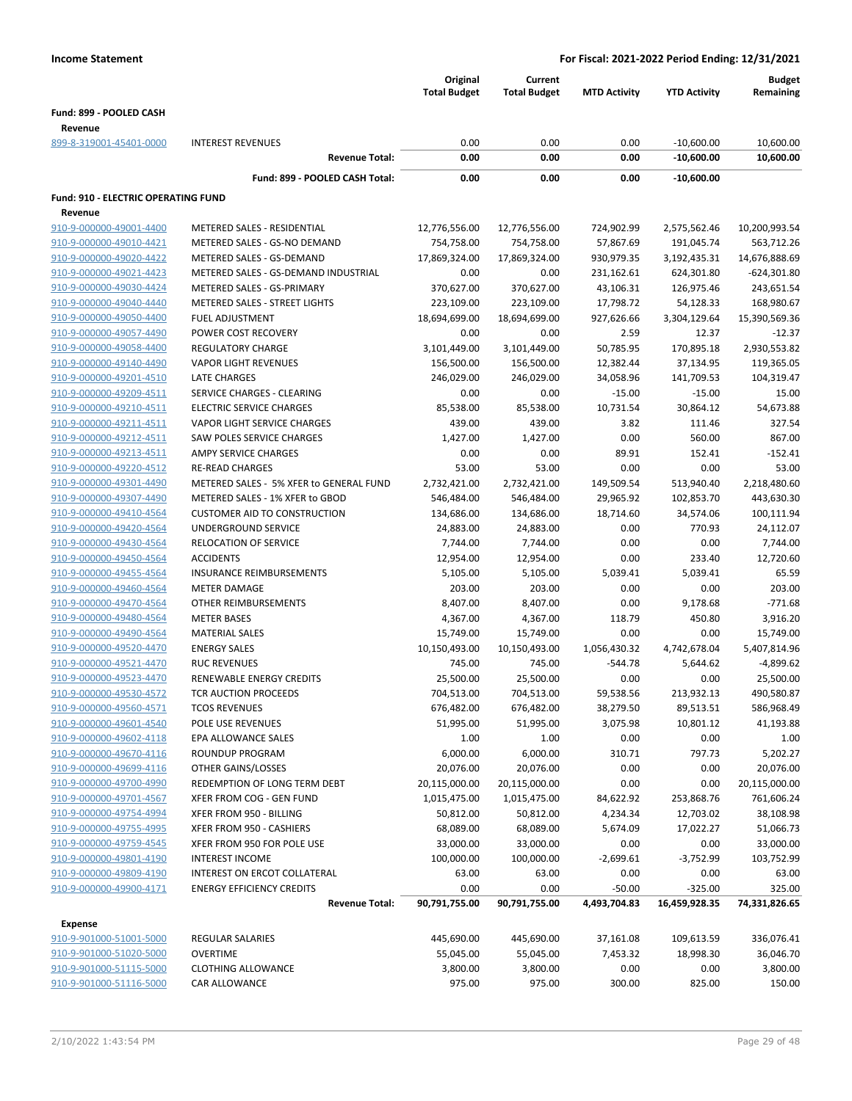|                                            |                                         | Original<br><b>Total Budget</b> | Current<br><b>Total Budget</b> | <b>MTD Activity</b> | <b>YTD Activity</b> | <b>Budget</b><br>Remaining |
|--------------------------------------------|-----------------------------------------|---------------------------------|--------------------------------|---------------------|---------------------|----------------------------|
|                                            |                                         |                                 |                                |                     |                     |                            |
| Fund: 899 - POOLED CASH<br>Revenue         |                                         |                                 |                                |                     |                     |                            |
| 899-8-319001-45401-0000                    | <b>INTEREST REVENUES</b>                | 0.00                            | 0.00                           | 0.00                | $-10,600.00$        | 10,600.00                  |
|                                            | <b>Revenue Total:</b>                   | 0.00                            | 0.00                           | 0.00                | $-10,600.00$        | 10,600.00                  |
|                                            | Fund: 899 - POOLED CASH Total:          | 0.00                            | 0.00                           | 0.00                | $-10,600.00$        |                            |
|                                            |                                         |                                 |                                |                     |                     |                            |
| <b>Fund: 910 - ELECTRIC OPERATING FUND</b> |                                         |                                 |                                |                     |                     |                            |
| Revenue                                    |                                         |                                 |                                |                     |                     |                            |
| 910-9-000000-49001-4400                    | METERED SALES - RESIDENTIAL             | 12,776,556.00                   | 12,776,556.00                  | 724,902.99          | 2,575,562.46        | 10,200,993.54              |
| 910-9-000000-49010-4421                    | METERED SALES - GS-NO DEMAND            | 754,758.00                      | 754,758.00                     | 57,867.69           | 191,045.74          | 563,712.26                 |
| 910-9-000000-49020-4422                    | METERED SALES - GS-DEMAND               | 17,869,324.00                   | 17,869,324.00                  | 930,979.35          | 3,192,435.31        | 14,676,888.69              |
| 910-9-000000-49021-4423                    | METERED SALES - GS-DEMAND INDUSTRIAL    | 0.00                            | 0.00                           | 231,162.61          | 624,301.80          | $-624,301.80$              |
| 910-9-000000-49030-4424                    | METERED SALES - GS-PRIMARY              | 370,627.00                      | 370,627.00                     | 43,106.31           | 126,975.46          | 243,651.54                 |
| 910-9-000000-49040-4440                    | METERED SALES - STREET LIGHTS           | 223,109.00                      | 223,109.00                     | 17,798.72           | 54,128.33           | 168,980.67                 |
| 910-9-000000-49050-4400                    | <b>FUEL ADJUSTMENT</b>                  | 18,694,699.00                   | 18,694,699.00                  | 927,626.66          | 3,304,129.64        | 15,390,569.36              |
| 910-9-000000-49057-4490                    | POWER COST RECOVERY                     | 0.00                            | 0.00                           | 2.59                | 12.37               | $-12.37$                   |
| 910-9-000000-49058-4400                    | <b>REGULATORY CHARGE</b>                | 3,101,449.00                    | 3,101,449.00                   | 50,785.95           | 170,895.18          | 2,930,553.82               |
| 910-9-000000-49140-4490                    | <b>VAPOR LIGHT REVENUES</b>             | 156,500.00                      | 156,500.00                     | 12,382.44           | 37,134.95           | 119,365.05                 |
| 910-9-000000-49201-4510                    | <b>LATE CHARGES</b>                     | 246,029.00                      | 246,029.00                     | 34,058.96           | 141,709.53          | 104,319.47                 |
| 910-9-000000-49209-4511                    | SERVICE CHARGES - CLEARING              | 0.00                            | 0.00                           | $-15.00$            | $-15.00$            | 15.00                      |
| 910-9-000000-49210-4511                    | <b>ELECTRIC SERVICE CHARGES</b>         | 85,538.00                       | 85,538.00                      | 10,731.54           | 30,864.12           | 54,673.88                  |
| 910-9-000000-49211-4511                    | VAPOR LIGHT SERVICE CHARGES             | 439.00                          | 439.00                         | 3.82                | 111.46              | 327.54                     |
| 910-9-000000-49212-4511                    | SAW POLES SERVICE CHARGES               | 1,427.00                        | 1,427.00                       | 0.00                | 560.00              | 867.00                     |
| 910-9-000000-49213-4511                    | AMPY SERVICE CHARGES                    | 0.00                            | 0.00                           | 89.91               | 152.41              | $-152.41$                  |
| 910-9-000000-49220-4512                    | <b>RE-READ CHARGES</b>                  | 53.00                           | 53.00                          | 0.00                | 0.00                | 53.00                      |
| 910-9-000000-49301-4490                    | METERED SALES - 5% XFER to GENERAL FUND | 2,732,421.00                    | 2,732,421.00                   | 149,509.54          | 513,940.40          | 2,218,480.60               |
| 910-9-000000-49307-4490                    | METERED SALES - 1% XFER to GBOD         | 546,484.00                      | 546,484.00                     | 29,965.92           | 102,853.70          | 443,630.30                 |
| 910-9-000000-49410-4564                    | <b>CUSTOMER AID TO CONSTRUCTION</b>     | 134,686.00                      | 134,686.00                     | 18,714.60           | 34,574.06           | 100,111.94                 |
| 910-9-000000-49420-4564                    | UNDERGROUND SERVICE                     | 24,883.00                       | 24,883.00                      | 0.00                | 770.93              | 24,112.07                  |
| 910-9-000000-49430-4564                    | <b>RELOCATION OF SERVICE</b>            | 7,744.00                        | 7,744.00                       | 0.00                | 0.00                | 7,744.00                   |
| 910-9-000000-49450-4564                    | <b>ACCIDENTS</b>                        | 12,954.00                       | 12,954.00                      | 0.00                | 233.40              | 12,720.60                  |
| 910-9-000000-49455-4564                    | <b>INSURANCE REIMBURSEMENTS</b>         | 5,105.00                        | 5,105.00                       | 5,039.41            | 5,039.41            | 65.59                      |
| 910-9-000000-49460-4564                    | <b>METER DAMAGE</b>                     | 203.00                          | 203.00                         | 0.00                | 0.00                | 203.00                     |
| 910-9-000000-49470-4564                    | OTHER REIMBURSEMENTS                    | 8,407.00                        | 8,407.00                       | 0.00                | 9,178.68            | $-771.68$                  |
| 910-9-000000-49480-4564                    | <b>METER BASES</b>                      | 4,367.00                        | 4,367.00                       | 118.79              | 450.80              | 3,916.20                   |
| 910-9-000000-49490-4564                    | <b>MATERIAL SALES</b>                   | 15,749.00                       | 15,749.00                      | 0.00                | 0.00                | 15,749.00                  |
| 910-9-000000-49520-4470                    | <b>ENERGY SALES</b>                     | 10,150,493.00                   | 10,150,493.00                  | 1,056,430.32        | 4,742,678.04        | 5,407,814.96               |
| 910-9-000000-49521-4470                    | <b>RUC REVENUES</b>                     | 745.00                          | 745.00                         | $-544.78$           | 5,644.62            | $-4,899.62$                |
| 910-9-000000-49523-4470                    | RENEWABLE ENERGY CREDITS                | 25,500.00                       | 25,500.00                      | 0.00                | 0.00                | 25,500.00                  |
| 910-9-000000-49530-4572                    | <b>TCR AUCTION PROCEEDS</b>             | 704,513.00                      | 704,513.00                     | 59,538.56           | 213,932.13          | 490,580.87                 |
| 910-9-000000-49560-4571                    | <b>TCOS REVENUES</b>                    | 676,482.00                      | 676,482.00                     | 38,279.50           | 89,513.51           | 586,968.49                 |
| 910-9-000000-49601-4540                    | POLE USE REVENUES                       | 51,995.00                       | 51,995.00                      | 3,075.98            | 10,801.12           | 41,193.88                  |
| 910-9-000000-49602-4118                    | EPA ALLOWANCE SALES                     | 1.00                            | 1.00                           | 0.00                | 0.00                | 1.00                       |
| 910-9-000000-49670-4116                    | ROUNDUP PROGRAM                         | 6,000.00                        | 6,000.00                       | 310.71              | 797.73              | 5,202.27                   |
| 910-9-000000-49699-4116                    | OTHER GAINS/LOSSES                      | 20,076.00                       | 20,076.00                      | 0.00                | 0.00                | 20,076.00                  |
| 910-9-000000-49700-4990                    | REDEMPTION OF LONG TERM DEBT            | 20,115,000.00                   | 20,115,000.00                  | 0.00                | 0.00                | 20,115,000.00              |
| 910-9-000000-49701-4567                    | XFER FROM COG - GEN FUND                | 1,015,475.00                    | 1,015,475.00                   | 84,622.92           | 253,868.76          | 761,606.24                 |
| 910-9-000000-49754-4994                    | XFER FROM 950 - BILLING                 | 50,812.00                       | 50,812.00                      | 4,234.34            | 12,703.02           | 38,108.98                  |
| 910-9-000000-49755-4995                    | XFER FROM 950 - CASHIERS                | 68,089.00                       | 68,089.00                      | 5,674.09            | 17,022.27           | 51,066.73                  |
| 910-9-000000-49759-4545                    | XFER FROM 950 FOR POLE USE              | 33,000.00                       | 33,000.00                      | 0.00                | 0.00                | 33,000.00                  |
| 910-9-000000-49801-4190                    | <b>INTEREST INCOME</b>                  | 100,000.00                      | 100,000.00                     | $-2,699.61$         | $-3,752.99$         | 103,752.99                 |
| 910-9-000000-49809-4190                    | INTEREST ON ERCOT COLLATERAL            | 63.00                           | 63.00                          | 0.00                | 0.00                | 63.00                      |
| 910-9-000000-49900-4171                    | <b>ENERGY EFFICIENCY CREDITS</b>        | 0.00                            | 0.00                           | $-50.00$            | $-325.00$           | 325.00                     |
|                                            | <b>Revenue Total:</b>                   | 90,791,755.00                   | 90,791,755.00                  | 4,493,704.83        | 16,459,928.35       | 74,331,826.65              |
| Expense                                    |                                         |                                 |                                |                     |                     |                            |
| 910-9-901000-51001-5000                    | REGULAR SALARIES                        | 445,690.00                      | 445,690.00                     | 37,161.08           | 109,613.59          | 336,076.41                 |
| 910-9-901000-51020-5000                    | <b>OVERTIME</b>                         | 55,045.00                       | 55,045.00                      | 7,453.32            | 18,998.30           | 36,046.70                  |
| 910-9-901000-51115-5000                    | <b>CLOTHING ALLOWANCE</b>               | 3,800.00                        | 3,800.00                       | 0.00                | 0.00                | 3,800.00                   |
| 910-9-901000-51116-5000                    | CAR ALLOWANCE                           | 975.00                          | 975.00                         | 300.00              | 825.00              | 150.00                     |
|                                            |                                         |                                 |                                |                     |                     |                            |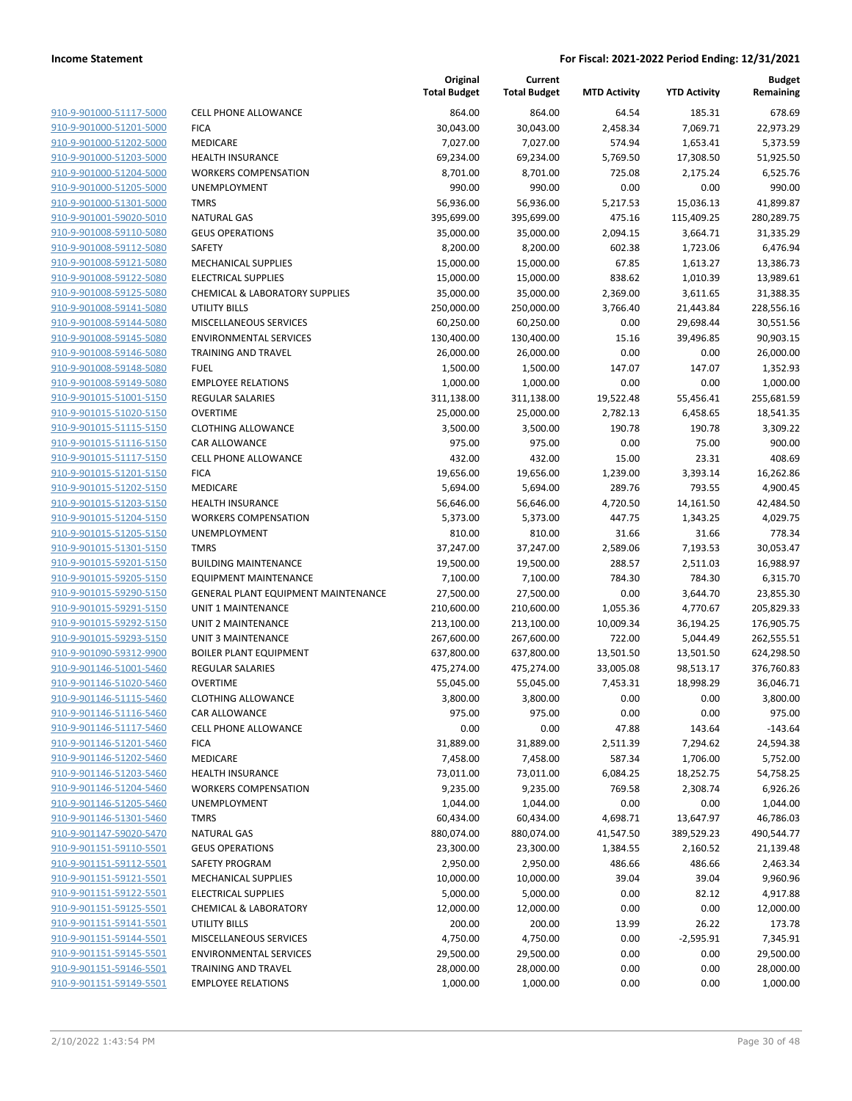**Budget**

| 910-9-901000-51117-5000                                   |
|-----------------------------------------------------------|
| 910-9-901000-51201-5000                                   |
| 910-9-901000-51202-5000                                   |
| 910-9-901000-51203-5000                                   |
| <u>910-9-901000-51204-5000</u>                            |
| 910-9-901000-51205-5000                                   |
| 910-9-901000-51301-5000                                   |
| 910-9-901001-59020-5010                                   |
| 910-9-901008-59110-5080                                   |
| <u>910-9-901008-59112-5080</u><br>910-9-901008-59121-5080 |
| 910-9-901008-59122-5080                                   |
| 910-9-901008-59125-5080                                   |
| 910-9-901008-59141-5080                                   |
| <u>910-9-901008-59144-5080</u>                            |
| 910-9-901008-59145-5080                                   |
| 910-9-901008-59146-5080                                   |
| 910-9-901008-59148-5080                                   |
| <u>910-9-901008-59149-5080</u>                            |
| <u>910-9-901015-51001-5150</u>                            |
| 910-9-901015-51020-5150                                   |
| 910-9-901015-51115-5150                                   |
| 910-9-901015-51116-5150                                   |
| 910-9-901015-51117-5150                                   |
| <u>910-9-901015-51201-5150</u>                            |
| 910-9-901015-51202-5150                                   |
| 910-9-901015-51203-5150                                   |
| 910-9-901015-51204-5150                                   |
| <u>910-9-901015-51205-5150</u>                            |
| <u>910-9-901015-51301-5150</u>                            |
| 910-9-901015-59201-5150                                   |
| 910-9-901015-59205-5150                                   |
| 910-9-901015-59290-5150                                   |
| 910-9-901015-59291-5150                                   |
| <u>910-9-901015-59292-5150</u>                            |
| 910-9-901015-59293-5150                                   |
| 910-9-901090-59312-9900                                   |
| 910-9-901146-51001-5460                                   |
| 910-9-901146-51020-5460                                   |
| <u>910-9-901146-51115-5460</u>                            |
| 910-9-901146-51116-5460                                   |
| 910-9-901146-51117-5460                                   |
| 910-9-901146-51201-5460                                   |
| <u>910-9-901146-51202-5460</u>                            |
| <u>910-9-901146-51203-5460</u>                            |
| 910-9-901146-51204-5460                                   |
| 910-9-901146-51205-5460                                   |
| <u>910-9-901146-51301-5460</u>                            |
| <u>910-9-901147-59020-5470</u>                            |
| <u>910-9-901151-59110-5501</u>                            |
| <u>910-9-901151-59112-5501</u><br>910-9-901151-59121-5501 |
| 910-9-901151-59122-5501                                   |
| <u>910-9-901151-59125-5501</u>                            |
| <u>910-9-901151-59141-5501</u>                            |
| <u>910-9-901151-59144-5501</u>                            |
| 910-9-901151-59145-5501                                   |
| <u>910-9-901151-59146-5501</u>                            |
| <u>910-9-901151-59149-5501</u>                            |
|                                                           |

|                         |                                           | Original<br><b>Total Budget</b> | Current<br><b>Total Budget</b> | <b>MTD Activity</b> | <b>YTD Activity</b> | <b>Budget</b><br>Remaining |
|-------------------------|-------------------------------------------|---------------------------------|--------------------------------|---------------------|---------------------|----------------------------|
| 910-9-901000-51117-5000 | <b>CELL PHONE ALLOWANCE</b>               | 864.00                          | 864.00                         | 64.54               | 185.31              | 678.69                     |
| 910-9-901000-51201-5000 | <b>FICA</b>                               | 30,043.00                       | 30,043.00                      | 2,458.34            | 7,069.71            | 22,973.29                  |
| 910-9-901000-51202-5000 | MEDICARE                                  | 7,027.00                        | 7,027.00                       | 574.94              | 1,653.41            | 5,373.59                   |
| 910-9-901000-51203-5000 | <b>HEALTH INSURANCE</b>                   | 69,234.00                       | 69,234.00                      | 5,769.50            | 17,308.50           | 51,925.50                  |
| 910-9-901000-51204-5000 | <b>WORKERS COMPENSATION</b>               | 8,701.00                        | 8,701.00                       | 725.08              | 2,175.24            | 6,525.76                   |
| 910-9-901000-51205-5000 | UNEMPLOYMENT                              | 990.00                          | 990.00                         | 0.00                | 0.00                | 990.00                     |
| 910-9-901000-51301-5000 | <b>TMRS</b>                               | 56,936.00                       | 56,936.00                      | 5,217.53            | 15,036.13           | 41,899.87                  |
| 910-9-901001-59020-5010 | <b>NATURAL GAS</b>                        | 395,699.00                      | 395,699.00                     | 475.16              | 115,409.25          | 280,289.75                 |
| 910-9-901008-59110-5080 | <b>GEUS OPERATIONS</b>                    | 35,000.00                       | 35,000.00                      | 2,094.15            | 3,664.71            | 31,335.29                  |
| 910-9-901008-59112-5080 | <b>SAFETY</b>                             | 8,200.00                        | 8,200.00                       | 602.38              | 1,723.06            | 6,476.94                   |
| 910-9-901008-59121-5080 | MECHANICAL SUPPLIES                       | 15,000.00                       | 15,000.00                      | 67.85               | 1,613.27            | 13,386.73                  |
| 910-9-901008-59122-5080 | <b>ELECTRICAL SUPPLIES</b>                | 15,000.00                       | 15,000.00                      | 838.62              | 1,010.39            | 13,989.61                  |
| 910-9-901008-59125-5080 | <b>CHEMICAL &amp; LABORATORY SUPPLIES</b> | 35,000.00                       | 35,000.00                      | 2,369.00            | 3,611.65            | 31,388.35                  |
| 910-9-901008-59141-5080 | <b>UTILITY BILLS</b>                      | 250,000.00                      | 250,000.00                     | 3,766.40            | 21,443.84           | 228,556.16                 |
| 910-9-901008-59144-5080 | MISCELLANEOUS SERVICES                    | 60,250.00                       | 60,250.00                      | 0.00                | 29,698.44           | 30,551.56                  |
| 910-9-901008-59145-5080 | <b>ENVIRONMENTAL SERVICES</b>             | 130,400.00                      | 130,400.00                     | 15.16               | 39,496.85           | 90,903.15                  |
| 910-9-901008-59146-5080 | TRAINING AND TRAVEL                       | 26,000.00                       | 26,000.00                      | 0.00                | 0.00                | 26,000.00                  |
| 910-9-901008-59148-5080 | <b>FUEL</b>                               | 1,500.00                        | 1,500.00                       | 147.07              | 147.07              | 1,352.93                   |
| 910-9-901008-59149-5080 | <b>EMPLOYEE RELATIONS</b>                 | 1,000.00                        | 1,000.00                       | 0.00                | 0.00                | 1,000.00                   |
| 910-9-901015-51001-5150 | <b>REGULAR SALARIES</b>                   | 311,138.00                      | 311,138.00                     | 19,522.48           | 55,456.41           | 255,681.59                 |
| 910-9-901015-51020-5150 | <b>OVERTIME</b>                           | 25,000.00                       | 25,000.00                      | 2,782.13            | 6,458.65            | 18,541.35                  |
| 910-9-901015-51115-5150 | <b>CLOTHING ALLOWANCE</b>                 | 3,500.00                        | 3,500.00                       | 190.78              | 190.78              | 3,309.22                   |
| 910-9-901015-51116-5150 | <b>CAR ALLOWANCE</b>                      | 975.00                          | 975.00                         | 0.00                | 75.00               | 900.00                     |
| 910-9-901015-51117-5150 | <b>CELL PHONE ALLOWANCE</b>               | 432.00                          | 432.00                         | 15.00               | 23.31               | 408.69                     |
| 910-9-901015-51201-5150 | <b>FICA</b>                               | 19,656.00                       | 19,656.00                      | 1,239.00            | 3,393.14            | 16,262.86                  |
| 910-9-901015-51202-5150 | MEDICARE                                  | 5,694.00                        | 5,694.00                       | 289.76              | 793.55              | 4,900.45                   |
| 910-9-901015-51203-5150 | <b>HEALTH INSURANCE</b>                   | 56,646.00                       | 56,646.00                      | 4,720.50            | 14,161.50           | 42,484.50                  |
| 910-9-901015-51204-5150 | <b>WORKERS COMPENSATION</b>               | 5,373.00                        | 5,373.00                       | 447.75              | 1,343.25            | 4,029.75                   |
| 910-9-901015-51205-5150 | UNEMPLOYMENT                              | 810.00                          | 810.00                         | 31.66               | 31.66               | 778.34                     |
| 910-9-901015-51301-5150 | <b>TMRS</b>                               | 37,247.00                       | 37,247.00                      | 2,589.06            | 7,193.53            | 30,053.47                  |
| 910-9-901015-59201-5150 | <b>BUILDING MAINTENANCE</b>               | 19,500.00                       | 19,500.00                      | 288.57              | 2,511.03            | 16,988.97                  |
| 910-9-901015-59205-5150 | <b>EQUIPMENT MAINTENANCE</b>              | 7,100.00                        | 7,100.00                       | 784.30              | 784.30              | 6,315.70                   |
| 910-9-901015-59290-5150 | GENERAL PLANT EQUIPMENT MAINTENANCE       | 27,500.00                       | 27,500.00                      | 0.00                | 3,644.70            | 23,855.30                  |
| 910-9-901015-59291-5150 | UNIT 1 MAINTENANCE                        | 210,600.00                      | 210,600.00                     | 1,055.36            | 4,770.67            | 205,829.33                 |
| 910-9-901015-59292-5150 | UNIT 2 MAINTENANCE                        | 213,100.00                      | 213,100.00                     | 10,009.34           | 36,194.25           | 176,905.75                 |
| 910-9-901015-59293-5150 | <b>UNIT 3 MAINTENANCE</b>                 | 267,600.00                      | 267,600.00                     | 722.00              | 5,044.49            | 262,555.51                 |
| 910-9-901090-59312-9900 | <b>BOILER PLANT EQUIPMENT</b>             | 637,800.00                      | 637,800.00                     | 13,501.50           | 13,501.50           | 624,298.50                 |
| 910-9-901146-51001-5460 | <b>REGULAR SALARIES</b>                   | 475,274.00                      | 475,274.00                     | 33,005.08           | 98,513.17           | 376,760.83                 |
| 910-9-901146-51020-5460 | <b>OVERTIME</b>                           | 55,045.00                       | 55,045.00                      | 7,453.31            | 18,998.29           | 36,046.71                  |
| 910-9-901146-51115-5460 | <b>CLOTHING ALLOWANCE</b>                 | 3,800.00                        | 3,800.00                       | 0.00                | 0.00                | 3,800.00                   |
| 910-9-901146-51116-5460 | CAR ALLOWANCE                             | 975.00                          | 975.00                         | 0.00                | 0.00                | 975.00                     |
| 910-9-901146-51117-5460 | <b>CELL PHONE ALLOWANCE</b>               | 0.00                            | 0.00                           | 47.88               | 143.64              | $-143.64$                  |
| 910-9-901146-51201-5460 | <b>FICA</b>                               | 31,889.00                       | 31,889.00                      | 2,511.39            | 7,294.62            | 24,594.38                  |
| 910-9-901146-51202-5460 | MEDICARE                                  | 7,458.00                        | 7,458.00                       | 587.34              | 1,706.00            | 5,752.00                   |
| 910-9-901146-51203-5460 | HEALTH INSURANCE                          | 73,011.00                       | 73,011.00                      | 6,084.25            | 18,252.75           | 54,758.25                  |
| 910-9-901146-51204-5460 | <b>WORKERS COMPENSATION</b>               | 9,235.00                        | 9,235.00                       | 769.58              | 2,308.74            | 6,926.26                   |
| 910-9-901146-51205-5460 | UNEMPLOYMENT                              | 1,044.00                        | 1,044.00                       | 0.00                | 0.00                | 1,044.00                   |
| 910-9-901146-51301-5460 | <b>TMRS</b>                               | 60,434.00                       | 60,434.00                      | 4,698.71            | 13,647.97           | 46,786.03                  |
| 910-9-901147-59020-5470 | <b>NATURAL GAS</b>                        | 880,074.00                      | 880,074.00                     | 41,547.50           | 389,529.23          | 490,544.77                 |
| 910-9-901151-59110-5501 | <b>GEUS OPERATIONS</b>                    | 23,300.00                       | 23,300.00                      | 1,384.55            | 2,160.52            | 21,139.48                  |
| 910-9-901151-59112-5501 | SAFETY PROGRAM                            | 2,950.00                        | 2,950.00                       | 486.66              | 486.66              | 2,463.34                   |
| 910-9-901151-59121-5501 | MECHANICAL SUPPLIES                       | 10,000.00                       | 10,000.00                      | 39.04               | 39.04               | 9,960.96                   |
| 910-9-901151-59122-5501 | <b>ELECTRICAL SUPPLIES</b>                | 5,000.00                        | 5,000.00                       | 0.00                | 82.12               | 4,917.88                   |
| 910-9-901151-59125-5501 | <b>CHEMICAL &amp; LABORATORY</b>          | 12,000.00                       | 12,000.00                      | 0.00                | 0.00                | 12,000.00                  |
| 910-9-901151-59141-5501 | UTILITY BILLS                             | 200.00                          | 200.00                         | 13.99               | 26.22               | 173.78                     |
| 910-9-901151-59144-5501 | MISCELLANEOUS SERVICES                    | 4,750.00                        | 4,750.00                       | 0.00                | $-2,595.91$         | 7,345.91                   |
| 910-9-901151-59145-5501 | <b>ENVIRONMENTAL SERVICES</b>             | 29,500.00                       | 29,500.00                      | 0.00                | 0.00                | 29,500.00                  |
| 910-9-901151-59146-5501 | <b>TRAINING AND TRAVEL</b>                | 28,000.00                       | 28,000.00                      | 0.00                | 0.00                | 28,000.00                  |
| 910-9-901151-59149-5501 | <b>EMPLOYEE RELATIONS</b>                 | 1,000.00                        | 1,000.00                       | 0.00                | 0.00                | 1,000.00                   |

**Original**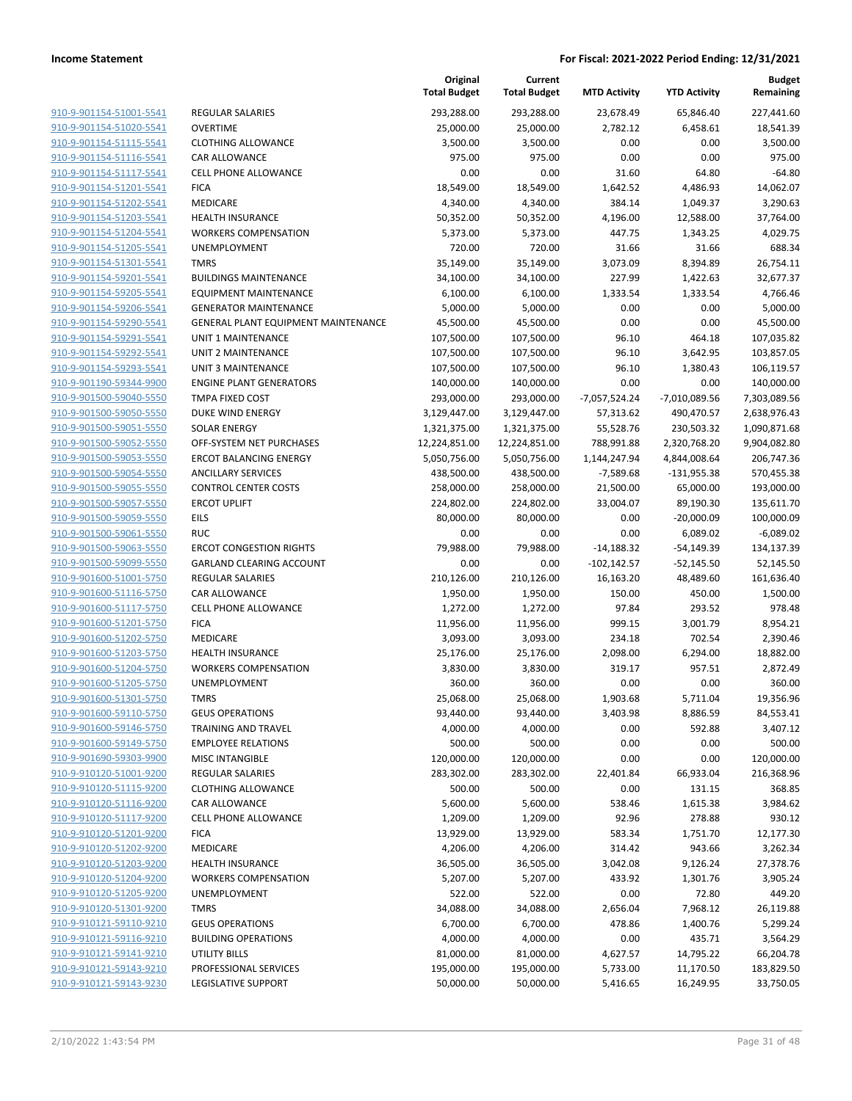|                                                    |                                     | Original<br><b>Total Budget</b> | Current<br><b>Total Budget</b> | <b>MTD Activity</b> | <b>YTD Activity</b> | <b>Budget</b><br>Remaining |
|----------------------------------------------------|-------------------------------------|---------------------------------|--------------------------------|---------------------|---------------------|----------------------------|
| 910-9-901154-51001-5541                            | REGULAR SALARIES                    | 293,288.00                      | 293,288.00                     | 23,678.49           | 65,846.40           | 227,441.60                 |
| 910-9-901154-51020-5541                            | <b>OVERTIME</b>                     | 25,000.00                       | 25,000.00                      | 2,782.12            | 6,458.61            | 18,541.39                  |
| 910-9-901154-51115-5541                            | <b>CLOTHING ALLOWANCE</b>           | 3,500.00                        | 3,500.00                       | 0.00                | 0.00                | 3,500.00                   |
| 910-9-901154-51116-5541                            | <b>CAR ALLOWANCE</b>                | 975.00                          | 975.00                         | 0.00                | 0.00                | 975.00                     |
| 910-9-901154-51117-5541                            | <b>CELL PHONE ALLOWANCE</b>         | 0.00                            | 0.00                           | 31.60               | 64.80               | $-64.80$                   |
| 910-9-901154-51201-5541                            | <b>FICA</b>                         | 18,549.00                       | 18,549.00                      | 1,642.52            | 4,486.93            | 14,062.07                  |
| 910-9-901154-51202-5541                            | MEDICARE                            | 4,340.00                        | 4,340.00                       | 384.14              | 1,049.37            | 3,290.63                   |
| 910-9-901154-51203-5541                            | <b>HEALTH INSURANCE</b>             | 50,352.00                       | 50,352.00                      | 4,196.00            | 12,588.00           | 37,764.00                  |
| 910-9-901154-51204-5541                            | <b>WORKERS COMPENSATION</b>         | 5,373.00                        | 5,373.00                       | 447.75              | 1,343.25            | 4,029.75                   |
| 910-9-901154-51205-5541                            | UNEMPLOYMENT                        | 720.00                          | 720.00                         | 31.66               | 31.66               | 688.34                     |
| 910-9-901154-51301-5541                            | <b>TMRS</b>                         | 35,149.00                       | 35,149.00                      | 3,073.09            | 8,394.89            | 26,754.11                  |
| 910-9-901154-59201-5541                            | <b>BUILDINGS MAINTENANCE</b>        | 34,100.00                       | 34,100.00                      | 227.99              | 1,422.63            | 32,677.37                  |
| 910-9-901154-59205-5541                            | <b>EQUIPMENT MAINTENANCE</b>        | 6,100.00                        | 6,100.00                       | 1,333.54            | 1,333.54            | 4,766.46                   |
| 910-9-901154-59206-5541                            | <b>GENERATOR MAINTENANCE</b>        | 5,000.00                        | 5,000.00                       | 0.00                | 0.00                | 5,000.00                   |
| 910-9-901154-59290-5541                            | GENERAL PLANT EQUIPMENT MAINTENANCE | 45,500.00                       | 45,500.00                      | 0.00                | 0.00                | 45,500.00                  |
| 910-9-901154-59291-5541                            | UNIT 1 MAINTENANCE                  | 107,500.00                      | 107,500.00                     | 96.10               | 464.18              | 107,035.82                 |
| 910-9-901154-59292-5541                            | UNIT 2 MAINTENANCE                  | 107,500.00                      | 107,500.00                     | 96.10               | 3,642.95            | 103,857.05                 |
| 910-9-901154-59293-5541                            | <b>UNIT 3 MAINTENANCE</b>           | 107,500.00                      | 107,500.00                     | 96.10               | 1,380.43            | 106,119.57                 |
| 910-9-901190-59344-9900                            | <b>ENGINE PLANT GENERATORS</b>      | 140,000.00                      | 140,000.00                     | 0.00                | 0.00                | 140,000.00                 |
| 910-9-901500-59040-5550                            | <b>TMPA FIXED COST</b>              | 293,000.00                      | 293,000.00                     | -7,057,524.24       | -7,010,089.56       | 7,303,089.56               |
| 910-9-901500-59050-5550                            | <b>DUKE WIND ENERGY</b>             | 3,129,447.00                    | 3,129,447.00                   | 57,313.62           | 490,470.57          | 2,638,976.43               |
| 910-9-901500-59051-5550                            | <b>SOLAR ENERGY</b>                 | 1,321,375.00                    | 1,321,375.00                   | 55,528.76           | 230,503.32          | 1,090,871.68               |
| 910-9-901500-59052-5550                            | OFF-SYSTEM NET PURCHASES            | 12,224,851.00                   | 12,224,851.00                  | 788,991.88          | 2,320,768.20        | 9,904,082.80               |
| 910-9-901500-59053-5550                            | <b>ERCOT BALANCING ENERGY</b>       | 5,050,756.00                    | 5,050,756.00                   | 1,144,247.94        | 4,844,008.64        | 206,747.36                 |
| 910-9-901500-59054-5550                            | <b>ANCILLARY SERVICES</b>           | 438,500.00                      | 438,500.00                     | $-7,589.68$         | $-131,955.38$       | 570,455.38                 |
| 910-9-901500-59055-5550                            | <b>CONTROL CENTER COSTS</b>         | 258,000.00                      | 258,000.00                     | 21,500.00           | 65,000.00           | 193,000.00                 |
| 910-9-901500-59057-5550                            | <b>ERCOT UPLIFT</b>                 | 224,802.00                      | 224,802.00                     | 33,004.07           | 89,190.30           | 135,611.70                 |
| 910-9-901500-59059-5550                            | EILS                                | 80,000.00                       | 80,000.00                      | 0.00                | $-20,000.09$        | 100,000.09                 |
| 910-9-901500-59061-5550                            | <b>RUC</b>                          | 0.00                            | 0.00                           | 0.00                | 6,089.02            | $-6,089.02$                |
| 910-9-901500-59063-5550                            | <b>ERCOT CONGESTION RIGHTS</b>      | 79,988.00                       | 79,988.00                      | $-14,188.32$        | $-54,149.39$        | 134,137.39                 |
| 910-9-901500-59099-5550                            | GARLAND CLEARING ACCOUNT            | 0.00                            | 0.00                           | $-102, 142.57$      | $-52,145.50$        | 52,145.50                  |
| 910-9-901600-51001-5750                            | REGULAR SALARIES                    | 210,126.00                      | 210,126.00                     | 16,163.20           | 48,489.60           | 161,636.40                 |
| 910-9-901600-51116-5750                            | CAR ALLOWANCE                       | 1,950.00                        | 1,950.00                       | 150.00              | 450.00              | 1,500.00                   |
| 910-9-901600-51117-5750                            | <b>CELL PHONE ALLOWANCE</b>         | 1,272.00                        | 1,272.00                       | 97.84               | 293.52              | 978.48                     |
| 910-9-901600-51201-5750                            | <b>FICA</b>                         | 11,956.00                       | 11,956.00                      | 999.15              | 3,001.79            | 8,954.21                   |
| 910-9-901600-51202-5750                            | MEDICARE                            | 3,093.00                        | 3,093.00                       | 234.18              | 702.54              | 2,390.46                   |
| 910-9-901600-51203-5750                            | <b>HEALTH INSURANCE</b>             | 25,176.00                       | 25,176.00                      | 2,098.00            | 6,294.00            | 18,882.00                  |
| 910-9-901600-51204-5750                            | <b>WORKERS COMPENSATION</b>         | 3,830.00                        | 3,830.00                       | 319.17              | 957.51              | 2,872.49                   |
| 910-9-901600-51205-5750                            | UNEMPLOYMENT                        | 360.00                          | 360.00                         | 0.00                | 0.00                | 360.00                     |
| 910-9-901600-51301-5750                            | <b>TMRS</b>                         | 25,068.00                       | 25,068.00                      | 1,903.68            | 5,711.04            | 19,356.96                  |
| 910-9-901600-59110-5750                            | <b>GEUS OPERATIONS</b>              | 93,440.00                       | 93,440.00                      | 3,403.98            | 8,886.59            | 84,553.41                  |
| 910-9-901600-59146-5750                            | TRAINING AND TRAVEL                 | 4,000.00                        | 4,000.00                       | 0.00                | 592.88              | 3,407.12                   |
| 910-9-901600-59149-5750                            | <b>EMPLOYEE RELATIONS</b>           | 500.00                          | 500.00                         | 0.00                | 0.00                | 500.00                     |
| 910-9-901690-59303-9900                            | <b>MISC INTANGIBLE</b>              | 120,000.00                      | 120,000.00                     | 0.00                | 0.00                | 120,000.00                 |
| 910-9-910120-51001-9200                            | REGULAR SALARIES                    | 283,302.00                      | 283,302.00                     | 22,401.84           | 66,933.04           | 216,368.96                 |
| 910-9-910120-51115-9200                            | <b>CLOTHING ALLOWANCE</b>           | 500.00                          | 500.00                         | 0.00                | 131.15              | 368.85                     |
| 910-9-910120-51116-9200<br>910-9-910120-51117-9200 | CAR ALLOWANCE                       | 5,600.00                        | 5,600.00                       | 538.46              | 1,615.38            | 3,984.62                   |
| 910-9-910120-51201-9200                            | <b>CELL PHONE ALLOWANCE</b>         | 1,209.00                        | 1,209.00                       | 92.96               | 278.88              | 930.12                     |
|                                                    | <b>FICA</b>                         | 13,929.00                       | 13,929.00                      | 583.34              | 1,751.70            | 12,177.30                  |
| 910-9-910120-51202-9200<br>910-9-910120-51203-9200 | MEDICARE                            | 4,206.00                        | 4,206.00                       | 314.42              | 943.66              | 3,262.34                   |
|                                                    | <b>HEALTH INSURANCE</b>             | 36,505.00                       | 36,505.00                      | 3,042.08            | 9,126.24            | 27,378.76                  |
| 910-9-910120-51204-9200                            | <b>WORKERS COMPENSATION</b>         | 5,207.00                        | 5,207.00                       | 433.92              | 1,301.76            | 3,905.24                   |
| 910-9-910120-51205-9200                            | UNEMPLOYMENT                        | 522.00                          | 522.00                         | 0.00                | 72.80               | 449.20                     |
| 910-9-910120-51301-9200                            | <b>TMRS</b>                         | 34,088.00                       | 34,088.00                      | 2,656.04            | 7,968.12            | 26,119.88                  |
| 910-9-910121-59110-9210                            | <b>GEUS OPERATIONS</b>              | 6,700.00                        | 6,700.00                       | 478.86              | 1,400.76            | 5,299.24                   |
| 910-9-910121-59116-9210                            | <b>BUILDING OPERATIONS</b>          | 4,000.00                        | 4,000.00                       | 0.00                | 435.71              | 3,564.29                   |
| 910-9-910121-59141-9210                            | UTILITY BILLS                       | 81,000.00                       | 81,000.00                      | 4,627.57            | 14,795.22           | 66,204.78                  |
| 910-9-910121-59143-9210                            | PROFESSIONAL SERVICES               | 195,000.00                      | 195,000.00                     | 5,733.00            | 11,170.50           | 183,829.50                 |
| 910-9-910121-59143-9230                            | LEGISLATIVE SUPPORT                 | 50,000.00                       | 50,000.00                      | 5,416.65            | 16,249.95           | 33,750.05                  |
|                                                    |                                     |                                 |                                |                     |                     |                            |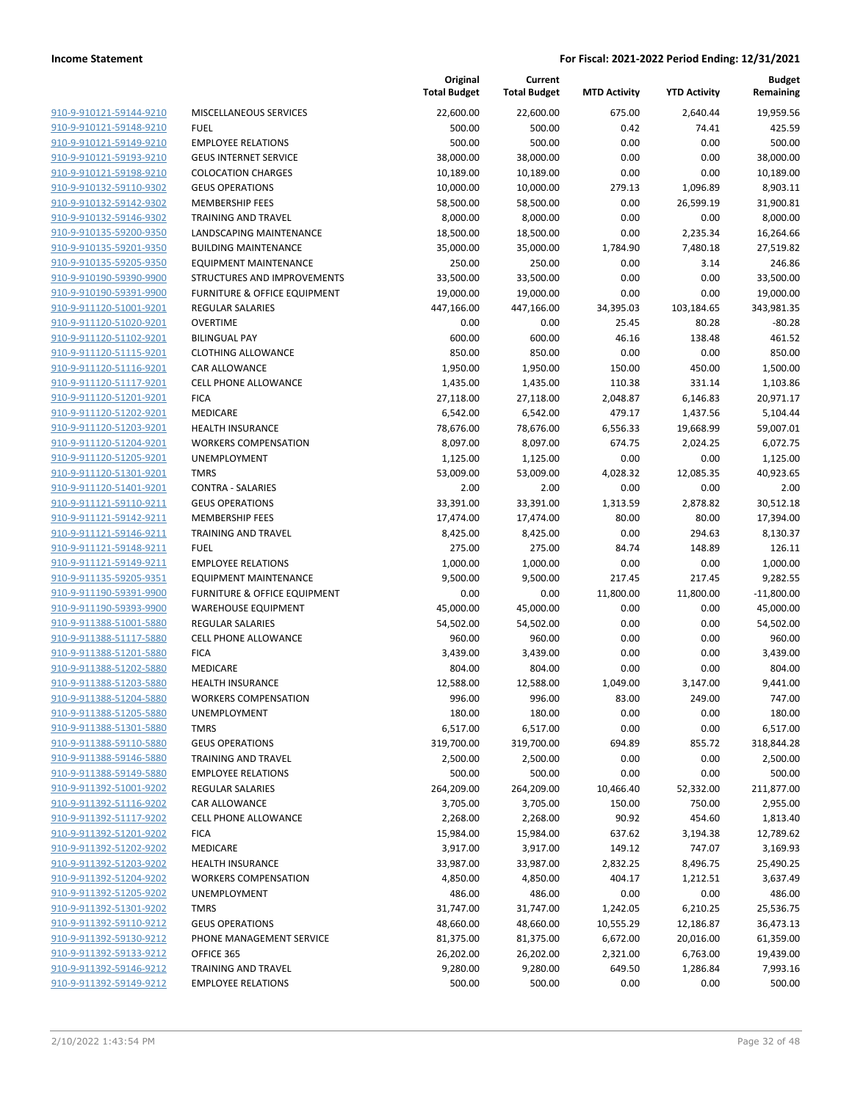| 910-9-910121-59144-9210        |
|--------------------------------|
| 910-9-910121-59148-9210        |
| 910-9-910121-59149-9210        |
| <u>910-9-910121-59193-9210</u> |
| <u>910-9-910121-59198-9210</u> |
| 910-9-910132-59110-9302        |
| 910-9-910132-59142-9302        |
| 910-9-910132-59146-9302        |
|                                |
| <u>910-9-910135-59200-9350</u> |
| 910-9-910135-59201-9350        |
| 910-9-910135-59205-9350        |
| 910-9-910190-59390-9900        |
| 910-9-910190-59391-9900        |
| 910-9-911120-51001-9201        |
| <u>910-9-911120-51020-9201</u> |
| 910-9-911120-51102-9201        |
| 910-9-911120-51115-9201        |
| 910-9-911120-51116-9201        |
| 910-9-911120-51117-9201        |
|                                |
| 910-9-911120-51201-9201        |
| 910-9-911120-51202-9201        |
| 910-9-911120-51203-9201        |
| 910-9-911120-51204-9201        |
| 910-9-911120-51205-9201        |
| <u>910-9-911120-51301-9201</u> |
| 910-9-911120-51401-9201        |
| 910-9-911121-59110-9211        |
| 910-9-911121-59142-9211        |
| <u>910-9-911121-59146-9211</u> |
| 910-9-911121-59148-9211        |
| 910-9-911121-59149-9211        |
| 910-9-911135-59205-9351        |
| 910-9-911190-59391-9900        |
| <u>910-9-911190-59393-9900</u> |
|                                |
| <u>910-9-911388-51001-5880</u> |
| 910-9-911388-51117-5880        |
| 910-9-911388-51201-5880        |
| 910-9-911388-51202-5880        |
| 910-9-911388-51203-5880        |
| 910-9-911388-51204-5880        |
| 910-9-911388-51205-5880        |
| 910-9-911388-51301-5880        |
| 910-9-911388-59110-5880        |
| 910-9-911388-59146-5880        |
| <u>910-9-911388-59149-5880</u> |
| 910-9-911392-51001-9202        |
| 910-9-911392-51116-9202        |
| 910-9-911392-51117-9202        |
|                                |
| <u>910-9-911392-51201-9202</u> |
| 910-9-911392-51202-9202        |
| 910-9-911392-51203-9202        |
| 910-9-911392-51204-9202        |
| 910-9-911392-51205-9202        |
| <u>910-9-911392-51301-9202</u> |
| <u>910-9-911392-59110-9212</u> |
| 910-9-911392-59130-9212        |
|                                |
| 910-9-911392-59133-9212        |
| 910-9-911392-59146-9212        |
| 910-9-911392-59149-9212        |

|                         |                              | Original<br><b>Total Budget</b> | Current<br><b>Total Budget</b> | <b>MTD Activity</b> | <b>YTD Activity</b> | <b>Budget</b><br>Remaining |
|-------------------------|------------------------------|---------------------------------|--------------------------------|---------------------|---------------------|----------------------------|
| 910-9-910121-59144-9210 | MISCELLANEOUS SERVICES       | 22,600.00                       | 22,600.00                      | 675.00              | 2,640.44            | 19,959.56                  |
| 910-9-910121-59148-9210 | <b>FUEL</b>                  | 500.00                          | 500.00                         | 0.42                | 74.41               | 425.59                     |
| 910-9-910121-59149-9210 | <b>EMPLOYEE RELATIONS</b>    | 500.00                          | 500.00                         | 0.00                | 0.00                | 500.00                     |
| 910-9-910121-59193-9210 | <b>GEUS INTERNET SERVICE</b> | 38,000.00                       | 38,000.00                      | 0.00                | 0.00                | 38,000.00                  |
| 910-9-910121-59198-9210 | <b>COLOCATION CHARGES</b>    | 10,189.00                       | 10,189.00                      | 0.00                | 0.00                | 10,189.00                  |
| 910-9-910132-59110-9302 | <b>GEUS OPERATIONS</b>       | 10,000.00                       | 10,000.00                      | 279.13              | 1,096.89            | 8,903.11                   |
| 910-9-910132-59142-9302 | <b>MEMBERSHIP FEES</b>       | 58,500.00                       | 58,500.00                      | 0.00                | 26,599.19           | 31,900.81                  |
| 910-9-910132-59146-9302 | <b>TRAINING AND TRAVEL</b>   | 8,000.00                        | 8,000.00                       | 0.00                | 0.00                | 8.000.00                   |
| 910-9-910135-59200-9350 | LANDSCAPING MAINTENANCE      | 18,500.00                       | 18,500.00                      | 0.00                | 2,235.34            | 16,264.66                  |
| 910-9-910135-59201-9350 | <b>BUILDING MAINTENANCE</b>  | 35,000.00                       | 35,000.00                      | 1,784.90            | 7,480.18            | 27,519.82                  |
| 910-9-910135-59205-9350 | <b>EQUIPMENT MAINTENANCE</b> | 250.00                          | 250.00                         | 0.00                | 3.14                | 246.86                     |
| 910-9-910190-59390-9900 | STRUCTURES AND IMPROVEMENTS  | 33,500.00                       | 33,500.00                      | 0.00                | 0.00                | 33,500.00                  |
| 910-9-910190-59391-9900 | FURNITURE & OFFICE EQUIPMENT | 19,000.00                       | 19,000.00                      | 0.00                | 0.00                | 19,000.00                  |
| 910-9-911120-51001-9201 | <b>REGULAR SALARIES</b>      | 447,166.00                      | 447,166.00                     | 34,395.03           | 103,184.65          | 343,981.35                 |
| 910-9-911120-51020-9201 | <b>OVERTIME</b>              | 0.00                            | 0.00                           | 25.45               | 80.28               | $-80.28$                   |
| 910-9-911120-51102-9201 | <b>BILINGUAL PAY</b>         | 600.00                          | 600.00                         | 46.16               | 138.48              | 461.52                     |
| 910-9-911120-51115-9201 | <b>CLOTHING ALLOWANCE</b>    | 850.00                          | 850.00                         | 0.00                | 0.00                | 850.00                     |
| 910-9-911120-51116-9201 | CAR ALLOWANCE                | 1,950.00                        | 1,950.00                       | 150.00              | 450.00              | 1,500.00                   |
| 910-9-911120-51117-9201 | CELL PHONE ALLOWANCE         | 1,435.00                        | 1,435.00                       | 110.38              | 331.14              | 1,103.86                   |
| 910-9-911120-51201-9201 | <b>FICA</b>                  | 27,118.00                       | 27,118.00                      | 2,048.87            | 6,146.83            | 20,971.17                  |
| 910-9-911120-51202-9201 | MEDICARE                     | 6,542.00                        | 6,542.00                       | 479.17              | 1,437.56            | 5,104.44                   |
| 910-9-911120-51203-9201 | <b>HEALTH INSURANCE</b>      | 78,676.00                       | 78,676.00                      | 6,556.33            | 19,668.99           | 59,007.01                  |
| 910-9-911120-51204-9201 | <b>WORKERS COMPENSATION</b>  | 8,097.00                        | 8,097.00                       | 674.75              | 2,024.25            | 6,072.75                   |
| 910-9-911120-51205-9201 | UNEMPLOYMENT                 | 1,125.00                        | 1,125.00                       | 0.00                | 0.00                | 1,125.00                   |
| 910-9-911120-51301-9201 | <b>TMRS</b>                  | 53,009.00                       | 53,009.00                      | 4,028.32            | 12,085.35           | 40,923.65                  |
| 910-9-911120-51401-9201 | <b>CONTRA - SALARIES</b>     | 2.00                            | 2.00                           | 0.00                | 0.00                | 2.00                       |
| 910-9-911121-59110-9211 | <b>GEUS OPERATIONS</b>       | 33,391.00                       | 33,391.00                      | 1,313.59            | 2,878.82            | 30,512.18                  |
| 910-9-911121-59142-9211 | <b>MEMBERSHIP FEES</b>       | 17,474.00                       | 17,474.00                      | 80.00               | 80.00               | 17,394.00                  |
| 910-9-911121-59146-9211 | <b>TRAINING AND TRAVEL</b>   | 8,425.00                        | 8,425.00                       | 0.00                | 294.63              | 8,130.37                   |
| 910-9-911121-59148-9211 | <b>FUEL</b>                  | 275.00                          | 275.00                         | 84.74               | 148.89              | 126.11                     |
| 910-9-911121-59149-9211 | <b>EMPLOYEE RELATIONS</b>    | 1,000.00                        | 1,000.00                       | 0.00                | 0.00                | 1,000.00                   |
| 910-9-911135-59205-9351 | <b>EQUIPMENT MAINTENANCE</b> | 9,500.00                        | 9,500.00                       | 217.45              | 217.45              | 9,282.55                   |
| 910-9-911190-59391-9900 | FURNITURE & OFFICE EQUIPMENT | 0.00                            | 0.00                           | 11,800.00           | 11,800.00           | $-11,800.00$               |
| 910-9-911190-59393-9900 | <b>WAREHOUSE EQUIPMENT</b>   | 45,000.00                       | 45,000.00                      | 0.00                | 0.00                | 45,000.00                  |
| 910-9-911388-51001-5880 | <b>REGULAR SALARIES</b>      | 54,502.00                       | 54,502.00                      | 0.00                | 0.00                | 54,502.00                  |
| 910-9-911388-51117-5880 | <b>CELL PHONE ALLOWANCE</b>  | 960.00                          | 960.00                         | 0.00                | 0.00                | 960.00                     |
| 910-9-911388-51201-5880 | <b>FICA</b>                  | 3,439.00                        | 3,439.00                       | 0.00                | 0.00                | 3,439.00                   |
| 910-9-911388-51202-5880 | MEDICARE                     | 804.00                          | 804.00                         | 0.00                | 0.00                | 804.00                     |
| 910-9-911388-51203-5880 | HEALTH INSURANCE             | 12,588.00                       | 12,588.00                      | 1,049.00            | 3,147.00            | 9,441.00                   |
| 910-9-911388-51204-5880 | <b>WORKERS COMPENSATION</b>  | 996.00                          | 996.00                         | 83.00               | 249.00              | 747.00                     |
| 910-9-911388-51205-5880 | <b>UNEMPLOYMENT</b>          | 180.00                          | 180.00                         | 0.00                | 0.00                | 180.00                     |
| 910-9-911388-51301-5880 | <b>TMRS</b>                  | 6,517.00                        | 6,517.00                       | 0.00                | 0.00                | 6,517.00                   |
| 910-9-911388-59110-5880 | <b>GEUS OPERATIONS</b>       | 319,700.00                      | 319,700.00                     | 694.89              | 855.72              | 318,844.28                 |
| 910-9-911388-59146-5880 | <b>TRAINING AND TRAVEL</b>   | 2,500.00                        | 2,500.00                       | 0.00                | 0.00                | 2,500.00                   |
| 910-9-911388-59149-5880 | <b>EMPLOYEE RELATIONS</b>    | 500.00                          | 500.00                         | 0.00                | 0.00                | 500.00                     |
| 910-9-911392-51001-9202 | <b>REGULAR SALARIES</b>      | 264,209.00                      | 264,209.00                     | 10,466.40           | 52,332.00           | 211,877.00                 |
| 910-9-911392-51116-9202 | CAR ALLOWANCE                | 3,705.00                        | 3,705.00                       | 150.00              | 750.00              | 2,955.00                   |
| 910-9-911392-51117-9202 | <b>CELL PHONE ALLOWANCE</b>  | 2,268.00                        | 2,268.00                       | 90.92               | 454.60              | 1,813.40                   |
| 910-9-911392-51201-9202 | <b>FICA</b>                  | 15,984.00                       | 15,984.00                      | 637.62              | 3,194.38            | 12,789.62                  |
| 910-9-911392-51202-9202 | MEDICARE                     | 3,917.00                        | 3,917.00                       | 149.12              | 747.07              | 3,169.93                   |
| 910-9-911392-51203-9202 | <b>HEALTH INSURANCE</b>      | 33,987.00                       | 33,987.00                      | 2,832.25            | 8,496.75            | 25,490.25                  |
| 910-9-911392-51204-9202 | <b>WORKERS COMPENSATION</b>  | 4,850.00                        | 4,850.00                       | 404.17              | 1,212.51            | 3,637.49                   |
| 910-9-911392-51205-9202 | UNEMPLOYMENT                 | 486.00                          | 486.00                         | 0.00                | 0.00                | 486.00                     |
| 910-9-911392-51301-9202 | <b>TMRS</b>                  | 31,747.00                       | 31,747.00                      | 1,242.05            | 6,210.25            | 25,536.75                  |
| 910-9-911392-59110-9212 | <b>GEUS OPERATIONS</b>       | 48,660.00                       | 48,660.00                      | 10,555.29           | 12,186.87           | 36,473.13                  |
| 910-9-911392-59130-9212 | PHONE MANAGEMENT SERVICE     | 81,375.00                       | 81,375.00                      | 6,672.00            | 20,016.00           | 61,359.00                  |
| 910-9-911392-59133-9212 | OFFICE 365                   | 26,202.00                       | 26,202.00                      | 2,321.00            | 6,763.00            | 19,439.00                  |
| 910-9-911392-59146-9212 | <b>TRAINING AND TRAVEL</b>   | 9,280.00                        | 9,280.00                       | 649.50              | 1,286.84            | 7,993.16                   |
| 910-9-911392-59149-9212 | <b>EMPLOYEE RELATIONS</b>    | 500.00                          | 500.00                         | 0.00                | 0.00                | 500.00                     |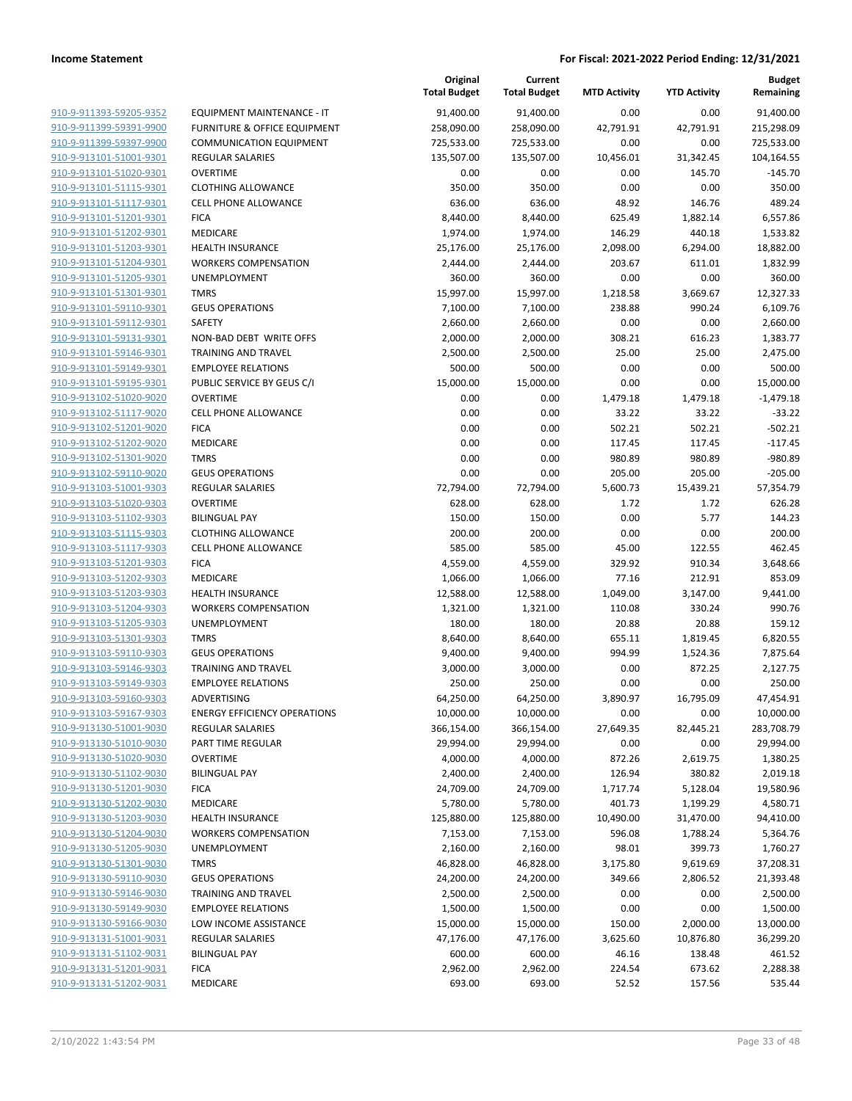|                         |                                         | Original<br><b>Total Budget</b> | Current<br><b>Total Budget</b> | <b>MTD Activity</b> | <b>YTD Activity</b> | Budget<br>Remaining |
|-------------------------|-----------------------------------------|---------------------------------|--------------------------------|---------------------|---------------------|---------------------|
| 910-9-911393-59205-9352 | EQUIPMENT MAINTENANCE - IT              | 91,400.00                       | 91,400.00                      | 0.00                | 0.00                | 91,400.00           |
| 910-9-911399-59391-9900 | <b>FURNITURE &amp; OFFICE EQUIPMENT</b> | 258,090.00                      | 258,090.00                     | 42,791.91           | 42,791.91           | 215,298.09          |
| 910-9-911399-59397-9900 | <b>COMMUNICATION EQUIPMENT</b>          | 725,533.00                      | 725,533.00                     | 0.00                | 0.00                | 725,533.00          |
| 910-9-913101-51001-9301 | <b>REGULAR SALARIES</b>                 | 135,507.00                      | 135,507.00                     | 10,456.01           | 31,342.45           | 104,164.55          |
| 910-9-913101-51020-9301 | <b>OVERTIME</b>                         | 0.00                            | 0.00                           | 0.00                | 145.70              | $-145.70$           |
| 910-9-913101-51115-9301 | <b>CLOTHING ALLOWANCE</b>               | 350.00                          | 350.00                         | 0.00                | 0.00                | 350.00              |
| 910-9-913101-51117-9301 | <b>CELL PHONE ALLOWANCE</b>             | 636.00                          | 636.00                         | 48.92               | 146.76              | 489.24              |
| 910-9-913101-51201-9301 | <b>FICA</b>                             | 8,440.00                        | 8,440.00                       | 625.49              | 1,882.14            | 6,557.86            |
| 910-9-913101-51202-9301 | MEDICARE                                | 1,974.00                        | 1,974.00                       | 146.29              | 440.18              | 1,533.82            |
| 910-9-913101-51203-9301 | <b>HEALTH INSURANCE</b>                 | 25,176.00                       | 25,176.00                      | 2,098.00            | 6,294.00            | 18,882.00           |
| 910-9-913101-51204-9301 | <b>WORKERS COMPENSATION</b>             | 2,444.00                        | 2,444.00                       | 203.67              | 611.01              | 1,832.99            |
| 910-9-913101-51205-9301 | UNEMPLOYMENT                            | 360.00                          | 360.00                         | 0.00                | 0.00                | 360.00              |
| 910-9-913101-51301-9301 | <b>TMRS</b>                             | 15,997.00                       | 15,997.00                      | 1,218.58            | 3,669.67            | 12,327.33           |
| 910-9-913101-59110-9301 | <b>GEUS OPERATIONS</b>                  | 7,100.00                        | 7,100.00                       | 238.88              | 990.24              | 6,109.76            |
| 910-9-913101-59112-9301 | <b>SAFETY</b>                           | 2,660.00                        | 2,660.00                       | 0.00                | 0.00                | 2,660.00            |
| 910-9-913101-59131-9301 | NON-BAD DEBT WRITE OFFS                 | 2,000.00                        | 2,000.00                       | 308.21              | 616.23              | 1,383.77            |
| 910-9-913101-59146-9301 | <b>TRAINING AND TRAVEL</b>              | 2,500.00                        | 2,500.00                       | 25.00               | 25.00               | 2,475.00            |
| 910-9-913101-59149-9301 | <b>EMPLOYEE RELATIONS</b>               | 500.00                          | 500.00                         | 0.00                | 0.00                | 500.00              |
| 910-9-913101-59195-9301 | PUBLIC SERVICE BY GEUS C/I              | 15,000.00                       | 15,000.00                      | 0.00                | 0.00                | 15,000.00           |
| 910-9-913102-51020-9020 | <b>OVERTIME</b>                         | 0.00                            | 0.00                           | 1,479.18            | 1,479.18            | $-1,479.18$         |
| 910-9-913102-51117-9020 | <b>CELL PHONE ALLOWANCE</b>             | 0.00                            | 0.00                           | 33.22               | 33.22               | $-33.22$            |
| 910-9-913102-51201-9020 | <b>FICA</b>                             | 0.00                            | 0.00                           | 502.21              | 502.21              | $-502.21$           |
| 910-9-913102-51202-9020 | MEDICARE                                | 0.00                            | 0.00                           | 117.45              | 117.45              | $-117.45$           |
| 910-9-913102-51301-9020 | <b>TMRS</b>                             | 0.00                            | 0.00                           | 980.89              | 980.89              | -980.89             |
| 910-9-913102-59110-9020 | <b>GEUS OPERATIONS</b>                  | 0.00                            | 0.00                           | 205.00              | 205.00              | $-205.00$           |
| 910-9-913103-51001-9303 | REGULAR SALARIES                        | 72,794.00                       | 72,794.00                      | 5,600.73            | 15,439.21           | 57,354.79           |
| 910-9-913103-51020-9303 | <b>OVERTIME</b>                         | 628.00                          | 628.00                         | 1.72                | 1.72                | 626.28              |
| 910-9-913103-51102-9303 | <b>BILINGUAL PAY</b>                    | 150.00                          | 150.00                         | 0.00                | 5.77                | 144.23              |
| 910-9-913103-51115-9303 | <b>CLOTHING ALLOWANCE</b>               | 200.00                          | 200.00                         | 0.00                | 0.00                | 200.00              |
| 910-9-913103-51117-9303 | CELL PHONE ALLOWANCE                    | 585.00                          | 585.00                         | 45.00               | 122.55              | 462.45              |
| 910-9-913103-51201-9303 | <b>FICA</b>                             | 4,559.00                        | 4,559.00                       | 329.92              | 910.34              | 3,648.66            |
| 910-9-913103-51202-9303 | MEDICARE                                | 1,066.00                        | 1,066.00                       | 77.16               | 212.91              | 853.09              |
| 910-9-913103-51203-9303 | <b>HEALTH INSURANCE</b>                 | 12,588.00                       | 12,588.00                      | 1,049.00            | 3,147.00            | 9,441.00            |
| 910-9-913103-51204-9303 | <b>WORKERS COMPENSATION</b>             | 1,321.00                        | 1,321.00                       | 110.08              | 330.24              | 990.76              |
| 910-9-913103-51205-9303 | UNEMPLOYMENT                            | 180.00                          | 180.00                         | 20.88               | 20.88               | 159.12              |
| 910-9-913103-51301-9303 | <b>TMRS</b>                             | 8,640.00                        | 8,640.00                       | 655.11              | 1,819.45            | 6,820.55            |
| 910-9-913103-59110-9303 | <b>GEUS OPERATIONS</b>                  | 9,400.00                        | 9,400.00                       | 994.99              | 1,524.36            | 7,875.64            |
| 910-9-913103-59146-9303 | <b>TRAINING AND TRAVEL</b>              | 3,000.00                        | 3,000.00                       | 0.00                | 872.25              | 2,127.75            |
| 910-9-913103-59149-9303 | <b>EMPLOYEE RELATIONS</b>               | 250.00                          | 250.00                         | 0.00                | 0.00                | 250.00              |
| 910-9-913103-59160-9303 | ADVERTISING                             | 64,250.00                       | 64,250.00                      | 3,890.97            | 16,795.09           | 47,454.91           |
| 910-9-913103-59167-9303 | <b>ENERGY EFFICIENCY OPERATIONS</b>     | 10,000.00                       | 10,000.00                      | 0.00                | 0.00                | 10,000.00           |
| 910-9-913130-51001-9030 | <b>REGULAR SALARIES</b>                 | 366,154.00                      | 366,154.00                     | 27,649.35           | 82,445.21           | 283,708.79          |
| 910-9-913130-51010-9030 | PART TIME REGULAR                       | 29,994.00                       | 29,994.00                      | 0.00                | 0.00                | 29,994.00           |
| 910-9-913130-51020-9030 | <b>OVERTIME</b>                         | 4,000.00                        | 4,000.00                       | 872.26              | 2,619.75            | 1,380.25            |
| 910-9-913130-51102-9030 | <b>BILINGUAL PAY</b>                    | 2,400.00                        | 2,400.00                       | 126.94              | 380.82              | 2,019.18            |
| 910-9-913130-51201-9030 | <b>FICA</b>                             | 24,709.00                       | 24,709.00                      | 1,717.74            | 5,128.04            | 19,580.96           |
| 910-9-913130-51202-9030 | MEDICARE                                | 5,780.00                        | 5,780.00                       | 401.73              | 1,199.29            | 4,580.71            |
| 910-9-913130-51203-9030 | <b>HEALTH INSURANCE</b>                 | 125,880.00                      | 125,880.00                     | 10,490.00           | 31,470.00           | 94,410.00           |
| 910-9-913130-51204-9030 | <b>WORKERS COMPENSATION</b>             | 7,153.00                        | 7,153.00                       | 596.08              | 1,788.24            | 5,364.76            |
| 910-9-913130-51205-9030 | UNEMPLOYMENT                            | 2,160.00                        | 2,160.00                       | 98.01               | 399.73              | 1,760.27            |
| 910-9-913130-51301-9030 | <b>TMRS</b>                             | 46,828.00                       | 46,828.00                      | 3,175.80            | 9,619.69            | 37,208.31           |
| 910-9-913130-59110-9030 | <b>GEUS OPERATIONS</b>                  | 24,200.00                       | 24,200.00                      | 349.66              | 2,806.52            | 21,393.48           |
| 910-9-913130-59146-9030 | <b>TRAINING AND TRAVEL</b>              | 2,500.00                        | 2,500.00                       | 0.00                | 0.00                | 2,500.00            |
| 910-9-913130-59149-9030 | <b>EMPLOYEE RELATIONS</b>               | 1,500.00                        | 1,500.00                       | 0.00                | 0.00                | 1,500.00            |
| 910-9-913130-59166-9030 | LOW INCOME ASSISTANCE                   | 15,000.00                       | 15,000.00                      | 150.00              | 2,000.00            | 13,000.00           |
| 910-9-913131-51001-9031 | REGULAR SALARIES                        | 47,176.00                       | 47,176.00                      | 3,625.60            | 10,876.80           | 36,299.20           |
| 910-9-913131-51102-9031 | <b>BILINGUAL PAY</b>                    | 600.00                          | 600.00                         | 46.16               | 138.48              | 461.52              |
| 910-9-913131-51201-9031 | <b>FICA</b>                             | 2,962.00                        | 2,962.00                       | 224.54              | 673.62              | 2,288.38            |
| 910-9-913131-51202-9031 | MEDICARE                                | 693.00                          | 693.00                         | 52.52               | 157.56              | 535.44              |
|                         |                                         |                                 |                                |                     |                     |                     |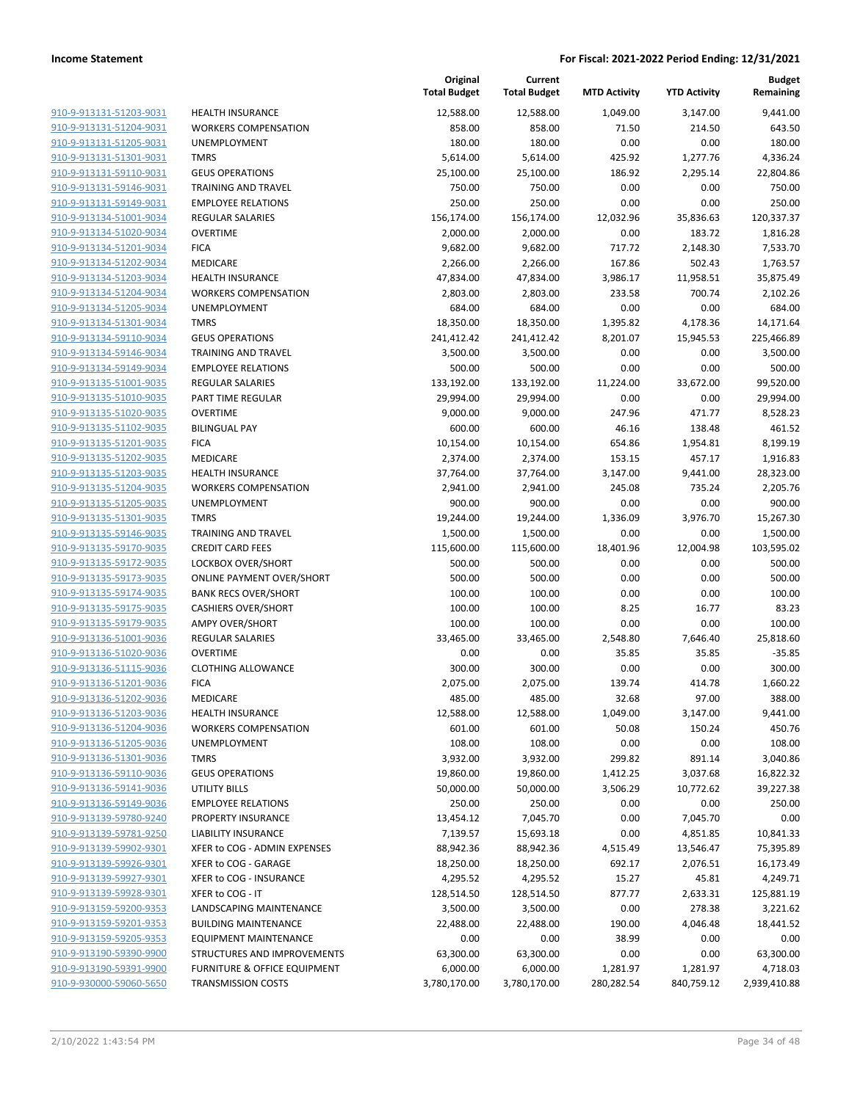| 910-9-913131-51203-9031                                          |
|------------------------------------------------------------------|
| 910-9-913131-51204-9031                                          |
| 910-9-913131-51205-9031                                          |
| 910-9-913131-51301-9031                                          |
| <u>910-9-913131-59110-9031</u>                                   |
| 910-9-913131-59146-9031                                          |
| 910-9-913131-59149-9031                                          |
| 910-9-913134-51001-9034                                          |
| 910-9-913134-51020-9034                                          |
| 910-9-913134-51201-9034                                          |
| 910-9-913134-51202-9034                                          |
| 910-9-913134-51203-9034                                          |
| 910-9-913134-51204-9034                                          |
| 910-9-913134-51205-9034                                          |
| <u>910-9-913134-51301-9034</u>                                   |
| 910-9-913134-59110-9034                                          |
| 910-9-913134-59146-9034                                          |
| 910-9-913134-59149-9034                                          |
| 910-9-913135-51001-9035                                          |
| <u>910-9-913135-51010-9035</u>                                   |
| 910-9-913135-51020-9035                                          |
| 910-9-913135-51102-9035                                          |
| 910-9-913135-51201-9035                                          |
| 910-9-913135-51202-9035                                          |
| <u>910-9-913135-51203-9035</u>                                   |
| 910-9-913135-51204-9035                                          |
| 910-9-913135-51205-9035                                          |
| 910-9-913135-51301-9035                                          |
| 910-9-913135-59146-9035                                          |
| <u>910-9-913135-59170-9035</u>                                   |
| 910-9-913135-59172-9035                                          |
| 910-9-913135-59173-9035                                          |
| 910-9-913135-59174-9035                                          |
| 910-9-913135-59175-9035                                          |
| <u>910-9-913135-59179-9035</u>                                   |
| 910-9-913136-51001-9036                                          |
| 910-9-913136-51020-9036                                          |
| 910-9-913136-51115-9036                                          |
| 910-9-913136-51201-9036                                          |
| 910-9-913136-51202-9036                                          |
| 910-9-913136-51203-9036                                          |
| 910-9-913136-51204-9036                                          |
| 910-9-913136-51205-9036                                          |
| <u>910-9-913136-51301-9036</u>                                   |
| <u>910-9-913136-59110-9036</u>                                   |
| <u>910-9-913136-59141-9036</u>                                   |
| 910-9-913136-59149-9036                                          |
| 910-9-913139-59780-9240                                          |
| <u>910-9-913139-59781-9250</u>                                   |
|                                                                  |
| <u>910-9-913139-59902-9301</u><br><u>910-9-913139-59926-9301</u> |
| 910-9-913139-59927-9301                                          |
| 910-9-913139-59928-9301                                          |
|                                                                  |
| <u>910-9-913159-59200-9353</u>                                   |
| <u>910-9-913159-59201-9353</u>                                   |
| <u>910-9-913159-59205-9353</u>                                   |
| 910-9-913190-59390-9900                                          |
| <u>910-9-913190-59391-9900</u>                                   |
| <u>910-9-930000-59060-5650</u>                                   |

|                         |                                         | Original<br><b>Total Budget</b> | Current<br><b>Total Budget</b> | <b>MTD Activity</b> | <b>YTD Activity</b> | <b>Budget</b><br>Remaining |
|-------------------------|-----------------------------------------|---------------------------------|--------------------------------|---------------------|---------------------|----------------------------|
| 910-9-913131-51203-9031 | <b>HEALTH INSURANCE</b>                 | 12,588.00                       | 12,588.00                      | 1,049.00            | 3,147.00            | 9,441.00                   |
| 910-9-913131-51204-9031 | <b>WORKERS COMPENSATION</b>             | 858.00                          | 858.00                         | 71.50               | 214.50              | 643.50                     |
| 910-9-913131-51205-9031 | UNEMPLOYMENT                            | 180.00                          | 180.00                         | 0.00                | 0.00                | 180.00                     |
| 910-9-913131-51301-9031 | <b>TMRS</b>                             | 5,614.00                        | 5,614.00                       | 425.92              | 1,277.76            | 4,336.24                   |
| 910-9-913131-59110-9031 | <b>GEUS OPERATIONS</b>                  | 25,100.00                       | 25,100.00                      | 186.92              | 2,295.14            | 22,804.86                  |
| 910-9-913131-59146-9031 | <b>TRAINING AND TRAVEL</b>              | 750.00                          | 750.00                         | 0.00                | 0.00                | 750.00                     |
| 910-9-913131-59149-9031 | <b>EMPLOYEE RELATIONS</b>               | 250.00                          | 250.00                         | 0.00                | 0.00                | 250.00                     |
| 910-9-913134-51001-9034 | <b>REGULAR SALARIES</b>                 | 156,174.00                      | 156,174.00                     | 12,032.96           | 35,836.63           | 120,337.37                 |
| 910-9-913134-51020-9034 | <b>OVERTIME</b>                         | 2,000.00                        | 2,000.00                       | 0.00                | 183.72              | 1,816.28                   |
| 910-9-913134-51201-9034 | <b>FICA</b>                             | 9,682.00                        | 9,682.00                       | 717.72              | 2,148.30            | 7,533.70                   |
| 910-9-913134-51202-9034 | MEDICARE                                | 2,266.00                        | 2,266.00                       | 167.86              | 502.43              | 1,763.57                   |
| 910-9-913134-51203-9034 | HEALTH INSURANCE                        | 47,834.00                       | 47,834.00                      | 3,986.17            | 11,958.51           | 35,875.49                  |
| 910-9-913134-51204-9034 | <b>WORKERS COMPENSATION</b>             | 2,803.00                        | 2,803.00                       | 233.58              | 700.74              | 2,102.26                   |
| 910-9-913134-51205-9034 | UNEMPLOYMENT                            | 684.00                          | 684.00                         | 0.00                | 0.00                | 684.00                     |
| 910-9-913134-51301-9034 | <b>TMRS</b>                             | 18,350.00                       | 18,350.00                      | 1,395.82            | 4,178.36            | 14,171.64                  |
| 910-9-913134-59110-9034 | <b>GEUS OPERATIONS</b>                  | 241,412.42                      | 241,412.42                     | 8,201.07            | 15,945.53           | 225,466.89                 |
| 910-9-913134-59146-9034 | TRAINING AND TRAVEL                     | 3,500.00                        | 3,500.00                       | 0.00                | 0.00                | 3,500.00                   |
| 910-9-913134-59149-9034 | <b>EMPLOYEE RELATIONS</b>               | 500.00                          | 500.00                         | 0.00                | 0.00                | 500.00                     |
| 910-9-913135-51001-9035 | <b>REGULAR SALARIES</b>                 | 133,192.00                      | 133,192.00                     | 11,224.00           | 33,672.00           | 99,520.00                  |
| 910-9-913135-51010-9035 | PART TIME REGULAR                       | 29,994.00                       | 29,994.00                      | 0.00                | 0.00                | 29,994.00                  |
| 910-9-913135-51020-9035 | <b>OVERTIME</b>                         | 9,000.00                        | 9,000.00                       | 247.96              | 471.77              | 8,528.23                   |
| 910-9-913135-51102-9035 | <b>BILINGUAL PAY</b>                    | 600.00                          | 600.00                         | 46.16               | 138.48              | 461.52                     |
| 910-9-913135-51201-9035 | <b>FICA</b>                             | 10,154.00                       | 10,154.00                      | 654.86              | 1,954.81            | 8,199.19                   |
| 910-9-913135-51202-9035 | MEDICARE                                | 2,374.00                        | 2,374.00                       | 153.15              | 457.17              | 1,916.83                   |
| 910-9-913135-51203-9035 | <b>HEALTH INSURANCE</b>                 | 37,764.00                       | 37,764.00                      | 3,147.00            | 9,441.00            | 28,323.00                  |
| 910-9-913135-51204-9035 | <b>WORKERS COMPENSATION</b>             | 2,941.00                        | 2,941.00                       | 245.08              | 735.24              | 2,205.76                   |
| 910-9-913135-51205-9035 | UNEMPLOYMENT                            | 900.00                          | 900.00                         | 0.00                | 0.00                | 900.00                     |
| 910-9-913135-51301-9035 | <b>TMRS</b>                             | 19,244.00                       | 19,244.00                      | 1,336.09            | 3,976.70            | 15,267.30                  |
| 910-9-913135-59146-9035 | <b>TRAINING AND TRAVEL</b>              | 1,500.00                        | 1,500.00                       | 0.00                | 0.00                | 1,500.00                   |
| 910-9-913135-59170-9035 | <b>CREDIT CARD FEES</b>                 | 115,600.00                      | 115,600.00                     | 18,401.96           | 12,004.98           | 103,595.02                 |
| 910-9-913135-59172-9035 | LOCKBOX OVER/SHORT                      | 500.00                          | 500.00                         | 0.00                | 0.00                | 500.00                     |
| 910-9-913135-59173-9035 | <b>ONLINE PAYMENT OVER/SHORT</b>        | 500.00                          | 500.00                         | 0.00                | 0.00                | 500.00                     |
| 910-9-913135-59174-9035 | <b>BANK RECS OVER/SHORT</b>             | 100.00                          | 100.00                         | 0.00                | 0.00                | 100.00                     |
| 910-9-913135-59175-9035 | <b>CASHIERS OVER/SHORT</b>              | 100.00                          | 100.00                         | 8.25                | 16.77               | 83.23                      |
| 910-9-913135-59179-9035 | <b>AMPY OVER/SHORT</b>                  | 100.00                          | 100.00                         | 0.00                | 0.00                | 100.00                     |
| 910-9-913136-51001-9036 | REGULAR SALARIES                        | 33,465.00                       | 33,465.00                      | 2,548.80            | 7,646.40            | 25,818.60                  |
| 910-9-913136-51020-9036 | <b>OVERTIME</b>                         | 0.00                            | 0.00                           | 35.85               | 35.85               | $-35.85$                   |
| 910-9-913136-51115-9036 | <b>CLOTHING ALLOWANCE</b>               | 300.00                          | 300.00                         | 0.00                | 0.00                | 300.00                     |
| 910-9-913136-51201-9036 | <b>FICA</b>                             | 2,075.00                        | 2,075.00                       | 139.74              | 414.78              | 1,660.22                   |
| 910-9-913136-51202-9036 | MEDICARE                                | 485.00                          | 485.00                         | 32.68               | 97.00               | 388.00                     |
| 910-9-913136-51203-9036 | <b>HEALTH INSURANCE</b>                 | 12,588.00                       | 12,588.00                      | 1,049.00            | 3,147.00            | 9,441.00                   |
| 910-9-913136-51204-9036 | <b>WORKERS COMPENSATION</b>             | 601.00                          | 601.00                         | 50.08               | 150.24              | 450.76                     |
| 910-9-913136-51205-9036 | UNEMPLOYMENT                            | 108.00                          | 108.00                         | 0.00                | 0.00                | 108.00                     |
| 910-9-913136-51301-9036 | <b>TMRS</b>                             | 3,932.00                        | 3,932.00                       | 299.82              | 891.14              | 3,040.86                   |
| 910-9-913136-59110-9036 | <b>GEUS OPERATIONS</b>                  | 19,860.00                       | 19,860.00                      | 1,412.25            | 3,037.68            | 16,822.32                  |
| 910-9-913136-59141-9036 | <b>UTILITY BILLS</b>                    | 50,000.00                       | 50,000.00                      | 3,506.29            | 10,772.62           | 39,227.38                  |
| 910-9-913136-59149-9036 | <b>EMPLOYEE RELATIONS</b>               | 250.00                          | 250.00                         | 0.00                | 0.00                | 250.00                     |
| 910-9-913139-59780-9240 | PROPERTY INSURANCE                      | 13,454.12                       | 7,045.70                       | 0.00                | 7,045.70            | 0.00                       |
| 910-9-913139-59781-9250 | <b>LIABILITY INSURANCE</b>              | 7,139.57                        | 15,693.18                      | 0.00                | 4,851.85            | 10,841.33                  |
| 910-9-913139-59902-9301 | XFER to COG - ADMIN EXPENSES            | 88,942.36                       | 88,942.36                      | 4,515.49            | 13,546.47           | 75,395.89                  |
| 910-9-913139-59926-9301 | XFER to COG - GARAGE                    | 18,250.00                       | 18,250.00                      | 692.17              | 2,076.51            | 16,173.49                  |
| 910-9-913139-59927-9301 | <b>XFER to COG - INSURANCE</b>          | 4,295.52                        | 4,295.52                       | 15.27               | 45.81               | 4,249.71                   |
| 910-9-913139-59928-9301 | XFER to COG - IT                        | 128,514.50                      | 128,514.50                     | 877.77              | 2,633.31            | 125,881.19                 |
| 910-9-913159-59200-9353 | LANDSCAPING MAINTENANCE                 | 3,500.00                        | 3,500.00                       | 0.00                | 278.38              | 3,221.62                   |
| 910-9-913159-59201-9353 | <b>BUILDING MAINTENANCE</b>             | 22,488.00                       | 22,488.00                      | 190.00              | 4,046.48            | 18,441.52                  |
| 910-9-913159-59205-9353 | <b>EQUIPMENT MAINTENANCE</b>            | 0.00                            | 0.00                           | 38.99               | 0.00                | 0.00                       |
| 910-9-913190-59390-9900 | STRUCTURES AND IMPROVEMENTS             | 63,300.00                       | 63,300.00                      | 0.00                | 0.00                | 63,300.00                  |
| 910-9-913190-59391-9900 | <b>FURNITURE &amp; OFFICE EQUIPMENT</b> | 6,000.00                        | 6,000.00                       | 1,281.97            | 1,281.97            | 4,718.03                   |
| 910-9-930000-59060-5650 | <b>TRANSMISSION COSTS</b>               | 3,780,170.00                    | 3,780,170.00                   | 280,282.54          | 840,759.12          | 2,939,410.88               |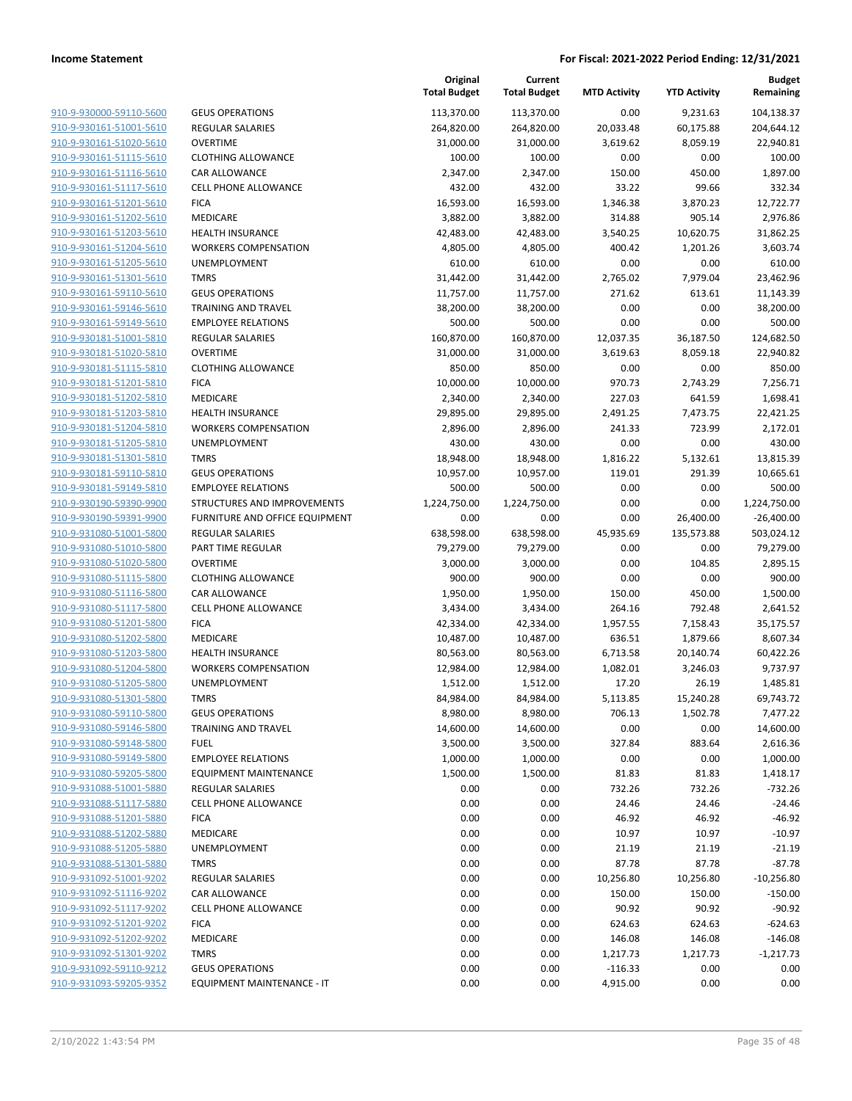| 910-9-930000-59110-5600        | GEL        |
|--------------------------------|------------|
| 910-9-930161-51001-5610        | REG        |
| 910-9-930161-51020-5610        | OVE        |
|                                |            |
| 910-9-930161-51115-5610        | CLO        |
| 910-9-930161-51116-5610        | CAF        |
| 910-9-930161-51117-5610        | <b>CEL</b> |
| 910-9-930161-51201-5610        | FIC/       |
| 910-9-930161-51202-5610        | MEI        |
| 910-9-930161-51203-5610        | HE/        |
| 910-9-930161-51204-5610        | WO         |
| 910-9-930161-51205-5610        | UNI        |
| 910-9-930161-51301-5610        | TMI        |
| 910-9-930161-59110-5610        | GEL        |
| 910-9-930161-59146-5610        | TRA        |
|                                |            |
| 910-9-930161-59149-5610        | <b>EMI</b> |
| 910-9-930181-51001-5810        | <b>REG</b> |
| 910-9-930181-51020-5810        | OVE        |
| 910-9-930181-51115-5810        | CLO        |
| 910-9-930181-51201-5810        | FIC/       |
| 910-9-930181-51202-5810        | MEI        |
| 910-9-930181-51203-5810        | HE/        |
| 910-9-930181-51204-5810        | WO         |
| 910-9-930181-51205-5810        | UNI        |
| 910-9-930181-51301-5810        | TMI        |
| 910-9-930181-59110-5810        | GEL        |
| 910-9-930181-59149-5810        | <b>EMI</b> |
| 910-9-930190-59390-9900        | <b>STR</b> |
| 910-9-930190-59391-9900        | <b>FUR</b> |
| 910-9-931080-51001-5800        | REG        |
|                                |            |
| 910-9-931080-51010-5800        | PAR        |
| 910-9-931080-51020-5800        | OVE        |
| 910-9-931080-51115-5800        | CLO        |
| 910-9-931080-51116-5800        | CAF        |
| 910-9-931080-51117-5800        | CEL        |
| 910-9-931080-51201-5800        | FIC/       |
| 910-9-931080-51202-5800        | MEI        |
| 910-9-931080-51203-5800        | HE/        |
| 910-9-931080-51204-5800        | <b>WO</b>  |
| 910-9-931080-51205-5800        | UNI        |
| 910-9-931080-51301-5800        | TMI        |
| 910-9-931080-59110-5800        | GEL        |
| 910-9-931080-59146-5800        | <b>TRA</b> |
| 910-9-931080-59148-5800        | fue        |
| 910-9-931080-59149-5800        | EMI        |
| <u>910-9-931080-59205-5800</u> | EQl        |
| 910-9-931088-51001-5880        | REG        |
|                                |            |
| 910-9-931088-51117-5880        | CEL        |
| 910-9-931088-51201-5880        | FIC/       |
| 910-9-931088-51202-5880        | MEI        |
| <u>910-9-931088-51205-5880</u> | UNI        |
| 910-9-931088-51301-5880        | <b>TMI</b> |
| 910-9-931092-51001-9202        | <b>REG</b> |
| 910-9-931092-51116-9202        | CAF        |
| 910-9-931092-51117-9202        | CEL        |
| 910-9-931092-51201-9202        | FIC/       |
| 910-9-931092-51202-9202        | MEI        |
| 910-9-931092-51301-9202        | TMI        |
| 910-9-931092-59110-9212        | GEL        |
| 910-9-931093-59205-9352        | ΕQι        |
|                                |            |

|                                                    |                                       | Original<br><b>Total Budget</b> | Current<br><b>Total Budget</b> | <b>MTD Activity</b> | <b>YTD Activity</b> | <b>Budget</b><br>Remaining |
|----------------------------------------------------|---------------------------------------|---------------------------------|--------------------------------|---------------------|---------------------|----------------------------|
| 910-9-930000-59110-5600                            | <b>GEUS OPERATIONS</b>                | 113,370.00                      | 113,370.00                     | 0.00                | 9,231.63            | 104,138.37                 |
| 910-9-930161-51001-5610                            | <b>REGULAR SALARIES</b>               | 264,820.00                      | 264,820.00                     | 20,033.48           | 60,175.88           | 204,644.12                 |
| 910-9-930161-51020-5610                            | <b>OVERTIME</b>                       | 31,000.00                       | 31,000.00                      | 3,619.62            | 8,059.19            | 22,940.81                  |
| 910-9-930161-51115-5610                            | <b>CLOTHING ALLOWANCE</b>             | 100.00                          | 100.00                         | 0.00                | 0.00                | 100.00                     |
| 910-9-930161-51116-5610                            | CAR ALLOWANCE                         | 2,347.00                        | 2,347.00                       | 150.00              | 450.00              | 1,897.00                   |
| 910-9-930161-51117-5610                            | <b>CELL PHONE ALLOWANCE</b>           | 432.00                          | 432.00                         | 33.22               | 99.66               | 332.34                     |
| 910-9-930161-51201-5610                            | <b>FICA</b>                           | 16,593.00                       | 16,593.00                      | 1,346.38            | 3,870.23            | 12,722.77                  |
| 910-9-930161-51202-5610                            | <b>MEDICARE</b>                       | 3,882.00                        | 3,882.00                       | 314.88              | 905.14              | 2,976.86                   |
| 910-9-930161-51203-5610                            | <b>HEALTH INSURANCE</b>               | 42,483.00                       | 42,483.00                      | 3,540.25            | 10,620.75           | 31,862.25                  |
| 910-9-930161-51204-5610                            | <b>WORKERS COMPENSATION</b>           | 4,805.00                        | 4,805.00                       | 400.42              | 1,201.26            | 3,603.74                   |
| 910-9-930161-51205-5610                            | <b>UNEMPLOYMENT</b>                   | 610.00                          | 610.00                         | 0.00                | 0.00                | 610.00                     |
| 910-9-930161-51301-5610                            | <b>TMRS</b>                           | 31,442.00                       | 31,442.00                      | 2,765.02            | 7,979.04            | 23,462.96                  |
| 910-9-930161-59110-5610                            | <b>GEUS OPERATIONS</b>                | 11,757.00                       | 11,757.00                      | 271.62              | 613.61              | 11,143.39                  |
| 910-9-930161-59146-5610                            | <b>TRAINING AND TRAVEL</b>            | 38,200.00                       | 38,200.00                      | 0.00                | 0.00                | 38,200.00                  |
| 910-9-930161-59149-5610                            | <b>EMPLOYEE RELATIONS</b>             | 500.00                          | 500.00                         | 0.00                | 0.00                | 500.00                     |
| 910-9-930181-51001-5810                            | REGULAR SALARIES                      | 160,870.00                      | 160,870.00                     | 12,037.35           | 36,187.50           | 124,682.50                 |
| 910-9-930181-51020-5810                            | <b>OVERTIME</b>                       | 31,000.00                       | 31,000.00                      | 3,619.63            | 8,059.18            | 22,940.82                  |
| 910-9-930181-51115-5810                            | <b>CLOTHING ALLOWANCE</b>             | 850.00                          | 850.00                         | 0.00                | 0.00                | 850.00                     |
| 910-9-930181-51201-5810                            | <b>FICA</b>                           | 10,000.00                       | 10,000.00                      | 970.73              | 2,743.29            | 7,256.71                   |
| 910-9-930181-51202-5810                            | MEDICARE                              | 2,340.00                        | 2,340.00                       | 227.03              | 641.59              | 1,698.41                   |
| 910-9-930181-51203-5810                            | <b>HEALTH INSURANCE</b>               | 29,895.00                       | 29,895.00                      | 2,491.25            | 7,473.75            | 22,421.25                  |
| 910-9-930181-51204-5810                            | <b>WORKERS COMPENSATION</b>           | 2,896.00                        | 2,896.00                       | 241.33              | 723.99              | 2,172.01                   |
| 910-9-930181-51205-5810                            | UNEMPLOYMENT                          | 430.00                          | 430.00                         | 0.00                | 0.00                | 430.00                     |
| 910-9-930181-51301-5810                            | <b>TMRS</b><br><b>GEUS OPERATIONS</b> | 18,948.00                       | 18,948.00                      | 1,816.22            | 5,132.61            | 13,815.39                  |
| 910-9-930181-59110-5810<br>910-9-930181-59149-5810 | <b>EMPLOYEE RELATIONS</b>             | 10,957.00<br>500.00             | 10,957.00                      | 119.01<br>0.00      | 291.39<br>0.00      | 10,665.61<br>500.00        |
| 910-9-930190-59390-9900                            | STRUCTURES AND IMPROVEMENTS           | 1,224,750.00                    | 500.00<br>1,224,750.00         | 0.00                | 0.00                | 1,224,750.00               |
| 910-9-930190-59391-9900                            | FURNITURE AND OFFICE EQUIPMENT        | 0.00                            | 0.00                           | 0.00                | 26,400.00           | $-26,400.00$               |
| 910-9-931080-51001-5800                            | <b>REGULAR SALARIES</b>               | 638,598.00                      | 638,598.00                     | 45,935.69           | 135,573.88          | 503,024.12                 |
| 910-9-931080-51010-5800                            | PART TIME REGULAR                     | 79,279.00                       | 79,279.00                      | 0.00                | 0.00                | 79,279.00                  |
| 910-9-931080-51020-5800                            | <b>OVERTIME</b>                       | 3,000.00                        | 3,000.00                       | 0.00                | 104.85              | 2,895.15                   |
| 910-9-931080-51115-5800                            | <b>CLOTHING ALLOWANCE</b>             | 900.00                          | 900.00                         | 0.00                | 0.00                | 900.00                     |
| 910-9-931080-51116-5800                            | <b>CAR ALLOWANCE</b>                  | 1,950.00                        | 1,950.00                       | 150.00              | 450.00              | 1,500.00                   |
| 910-9-931080-51117-5800                            | <b>CELL PHONE ALLOWANCE</b>           | 3,434.00                        | 3,434.00                       | 264.16              | 792.48              | 2,641.52                   |
| 910-9-931080-51201-5800                            | <b>FICA</b>                           | 42,334.00                       | 42,334.00                      | 1,957.55            | 7,158.43            | 35,175.57                  |
| 910-9-931080-51202-5800                            | MEDICARE                              | 10,487.00                       | 10,487.00                      | 636.51              | 1,879.66            | 8,607.34                   |
| 910-9-931080-51203-5800                            | <b>HEALTH INSURANCE</b>               | 80,563.00                       | 80,563.00                      | 6,713.58            | 20,140.74           | 60,422.26                  |
| 910-9-931080-51204-5800                            | <b>WORKERS COMPENSATION</b>           | 12,984.00                       | 12,984.00                      | 1,082.01            | 3,246.03            | 9,737.97                   |
| 910-9-931080-51205-5800                            | <b>UNEMPLOYMENT</b>                   | 1,512.00                        | 1,512.00                       | 17.20               | 26.19               | 1,485.81                   |
| 910-9-931080-51301-5800                            | <b>TMRS</b>                           | 84,984.00                       | 84,984.00                      | 5,113.85            | 15,240.28           | 69,743.72                  |
| 910-9-931080-59110-5800                            | <b>GEUS OPERATIONS</b>                | 8,980.00                        | 8,980.00                       | 706.13              | 1,502.78            | 7,477.22                   |
| 910-9-931080-59146-5800                            | <b>TRAINING AND TRAVEL</b>            | 14,600.00                       | 14,600.00                      | 0.00                | 0.00                | 14,600.00                  |
| 910-9-931080-59148-5800                            | <b>FUEL</b>                           | 3,500.00                        | 3,500.00                       | 327.84              | 883.64              | 2,616.36                   |
| 910-9-931080-59149-5800                            | <b>EMPLOYEE RELATIONS</b>             | 1,000.00                        | 1,000.00                       | 0.00                | 0.00                | 1,000.00                   |
| 910-9-931080-59205-5800                            | <b>EQUIPMENT MAINTENANCE</b>          | 1,500.00                        | 1,500.00                       | 81.83               | 81.83               | 1,418.17                   |
| 910-9-931088-51001-5880                            | <b>REGULAR SALARIES</b>               | 0.00                            | 0.00                           | 732.26              | 732.26              | $-732.26$                  |
| 910-9-931088-51117-5880                            | CELL PHONE ALLOWANCE                  | 0.00                            | 0.00                           | 24.46               | 24.46               | $-24.46$                   |
| 910-9-931088-51201-5880                            | <b>FICA</b>                           | 0.00                            | 0.00                           | 46.92               | 46.92               | $-46.92$                   |
| 910-9-931088-51202-5880                            | MEDICARE                              | 0.00                            | 0.00                           | 10.97               | 10.97               | $-10.97$                   |
| 910-9-931088-51205-5880                            | UNEMPLOYMENT                          | 0.00                            | 0.00                           | 21.19               | 21.19               | $-21.19$                   |
| 910-9-931088-51301-5880                            | <b>TMRS</b>                           | 0.00                            | 0.00                           | 87.78               | 87.78               | -87.78                     |
| 910-9-931092-51001-9202                            | REGULAR SALARIES                      | 0.00                            | 0.00                           | 10,256.80           | 10,256.80           | $-10,256.80$               |
| 910-9-931092-51116-9202                            | CAR ALLOWANCE                         | 0.00                            | 0.00                           | 150.00              | 150.00              | $-150.00$                  |
| 910-9-931092-51117-9202                            | <b>CELL PHONE ALLOWANCE</b>           | 0.00                            | 0.00                           | 90.92               | 90.92               | $-90.92$                   |
| 910-9-931092-51201-9202                            | <b>FICA</b>                           | 0.00                            | 0.00                           | 624.63              | 624.63              | $-624.63$                  |
| 910-9-931092-51202-9202                            | MEDICARE                              | 0.00                            | 0.00                           | 146.08              | 146.08              | $-146.08$                  |
| 910-9-931092-51301-9202                            | <b>TMRS</b>                           | 0.00                            | 0.00                           | 1,217.73            | 1,217.73            | $-1,217.73$                |
| 910-9-931092-59110-9212                            | <b>GEUS OPERATIONS</b>                | 0.00                            | 0.00                           | $-116.33$           | 0.00                | 0.00                       |
| 910-9-931093-59205-9352                            | EQUIPMENT MAINTENANCE - IT            | 0.00                            | 0.00                           | 4,915.00            | 0.00                | 0.00                       |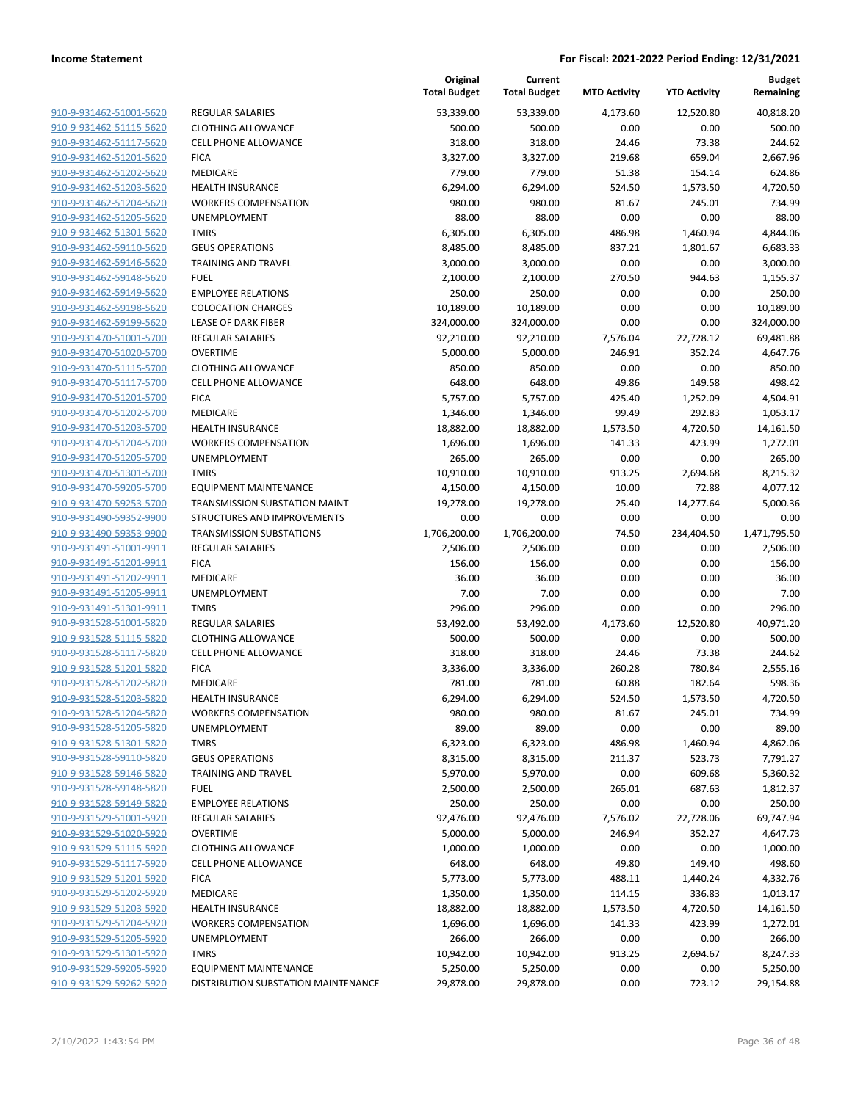| 910-9-931462-51001-5620        |
|--------------------------------|
| 910-9-931462-51115-5620        |
| 910-9-931462-51117-5620        |
| 910-9-931462-51201-5620        |
| 910-9-931462-51202-5620        |
| 910-9-931462-51203-5620        |
| 910-9-931462-51204-5620        |
| 910-9-931462-51205-5620        |
| 910-9-931462-51301-5620        |
| <u>910-9-931462-59110-5620</u> |
| 910-9-931462-59146-5620        |
| 910-9-931462-59148-5620        |
| 910-9-931462-59149-5620        |
| 910-9-931462-59198-5620        |
| <u>910-9-931462-59199-5620</u> |
| 910-9-931470-51001-5700        |
|                                |
| 910-9-931470-51020-5700        |
| 910-9-931470-51115-5700        |
| 910-9-931470-51117-5700        |
| 910-9-931470-51201-5700        |
| 910-9-931470-51202-5700        |
| 910-9-931470-51203-5700        |
| 910-9-931470-51204-5700        |
| 910-9-931470-51205-5700        |
| <u>910-9-931470-51301-5700</u> |
| 910-9-931470-59205-5700        |
| 910-9-931470-59253-5700        |
| 910-9-931490-59352-9900        |
| 910-9-931490-59353-9900        |
| <u>910-9-931491-51001-9911</u> |
| 910-9-931491-51201-9911        |
| 910-9-931491-51202-9911        |
| 910-9-931491-51205-9911        |
| 910-9-931491-51301-9911        |
| <u>910-9-931528-51001-5820</u> |
| 910-9-931528-51115-5820        |
| 910-9-931528-51117-5820        |
|                                |
| 910-9-931528-51201-5820        |
| 910-9-931528-51202-5820        |
| 910-9-931528-51203-5820        |
| 910-9-931528-51204-5820        |
| 910-9-931528-51205-5820        |
| 910-9-931528-51301-5820        |
| 910-9-931528-59110-5820        |
| <u>910-9-931528-59146-5820</u> |
| 910-9-931528-59148-5820        |
| 910-9-931528-59149-5820        |
| 910-9-931529-51001-5920        |
| <u>910-9-931529-51020-5920</u> |
| <u>910-9-931529-51115-5920</u> |
| <u>910-9-931529-51117-5920</u> |
| 910-9-931529-51201-5920        |
| 910-9-931529-51202-5920        |
| <u>910-9-931529-51203-5920</u> |
| <u>910-9-931529-51204-5920</u> |
| 910-9-931529-51205-5920        |
| 910-9-931529-51301-5920        |
| 910-9-931529-59205-5920        |
|                                |
| <u>910-9-931529-59262-5920</u> |

|                                                    |                                                        | Original<br><b>Total Budget</b> | Current<br><b>Total Budget</b> | <b>MTD Activity</b> | <b>YTD Activity</b> | <b>Budget</b><br>Remaining |
|----------------------------------------------------|--------------------------------------------------------|---------------------------------|--------------------------------|---------------------|---------------------|----------------------------|
| 910-9-931462-51001-5620                            | <b>REGULAR SALARIES</b>                                | 53,339.00                       | 53,339.00                      | 4,173.60            | 12,520.80           | 40,818.20                  |
| 910-9-931462-51115-5620                            | <b>CLOTHING ALLOWANCE</b>                              | 500.00                          | 500.00                         | 0.00                | 0.00                | 500.00                     |
| 910-9-931462-51117-5620                            | <b>CELL PHONE ALLOWANCE</b>                            | 318.00                          | 318.00                         | 24.46               | 73.38               | 244.62                     |
| 910-9-931462-51201-5620                            | <b>FICA</b>                                            | 3,327.00                        | 3,327.00                       | 219.68              | 659.04              | 2,667.96                   |
| 910-9-931462-51202-5620                            | MEDICARE                                               | 779.00                          | 779.00                         | 51.38               | 154.14              | 624.86                     |
| 910-9-931462-51203-5620                            | <b>HEALTH INSURANCE</b>                                | 6,294.00                        | 6,294.00                       | 524.50              | 1,573.50            | 4,720.50                   |
| 910-9-931462-51204-5620                            | <b>WORKERS COMPENSATION</b>                            | 980.00                          | 980.00                         | 81.67               | 245.01              | 734.99                     |
| 910-9-931462-51205-5620                            | UNEMPLOYMENT                                           | 88.00                           | 88.00                          | 0.00                | 0.00                | 88.00                      |
| 910-9-931462-51301-5620                            | <b>TMRS</b>                                            | 6,305.00                        | 6,305.00                       | 486.98              | 1,460.94            | 4,844.06                   |
| 910-9-931462-59110-5620                            | <b>GEUS OPERATIONS</b>                                 | 8,485.00                        | 8,485.00                       | 837.21              | 1,801.67            | 6,683.33                   |
| 910-9-931462-59146-5620                            | <b>TRAINING AND TRAVEL</b>                             | 3,000.00                        | 3,000.00                       | 0.00                | 0.00                | 3,000.00                   |
| 910-9-931462-59148-5620                            | <b>FUEL</b>                                            | 2,100.00                        | 2,100.00                       | 270.50              | 944.63              | 1,155.37                   |
| 910-9-931462-59149-5620                            | <b>EMPLOYEE RELATIONS</b>                              | 250.00                          | 250.00                         | 0.00                | 0.00                | 250.00                     |
| 910-9-931462-59198-5620                            | <b>COLOCATION CHARGES</b>                              | 10,189.00                       | 10,189.00                      | 0.00                | 0.00                | 10,189.00                  |
| 910-9-931462-59199-5620                            | <b>LEASE OF DARK FIBER</b>                             | 324,000.00                      | 324,000.00                     | 0.00                | 0.00                | 324,000.00                 |
| 910-9-931470-51001-5700                            | <b>REGULAR SALARIES</b>                                | 92,210.00                       | 92,210.00                      | 7,576.04            | 22,728.12           | 69,481.88                  |
| 910-9-931470-51020-5700                            | <b>OVERTIME</b>                                        | 5,000.00                        | 5,000.00                       | 246.91              | 352.24              | 4,647.76                   |
| 910-9-931470-51115-5700                            | <b>CLOTHING ALLOWANCE</b>                              | 850.00                          | 850.00                         | 0.00                | 0.00                | 850.00                     |
| 910-9-931470-51117-5700                            | <b>CELL PHONE ALLOWANCE</b>                            | 648.00                          | 648.00                         | 49.86               | 149.58              | 498.42                     |
| 910-9-931470-51201-5700                            | <b>FICA</b>                                            | 5,757.00                        | 5,757.00<br>1,346.00           | 425.40              | 1,252.09            | 4,504.91                   |
| 910-9-931470-51202-5700                            | MEDICARE                                               | 1,346.00                        |                                | 99.49               | 292.83              | 1,053.17                   |
| 910-9-931470-51203-5700<br>910-9-931470-51204-5700 | <b>HEALTH INSURANCE</b><br><b>WORKERS COMPENSATION</b> | 18,882.00                       | 18,882.00                      | 1,573.50            | 4,720.50<br>423.99  | 14,161.50                  |
| 910-9-931470-51205-5700                            | <b>UNEMPLOYMENT</b>                                    | 1,696.00<br>265.00              | 1,696.00<br>265.00             | 141.33<br>0.00      | 0.00                | 1,272.01<br>265.00         |
| 910-9-931470-51301-5700                            | <b>TMRS</b>                                            | 10,910.00                       | 10,910.00                      | 913.25              | 2,694.68            | 8,215.32                   |
| 910-9-931470-59205-5700                            | <b>EQUIPMENT MAINTENANCE</b>                           | 4,150.00                        | 4,150.00                       | 10.00               | 72.88               | 4,077.12                   |
| 910-9-931470-59253-5700                            | TRANSMISSION SUBSTATION MAINT                          | 19,278.00                       | 19,278.00                      | 25.40               | 14,277.64           | 5,000.36                   |
| 910-9-931490-59352-9900                            | STRUCTURES AND IMPROVEMENTS                            | 0.00                            | 0.00                           | 0.00                | 0.00                | 0.00                       |
| 910-9-931490-59353-9900                            | <b>TRANSMISSION SUBSTATIONS</b>                        | 1,706,200.00                    | 1,706,200.00                   | 74.50               | 234,404.50          | 1,471,795.50               |
| 910-9-931491-51001-9911                            | <b>REGULAR SALARIES</b>                                | 2,506.00                        | 2,506.00                       | 0.00                | 0.00                | 2,506.00                   |
| 910-9-931491-51201-9911                            | <b>FICA</b>                                            | 156.00                          | 156.00                         | 0.00                | 0.00                | 156.00                     |
| 910-9-931491-51202-9911                            | MEDICARE                                               | 36.00                           | 36.00                          | 0.00                | 0.00                | 36.00                      |
| 910-9-931491-51205-9911                            | UNEMPLOYMENT                                           | 7.00                            | 7.00                           | 0.00                | 0.00                | 7.00                       |
| 910-9-931491-51301-9911                            | <b>TMRS</b>                                            | 296.00                          | 296.00                         | 0.00                | 0.00                | 296.00                     |
| 910-9-931528-51001-5820                            | <b>REGULAR SALARIES</b>                                | 53,492.00                       | 53,492.00                      | 4,173.60            | 12,520.80           | 40,971.20                  |
| 910-9-931528-51115-5820                            | <b>CLOTHING ALLOWANCE</b>                              | 500.00                          | 500.00                         | 0.00                | 0.00                | 500.00                     |
| 910-9-931528-51117-5820                            | <b>CELL PHONE ALLOWANCE</b>                            | 318.00                          | 318.00                         | 24.46               | 73.38               | 244.62                     |
| 910-9-931528-51201-5820                            | <b>FICA</b>                                            | 3,336.00                        | 3,336.00                       | 260.28              | 780.84              | 2,555.16                   |
| 910-9-931528-51202-5820                            | <b>MEDICARE</b>                                        | 781.00                          | 781.00                         | 60.88               | 182.64              | 598.36                     |
| 910-9-931528-51203-5820                            | <b>HEALTH INSURANCE</b>                                | 6,294.00                        | 6,294.00                       | 524.50              | 1,573.50            | 4,720.50                   |
| 910-9-931528-51204-5820                            | <b>WORKERS COMPENSATION</b>                            | 980.00                          | 980.00                         | 81.67               | 245.01              | 734.99                     |
| 910-9-931528-51205-5820                            | UNEMPLOYMENT                                           | 89.00                           | 89.00                          | 0.00                | 0.00                | 89.00                      |
| 910-9-931528-51301-5820                            | <b>TMRS</b>                                            | 6,323.00                        | 6,323.00                       | 486.98              | 1,460.94            | 4,862.06                   |
| 910-9-931528-59110-5820                            | <b>GEUS OPERATIONS</b>                                 | 8,315.00                        | 8,315.00                       | 211.37              | 523.73              | 7,791.27                   |
| 910-9-931528-59146-5820                            | <b>TRAINING AND TRAVEL</b>                             | 5,970.00                        | 5,970.00                       | 0.00                | 609.68              | 5,360.32                   |
| 910-9-931528-59148-5820                            | <b>FUEL</b>                                            | 2,500.00                        | 2,500.00                       | 265.01              | 687.63              | 1,812.37                   |
| 910-9-931528-59149-5820                            | <b>EMPLOYEE RELATIONS</b>                              | 250.00                          | 250.00                         | 0.00                | 0.00                | 250.00                     |
| 910-9-931529-51001-5920                            | <b>REGULAR SALARIES</b>                                | 92,476.00                       | 92,476.00                      | 7,576.02            | 22,728.06           | 69,747.94                  |
| 910-9-931529-51020-5920                            | <b>OVERTIME</b>                                        | 5,000.00                        | 5,000.00                       | 246.94              | 352.27              | 4,647.73                   |
| 910-9-931529-51115-5920                            | <b>CLOTHING ALLOWANCE</b>                              | 1,000.00                        | 1,000.00                       | 0.00                | 0.00                | 1,000.00                   |
| 910-9-931529-51117-5920                            | <b>CELL PHONE ALLOWANCE</b>                            | 648.00                          | 648.00                         | 49.80               | 149.40              | 498.60                     |
| 910-9-931529-51201-5920                            | <b>FICA</b>                                            | 5,773.00                        | 5,773.00                       | 488.11              | 1,440.24            | 4,332.76                   |
| 910-9-931529-51202-5920<br>910-9-931529-51203-5920 | MEDICARE                                               | 1,350.00                        | 1,350.00                       | 114.15              | 336.83              | 1,013.17                   |
| 910-9-931529-51204-5920                            | <b>HEALTH INSURANCE</b><br><b>WORKERS COMPENSATION</b> | 18,882.00<br>1,696.00           | 18,882.00<br>1,696.00          | 1,573.50<br>141.33  | 4,720.50<br>423.99  | 14,161.50<br>1,272.01      |
| 910-9-931529-51205-5920                            | UNEMPLOYMENT                                           | 266.00                          | 266.00                         | 0.00                | 0.00                | 266.00                     |
| 910-9-931529-51301-5920                            | <b>TMRS</b>                                            | 10,942.00                       | 10,942.00                      | 913.25              | 2,694.67            | 8,247.33                   |
| 910-9-931529-59205-5920                            | <b>EQUIPMENT MAINTENANCE</b>                           | 5,250.00                        | 5,250.00                       | 0.00                | 0.00                | 5,250.00                   |
| 910-9-931529-59262-5920                            | DISTRIBUTION SUBSTATION MAINTENANCE                    | 29,878.00                       | 29,878.00                      | 0.00                | 723.12              | 29,154.88                  |
|                                                    |                                                        |                                 |                                |                     |                     |                            |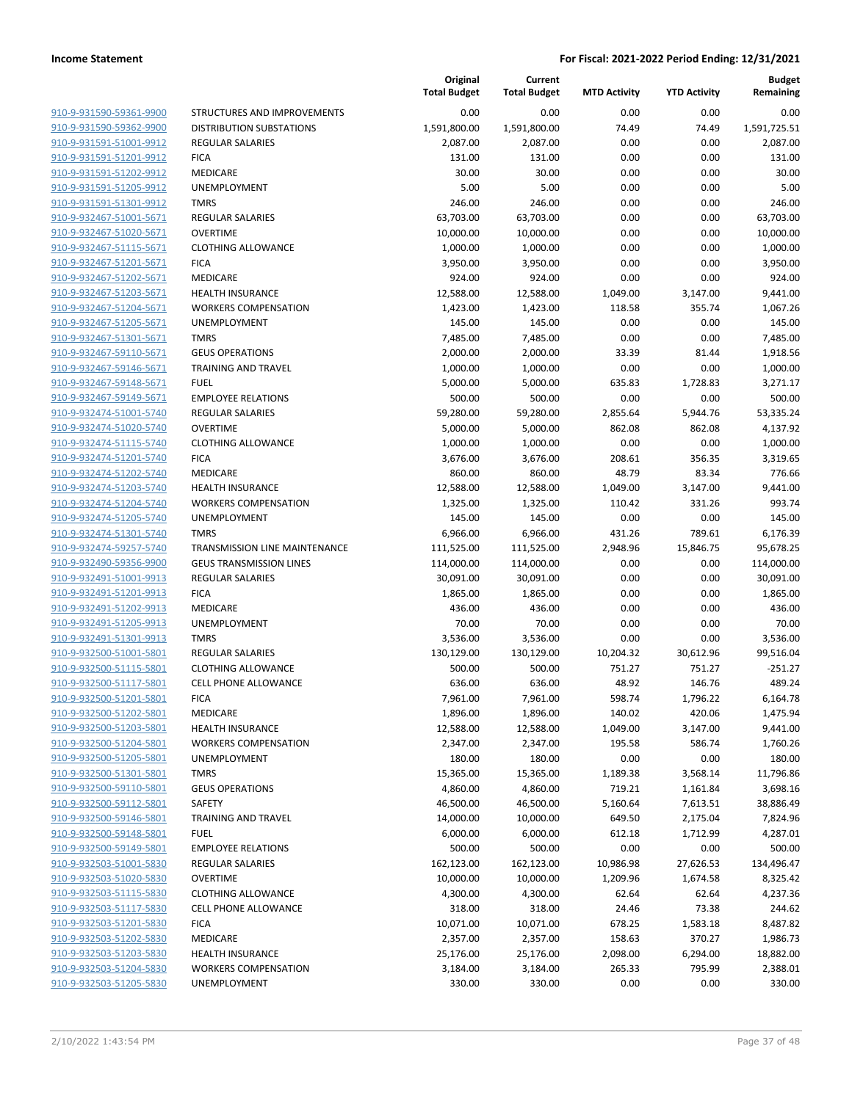| 910-9-931590-59361-9900        |
|--------------------------------|
| 910-9-931590-59362-9900        |
| 910-9-931591-51001-9912        |
| 910-9-931591-51201-9912        |
| 910-9-931591-51202-9912        |
| 910-9-931591-51205-9912        |
| <u>910-9-931591-51301-9912</u> |
| 910-9-932467-51001-5671        |
| 910-9-932467-51020-5671        |
| 910-9-932467-51115-5671        |
| 910-9-932467-51201-5671        |
| 910-9-932467-51202-5671        |
| 910-9-932467-51203-5671        |
| 910-9-932467-51204-5671        |
| 910-9-932467-51205-5671        |
| 910-9-932467-51301-5671        |
| <u>910-9-932467-59110-5671</u> |
| 910-9-932467-59146-5671        |
|                                |
| <u>910-9-932467-59148-5671</u> |
| 910-9-932467-59149-5671        |
| 910-9-932474-51001-5740        |
| 910-9-932474-51020-5740        |
| 910-9-932474-51115-5740        |
| 910-9-932474-51201-5740        |
| 910-9-932474-51202-5740        |
| 910-9-932474-51203-5740        |
| 910-9-932474-51204-5740        |
| 910-9-932474-51205-5740        |
| 910-9-932474-51301-5740        |
| 910-9-932474-59257-5740        |
| 910-9-932490-59356-9900        |
| 910-9-932491-51001-9913        |
| 910-9-932491-51201-9913        |
| 910-9-932491-51202-9913        |
| 910-9-932491-51205-9913        |
| 910-9-932491-51301-9913        |
| <u>910-9-932500-51001-5801</u> |
| 910-9-932500-51115-5801        |
| 910-9-932500-51117-5801        |
| 910-9-932500-51201-5801        |
| <u>910-9-932500-51202-5801</u> |
| <u>910-9-932500-51203-5801</u> |
| <u>910-9-932500-51204-5801</u> |
| 910-9-932500-51205-5801        |
| <u>910-9-932500-51301-5801</u> |
| 910-9-932500-59110-5801        |
| 910-9-932500-59112-5801        |
| <u>910-9-932500-59146-5801</u> |
| 910-9-932500-59148-5801        |
|                                |
| 910-9-932500-59149-5801        |
| <u>910-9-932503-51001-5830</u> |
| <u>910-9-932503-51020-5830</u> |
| <u>910-9-932503-51115-5830</u> |
| 910-9-932503-51117-5830        |
| 910-9-932503-51201-5830        |
| <u>910-9-932503-51202-5830</u> |
| 910-9-932503-51203-5830        |
| <u>910-9-932503-51204-5830</u> |
| 910-9-932503-51205-5830        |
|                                |

|                                                    |                                      | Original<br><b>Total Budget</b> | Current<br><b>Total Budget</b> | <b>MTD Activity</b> | <b>YTD Activity</b> | <b>Budget</b><br>Remaining |
|----------------------------------------------------|--------------------------------------|---------------------------------|--------------------------------|---------------------|---------------------|----------------------------|
| 910-9-931590-59361-9900                            | <b>STRUCTURES AND IMPROVEMENTS</b>   | 0.00                            | 0.00                           | 0.00                | 0.00                | 0.00                       |
| 910-9-931590-59362-9900                            | <b>DISTRIBUTION SUBSTATIONS</b>      | 1,591,800.00                    | 1,591,800.00                   | 74.49               | 74.49               | 1,591,725.51               |
| 910-9-931591-51001-9912                            | <b>REGULAR SALARIES</b>              | 2,087.00                        | 2,087.00                       | 0.00                | 0.00                | 2,087.00                   |
| 910-9-931591-51201-9912                            | <b>FICA</b>                          | 131.00                          | 131.00                         | 0.00                | 0.00                | 131.00                     |
| 910-9-931591-51202-9912                            | MEDICARE                             | 30.00                           | 30.00                          | 0.00                | 0.00                | 30.00                      |
| 910-9-931591-51205-9912                            | UNEMPLOYMENT                         | 5.00                            | 5.00                           | 0.00                | 0.00                | 5.00                       |
| 910-9-931591-51301-9912                            | <b>TMRS</b>                          | 246.00                          | 246.00                         | 0.00                | 0.00                | 246.00                     |
| 910-9-932467-51001-5671                            | <b>REGULAR SALARIES</b>              | 63,703.00                       | 63,703.00                      | 0.00                | 0.00                | 63,703.00                  |
| 910-9-932467-51020-5671                            | <b>OVERTIME</b>                      | 10,000.00                       | 10,000.00                      | 0.00                | 0.00                | 10,000.00                  |
| 910-9-932467-51115-5671                            | <b>CLOTHING ALLOWANCE</b>            | 1,000.00                        | 1,000.00                       | 0.00                | 0.00                | 1,000.00                   |
| 910-9-932467-51201-5671                            | <b>FICA</b>                          | 3,950.00                        | 3,950.00                       | 0.00                | 0.00                | 3,950.00                   |
| 910-9-932467-51202-5671                            | MEDICARE                             | 924.00                          | 924.00                         | 0.00                | 0.00                | 924.00                     |
| 910-9-932467-51203-5671                            | <b>HEALTH INSURANCE</b>              | 12,588.00                       | 12,588.00                      | 1,049.00            | 3,147.00            | 9,441.00                   |
| 910-9-932467-51204-5671                            | <b>WORKERS COMPENSATION</b>          | 1,423.00                        | 1,423.00                       | 118.58              | 355.74              | 1,067.26                   |
| 910-9-932467-51205-5671                            | <b>UNEMPLOYMENT</b>                  | 145.00                          | 145.00                         | 0.00                | 0.00                | 145.00                     |
| 910-9-932467-51301-5671                            | <b>TMRS</b>                          | 7,485.00                        | 7,485.00                       | 0.00                | 0.00                | 7,485.00                   |
| 910-9-932467-59110-5671                            | <b>GEUS OPERATIONS</b>               | 2,000.00                        | 2,000.00                       | 33.39               | 81.44               | 1,918.56                   |
| 910-9-932467-59146-5671                            | <b>TRAINING AND TRAVEL</b>           | 1,000.00                        | 1,000.00                       | 0.00                | 0.00                | 1,000.00                   |
| 910-9-932467-59148-5671                            | <b>FUEL</b>                          | 5,000.00                        | 5,000.00                       | 635.83              | 1,728.83            | 3,271.17                   |
| 910-9-932467-59149-5671                            | <b>EMPLOYEE RELATIONS</b>            | 500.00                          | 500.00                         | 0.00                | 0.00                | 500.00                     |
| 910-9-932474-51001-5740                            | <b>REGULAR SALARIES</b>              | 59,280.00                       | 59,280.00                      | 2,855.64            | 5,944.76            | 53,335.24                  |
| 910-9-932474-51020-5740                            | <b>OVERTIME</b>                      | 5,000.00                        | 5,000.00                       | 862.08              | 862.08              | 4,137.92                   |
| 910-9-932474-51115-5740                            | <b>CLOTHING ALLOWANCE</b>            | 1,000.00                        | 1,000.00                       | 0.00                | 0.00                | 1,000.00                   |
| 910-9-932474-51201-5740                            | <b>FICA</b>                          | 3,676.00                        | 3,676.00                       | 208.61              | 356.35              | 3,319.65                   |
| 910-9-932474-51202-5740                            | MEDICARE                             | 860.00                          | 860.00                         | 48.79               | 83.34               | 776.66                     |
| 910-9-932474-51203-5740                            | <b>HEALTH INSURANCE</b>              | 12,588.00                       | 12,588.00                      | 1,049.00            | 3,147.00            | 9,441.00                   |
| 910-9-932474-51204-5740                            | <b>WORKERS COMPENSATION</b>          | 1,325.00                        | 1,325.00                       | 110.42              | 331.26              | 993.74                     |
| 910-9-932474-51205-5740                            | UNEMPLOYMENT                         | 145.00                          | 145.00                         | 0.00                | 0.00                | 145.00                     |
| 910-9-932474-51301-5740                            | <b>TMRS</b>                          | 6,966.00                        | 6,966.00                       | 431.26              | 789.61              | 6,176.39                   |
| 910-9-932474-59257-5740                            | TRANSMISSION LINE MAINTENANCE        | 111,525.00                      | 111,525.00                     | 2,948.96            | 15,846.75           | 95,678.25                  |
| 910-9-932490-59356-9900                            | <b>GEUS TRANSMISSION LINES</b>       | 114,000.00                      | 114,000.00                     | 0.00                | 0.00                | 114,000.00                 |
| 910-9-932491-51001-9913                            | <b>REGULAR SALARIES</b>              | 30,091.00                       | 30,091.00                      | 0.00                | 0.00                | 30,091.00                  |
| 910-9-932491-51201-9913                            | <b>FICA</b>                          | 1,865.00                        | 1,865.00                       | 0.00                | 0.00                | 1,865.00                   |
| 910-9-932491-51202-9913                            | MEDICARE                             | 436.00                          | 436.00                         | 0.00                | 0.00                | 436.00                     |
| 910-9-932491-51205-9913                            | <b>UNEMPLOYMENT</b>                  | 70.00                           | 70.00                          | 0.00                | 0.00                | 70.00                      |
| 910-9-932491-51301-9913                            | <b>TMRS</b>                          | 3,536.00                        | 3,536.00                       | 0.00                | 0.00                | 3,536.00                   |
| 910-9-932500-51001-5801                            | <b>REGULAR SALARIES</b>              | 130,129.00                      | 130,129.00                     | 10,204.32           | 30,612.96           | 99,516.04                  |
| 910-9-932500-51115-5801                            | <b>CLOTHING ALLOWANCE</b>            | 500.00                          | 500.00                         | 751.27              | 751.27              | -251.27                    |
| 910-9-932500-51117-5801                            | <b>CELL PHONE ALLOWANCE</b>          | 636.00                          | 636.00                         | 48.92               | 146.76              | 489.24                     |
| 910-9-932500-51201-5801                            | <b>FICA</b>                          | 7,961.00                        | 7,961.00                       | 598.74              | 1,796.22            | 6,164.78                   |
| 910-9-932500-51202-5801                            | MEDICARE                             | 1,896.00                        | 1,896.00                       | 140.02              | 420.06              | 1,475.94                   |
| 910-9-932500-51203-5801                            | <b>HEALTH INSURANCE</b>              | 12,588.00                       | 12,588.00                      | 1,049.00            | 3,147.00            | 9,441.00                   |
| 910-9-932500-51204-5801<br>910-9-932500-51205-5801 | <b>WORKERS COMPENSATION</b>          | 2,347.00                        | 2,347.00                       | 195.58              | 586.74              | 1,760.26                   |
|                                                    | UNEMPLOYMENT                         | 180.00<br>15,365.00             | 180.00                         | 0.00                | 0.00                | 180.00                     |
| 910-9-932500-51301-5801                            | <b>TMRS</b>                          |                                 | 15,365.00                      | 1,189.38            | 3,568.14            | 11,796.86                  |
| 910-9-932500-59110-5801<br>910-9-932500-59112-5801 | <b>GEUS OPERATIONS</b>               | 4,860.00                        | 4,860.00                       | 719.21              | 1,161.84            | 3,698.16                   |
| 910-9-932500-59146-5801                            | SAFETY<br><b>TRAINING AND TRAVEL</b> | 46,500.00                       | 46,500.00                      | 5,160.64            | 7,613.51            | 38,886.49                  |
| 910-9-932500-59148-5801                            | <b>FUEL</b>                          | 14,000.00<br>6,000.00           | 10,000.00                      | 649.50              | 2,175.04            | 7,824.96                   |
| 910-9-932500-59149-5801                            | <b>EMPLOYEE RELATIONS</b>            | 500.00                          | 6,000.00<br>500.00             | 612.18<br>0.00      | 1,712.99<br>0.00    | 4,287.01<br>500.00         |
| 910-9-932503-51001-5830                            | <b>REGULAR SALARIES</b>              | 162,123.00                      | 162,123.00                     | 10,986.98           |                     | 134,496.47                 |
| 910-9-932503-51020-5830                            | <b>OVERTIME</b>                      | 10,000.00                       | 10,000.00                      | 1,209.96            | 27,626.53           | 8,325.42                   |
| 910-9-932503-51115-5830                            | <b>CLOTHING ALLOWANCE</b>            | 4,300.00                        | 4,300.00                       | 62.64               | 1,674.58<br>62.64   | 4,237.36                   |
| 910-9-932503-51117-5830                            | <b>CELL PHONE ALLOWANCE</b>          | 318.00                          | 318.00                         | 24.46               | 73.38               | 244.62                     |
| 910-9-932503-51201-5830                            | <b>FICA</b>                          | 10,071.00                       | 10,071.00                      | 678.25              | 1,583.18            | 8,487.82                   |
| 910-9-932503-51202-5830                            | MEDICARE                             | 2,357.00                        | 2,357.00                       | 158.63              | 370.27              | 1,986.73                   |
| 910-9-932503-51203-5830                            | <b>HEALTH INSURANCE</b>              | 25,176.00                       | 25,176.00                      | 2,098.00            | 6,294.00            | 18,882.00                  |
| 910-9-932503-51204-5830                            | <b>WORKERS COMPENSATION</b>          | 3,184.00                        | 3,184.00                       | 265.33              | 795.99              | 2,388.01                   |
| 910-9-932503-51205-5830                            | UNEMPLOYMENT                         | 330.00                          | 330.00                         | 0.00                | 0.00                | 330.00                     |
|                                                    |                                      |                                 |                                |                     |                     |                            |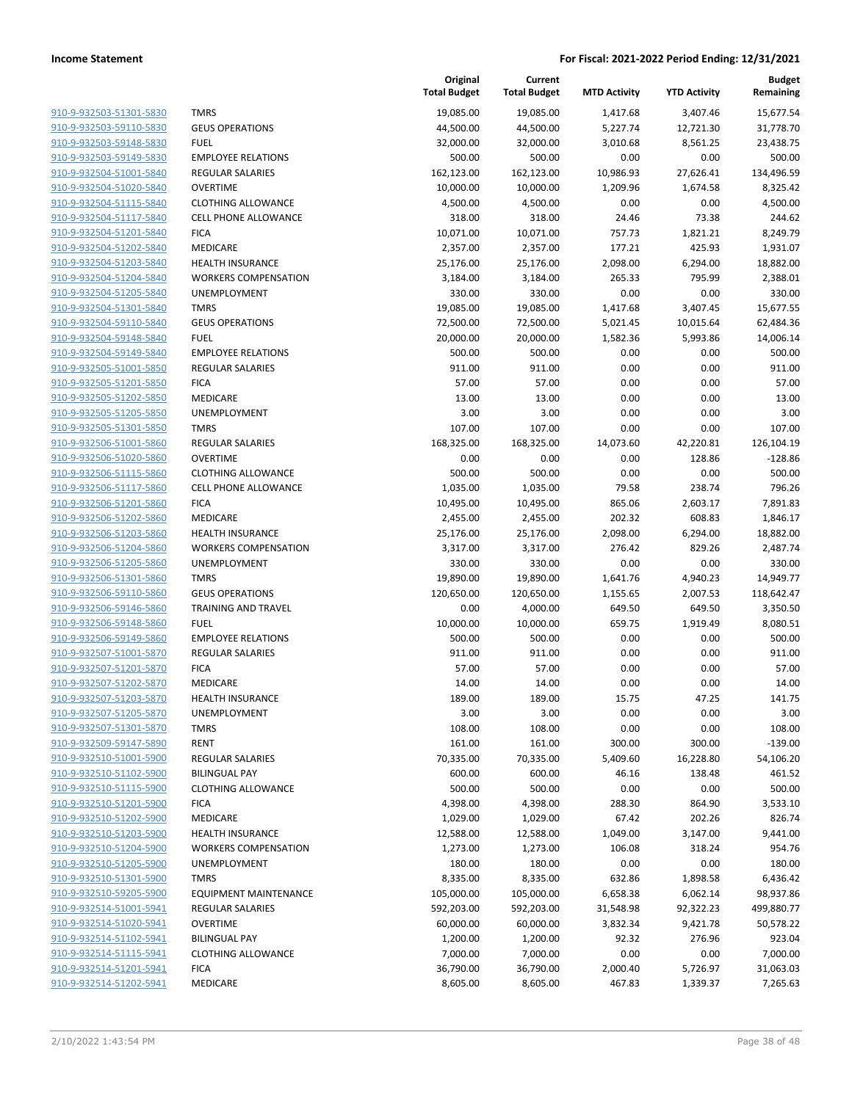| 910-9-932503-51301-5830 |
|-------------------------|
| 910-9-932503-59110-5830 |
| 910-9-932503-59148-5830 |
| 910-9-932503-59149-5830 |
| 910-9-932504-51001-5840 |
| 910-9-932504-51020-5840 |
| 910-9-932504-51115-5840 |
| 910-9-932504-51117-5840 |
| 910-9-932504-51201-5840 |
| 910-9-932504-51202-5840 |
| 910-9-932504-51203-5840 |
| 910-9-932504-51204-5840 |
| 910-9-932504-51205-5840 |
| 910-9-932504-51301-5840 |
| 910-9-932504-59110-5840 |
| 910-9-932504-59148-5840 |
| 910-9-932504-59149-5840 |
| 910-9-932505-51001-5850 |
| 910-9-932505-51201-5850 |
| 910-9-932505-51202-5850 |
| 910-9-932505-51205-5850 |
| 910-9-932505-51301-5850 |
| 910-9-932506-51001-5860 |
| 910-9-932506-51020-5860 |
| 910-9-932506-51115-5860 |
| 910-9-932506-51117-5860 |
| 910-9-932506-51201-5860 |
| 910-9-932506-51202-5860 |
| 910-9-932506-51203-5860 |
| 910-9-932506-51204-5860 |
| 910-9-932506-51205-5860 |
|                         |
| 910-9-932506-51301-5860 |
| 910-9-932506-59110-5860 |
| 910-9-932506-59146-5860 |
| 910-9-932506-59148-5860 |
| 910-9-932506-59149-5860 |
| 910-9-932507-51001-5870 |
| 910-9-932507-51201-5870 |
| 910-9-932507-51202-5870 |
| 910-9-932507-51203-5870 |
| 910-9-932507-51205-5870 |
| 910-9-932507-51301-5870 |
| 910-9-932509-59147-5890 |
| 910-9-932510-51001-5900 |
| 910-9-932510-51102-5900 |
| 910-9-932510-51115-5900 |
| 910-9-932510-51201-5900 |
| 910-9-932510-51202-5900 |
| 910-9-932510-51203-5900 |
| 910-9-932510-51204-5900 |
| 910-9-932510-51205-5900 |
| 910-9-932510-51301-5900 |
| 910-9-932510-59205-5900 |
| 910-9-932514-51001-5941 |
| 910-9-932514-51020-5941 |
| 910-9-932514-51102-5941 |
| 910-9-932514-51115-5941 |
| 910-9-932514-51201-5941 |
| 910-9-932514-51202-5941 |
|                         |

|                                                    |                             | Original<br><b>Total Budget</b> | Current<br><b>Total Budget</b> | <b>MTD Activity</b> | <b>YTD Activity</b> | <b>Budget</b><br>Remaining |
|----------------------------------------------------|-----------------------------|---------------------------------|--------------------------------|---------------------|---------------------|----------------------------|
| 910-9-932503-51301-5830                            | <b>TMRS</b>                 | 19,085.00                       | 19,085.00                      | 1,417.68            | 3,407.46            | 15,677.54                  |
| 910-9-932503-59110-5830                            | <b>GEUS OPERATIONS</b>      | 44,500.00                       | 44,500.00                      | 5,227.74            | 12,721.30           | 31,778.70                  |
| 910-9-932503-59148-5830                            | <b>FUEL</b>                 | 32,000.00                       | 32,000.00                      | 3,010.68            | 8,561.25            | 23,438.75                  |
| 910-9-932503-59149-5830                            | <b>EMPLOYEE RELATIONS</b>   | 500.00                          | 500.00                         | 0.00                | 0.00                | 500.00                     |
| 910-9-932504-51001-5840                            | <b>REGULAR SALARIES</b>     | 162,123.00                      | 162,123.00                     | 10,986.93           | 27,626.41           | 134,496.59                 |
| 910-9-932504-51020-5840                            | <b>OVERTIME</b>             | 10,000.00                       | 10,000.00                      | 1,209.96            | 1,674.58            | 8,325.42                   |
| 910-9-932504-51115-5840                            | <b>CLOTHING ALLOWANCE</b>   | 4,500.00                        | 4,500.00                       | 0.00                | 0.00                | 4,500.00                   |
| 910-9-932504-51117-5840                            | <b>CELL PHONE ALLOWANCE</b> | 318.00                          | 318.00                         | 24.46               | 73.38               | 244.62                     |
| 910-9-932504-51201-5840                            | <b>FICA</b>                 | 10,071.00                       | 10,071.00                      | 757.73              | 1,821.21            | 8,249.79                   |
| 910-9-932504-51202-5840                            | MEDICARE                    | 2,357.00                        | 2,357.00                       | 177.21              | 425.93              | 1,931.07                   |
| 910-9-932504-51203-5840                            | <b>HEALTH INSURANCE</b>     | 25,176.00                       | 25,176.00                      | 2,098.00            | 6,294.00            | 18,882.00                  |
| 910-9-932504-51204-5840                            | <b>WORKERS COMPENSATION</b> | 3,184.00                        | 3,184.00                       | 265.33              | 795.99              | 2,388.01                   |
| 910-9-932504-51205-5840                            | UNEMPLOYMENT                | 330.00                          | 330.00                         | 0.00                | 0.00                | 330.00                     |
| 910-9-932504-51301-5840                            | <b>TMRS</b>                 | 19,085.00                       | 19,085.00                      | 1,417.68            | 3,407.45            | 15,677.55                  |
| 910-9-932504-59110-5840                            | <b>GEUS OPERATIONS</b>      | 72,500.00                       | 72,500.00                      | 5,021.45            | 10,015.64           | 62,484.36                  |
| 910-9-932504-59148-5840                            | <b>FUEL</b>                 | 20,000.00                       | 20,000.00                      | 1,582.36            | 5,993.86            | 14,006.14                  |
| 910-9-932504-59149-5840                            | <b>EMPLOYEE RELATIONS</b>   | 500.00                          | 500.00                         | 0.00                | 0.00                | 500.00                     |
| 910-9-932505-51001-5850                            | <b>REGULAR SALARIES</b>     | 911.00                          | 911.00                         | 0.00                | 0.00                | 911.00                     |
| 910-9-932505-51201-5850                            | <b>FICA</b>                 | 57.00                           | 57.00                          | 0.00                | 0.00                | 57.00                      |
| 910-9-932505-51202-5850                            | MEDICARE                    | 13.00                           | 13.00                          | 0.00                | 0.00                | 13.00                      |
| 910-9-932505-51205-5850                            | UNEMPLOYMENT                | 3.00                            | 3.00                           | 0.00                | 0.00                | 3.00                       |
| 910-9-932505-51301-5850                            | <b>TMRS</b>                 | 107.00                          | 107.00                         | 0.00                | 0.00                | 107.00                     |
| 910-9-932506-51001-5860                            | <b>REGULAR SALARIES</b>     | 168,325.00                      | 168,325.00                     | 14,073.60           | 42,220.81           | 126,104.19                 |
| 910-9-932506-51020-5860                            | <b>OVERTIME</b>             | 0.00                            | 0.00                           | 0.00                | 128.86              | $-128.86$                  |
| 910-9-932506-51115-5860                            | <b>CLOTHING ALLOWANCE</b>   | 500.00                          | 500.00                         | 0.00                | 0.00                | 500.00                     |
| 910-9-932506-51117-5860                            | <b>CELL PHONE ALLOWANCE</b> | 1,035.00                        | 1,035.00                       | 79.58               | 238.74              | 796.26                     |
| 910-9-932506-51201-5860                            | <b>FICA</b>                 | 10,495.00                       | 10,495.00                      | 865.06              | 2,603.17            | 7,891.83                   |
| 910-9-932506-51202-5860                            | MEDICARE                    | 2,455.00                        | 2,455.00                       | 202.32              | 608.83              | 1,846.17                   |
| 910-9-932506-51203-5860                            | <b>HEALTH INSURANCE</b>     | 25,176.00                       | 25,176.00                      | 2,098.00            | 6,294.00            | 18,882.00                  |
| 910-9-932506-51204-5860<br>910-9-932506-51205-5860 | <b>WORKERS COMPENSATION</b> | 3,317.00                        | 3,317.00                       | 276.42              | 829.26              | 2,487.74                   |
| 910-9-932506-51301-5860                            | UNEMPLOYMENT<br><b>TMRS</b> | 330.00<br>19,890.00             | 330.00<br>19,890.00            | 0.00<br>1,641.76    | 0.00<br>4,940.23    | 330.00<br>14,949.77        |
| 910-9-932506-59110-5860                            | <b>GEUS OPERATIONS</b>      | 120,650.00                      | 120,650.00                     | 1,155.65            | 2,007.53            | 118,642.47                 |
| 910-9-932506-59146-5860                            | <b>TRAINING AND TRAVEL</b>  | 0.00                            | 4,000.00                       | 649.50              | 649.50              | 3,350.50                   |
| 910-9-932506-59148-5860                            | <b>FUEL</b>                 | 10,000.00                       | 10,000.00                      | 659.75              | 1,919.49            | 8,080.51                   |
| 910-9-932506-59149-5860                            | <b>EMPLOYEE RELATIONS</b>   | 500.00                          | 500.00                         | 0.00                | 0.00                | 500.00                     |
| 910-9-932507-51001-5870                            | <b>REGULAR SALARIES</b>     | 911.00                          | 911.00                         | 0.00                | 0.00                | 911.00                     |
| 910-9-932507-51201-5870                            | <b>FICA</b>                 | 57.00                           | 57.00                          | 0.00                | 0.00                | 57.00                      |
| 910-9-932507-51202-5870                            | MEDICARE                    | 14.00                           | 14.00                          | 0.00                | 0.00                | 14.00                      |
| 910-9-932507-51203-5870                            | <b>HEALTH INSURANCE</b>     | 189.00                          | 189.00                         | 15.75               | 47.25               | 141.75                     |
| 910-9-932507-51205-5870                            | UNEMPLOYMENT                | 3.00                            | 3.00                           | 0.00                | 0.00                | 3.00                       |
| 910-9-932507-51301-5870                            | <b>TMRS</b>                 | 108.00                          | 108.00                         | 0.00                | 0.00                | 108.00                     |
| 910-9-932509-59147-5890                            | RENT                        | 161.00                          | 161.00                         | 300.00              | 300.00              | $-139.00$                  |
| 910-9-932510-51001-5900                            | <b>REGULAR SALARIES</b>     | 70,335.00                       | 70,335.00                      | 5,409.60            | 16,228.80           | 54,106.20                  |
| 910-9-932510-51102-5900                            | <b>BILINGUAL PAY</b>        | 600.00                          | 600.00                         | 46.16               | 138.48              | 461.52                     |
| 910-9-932510-51115-5900                            | <b>CLOTHING ALLOWANCE</b>   | 500.00                          | 500.00                         | 0.00                | 0.00                | 500.00                     |
| 910-9-932510-51201-5900                            | <b>FICA</b>                 | 4,398.00                        | 4,398.00                       | 288.30              | 864.90              | 3,533.10                   |
| 910-9-932510-51202-5900                            | MEDICARE                    | 1,029.00                        | 1,029.00                       | 67.42               | 202.26              | 826.74                     |
| 910-9-932510-51203-5900                            | <b>HEALTH INSURANCE</b>     | 12,588.00                       | 12,588.00                      | 1,049.00            | 3,147.00            | 9,441.00                   |
| 910-9-932510-51204-5900                            | <b>WORKERS COMPENSATION</b> | 1,273.00                        | 1,273.00                       | 106.08              | 318.24              | 954.76                     |
| 910-9-932510-51205-5900                            | UNEMPLOYMENT                | 180.00                          | 180.00                         | 0.00                | 0.00                | 180.00                     |
| 910-9-932510-51301-5900                            | <b>TMRS</b>                 | 8,335.00                        | 8,335.00                       | 632.86              | 1,898.58            | 6,436.42                   |
| 910-9-932510-59205-5900                            | EQUIPMENT MAINTENANCE       | 105,000.00                      | 105,000.00                     | 6,658.38            | 6,062.14            | 98,937.86                  |
| 910-9-932514-51001-5941                            | <b>REGULAR SALARIES</b>     | 592,203.00                      | 592,203.00                     | 31,548.98           | 92,322.23           | 499,880.77                 |
| 910-9-932514-51020-5941                            | <b>OVERTIME</b>             | 60,000.00                       | 60,000.00                      | 3,832.34            | 9,421.78            | 50,578.22                  |
| 910-9-932514-51102-5941                            | <b>BILINGUAL PAY</b>        | 1,200.00                        | 1,200.00                       | 92.32               | 276.96              | 923.04                     |
| 910-9-932514-51115-5941                            | <b>CLOTHING ALLOWANCE</b>   | 7,000.00                        | 7,000.00                       | 0.00                | 0.00                | 7,000.00                   |
| 910-9-932514-51201-5941                            | <b>FICA</b>                 | 36,790.00                       | 36,790.00                      | 2,000.40            | 5,726.97            | 31,063.03                  |
| 910-9-932514-51202-5941                            | MEDICARE                    | 8,605.00                        | 8,605.00                       | 467.83              | 1,339.37            | 7,265.63                   |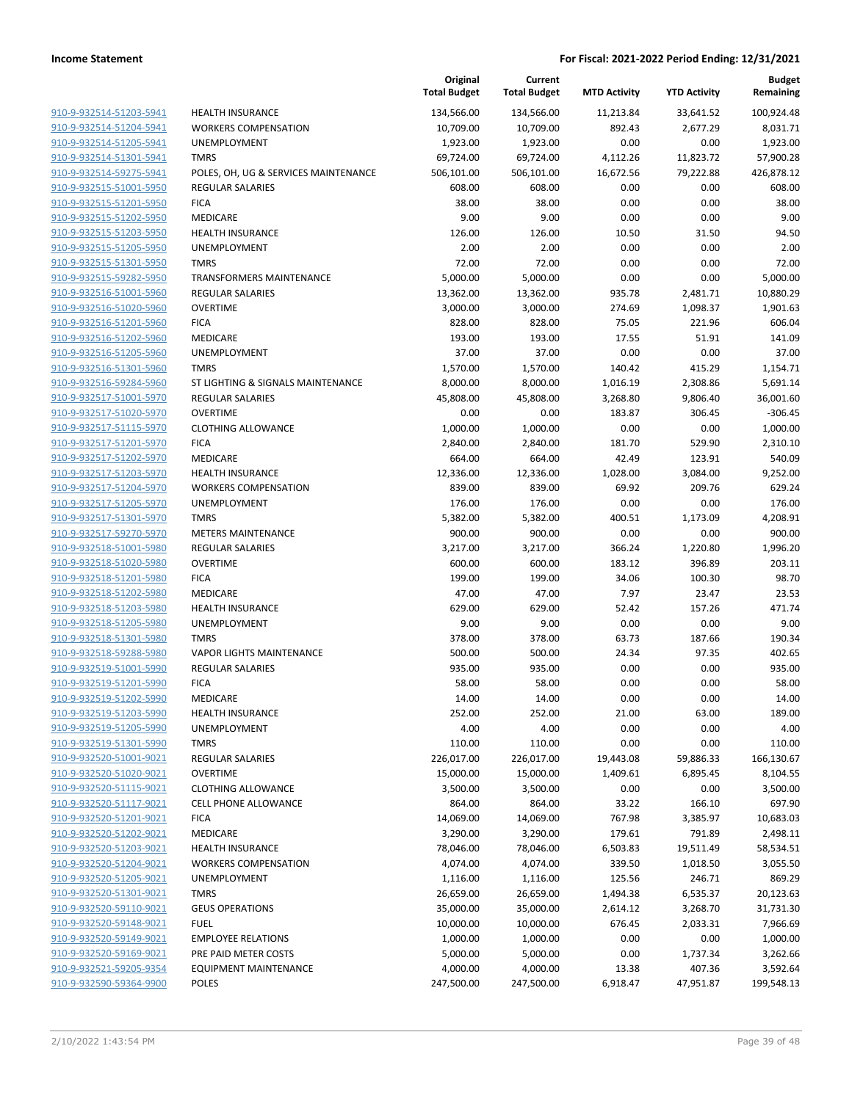|                                                    |                                         | Original<br><b>Total Budget</b> | Current<br><b>Total Budget</b> | <b>MTD Activity</b> | <b>YTD Activity</b> | <b>Budget</b><br>Remaining |
|----------------------------------------------------|-----------------------------------------|---------------------------------|--------------------------------|---------------------|---------------------|----------------------------|
| 910-9-932514-51203-5941                            | <b>HEALTH INSURANCE</b>                 | 134,566.00                      | 134,566.00                     | 11,213.84           | 33,641.52           | 100,924.48                 |
| 910-9-932514-51204-5941                            | <b>WORKERS COMPENSATION</b>             | 10,709.00                       | 10,709.00                      | 892.43              | 2,677.29            | 8,031.71                   |
| 910-9-932514-51205-5941                            | UNEMPLOYMENT                            | 1,923.00                        | 1,923.00                       | 0.00                | 0.00                | 1,923.00                   |
| 910-9-932514-51301-5941                            | <b>TMRS</b>                             | 69,724.00                       | 69,724.00                      | 4,112.26            | 11,823.72           | 57,900.28                  |
| 910-9-932514-59275-5941                            | POLES, OH, UG & SERVICES MAINTENANCE    | 506,101.00                      | 506,101.00                     | 16,672.56           | 79,222.88           | 426,878.12                 |
| 910-9-932515-51001-5950                            | <b>REGULAR SALARIES</b>                 | 608.00                          | 608.00                         | 0.00                | 0.00                | 608.00                     |
| 910-9-932515-51201-5950                            | <b>FICA</b>                             | 38.00                           | 38.00                          | 0.00                | 0.00                | 38.00                      |
| 910-9-932515-51202-5950                            | MEDICARE                                | 9.00                            | 9.00                           | 0.00                | 0.00                | 9.00                       |
| 910-9-932515-51203-5950                            | <b>HEALTH INSURANCE</b>                 | 126.00                          | 126.00                         | 10.50               | 31.50               | 94.50                      |
| 910-9-932515-51205-5950                            | UNEMPLOYMENT                            | 2.00                            | 2.00                           | 0.00                | 0.00                | 2.00                       |
| 910-9-932515-51301-5950                            | <b>TMRS</b>                             | 72.00                           | 72.00                          | 0.00                | 0.00                | 72.00                      |
| 910-9-932515-59282-5950                            | <b>TRANSFORMERS MAINTENANCE</b>         | 5,000.00                        | 5,000.00                       | 0.00                | 0.00                | 5,000.00                   |
| 910-9-932516-51001-5960                            | <b>REGULAR SALARIES</b>                 | 13,362.00                       | 13,362.00                      | 935.78              | 2,481.71            | 10,880.29                  |
| 910-9-932516-51020-5960                            | <b>OVERTIME</b>                         | 3,000.00                        | 3,000.00                       | 274.69              | 1,098.37            | 1,901.63                   |
| 910-9-932516-51201-5960                            | <b>FICA</b>                             | 828.00                          | 828.00                         | 75.05               | 221.96              | 606.04                     |
| 910-9-932516-51202-5960                            | MEDICARE                                | 193.00                          | 193.00                         | 17.55               | 51.91               | 141.09                     |
| 910-9-932516-51205-5960                            | UNEMPLOYMENT                            | 37.00                           | 37.00                          | 0.00                | 0.00                | 37.00                      |
| 910-9-932516-51301-5960                            | <b>TMRS</b>                             | 1,570.00                        | 1,570.00                       | 140.42              | 415.29              | 1,154.71                   |
| 910-9-932516-59284-5960                            | ST LIGHTING & SIGNALS MAINTENANCE       | 8,000.00                        | 8,000.00                       | 1,016.19            | 2,308.86            | 5,691.14                   |
| 910-9-932517-51001-5970                            | <b>REGULAR SALARIES</b>                 | 45,808.00                       | 45,808.00                      | 3,268.80            | 9,806.40            | 36,001.60                  |
| 910-9-932517-51020-5970                            | <b>OVERTIME</b>                         | 0.00                            | 0.00                           | 183.87              | 306.45              | $-306.45$                  |
| 910-9-932517-51115-5970                            | <b>CLOTHING ALLOWANCE</b>               | 1,000.00                        | 1,000.00                       | 0.00                | 0.00                | 1,000.00                   |
| 910-9-932517-51201-5970                            | <b>FICA</b>                             | 2,840.00                        | 2,840.00                       | 181.70              | 529.90              | 2,310.10                   |
| 910-9-932517-51202-5970                            | MEDICARE                                | 664.00                          | 664.00                         | 42.49               | 123.91              | 540.09                     |
| 910-9-932517-51203-5970                            | <b>HEALTH INSURANCE</b>                 | 12,336.00                       | 12,336.00                      | 1,028.00            | 3,084.00            | 9,252.00                   |
| 910-9-932517-51204-5970                            | <b>WORKERS COMPENSATION</b>             | 839.00                          | 839.00                         | 69.92               | 209.76              | 629.24                     |
| 910-9-932517-51205-5970                            | UNEMPLOYMENT                            | 176.00                          | 176.00                         | 0.00                | 0.00                | 176.00                     |
| 910-9-932517-51301-5970                            | <b>TMRS</b>                             | 5,382.00                        | 5,382.00                       | 400.51              | 1,173.09            | 4,208.91                   |
| 910-9-932517-59270-5970                            | <b>METERS MAINTENANCE</b>               | 900.00                          | 900.00                         | 0.00                | 0.00                | 900.00                     |
| 910-9-932518-51001-5980                            | <b>REGULAR SALARIES</b>                 | 3,217.00                        | 3,217.00                       | 366.24              | 1,220.80            | 1,996.20                   |
| 910-9-932518-51020-5980                            | <b>OVERTIME</b>                         | 600.00                          | 600.00                         | 183.12              | 396.89              | 203.11                     |
| 910-9-932518-51201-5980                            | <b>FICA</b>                             | 199.00                          | 199.00                         | 34.06               | 100.30              | 98.70                      |
| 910-9-932518-51202-5980                            | MEDICARE                                | 47.00                           | 47.00                          | 7.97                | 23.47               | 23.53                      |
| 910-9-932518-51203-5980<br>910-9-932518-51205-5980 | <b>HEALTH INSURANCE</b><br>UNEMPLOYMENT | 629.00                          | 629.00<br>9.00                 | 52.42<br>0.00       | 157.26<br>0.00      | 471.74<br>9.00             |
| 910-9-932518-51301-5980                            | <b>TMRS</b>                             | 9.00<br>378.00                  | 378.00                         | 63.73               | 187.66              | 190.34                     |
| 910-9-932518-59288-5980                            | <b>VAPOR LIGHTS MAINTENANCE</b>         | 500.00                          | 500.00                         | 24.34               | 97.35               | 402.65                     |
| 910-9-932519-51001-5990                            | <b>REGULAR SALARIES</b>                 | 935.00                          | 935.00                         | 0.00                | 0.00                | 935.00                     |
| 910-9-932519-51201-5990                            | <b>FICA</b>                             | 58.00                           | 58.00                          | 0.00                | 0.00                | 58.00                      |
| 910-9-932519-51202-5990                            | <b>MEDICARE</b>                         | 14.00                           | 14.00                          | 0.00                | 0.00                | 14.00                      |
| 910-9-932519-51203-5990                            | <b>HEALTH INSURANCE</b>                 | 252.00                          | 252.00                         | 21.00               | 63.00               | 189.00                     |
| 910-9-932519-51205-5990                            | UNEMPLOYMENT                            | 4.00                            | 4.00                           | 0.00                | 0.00                | 4.00                       |
| 910-9-932519-51301-5990                            | <b>TMRS</b>                             | 110.00                          | 110.00                         | 0.00                | 0.00                | 110.00                     |
| 910-9-932520-51001-9021                            | REGULAR SALARIES                        | 226,017.00                      | 226,017.00                     | 19,443.08           | 59,886.33           | 166,130.67                 |
| 910-9-932520-51020-9021                            | <b>OVERTIME</b>                         | 15,000.00                       | 15,000.00                      | 1,409.61            | 6,895.45            | 8,104.55                   |
| 910-9-932520-51115-9021                            | <b>CLOTHING ALLOWANCE</b>               | 3,500.00                        | 3,500.00                       | 0.00                | 0.00                | 3,500.00                   |
| 910-9-932520-51117-9021                            | <b>CELL PHONE ALLOWANCE</b>             | 864.00                          | 864.00                         | 33.22               | 166.10              | 697.90                     |
| 910-9-932520-51201-9021                            | <b>FICA</b>                             | 14,069.00                       | 14,069.00                      | 767.98              | 3,385.97            | 10,683.03                  |
| 910-9-932520-51202-9021                            | MEDICARE                                | 3,290.00                        | 3,290.00                       | 179.61              | 791.89              | 2,498.11                   |
| 910-9-932520-51203-9021                            | <b>HEALTH INSURANCE</b>                 | 78,046.00                       | 78,046.00                      | 6,503.83            | 19,511.49           | 58,534.51                  |
| 910-9-932520-51204-9021                            | <b>WORKERS COMPENSATION</b>             | 4,074.00                        | 4,074.00                       | 339.50              | 1,018.50            | 3,055.50                   |
| 910-9-932520-51205-9021                            | UNEMPLOYMENT                            | 1,116.00                        | 1,116.00                       | 125.56              | 246.71              | 869.29                     |
| 910-9-932520-51301-9021                            | <b>TMRS</b>                             | 26,659.00                       | 26,659.00                      | 1,494.38            | 6,535.37            | 20,123.63                  |
| 910-9-932520-59110-9021                            | <b>GEUS OPERATIONS</b>                  | 35,000.00                       | 35,000.00                      | 2,614.12            | 3,268.70            | 31,731.30                  |
| 910-9-932520-59148-9021                            | <b>FUEL</b>                             | 10,000.00                       | 10,000.00                      | 676.45              | 2,033.31            | 7,966.69                   |
| 910-9-932520-59149-9021                            | <b>EMPLOYEE RELATIONS</b>               | 1,000.00                        | 1,000.00                       | 0.00                | 0.00                | 1,000.00                   |
| 910-9-932520-59169-9021                            | PRE PAID METER COSTS                    | 5,000.00                        | 5,000.00                       | 0.00                | 1,737.34            | 3,262.66                   |
| 910-9-932521-59205-9354                            | <b>EQUIPMENT MAINTENANCE</b>            | 4,000.00                        | 4,000.00                       | 13.38               | 407.36              | 3,592.64                   |
| 910-9-932590-59364-9900                            | POLES                                   | 247,500.00                      | 247,500.00                     | 6,918.47            | 47,951.87           | 199,548.13                 |
|                                                    |                                         |                                 |                                |                     |                     |                            |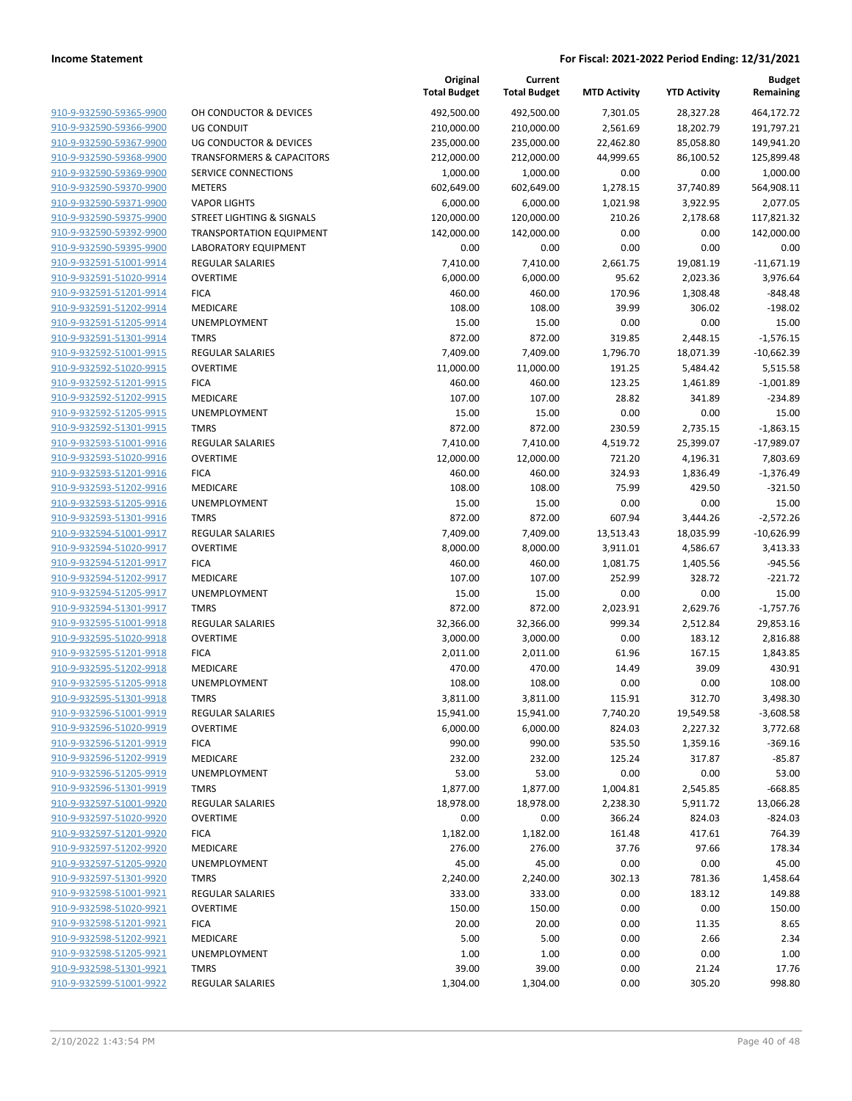|                                                    |                                      | Original<br><b>Total Budget</b> | Current<br><b>Total Budget</b> | <b>MTD Activity</b> | <b>YTD Activity</b>  | <b>Budget</b><br>Remaining |
|----------------------------------------------------|--------------------------------------|---------------------------------|--------------------------------|---------------------|----------------------|----------------------------|
| 910-9-932590-59365-9900                            | OH CONDUCTOR & DEVICES               | 492,500.00                      | 492,500.00                     | 7,301.05            | 28,327.28            | 464,172.72                 |
| 910-9-932590-59366-9900                            | <b>UG CONDUIT</b>                    | 210,000.00                      | 210,000.00                     | 2,561.69            | 18,202.79            | 191,797.21                 |
| 910-9-932590-59367-9900                            | UG CONDUCTOR & DEVICES               | 235,000.00                      | 235,000.00                     | 22,462.80           | 85,058.80            | 149,941.20                 |
| 910-9-932590-59368-9900                            | <b>TRANSFORMERS &amp; CAPACITORS</b> | 212,000.00                      | 212,000.00                     | 44,999.65           | 86,100.52            | 125,899.48                 |
| 910-9-932590-59369-9900                            | SERVICE CONNECTIONS                  | 1,000.00                        | 1,000.00                       | 0.00                | 0.00                 | 1,000.00                   |
| 910-9-932590-59370-9900                            | <b>METERS</b>                        | 602,649.00                      | 602,649.00                     | 1,278.15            | 37,740.89            | 564,908.11                 |
| 910-9-932590-59371-9900                            | <b>VAPOR LIGHTS</b>                  | 6,000.00                        | 6,000.00                       | 1,021.98            | 3,922.95             | 2,077.05                   |
| 910-9-932590-59375-9900                            | <b>STREET LIGHTING &amp; SIGNALS</b> | 120,000.00                      | 120,000.00                     | 210.26              | 2,178.68             | 117,821.32                 |
| 910-9-932590-59392-9900                            | <b>TRANSPORTATION EQUIPMENT</b>      | 142,000.00                      | 142,000.00                     | 0.00                | 0.00                 | 142,000.00                 |
| 910-9-932590-59395-9900                            | LABORATORY EQUIPMENT                 | 0.00                            | 0.00                           | 0.00                | 0.00                 | 0.00                       |
| 910-9-932591-51001-9914                            | REGULAR SALARIES                     | 7,410.00                        | 7,410.00                       | 2,661.75            | 19,081.19            | $-11,671.19$               |
| 910-9-932591-51020-9914                            | <b>OVERTIME</b>                      | 6,000.00                        | 6,000.00                       | 95.62               | 2,023.36             | 3,976.64                   |
| 910-9-932591-51201-9914                            | <b>FICA</b>                          | 460.00                          | 460.00                         | 170.96              | 1,308.48             | $-848.48$                  |
| 910-9-932591-51202-9914                            | MEDICARE                             | 108.00                          | 108.00                         | 39.99               | 306.02               | $-198.02$                  |
| 910-9-932591-51205-9914                            | UNEMPLOYMENT                         | 15.00                           | 15.00                          | 0.00                | 0.00                 | 15.00                      |
| 910-9-932591-51301-9914                            | <b>TMRS</b>                          | 872.00                          | 872.00                         | 319.85              | 2,448.15             | $-1,576.15$                |
| 910-9-932592-51001-9915                            | REGULAR SALARIES                     | 7,409.00                        | 7,409.00                       | 1,796.70            | 18,071.39            | $-10,662.39$               |
| 910-9-932592-51020-9915                            | <b>OVERTIME</b>                      | 11,000.00                       | 11,000.00                      | 191.25              | 5,484.42             | 5,515.58                   |
| 910-9-932592-51201-9915                            | <b>FICA</b>                          | 460.00                          | 460.00                         | 123.25              | 1,461.89             | $-1,001.89$                |
| 910-9-932592-51202-9915                            | MEDICARE                             | 107.00                          | 107.00                         | 28.82               | 341.89               | $-234.89$                  |
| 910-9-932592-51205-9915                            | UNEMPLOYMENT                         | 15.00                           | 15.00                          | 0.00                | 0.00                 | 15.00                      |
| 910-9-932592-51301-9915                            | <b>TMRS</b>                          | 872.00                          | 872.00                         | 230.59              | 2,735.15             | $-1,863.15$                |
| 910-9-932593-51001-9916                            | <b>REGULAR SALARIES</b>              | 7,410.00                        | 7,410.00                       | 4,519.72            | 25,399.07            | $-17,989.07$               |
| 910-9-932593-51020-9916                            | <b>OVERTIME</b>                      | 12,000.00                       | 12,000.00                      | 721.20              | 4,196.31             | 7,803.69                   |
| 910-9-932593-51201-9916                            | <b>FICA</b>                          | 460.00                          | 460.00                         | 324.93              | 1,836.49             | $-1,376.49$                |
| 910-9-932593-51202-9916                            | MEDICARE                             | 108.00                          | 108.00                         | 75.99               | 429.50               | $-321.50$                  |
| 910-9-932593-51205-9916                            | UNEMPLOYMENT                         | 15.00                           | 15.00                          | 0.00                | 0.00                 | 15.00                      |
| 910-9-932593-51301-9916                            | <b>TMRS</b>                          | 872.00                          | 872.00                         | 607.94              | 3,444.26             | $-2,572.26$                |
| 910-9-932594-51001-9917                            | <b>REGULAR SALARIES</b>              | 7,409.00                        | 7,409.00                       | 13,513.43           | 18,035.99            | $-10,626.99$               |
| 910-9-932594-51020-9917                            | <b>OVERTIME</b>                      | 8,000.00                        | 8,000.00                       | 3,911.01            | 4,586.67             | 3,413.33                   |
| 910-9-932594-51201-9917                            | <b>FICA</b>                          | 460.00                          | 460.00                         | 1,081.75            | 1,405.56             | $-945.56$                  |
| 910-9-932594-51202-9917                            | MEDICARE                             | 107.00                          | 107.00                         | 252.99              | 328.72               | $-221.72$                  |
| 910-9-932594-51205-9917<br>910-9-932594-51301-9917 | UNEMPLOYMENT<br><b>TMRS</b>          | 15.00                           | 15.00                          | 0.00                | 0.00                 | 15.00                      |
| 910-9-932595-51001-9918                            | <b>REGULAR SALARIES</b>              | 872.00<br>32,366.00             | 872.00<br>32,366.00            | 2,023.91<br>999.34  | 2,629.76<br>2,512.84 | $-1,757.76$<br>29,853.16   |
| 910-9-932595-51020-9918                            | <b>OVERTIME</b>                      | 3,000.00                        | 3,000.00                       | 0.00                | 183.12               | 2,816.88                   |
| 910-9-932595-51201-9918                            | <b>FICA</b>                          | 2,011.00                        | 2,011.00                       | 61.96               | 167.15               | 1,843.85                   |
| 910-9-932595-51202-9918                            | <b>MEDICARE</b>                      | 470.00                          | 470.00                         | 14.49               | 39.09                | 430.91                     |
| 910-9-932595-51205-9918                            | UNEMPLOYMENT                         | 108.00                          | 108.00                         | 0.00                | 0.00                 | 108.00                     |
| 910-9-932595-51301-9918                            | TMRS                                 | 3,811.00                        | 3,811.00                       | 115.91              | 312.70               | 3,498.30                   |
| 910-9-932596-51001-9919                            | <b>REGULAR SALARIES</b>              | 15,941.00                       | 15,941.00                      | 7,740.20            | 19,549.58            | $-3,608.58$                |
| 910-9-932596-51020-9919                            | <b>OVERTIME</b>                      | 6,000.00                        | 6,000.00                       | 824.03              | 2,227.32             | 3,772.68                   |
| 910-9-932596-51201-9919                            | <b>FICA</b>                          | 990.00                          | 990.00                         | 535.50              | 1,359.16             | $-369.16$                  |
| 910-9-932596-51202-9919                            | <b>MEDICARE</b>                      | 232.00                          | 232.00                         | 125.24              | 317.87               | $-85.87$                   |
| 910-9-932596-51205-9919                            | UNEMPLOYMENT                         | 53.00                           | 53.00                          | 0.00                | 0.00                 | 53.00                      |
| 910-9-932596-51301-9919                            | <b>TMRS</b>                          | 1,877.00                        | 1,877.00                       | 1,004.81            | 2,545.85             | $-668.85$                  |
| 910-9-932597-51001-9920                            | REGULAR SALARIES                     | 18,978.00                       | 18,978.00                      | 2,238.30            | 5,911.72             | 13,066.28                  |
| 910-9-932597-51020-9920                            | <b>OVERTIME</b>                      | 0.00                            | 0.00                           | 366.24              | 824.03               | $-824.03$                  |
| 910-9-932597-51201-9920                            | <b>FICA</b>                          | 1,182.00                        | 1,182.00                       | 161.48              | 417.61               | 764.39                     |
| 910-9-932597-51202-9920                            | <b>MEDICARE</b>                      | 276.00                          | 276.00                         | 37.76               | 97.66                | 178.34                     |
| 910-9-932597-51205-9920                            | UNEMPLOYMENT                         | 45.00                           | 45.00                          | 0.00                | 0.00                 | 45.00                      |
| 910-9-932597-51301-9920                            | <b>TMRS</b>                          | 2,240.00                        | 2,240.00                       | 302.13              | 781.36               | 1,458.64                   |
| 910-9-932598-51001-9921                            | <b>REGULAR SALARIES</b>              | 333.00                          | 333.00                         | 0.00                | 183.12               | 149.88                     |
| 910-9-932598-51020-9921                            | <b>OVERTIME</b>                      | 150.00                          | 150.00                         | 0.00                | 0.00                 | 150.00                     |
| 910-9-932598-51201-9921                            | <b>FICA</b>                          | 20.00                           | 20.00                          | 0.00                | 11.35                | 8.65                       |
| 910-9-932598-51202-9921                            | MEDICARE                             | 5.00                            | 5.00                           | 0.00                | 2.66                 | 2.34                       |
| 910-9-932598-51205-9921                            | UNEMPLOYMENT                         | 1.00                            | 1.00                           | 0.00                | 0.00                 | 1.00                       |
| 910-9-932598-51301-9921                            | <b>TMRS</b>                          | 39.00                           | 39.00                          | 0.00                | 21.24                | 17.76                      |
| 910-9-932599-51001-9922                            | <b>REGULAR SALARIES</b>              | 1,304.00                        | 1,304.00                       | 0.00                | 305.20               | 998.80                     |
|                                                    |                                      |                                 |                                |                     |                      |                            |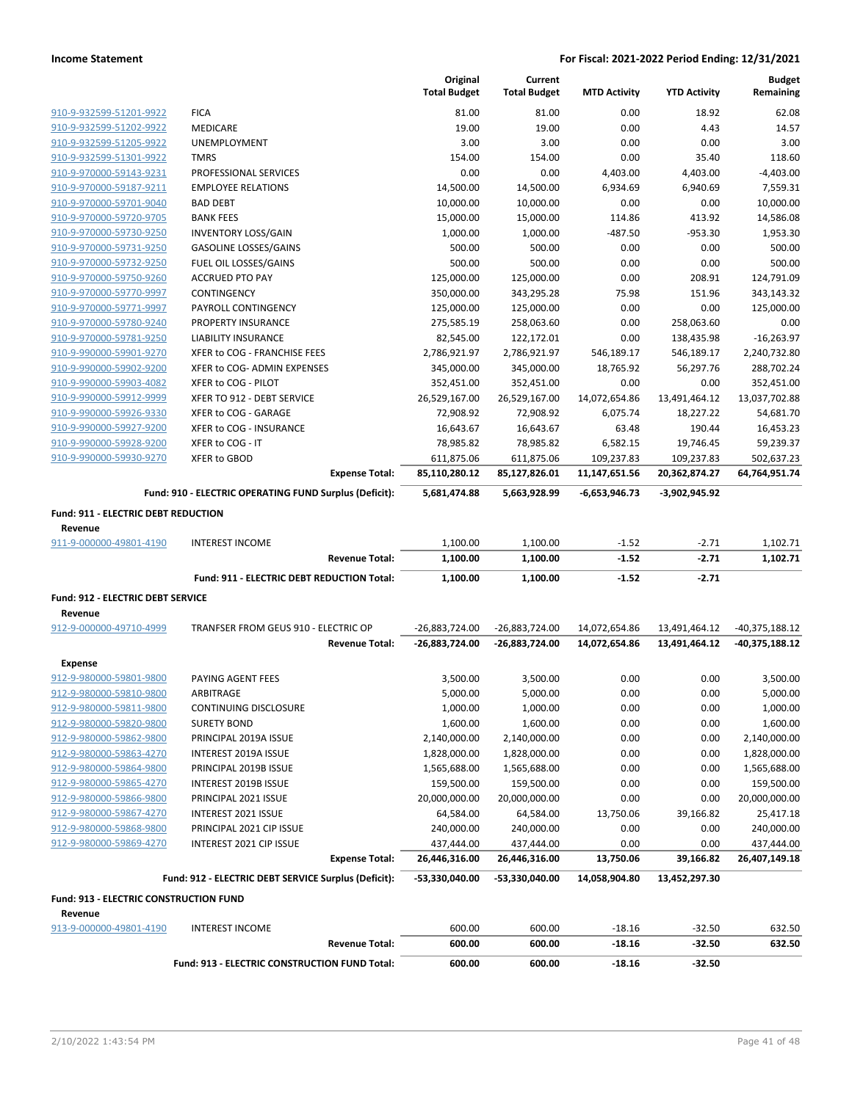|                                        |                                                        |                       | Original<br><b>Total Budget</b> | Current<br><b>Total Budget</b> | <b>MTD Activity</b> | <b>YTD Activity</b> | <b>Budget</b><br>Remaining |
|----------------------------------------|--------------------------------------------------------|-----------------------|---------------------------------|--------------------------------|---------------------|---------------------|----------------------------|
| 910-9-932599-51201-9922                | <b>FICA</b>                                            |                       | 81.00                           | 81.00                          | 0.00                | 18.92               | 62.08                      |
| 910-9-932599-51202-9922                | MEDICARE                                               |                       | 19.00                           | 19.00                          | 0.00                | 4.43                | 14.57                      |
| 910-9-932599-51205-9922                | <b>UNEMPLOYMENT</b>                                    |                       | 3.00                            | 3.00                           | 0.00                | 0.00                | 3.00                       |
| 910-9-932599-51301-9922                | <b>TMRS</b>                                            |                       | 154.00                          | 154.00                         | 0.00                | 35.40               | 118.60                     |
| 910-9-970000-59143-9231                | PROFESSIONAL SERVICES                                  |                       | 0.00                            | 0.00                           | 4,403.00            | 4,403.00            | $-4,403.00$                |
| 910-9-970000-59187-9211                | <b>EMPLOYEE RELATIONS</b>                              |                       | 14,500.00                       | 14,500.00                      | 6,934.69            | 6,940.69            | 7,559.31                   |
| 910-9-970000-59701-9040                | <b>BAD DEBT</b>                                        |                       | 10,000.00                       | 10,000.00                      | 0.00                | 0.00                | 10,000.00                  |
| 910-9-970000-59720-9705                | <b>BANK FEES</b>                                       |                       | 15,000.00                       | 15,000.00                      | 114.86              | 413.92              | 14,586.08                  |
| 910-9-970000-59730-9250                | <b>INVENTORY LOSS/GAIN</b>                             |                       | 1,000.00                        | 1,000.00                       | -487.50             | $-953.30$           | 1,953.30                   |
| 910-9-970000-59731-9250                | <b>GASOLINE LOSSES/GAINS</b>                           |                       | 500.00                          | 500.00                         | 0.00                | 0.00                | 500.00                     |
| 910-9-970000-59732-9250                | FUEL OIL LOSSES/GAINS                                  |                       | 500.00                          | 500.00                         | 0.00                | 0.00                | 500.00                     |
| 910-9-970000-59750-9260                | <b>ACCRUED PTO PAY</b>                                 |                       | 125,000.00                      | 125,000.00                     | 0.00                | 208.91              | 124,791.09                 |
| 910-9-970000-59770-9997                | CONTINGENCY                                            |                       | 350,000.00                      | 343,295.28                     | 75.98               | 151.96              | 343,143.32                 |
| 910-9-970000-59771-9997                | PAYROLL CONTINGENCY                                    |                       | 125,000.00                      | 125,000.00                     | 0.00                | 0.00                | 125,000.00                 |
| 910-9-970000-59780-9240                | PROPERTY INSURANCE                                     |                       | 275,585.19                      | 258,063.60                     | 0.00                | 258,063.60          | 0.00                       |
| 910-9-970000-59781-9250                | LIABILITY INSURANCE                                    |                       | 82,545.00                       | 122,172.01                     | 0.00                | 138,435.98          | $-16,263.97$               |
| 910-9-990000-59901-9270                | XFER to COG - FRANCHISE FEES                           |                       | 2,786,921.97                    | 2,786,921.97                   | 546,189.17          | 546,189.17          | 2,240,732.80               |
| 910-9-990000-59902-9200                | XFER to COG- ADMIN EXPENSES                            |                       | 345,000.00                      | 345,000.00                     | 18,765.92           | 56,297.76           | 288,702.24                 |
| 910-9-990000-59903-4082                | XFER to COG - PILOT                                    |                       | 352,451.00                      | 352,451.00                     | 0.00                | 0.00                | 352,451.00                 |
| 910-9-990000-59912-9999                | XFER TO 912 - DEBT SERVICE                             |                       | 26,529,167.00                   | 26,529,167.00                  | 14,072,654.86       | 13,491,464.12       | 13,037,702.88              |
| 910-9-990000-59926-9330                | XFER to COG - GARAGE                                   |                       | 72,908.92                       | 72,908.92                      | 6,075.74            | 18,227.22           | 54,681.70                  |
| 910-9-990000-59927-9200                | XFER to COG - INSURANCE                                |                       | 16,643.67                       | 16,643.67                      | 63.48               | 190.44              | 16,453.23                  |
| 910-9-990000-59928-9200                | XFER to COG - IT                                       |                       | 78,985.82                       | 78,985.82                      | 6,582.15            | 19,746.45           | 59,239.37                  |
| 910-9-990000-59930-9270                | <b>XFER to GBOD</b>                                    |                       | 611,875.06                      | 611,875.06                     | 109,237.83          | 109,237.83          | 502,637.23                 |
|                                        |                                                        | <b>Expense Total:</b> | 85,110,280.12                   | 85,127,826.01                  | 11,147,651.56       | 20,362,874.27       | 64,764,951.74              |
|                                        | Fund: 910 - ELECTRIC OPERATING FUND Surplus (Deficit): |                       | 5,681,474.88                    | 5,663,928.99                   | -6,653,946.73       | -3,902,945.92       |                            |
| Fund: 911 - ELECTRIC DEBT REDUCTION    |                                                        |                       |                                 |                                |                     |                     |                            |
|                                        |                                                        |                       |                                 |                                |                     |                     |                            |
|                                        |                                                        |                       |                                 |                                |                     |                     |                            |
| Revenue                                |                                                        |                       |                                 |                                |                     |                     |                            |
| 911-9-000000-49801-4190                | <b>INTEREST INCOME</b>                                 | <b>Revenue Total:</b> | 1,100.00                        | 1,100.00                       | $-1.52$<br>$-1.52$  | $-2.71$<br>$-2.71$  | 1,102.71                   |
|                                        |                                                        |                       | 1,100.00                        | 1,100.00                       |                     |                     | 1,102.71                   |
|                                        | Fund: 911 - ELECTRIC DEBT REDUCTION Total:             |                       | 1,100.00                        | 1,100.00                       | $-1.52$             | $-2.71$             |                            |
| Fund: 912 - ELECTRIC DEBT SERVICE      |                                                        |                       |                                 |                                |                     |                     |                            |
| Revenue                                |                                                        |                       |                                 |                                |                     |                     |                            |
| 912-9-000000-49710-4999                | TRANFSER FROM GEUS 910 - ELECTRIC OP                   |                       | -26,883,724.00                  | -26,883,724.00                 | 14,072,654.86       | 13,491,464.12       | -40,375,188.12             |
|                                        |                                                        | <b>Revenue Total:</b> | -26,883,724.00                  | -26,883,724.00                 | 14,072,654.86       | 13,491,464.12       | -40,375,188.12             |
| <b>Expense</b>                         |                                                        |                       |                                 |                                |                     |                     |                            |
| 912-9-980000-59801-9800                | PAYING AGENT FEES                                      |                       | 3,500.00                        | 3,500.00                       | 0.00                | 0.00                | 3,500.00                   |
| 912-9-980000-59810-9800                | ARBITRAGE                                              |                       | 5,000.00                        | 5,000.00                       | 0.00                | 0.00                | 5,000.00                   |
| 912-9-980000-59811-9800                | CONTINUING DISCLOSURE                                  |                       | 1,000.00                        | 1,000.00                       | 0.00                | 0.00                | 1,000.00                   |
| 912-9-980000-59820-9800                | <b>SURETY BOND</b>                                     |                       | 1,600.00                        | 1,600.00                       | 0.00                | 0.00                | 1,600.00                   |
| 912-9-980000-59862-9800                | PRINCIPAL 2019A ISSUE                                  |                       | 2,140,000.00                    | 2,140,000.00                   | 0.00                | 0.00                | 2,140,000.00               |
| 912-9-980000-59863-4270                | INTEREST 2019A ISSUE                                   |                       | 1,828,000.00                    | 1,828,000.00                   | 0.00                | 0.00                | 1,828,000.00               |
| 912-9-980000-59864-9800                | PRINCIPAL 2019B ISSUE                                  |                       | 1,565,688.00                    | 1,565,688.00                   | 0.00                | 0.00                | 1,565,688.00               |
| 912-9-980000-59865-4270                | <b>INTEREST 2019B ISSUE</b>                            |                       | 159,500.00                      | 159,500.00                     | 0.00                | 0.00                | 159,500.00                 |
| 912-9-980000-59866-9800                | PRINCIPAL 2021 ISSUE                                   |                       | 20,000,000.00                   | 20,000,000.00                  | 0.00                | 0.00                | 20,000,000.00              |
| 912-9-980000-59867-4270                | INTEREST 2021 ISSUE                                    |                       | 64,584.00                       | 64,584.00                      | 13,750.06           | 39,166.82           | 25,417.18                  |
| 912-9-980000-59868-9800                | PRINCIPAL 2021 CIP ISSUE                               |                       | 240,000.00                      | 240,000.00                     | 0.00                | 0.00                | 240,000.00                 |
| 912-9-980000-59869-4270                | INTEREST 2021 CIP ISSUE                                |                       | 437,444.00                      | 437,444.00                     | 0.00                | 0.00                |                            |
|                                        |                                                        | <b>Expense Total:</b> | 26,446,316.00                   | 26,446,316.00                  | 13,750.06           | 39,166.82           | 26,407,149.18              |
|                                        | Fund: 912 - ELECTRIC DEBT SERVICE Surplus (Deficit):   |                       | -53,330,040.00                  | -53,330,040.00                 | 14,058,904.80       | 13,452,297.30       |                            |
| Fund: 913 - ELECTRIC CONSTRUCTION FUND |                                                        |                       |                                 |                                |                     |                     |                            |
| Revenue                                |                                                        |                       |                                 |                                |                     |                     |                            |
| 913-9-000000-49801-4190                | <b>INTEREST INCOME</b>                                 |                       | 600.00                          | 600.00                         | $-18.16$            | $-32.50$            | 632.50                     |
|                                        |                                                        | <b>Revenue Total:</b> | 600.00                          | 600.00                         | $-18.16$            | $-32.50$            | 437,444.00<br>632.50       |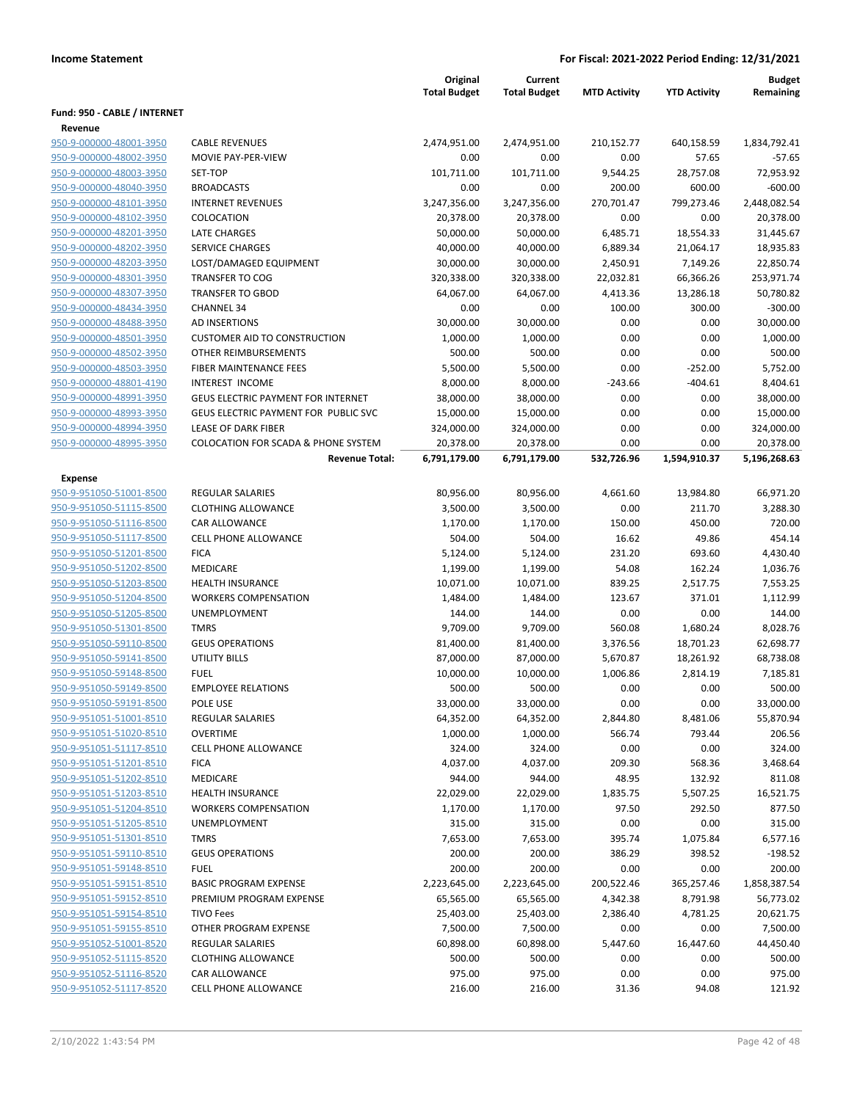|                                                    |                                                | Original<br><b>Total Budget</b> | Current<br><b>Total Budget</b> | <b>MTD Activity</b>  | <b>YTD Activity</b>   | <b>Budget</b><br>Remaining |
|----------------------------------------------------|------------------------------------------------|---------------------------------|--------------------------------|----------------------|-----------------------|----------------------------|
| Fund: 950 - CABLE / INTERNET                       |                                                |                                 |                                |                      |                       |                            |
| Revenue                                            |                                                |                                 |                                |                      |                       |                            |
| 950-9-000000-48001-3950                            | <b>CABLE REVENUES</b>                          | 2,474,951.00                    | 2,474,951.00                   | 210,152.77           | 640,158.59            | 1,834,792.41               |
| 950-9-000000-48002-3950                            | MOVIE PAY-PER-VIEW                             | 0.00                            | 0.00                           | 0.00                 | 57.65                 | $-57.65$                   |
| 950-9-000000-48003-3950                            | SET-TOP                                        | 101,711.00                      | 101,711.00                     | 9,544.25             | 28,757.08             | 72,953.92                  |
| 950-9-000000-48040-3950                            | <b>BROADCASTS</b>                              | 0.00                            | 0.00                           | 200.00               | 600.00                | -600.00                    |
| 950-9-000000-48101-3950                            | <b>INTERNET REVENUES</b>                       | 3,247,356.00                    | 3,247,356.00                   | 270,701.47           | 799,273.46            | 2,448,082.54               |
| 950-9-000000-48102-3950                            | COLOCATION                                     | 20,378.00                       | 20,378.00                      | 0.00                 | 0.00                  | 20,378.00                  |
| 950-9-000000-48201-3950                            | <b>LATE CHARGES</b>                            | 50,000.00                       | 50,000.00                      | 6,485.71             | 18,554.33             | 31,445.67                  |
| 950-9-000000-48202-3950                            | <b>SERVICE CHARGES</b>                         | 40,000.00                       | 40,000.00                      | 6,889.34             | 21,064.17             | 18,935.83                  |
| 950-9-000000-48203-3950                            | LOST/DAMAGED EQUIPMENT                         | 30,000.00                       | 30,000.00                      | 2,450.91             | 7,149.26              | 22,850.74                  |
| 950-9-000000-48301-3950                            | <b>TRANSFER TO COG</b>                         | 320,338.00                      | 320,338.00                     | 22,032.81            | 66,366.26             | 253,971.74                 |
| 950-9-000000-48307-3950                            | <b>TRANSFER TO GBOD</b>                        | 64,067.00                       | 64,067.00                      | 4,413.36             | 13,286.18             | 50,780.82                  |
| 950-9-000000-48434-3950                            | <b>CHANNEL 34</b>                              | 0.00                            | 0.00                           | 100.00               | 300.00                | $-300.00$                  |
| 950-9-000000-48488-3950                            | AD INSERTIONS                                  | 30,000.00                       | 30,000.00                      | 0.00                 | 0.00                  | 30,000.00                  |
| 950-9-000000-48501-3950                            | <b>CUSTOMER AID TO CONSTRUCTION</b>            | 1,000.00                        | 1,000.00                       | 0.00                 | 0.00                  | 1,000.00                   |
| 950-9-000000-48502-3950                            | <b>OTHER REIMBURSEMENTS</b>                    | 500.00                          | 500.00                         | 0.00                 | 0.00                  | 500.00                     |
| 950-9-000000-48503-3950                            | <b>FIBER MAINTENANCE FEES</b>                  | 5,500.00                        | 5,500.00                       | 0.00                 | $-252.00$             | 5,752.00                   |
| 950-9-000000-48801-4190                            | INTEREST INCOME                                | 8,000.00                        | 8,000.00                       | $-243.66$            | $-404.61$             | 8,404.61                   |
| 950-9-000000-48991-3950                            | GEUS ELECTRIC PAYMENT FOR INTERNET             | 38,000.00                       | 38,000.00                      | 0.00                 | 0.00                  | 38,000.00                  |
| 950-9-000000-48993-3950                            | GEUS ELECTRIC PAYMENT FOR PUBLIC SVC           | 15,000.00                       | 15,000.00                      | 0.00                 | 0.00                  | 15,000.00                  |
| 950-9-000000-48994-3950                            | <b>LEASE OF DARK FIBER</b>                     | 324,000.00                      | 324,000.00                     | 0.00                 | 0.00                  | 324,000.00                 |
| 950-9-000000-48995-3950                            | <b>COLOCATION FOR SCADA &amp; PHONE SYSTEM</b> | 20,378.00                       | 20,378.00                      | 0.00<br>532,726.96   | 0.00                  | 20,378.00                  |
|                                                    | <b>Revenue Total:</b>                          | 6,791,179.00                    | 6,791,179.00                   |                      | 1,594,910.37          | 5,196,268.63               |
| Expense                                            |                                                |                                 |                                |                      |                       |                            |
| 950-9-951050-51001-8500                            | <b>REGULAR SALARIES</b>                        | 80,956.00                       | 80,956.00                      | 4,661.60             | 13,984.80             | 66,971.20                  |
| 950-9-951050-51115-8500                            | <b>CLOTHING ALLOWANCE</b>                      | 3,500.00                        | 3,500.00                       | 0.00                 | 211.70                | 3,288.30                   |
| 950-9-951050-51116-8500                            | <b>CAR ALLOWANCE</b>                           | 1,170.00                        | 1,170.00                       | 150.00               | 450.00                | 720.00                     |
| 950-9-951050-51117-8500                            | CELL PHONE ALLOWANCE                           | 504.00                          | 504.00                         | 16.62                | 49.86                 | 454.14                     |
| 950-9-951050-51201-8500                            | <b>FICA</b>                                    | 5,124.00                        | 5,124.00                       | 231.20               | 693.60                | 4,430.40                   |
| 950-9-951050-51202-8500                            | <b>MEDICARE</b>                                | 1,199.00                        | 1,199.00                       | 54.08                | 162.24                | 1,036.76                   |
| 950-9-951050-51203-8500                            | <b>HEALTH INSURANCE</b>                        | 10,071.00                       | 10,071.00                      | 839.25               | 2,517.75              | 7,553.25                   |
| 950-9-951050-51204-8500                            | <b>WORKERS COMPENSATION</b>                    | 1,484.00                        | 1,484.00                       | 123.67               | 371.01                | 1,112.99                   |
| 950-9-951050-51205-8500                            | UNEMPLOYMENT                                   | 144.00                          | 144.00                         | 0.00                 | 0.00                  | 144.00                     |
| 950-9-951050-51301-8500                            | <b>TMRS</b><br><b>GEUS OPERATIONS</b>          | 9,709.00                        | 9,709.00                       | 560.08               | 1,680.24              | 8,028.76                   |
| 950-9-951050-59110-8500<br>950-9-951050-59141-8500 |                                                | 81,400.00                       | 81,400.00                      | 3,376.56<br>5,670.87 | 18,701.23             | 62,698.77<br>68,738.08     |
| 950-9-951050-59148-8500                            | <b>UTILITY BILLS</b><br><b>FUEL</b>            | 87,000.00<br>10,000.00          | 87,000.00<br>10,000.00         | 1,006.86             | 18,261.92<br>2,814.19 | 7,185.81                   |
| 950-9-951050-59149-8500                            | <b>EMPLOYEE RELATIONS</b>                      | 500.00                          | 500.00                         | 0.00                 | 0.00                  | 500.00                     |
| 950-9-951050-59191-8500                            | POLE USE                                       | 33,000.00                       | 33,000.00                      | 0.00                 | 0.00                  | 33,000.00                  |
| 950-9-951051-51001-8510                            | REGULAR SALARIES                               | 64,352.00                       | 64,352.00                      | 2,844.80             | 8,481.06              | 55,870.94                  |
| 950-9-951051-51020-8510                            | <b>OVERTIME</b>                                | 1,000.00                        | 1,000.00                       | 566.74               | 793.44                | 206.56                     |
| 950-9-951051-51117-8510                            | <b>CELL PHONE ALLOWANCE</b>                    | 324.00                          | 324.00                         | 0.00                 | 0.00                  | 324.00                     |
| 950-9-951051-51201-8510                            | <b>FICA</b>                                    | 4,037.00                        | 4,037.00                       | 209.30               | 568.36                | 3,468.64                   |
| 950-9-951051-51202-8510                            | MEDICARE                                       | 944.00                          | 944.00                         | 48.95                | 132.92                | 811.08                     |
| 950-9-951051-51203-8510                            | <b>HEALTH INSURANCE</b>                        | 22,029.00                       | 22,029.00                      | 1,835.75             | 5,507.25              | 16,521.75                  |
| 950-9-951051-51204-8510                            | <b>WORKERS COMPENSATION</b>                    | 1,170.00                        | 1,170.00                       | 97.50                | 292.50                | 877.50                     |
| 950-9-951051-51205-8510                            | UNEMPLOYMENT                                   | 315.00                          | 315.00                         | 0.00                 | 0.00                  | 315.00                     |
| 950-9-951051-51301-8510                            | <b>TMRS</b>                                    | 7,653.00                        | 7,653.00                       | 395.74               | 1,075.84              | 6,577.16                   |
| 950-9-951051-59110-8510                            | <b>GEUS OPERATIONS</b>                         | 200.00                          | 200.00                         | 386.29               | 398.52                | $-198.52$                  |
| 950-9-951051-59148-8510                            | <b>FUEL</b>                                    | 200.00                          | 200.00                         | 0.00                 | 0.00                  | 200.00                     |
| 950-9-951051-59151-8510                            | <b>BASIC PROGRAM EXPENSE</b>                   | 2,223,645.00                    | 2,223,645.00                   | 200,522.46           | 365,257.46            | 1,858,387.54               |
| 950-9-951051-59152-8510                            | PREMIUM PROGRAM EXPENSE                        | 65,565.00                       | 65,565.00                      | 4,342.38             | 8,791.98              | 56,773.02                  |
| 950-9-951051-59154-8510                            | <b>TIVO Fees</b>                               | 25,403.00                       | 25,403.00                      | 2,386.40             | 4,781.25              | 20,621.75                  |
| 950-9-951051-59155-8510                            | OTHER PROGRAM EXPENSE                          | 7,500.00                        | 7,500.00                       | 0.00                 | 0.00                  | 7,500.00                   |
| 950-9-951052-51001-8520                            | <b>REGULAR SALARIES</b>                        | 60,898.00                       | 60,898.00                      | 5,447.60             | 16,447.60             | 44,450.40                  |
| 950-9-951052-51115-8520                            | <b>CLOTHING ALLOWANCE</b>                      | 500.00                          | 500.00                         | 0.00                 | 0.00                  | 500.00                     |
| 950-9-951052-51116-8520                            | CAR ALLOWANCE                                  | 975.00                          | 975.00                         | 0.00                 | 0.00                  | 975.00                     |
| 950-9-951052-51117-8520                            | CELL PHONE ALLOWANCE                           | 216.00                          | 216.00                         | 31.36                | 94.08                 | 121.92                     |
|                                                    |                                                |                                 |                                |                      |                       |                            |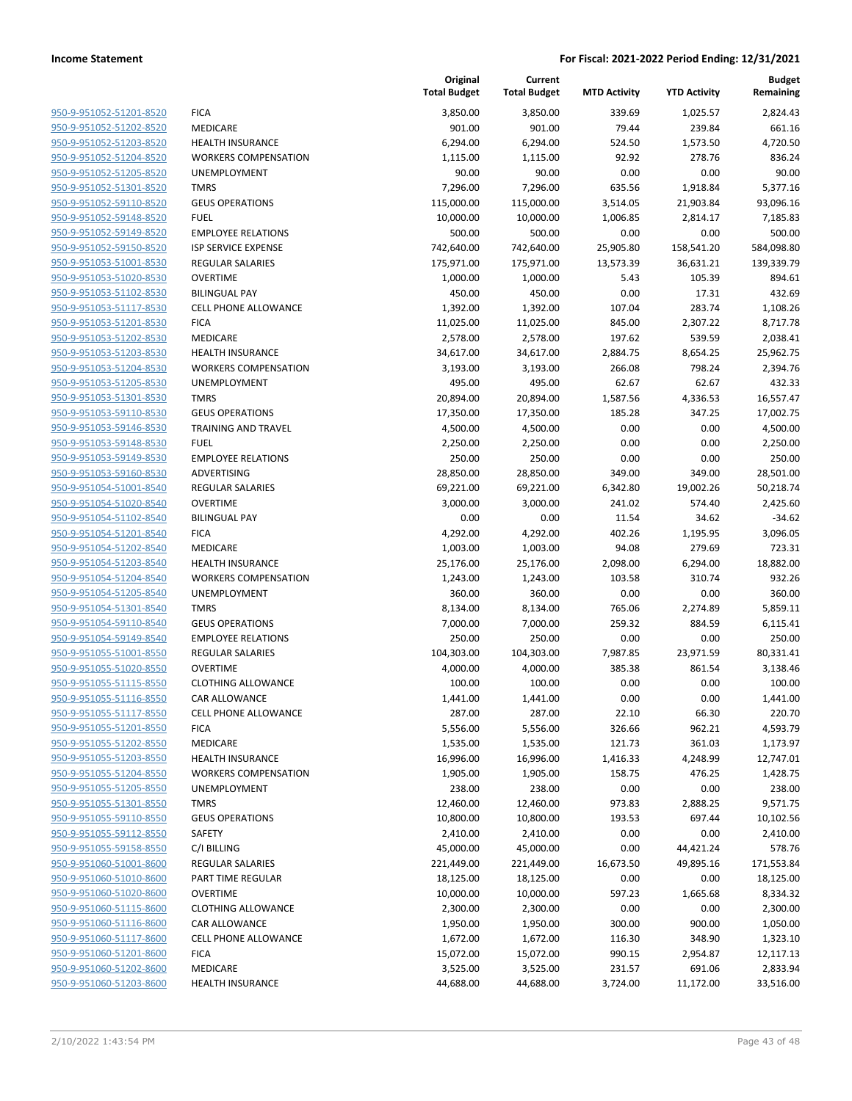|                                                    |                                              | Original<br><b>Total Budget</b> | Current<br><b>Total Budget</b> | <b>MTD Activity</b> | <b>YTD Activity</b> | <b>Budget</b><br>Remaining |
|----------------------------------------------------|----------------------------------------------|---------------------------------|--------------------------------|---------------------|---------------------|----------------------------|
| 950-9-951052-51201-8520                            | <b>FICA</b>                                  | 3,850.00                        | 3,850.00                       | 339.69              | 1,025.57            | 2,824.43                   |
| 950-9-951052-51202-8520                            | MEDICARE                                     | 901.00                          | 901.00                         | 79.44               | 239.84              | 661.16                     |
| 950-9-951052-51203-8520                            | <b>HEALTH INSURANCE</b>                      | 6,294.00                        | 6,294.00                       | 524.50              | 1,573.50            | 4,720.50                   |
| 950-9-951052-51204-8520                            | <b>WORKERS COMPENSATION</b>                  | 1,115.00                        | 1,115.00                       | 92.92               | 278.76              | 836.24                     |
| 950-9-951052-51205-8520                            | UNEMPLOYMENT                                 | 90.00                           | 90.00                          | 0.00                | 0.00                | 90.00                      |
| 950-9-951052-51301-8520                            | <b>TMRS</b>                                  | 7,296.00                        | 7,296.00                       | 635.56              | 1,918.84            | 5,377.16                   |
| 950-9-951052-59110-8520                            | <b>GEUS OPERATIONS</b>                       | 115,000.00                      | 115,000.00                     | 3,514.05            | 21,903.84           | 93,096.16                  |
| 950-9-951052-59148-8520                            | <b>FUEL</b>                                  | 10,000.00                       | 10,000.00                      | 1,006.85            | 2,814.17            | 7,185.83                   |
| 950-9-951052-59149-8520                            | <b>EMPLOYEE RELATIONS</b>                    | 500.00                          | 500.00                         | 0.00                | 0.00                | 500.00                     |
| 950-9-951052-59150-8520                            | <b>ISP SERVICE EXPENSE</b>                   | 742,640.00                      | 742,640.00                     | 25,905.80           | 158,541.20          | 584,098.80                 |
| 950-9-951053-51001-8530                            | REGULAR SALARIES                             | 175,971.00                      | 175,971.00                     | 13,573.39           | 36,631.21           | 139,339.79                 |
| 950-9-951053-51020-8530                            | <b>OVERTIME</b>                              | 1,000.00                        | 1,000.00                       | 5.43                | 105.39              | 894.61                     |
| 950-9-951053-51102-8530                            | <b>BILINGUAL PAY</b>                         | 450.00                          | 450.00                         | 0.00                | 17.31               | 432.69                     |
| 950-9-951053-51117-8530                            | <b>CELL PHONE ALLOWANCE</b>                  | 1,392.00                        | 1,392.00                       | 107.04              | 283.74              | 1,108.26                   |
| 950-9-951053-51201-8530                            | <b>FICA</b>                                  | 11,025.00                       | 11,025.00                      | 845.00              | 2,307.22            | 8,717.78                   |
| 950-9-951053-51202-8530                            | MEDICARE                                     | 2,578.00                        | 2,578.00                       | 197.62              | 539.59              | 2,038.41                   |
| 950-9-951053-51203-8530                            | <b>HEALTH INSURANCE</b>                      | 34,617.00                       | 34,617.00                      | 2,884.75            | 8,654.25            | 25,962.75                  |
| 950-9-951053-51204-8530                            | <b>WORKERS COMPENSATION</b>                  | 3,193.00                        | 3,193.00                       | 266.08              | 798.24              | 2,394.76                   |
| 950-9-951053-51205-8530                            | UNEMPLOYMENT                                 | 495.00                          | 495.00                         | 62.67               | 62.67               | 432.33                     |
| 950-9-951053-51301-8530                            | <b>TMRS</b>                                  | 20,894.00                       | 20,894.00                      | 1,587.56            | 4,336.53            | 16,557.47                  |
| 950-9-951053-59110-8530                            | <b>GEUS OPERATIONS</b>                       | 17,350.00                       | 17,350.00                      | 185.28              | 347.25              | 17,002.75                  |
| 950-9-951053-59146-8530                            | <b>TRAINING AND TRAVEL</b>                   | 4,500.00                        | 4,500.00                       | 0.00                | 0.00                | 4,500.00                   |
| 950-9-951053-59148-8530                            | <b>FUEL</b>                                  | 2,250.00                        | 2,250.00                       | 0.00                | 0.00                | 2,250.00                   |
| 950-9-951053-59149-8530                            | <b>EMPLOYEE RELATIONS</b>                    | 250.00                          | 250.00                         | 0.00                | 0.00                | 250.00                     |
| 950-9-951053-59160-8530                            | ADVERTISING                                  | 28,850.00                       | 28,850.00                      | 349.00              | 349.00              | 28,501.00                  |
| 950-9-951054-51001-8540                            | REGULAR SALARIES                             | 69,221.00                       | 69,221.00                      | 6,342.80            | 19,002.26           | 50,218.74                  |
| 950-9-951054-51020-8540                            | <b>OVERTIME</b>                              | 3,000.00                        | 3,000.00                       | 241.02              | 574.40              | 2,425.60                   |
| 950-9-951054-51102-8540                            | <b>BILINGUAL PAY</b>                         | 0.00                            | 0.00                           | 11.54               | 34.62               | $-34.62$                   |
| 950-9-951054-51201-8540                            | <b>FICA</b>                                  | 4,292.00                        | 4,292.00                       | 402.26              | 1,195.95            | 3,096.05                   |
| 950-9-951054-51202-8540                            | MEDICARE                                     | 1,003.00                        | 1,003.00                       | 94.08               | 279.69              | 723.31                     |
| 950-9-951054-51203-8540                            | <b>HEALTH INSURANCE</b>                      | 25,176.00                       | 25,176.00                      | 2,098.00            | 6,294.00            | 18,882.00                  |
| 950-9-951054-51204-8540                            | <b>WORKERS COMPENSATION</b>                  | 1,243.00                        | 1,243.00                       | 103.58              | 310.74              | 932.26                     |
| 950-9-951054-51205-8540                            | UNEMPLOYMENT                                 | 360.00                          | 360.00                         | 0.00                | 0.00                | 360.00                     |
| 950-9-951054-51301-8540                            | <b>TMRS</b>                                  | 8,134.00                        | 8,134.00                       | 765.06              | 2,274.89            | 5,859.11                   |
| 950-9-951054-59110-8540                            | <b>GEUS OPERATIONS</b>                       | 7,000.00                        | 7,000.00                       | 259.32              | 884.59              | 6,115.41                   |
| 950-9-951054-59149-8540                            | <b>EMPLOYEE RELATIONS</b>                    | 250.00                          | 250.00                         | 0.00                | 0.00                | 250.00                     |
| 950-9-951055-51001-8550                            | <b>REGULAR SALARIES</b>                      | 104,303.00                      | 104,303.00                     | 7,987.85            | 23,971.59           | 80,331.41                  |
| 950-9-951055-51020-8550<br>950-9-951055-51115-8550 | <b>OVERTIME</b><br><b>CLOTHING ALLOWANCE</b> | 4,000.00<br>100.00              | 4,000.00<br>100.00             | 385.38<br>0.00      | 861.54<br>0.00      | 3,138.46<br>100.00         |
| 950-9-951055-51116-8550                            | <b>CAR ALLOWANCE</b>                         |                                 | 1,441.00                       | 0.00                | 0.00                |                            |
| 950-9-951055-51117-8550                            |                                              | 1,441.00                        |                                |                     |                     | 1,441.00<br>220.70         |
| 950-9-951055-51201-8550                            | <b>CELL PHONE ALLOWANCE</b><br><b>FICA</b>   | 287.00<br>5,556.00              | 287.00<br>5,556.00             | 22.10<br>326.66     | 66.30<br>962.21     | 4,593.79                   |
| 950-9-951055-51202-8550                            | MEDICARE                                     | 1,535.00                        | 1,535.00                       | 121.73              | 361.03              | 1,173.97                   |
| 950-9-951055-51203-8550                            | <b>HEALTH INSURANCE</b>                      | 16,996.00                       | 16,996.00                      | 1,416.33            | 4,248.99            | 12,747.01                  |
| 950-9-951055-51204-8550                            | <b>WORKERS COMPENSATION</b>                  | 1,905.00                        | 1,905.00                       | 158.75              | 476.25              | 1,428.75                   |
| 950-9-951055-51205-8550                            | <b>UNEMPLOYMENT</b>                          | 238.00                          | 238.00                         | 0.00                | 0.00                | 238.00                     |
| 950-9-951055-51301-8550                            | <b>TMRS</b>                                  | 12,460.00                       | 12,460.00                      | 973.83              | 2,888.25            | 9,571.75                   |
| 950-9-951055-59110-8550                            | <b>GEUS OPERATIONS</b>                       | 10,800.00                       | 10,800.00                      | 193.53              | 697.44              | 10,102.56                  |
| 950-9-951055-59112-8550                            | SAFETY                                       | 2,410.00                        | 2,410.00                       | 0.00                | 0.00                | 2,410.00                   |
| 950-9-951055-59158-8550                            | C/I BILLING                                  | 45,000.00                       | 45,000.00                      | 0.00                | 44,421.24           | 578.76                     |
| 950-9-951060-51001-8600                            | REGULAR SALARIES                             | 221,449.00                      | 221,449.00                     | 16,673.50           | 49,895.16           | 171,553.84                 |
| 950-9-951060-51010-8600                            | PART TIME REGULAR                            | 18,125.00                       | 18,125.00                      | 0.00                | 0.00                | 18,125.00                  |
| 950-9-951060-51020-8600                            | <b>OVERTIME</b>                              | 10,000.00                       | 10,000.00                      | 597.23              | 1,665.68            | 8,334.32                   |
| 950-9-951060-51115-8600                            | <b>CLOTHING ALLOWANCE</b>                    | 2,300.00                        | 2,300.00                       | 0.00                | 0.00                | 2,300.00                   |
| 950-9-951060-51116-8600                            | CAR ALLOWANCE                                | 1,950.00                        | 1,950.00                       | 300.00              | 900.00              | 1,050.00                   |
| 950-9-951060-51117-8600                            | CELL PHONE ALLOWANCE                         | 1,672.00                        | 1,672.00                       | 116.30              | 348.90              | 1,323.10                   |
| 950-9-951060-51201-8600                            | <b>FICA</b>                                  | 15,072.00                       | 15,072.00                      | 990.15              | 2,954.87            | 12,117.13                  |
| 950-9-951060-51202-8600                            | MEDICARE                                     | 3,525.00                        | 3,525.00                       | 231.57              | 691.06              | 2,833.94                   |
| 950-9-951060-51203-8600                            | <b>HEALTH INSURANCE</b>                      | 44,688.00                       | 44,688.00                      | 3,724.00            | 11,172.00           | 33,516.00                  |
|                                                    |                                              |                                 |                                |                     |                     |                            |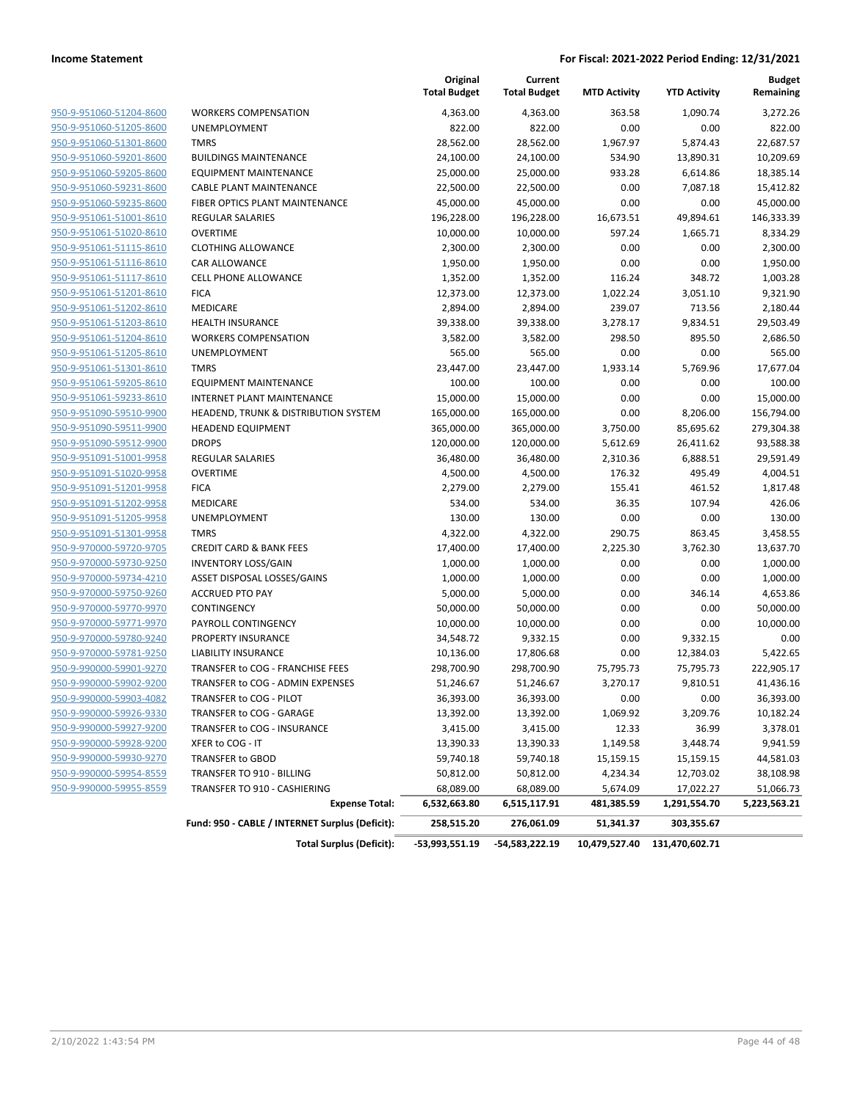|                                |                                                 | Original<br><b>Total Budget</b> | Current<br><b>Total Budget</b> | <b>MTD Activity</b> | <b>YTD Activity</b> | <b>Budget</b><br>Remaining |
|--------------------------------|-------------------------------------------------|---------------------------------|--------------------------------|---------------------|---------------------|----------------------------|
| 950-9-951060-51204-8600        | <b>WORKERS COMPENSATION</b>                     | 4,363.00                        | 4,363.00                       | 363.58              | 1,090.74            | 3,272.26                   |
| 950-9-951060-51205-8600        | UNEMPLOYMENT                                    | 822.00                          | 822.00                         | 0.00                | 0.00                | 822.00                     |
| 950-9-951060-51301-8600        | <b>TMRS</b>                                     | 28,562.00                       | 28,562.00                      | 1,967.97            | 5,874.43            | 22,687.57                  |
| 950-9-951060-59201-8600        | <b>BUILDINGS MAINTENANCE</b>                    | 24,100.00                       | 24,100.00                      | 534.90              | 13,890.31           | 10,209.69                  |
| 950-9-951060-59205-8600        | <b>EQUIPMENT MAINTENANCE</b>                    | 25,000.00                       | 25,000.00                      | 933.28              | 6,614.86            | 18,385.14                  |
| 950-9-951060-59231-8600        | CABLE PLANT MAINTENANCE                         | 22,500.00                       | 22,500.00                      | 0.00                | 7,087.18            | 15,412.82                  |
| 950-9-951060-59235-8600        | FIBER OPTICS PLANT MAINTENANCE                  | 45,000.00                       | 45,000.00                      | 0.00                | 0.00                | 45,000.00                  |
| 950-9-951061-51001-8610        | <b>REGULAR SALARIES</b>                         | 196,228.00                      | 196,228.00                     | 16,673.51           | 49,894.61           | 146,333.39                 |
| 950-9-951061-51020-8610        | <b>OVERTIME</b>                                 | 10,000.00                       | 10,000.00                      | 597.24              | 1,665.71            | 8,334.29                   |
| 950-9-951061-51115-8610        | <b>CLOTHING ALLOWANCE</b>                       | 2,300.00                        | 2,300.00                       | 0.00                | 0.00                | 2,300.00                   |
| 950-9-951061-51116-8610        | CAR ALLOWANCE                                   | 1,950.00                        | 1,950.00                       | 0.00                | 0.00                | 1,950.00                   |
| 950-9-951061-51117-8610        | CELL PHONE ALLOWANCE                            | 1,352.00                        | 1,352.00                       | 116.24              | 348.72              | 1,003.28                   |
| 950-9-951061-51201-8610        | <b>FICA</b>                                     | 12,373.00                       | 12,373.00                      | 1,022.24            | 3,051.10            | 9,321.90                   |
| 950-9-951061-51202-8610        | MEDICARE                                        | 2,894.00                        | 2,894.00                       | 239.07              | 713.56              | 2,180.44                   |
| 950-9-951061-51203-8610        | <b>HEALTH INSURANCE</b>                         | 39,338.00                       | 39,338.00                      | 3,278.17            | 9,834.51            | 29,503.49                  |
| 950-9-951061-51204-8610        | <b>WORKERS COMPENSATION</b>                     | 3,582.00                        | 3,582.00                       | 298.50              | 895.50              | 2,686.50                   |
| 950-9-951061-51205-8610        | <b>UNEMPLOYMENT</b>                             | 565.00                          | 565.00                         | 0.00                | 0.00                | 565.00                     |
| 950-9-951061-51301-8610        | <b>TMRS</b>                                     | 23,447.00                       | 23,447.00                      | 1,933.14            | 5,769.96            | 17,677.04                  |
| 950-9-951061-59205-8610        | <b>EQUIPMENT MAINTENANCE</b>                    | 100.00                          | 100.00                         | 0.00                | 0.00                | 100.00                     |
| 950-9-951061-59233-8610        | INTERNET PLANT MAINTENANCE                      | 15,000.00                       | 15,000.00                      | 0.00                | 0.00                | 15,000.00                  |
| 950-9-951090-59510-9900        | HEADEND, TRUNK & DISTRIBUTION SYSTEM            | 165,000.00                      | 165,000.00                     | 0.00                | 8,206.00            | 156,794.00                 |
| 950-9-951090-59511-9900        | <b>HEADEND EQUIPMENT</b>                        | 365,000.00                      | 365,000.00                     | 3,750.00            | 85,695.62           | 279,304.38                 |
| 950-9-951090-59512-9900        | <b>DROPS</b>                                    | 120,000.00                      | 120,000.00                     | 5,612.69            | 26,411.62           | 93,588.38                  |
| 950-9-951091-51001-9958        | <b>REGULAR SALARIES</b>                         | 36,480.00                       | 36,480.00                      | 2,310.36            | 6,888.51            | 29,591.49                  |
| 950-9-951091-51020-9958        | <b>OVERTIME</b>                                 | 4,500.00                        | 4,500.00                       | 176.32              | 495.49              | 4,004.51                   |
| 950-9-951091-51201-9958        | <b>FICA</b>                                     | 2,279.00                        | 2,279.00                       | 155.41              | 461.52              | 1,817.48                   |
| 950-9-951091-51202-9958        | MEDICARE                                        | 534.00                          | 534.00                         | 36.35               | 107.94              | 426.06                     |
| 950-9-951091-51205-9958        | UNEMPLOYMENT                                    | 130.00                          | 130.00                         | 0.00                | 0.00                | 130.00                     |
| 950-9-951091-51301-9958        | <b>TMRS</b>                                     | 4,322.00                        | 4,322.00                       | 290.75              | 863.45              | 3,458.55                   |
| 950-9-970000-59720-9705        | <b>CREDIT CARD &amp; BANK FEES</b>              | 17,400.00                       | 17,400.00                      | 2,225.30            | 3,762.30            | 13,637.70                  |
| 950-9-970000-59730-9250        | <b>INVENTORY LOSS/GAIN</b>                      | 1,000.00                        | 1,000.00                       | 0.00                | 0.00                | 1,000.00                   |
| 950-9-970000-59734-4210        | ASSET DISPOSAL LOSSES/GAINS                     | 1,000.00                        | 1,000.00                       | 0.00                | 0.00                | 1,000.00                   |
| 950-9-970000-59750-9260        | <b>ACCRUED PTO PAY</b>                          | 5,000.00                        | 5,000.00                       | 0.00                | 346.14              | 4,653.86                   |
| 950-9-970000-59770-9970        | CONTINGENCY                                     | 50,000.00                       | 50,000.00                      | 0.00                | 0.00                | 50,000.00                  |
| 950-9-970000-59771-9970        | PAYROLL CONTINGENCY                             | 10,000.00                       | 10,000.00                      | 0.00                | 0.00                | 10,000.00                  |
| 950-9-970000-59780-9240        | PROPERTY INSURANCE                              | 34,548.72                       | 9,332.15                       | 0.00                | 9,332.15            | 0.00                       |
| 950-9-970000-59781-9250        | <b>LIABILITY INSURANCE</b>                      | 10,136.00                       | 17,806.68                      | 0.00                | 12,384.03           | 5,422.65                   |
| 950-9-990000-59901-9270        | TRANSFER to COG - FRANCHISE FEES                | 298,700.90                      | 298,700.90                     | 75,795.73           | 75,795.73           | 222,905.17                 |
| 950-9-990000-59902-9200        | TRANSFER to COG - ADMIN EXPENSES                | 51,246.67                       | 51,246.67                      | 3,270.17            | 9,810.51            | 41,436.16                  |
| 950-9-990000-59903-4082        | TRANSFER to COG - PILOT                         | 36,393.00                       | 36,393.00                      | 0.00                | 0.00                | 36,393.00                  |
| 950-9-990000-59926-9330        | TRANSFER to COG - GARAGE                        | 13,392.00                       | 13,392.00                      | 1,069.92            | 3,209.76            | 10,182.24                  |
| 950-9-990000-59927-9200        | TRANSFER to COG - INSURANCE                     | 3,415.00                        | 3,415.00                       | 12.33               | 36.99               | 3,378.01                   |
| 950-9-990000-59928-9200        | XFER to COG - IT                                | 13,390.33                       | 13,390.33                      | 1,149.58            | 3,448.74            | 9,941.59                   |
| 950-9-990000-59930-9270        | TRANSFER to GBOD                                | 59,740.18                       | 59,740.18                      | 15,159.15           | 15,159.15           | 44,581.03                  |
| <u>950-9-990000-59954-8559</u> | TRANSFER TO 910 - BILLING                       | 50,812.00                       | 50,812.00                      | 4,234.34            | 12,703.02           | 38,108.98                  |
| 950-9-990000-59955-8559        | TRANSFER TO 910 - CASHIERING                    | 68,089.00                       | 68,089.00                      | 5,674.09            | 17,022.27           | 51,066.73                  |
|                                | <b>Expense Total:</b>                           | 6,532,663.80                    | 6,515,117.91                   | 481,385.59          | 1,291,554.70        | 5,223,563.21               |
|                                | Fund: 950 - CABLE / INTERNET Surplus (Deficit): | 258,515.20                      | 276,061.09                     | 51,341.37           | 303,355.67          |                            |
|                                | <b>Total Surplus (Deficit):</b>                 | -53,993,551.19                  | -54,583,222.19                 | 10,479,527.40       | 131,470,602.71      |                            |
|                                |                                                 |                                 |                                |                     |                     |                            |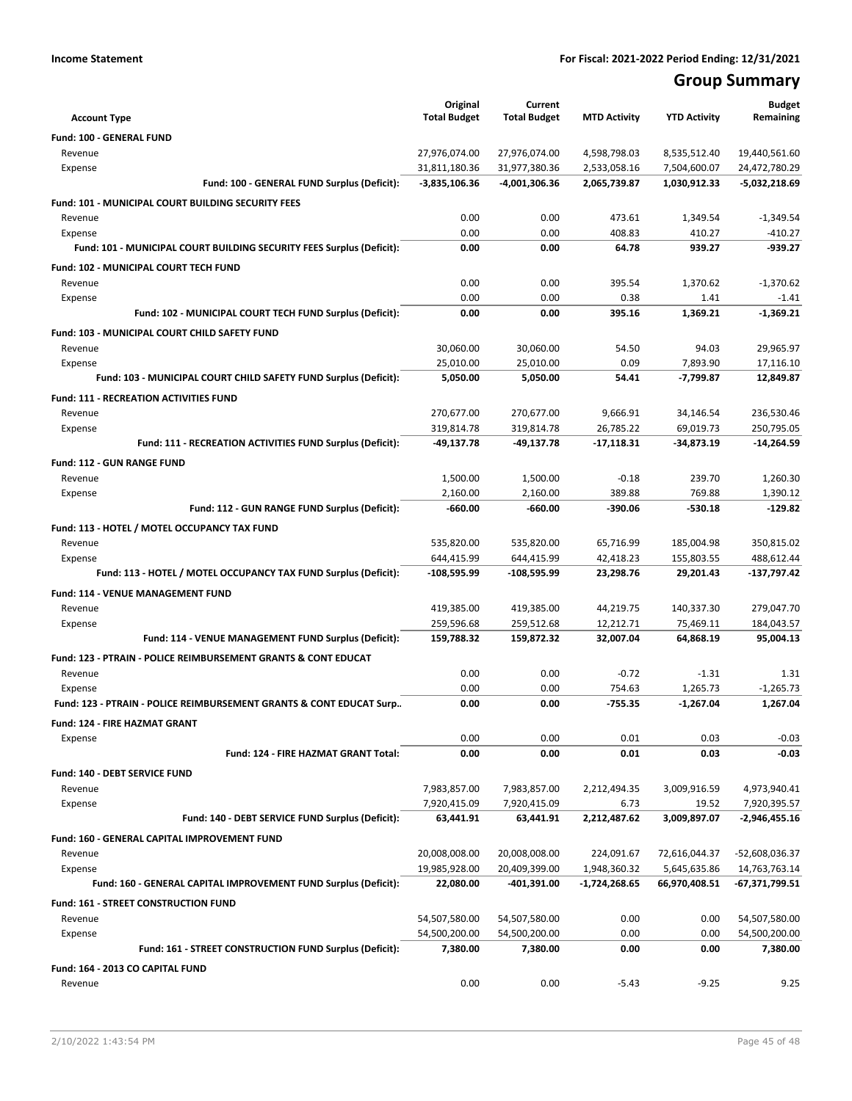## **Group Summary**

|                                                                                | Original<br><b>Total Budget</b> | Current<br><b>Total Budget</b> | <b>MTD Activity</b>          | <b>YTD Activity</b>          | <b>Budget</b><br>Remaining     |
|--------------------------------------------------------------------------------|---------------------------------|--------------------------------|------------------------------|------------------------------|--------------------------------|
| <b>Account Type</b>                                                            |                                 |                                |                              |                              |                                |
| Fund: 100 - GENERAL FUND                                                       |                                 |                                |                              |                              |                                |
| Revenue<br>Expense                                                             | 27,976,074.00<br>31,811,180.36  | 27,976,074.00<br>31,977,380.36 | 4,598,798.03<br>2,533,058.16 | 8,535,512.40<br>7,504,600.07 | 19,440,561.60<br>24,472,780.29 |
| Fund: 100 - GENERAL FUND Surplus (Deficit):                                    | -3,835,106.36                   | -4,001,306.36                  | 2,065,739.87                 | 1,030,912.33                 | -5,032,218.69                  |
| Fund: 101 - MUNICIPAL COURT BUILDING SECURITY FEES                             |                                 |                                |                              |                              |                                |
| Revenue                                                                        | 0.00                            | 0.00                           | 473.61                       | 1,349.54                     | $-1,349.54$                    |
| Expense                                                                        | 0.00                            | 0.00                           | 408.83                       | 410.27                       | $-410.27$                      |
| Fund: 101 - MUNICIPAL COURT BUILDING SECURITY FEES Surplus (Deficit):          | 0.00                            | 0.00                           | 64.78                        | 939.27                       | $-939.27$                      |
| Fund: 102 - MUNICIPAL COURT TECH FUND                                          |                                 |                                |                              |                              |                                |
| Revenue                                                                        | 0.00                            | 0.00                           | 395.54                       | 1,370.62                     | $-1,370.62$                    |
| Expense                                                                        | 0.00                            | 0.00                           | 0.38                         | 1.41                         | $-1.41$                        |
| Fund: 102 - MUNICIPAL COURT TECH FUND Surplus (Deficit):                       | 0.00                            | 0.00                           | 395.16                       | 1,369.21                     | $-1,369.21$                    |
| Fund: 103 - MUNICIPAL COURT CHILD SAFETY FUND                                  |                                 |                                |                              |                              |                                |
| Revenue                                                                        | 30,060.00                       | 30,060.00                      | 54.50                        | 94.03                        | 29,965.97                      |
| Expense                                                                        | 25,010.00                       | 25,010.00                      | 0.09                         | 7,893.90                     | 17,116.10                      |
| Fund: 103 - MUNICIPAL COURT CHILD SAFETY FUND Surplus (Deficit):               | 5,050.00                        | 5,050.00                       | 54.41                        | -7,799.87                    | 12,849.87                      |
| <b>Fund: 111 - RECREATION ACTIVITIES FUND</b>                                  |                                 |                                |                              |                              |                                |
| Revenue                                                                        | 270,677.00                      | 270,677.00                     | 9,666.91                     | 34,146.54                    | 236,530.46                     |
| Expense                                                                        | 319,814.78                      | 319,814.78                     | 26,785.22                    | 69,019.73                    | 250,795.05                     |
| Fund: 111 - RECREATION ACTIVITIES FUND Surplus (Deficit):                      | -49,137.78                      | -49,137.78                     | $-17,118.31$                 | -34,873.19                   | $-14,264.59$                   |
| <b>Fund: 112 - GUN RANGE FUND</b>                                              |                                 |                                |                              |                              |                                |
| Revenue                                                                        | 1,500.00                        | 1,500.00                       | $-0.18$                      | 239.70                       | 1,260.30                       |
| Expense                                                                        | 2,160.00                        | 2,160.00                       | 389.88                       | 769.88                       | 1,390.12                       |
| Fund: 112 - GUN RANGE FUND Surplus (Deficit):                                  | $-660.00$                       | -660.00                        | $-390.06$                    | $-530.18$                    | $-129.82$                      |
| Fund: 113 - HOTEL / MOTEL OCCUPANCY TAX FUND                                   |                                 |                                |                              |                              |                                |
| Revenue                                                                        | 535,820.00                      | 535,820.00                     | 65,716.99                    | 185,004.98                   | 350,815.02                     |
| Expense                                                                        | 644,415.99                      | 644,415.99                     | 42,418.23                    | 155,803.55                   | 488,612.44                     |
| Fund: 113 - HOTEL / MOTEL OCCUPANCY TAX FUND Surplus (Deficit):                | -108,595.99                     | -108,595.99                    | 23,298.76                    | 29,201.43                    | -137,797.42                    |
| Fund: 114 - VENUE MANAGEMENT FUND                                              |                                 |                                |                              |                              |                                |
| Revenue                                                                        | 419,385.00                      | 419,385.00                     | 44,219.75                    | 140,337.30                   | 279,047.70                     |
| Expense                                                                        | 259,596.68                      | 259,512.68                     | 12,212.71                    | 75,469.11                    | 184,043.57                     |
| Fund: 114 - VENUE MANAGEMENT FUND Surplus (Deficit):                           | 159,788.32                      | 159,872.32                     | 32,007.04                    | 64,868.19                    | 95,004.13                      |
| <b>Fund: 123 - PTRAIN - POLICE REIMBURSEMENT GRANTS &amp; CONT EDUCAT</b>      |                                 |                                |                              |                              |                                |
| Revenue                                                                        | 0.00                            | 0.00                           | $-0.72$                      | $-1.31$                      | 1.31                           |
| Expense<br>Fund: 123 - PTRAIN - POLICE REIMBURSEMENT GRANTS & CONT EDUCAT Surp | 0.00<br>0.00                    | 0.00<br>0.00                   | 754.63<br>$-755.35$          | 1,265.73<br>$-1,267.04$      | $-1,265.73$<br>1,267.04        |
|                                                                                |                                 |                                |                              |                              |                                |
| Fund: 124 - FIRE HAZMAT GRANT                                                  |                                 |                                |                              |                              |                                |
| Expense<br>Fund: 124 - FIRE HAZMAT GRANT Total:                                | 0.00<br>0.00                    | 0.00<br>0.00                   | 0.01<br>0.01                 | 0.03<br>0.03                 | $-0.03$<br>$-0.03$             |
|                                                                                |                                 |                                |                              |                              |                                |
| Fund: 140 - DEBT SERVICE FUND                                                  |                                 |                                |                              |                              |                                |
| Revenue<br>Expense                                                             | 7,983,857.00<br>7,920,415.09    | 7,983,857.00<br>7,920,415.09   | 2,212,494.35<br>6.73         | 3,009,916.59<br>19.52        | 4,973,940.41<br>7,920,395.57   |
| Fund: 140 - DEBT SERVICE FUND Surplus (Deficit):                               | 63,441.91                       | 63,441.91                      | 2,212,487.62                 | 3,009,897.07                 | -2,946,455.16                  |
| Fund: 160 - GENERAL CAPITAL IMPROVEMENT FUND                                   |                                 |                                |                              |                              |                                |
| Revenue                                                                        | 20,008,008.00                   | 20,008,008.00                  | 224,091.67                   | 72,616,044.37                | -52,608,036.37                 |
| Expense                                                                        | 19,985,928.00                   | 20,409,399.00                  | 1,948,360.32                 | 5,645,635.86                 | 14,763,763.14                  |
| Fund: 160 - GENERAL CAPITAL IMPROVEMENT FUND Surplus (Deficit):                | 22,080.00                       | -401,391.00                    | -1,724,268.65                | 66,970,408.51                | -67,371,799.51                 |
| Fund: 161 - STREET CONSTRUCTION FUND                                           |                                 |                                |                              |                              |                                |
| Revenue                                                                        | 54,507,580.00                   | 54,507,580.00                  | 0.00                         | 0.00                         | 54,507,580.00                  |
| Expense                                                                        | 54,500,200.00                   | 54,500,200.00                  | 0.00                         | 0.00                         | 54,500,200.00                  |
| Fund: 161 - STREET CONSTRUCTION FUND Surplus (Deficit):                        | 7,380.00                        | 7,380.00                       | 0.00                         | 0.00                         | 7,380.00                       |
| Fund: 164 - 2013 CO CAPITAL FUND                                               |                                 |                                |                              |                              |                                |
| Revenue                                                                        | 0.00                            | 0.00                           | $-5.43$                      | $-9.25$                      | 9.25                           |
|                                                                                |                                 |                                |                              |                              |                                |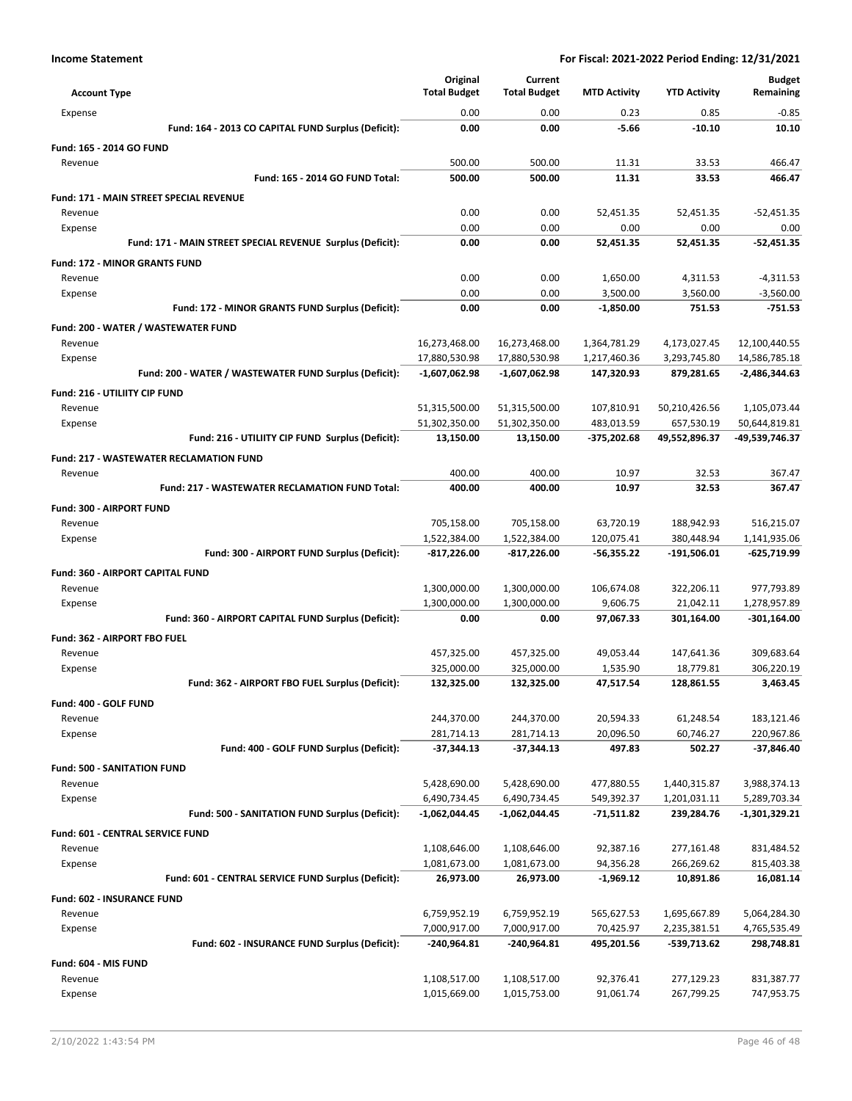|                                                            | Original                 | Current                  |                       |                         | <b>Budget</b>              |
|------------------------------------------------------------|--------------------------|--------------------------|-----------------------|-------------------------|----------------------------|
| <b>Account Type</b>                                        | <b>Total Budget</b>      | <b>Total Budget</b>      | <b>MTD Activity</b>   | <b>YTD Activity</b>     | Remaining                  |
| Expense                                                    | 0.00                     | 0.00                     | 0.23                  | 0.85                    | $-0.85$                    |
| Fund: 164 - 2013 CO CAPITAL FUND Surplus (Deficit):        | 0.00                     | 0.00                     | $-5.66$               | $-10.10$                | 10.10                      |
| Fund: 165 - 2014 GO FUND                                   |                          |                          |                       |                         |                            |
| Revenue                                                    | 500.00                   | 500.00                   | 11.31                 | 33.53                   | 466.47                     |
| Fund: 165 - 2014 GO FUND Total:                            | 500.00                   | 500.00                   | 11.31                 | 33.53                   | 466.47                     |
| <b>Fund: 171 - MAIN STREET SPECIAL REVENUE</b>             |                          |                          |                       |                         |                            |
| Revenue                                                    | 0.00                     | 0.00                     | 52,451.35             | 52,451.35               | $-52,451.35$               |
| Expense                                                    | 0.00                     | 0.00                     | 0.00                  | 0.00                    | 0.00                       |
| Fund: 171 - MAIN STREET SPECIAL REVENUE Surplus (Deficit): | 0.00                     | 0.00                     | 52,451.35             | 52,451.35               | $-52.451.35$               |
| <b>Fund: 172 - MINOR GRANTS FUND</b>                       |                          |                          |                       |                         |                            |
| Revenue<br>Expense                                         | 0.00<br>0.00             | 0.00<br>0.00             | 1,650.00<br>3,500.00  | 4,311.53<br>3,560.00    | $-4,311.53$<br>$-3,560.00$ |
| Fund: 172 - MINOR GRANTS FUND Surplus (Deficit):           | 0.00                     | 0.00                     | $-1,850.00$           | 751.53                  | $-751.53$                  |
|                                                            |                          |                          |                       |                         |                            |
| Fund: 200 - WATER / WASTEWATER FUND<br>Revenue             | 16,273,468.00            | 16,273,468.00            | 1,364,781.29          | 4,173,027.45            | 12,100,440.55              |
| Expense                                                    | 17,880,530.98            | 17,880,530.98            | 1,217,460.36          | 3,293,745.80            | 14,586,785.18              |
| Fund: 200 - WATER / WASTEWATER FUND Surplus (Deficit):     | $-1,607,062.98$          | -1,607,062.98            | 147,320.93            | 879,281.65              | -2,486,344.63              |
| Fund: 216 - UTILIITY CIP FUND                              |                          |                          |                       |                         |                            |
| Revenue                                                    | 51,315,500.00            | 51,315,500.00            | 107,810.91            | 50,210,426.56           | 1,105,073.44               |
| Expense                                                    | 51,302,350.00            | 51,302,350.00            | 483,013.59            | 657,530.19              | 50,644,819.81              |
| Fund: 216 - UTILIITY CIP FUND Surplus (Deficit):           | 13,150.00                | 13,150.00                | -375,202.68           | 49,552,896.37           | -49,539,746.37             |
| <b>Fund: 217 - WASTEWATER RECLAMATION FUND</b>             |                          |                          |                       |                         |                            |
| Revenue                                                    | 400.00                   | 400.00                   | 10.97                 | 32.53                   | 367.47                     |
| <b>Fund: 217 - WASTEWATER RECLAMATION FUND Total:</b>      | 400.00                   | 400.00                   | 10.97                 | 32.53                   | 367.47                     |
| Fund: 300 - AIRPORT FUND                                   |                          |                          |                       |                         |                            |
| Revenue                                                    | 705,158.00               | 705,158.00               | 63,720.19             | 188,942.93              | 516,215.07                 |
| Expense                                                    | 1,522,384.00             | 1,522,384.00             | 120,075.41            | 380,448.94              | 1,141,935.06               |
| Fund: 300 - AIRPORT FUND Surplus (Deficit):                | $-817,226.00$            | -817,226.00              | $-56,355.22$          | -191,506.01             | $-625,719.99$              |
| <b>Fund: 360 - AIRPORT CAPITAL FUND</b>                    |                          |                          |                       |                         |                            |
| Revenue                                                    | 1,300,000.00             | 1,300,000.00             | 106,674.08            | 322,206.11              | 977,793.89                 |
| Expense                                                    | 1,300,000.00             | 1,300,000.00             | 9,606.75              | 21,042.11               | 1,278,957.89               |
| Fund: 360 - AIRPORT CAPITAL FUND Surplus (Deficit):        | 0.00                     | 0.00                     | 97,067.33             | 301,164.00              | $-301,164.00$              |
| Fund: 362 - AIRPORT FBO FUEL                               |                          |                          |                       |                         |                            |
| Revenue                                                    | 457,325.00               | 457,325.00               | 49,053.44             | 147,641.36              | 309,683.64                 |
| Expense<br>Fund: 362 - AIRPORT FBO FUEL Surplus (Deficit): | 325,000.00<br>132,325.00 | 325,000.00<br>132,325.00 | 1,535.90<br>47,517.54 | 18,779.81<br>128,861.55 | 306,220.19<br>3,463.45     |
|                                                            |                          |                          |                       |                         |                            |
| Fund: 400 - GOLF FUND<br>Revenue                           | 244,370.00               | 244,370.00               | 20,594.33             | 61,248.54               | 183,121.46                 |
| Expense                                                    | 281,714.13               | 281,714.13               | 20,096.50             | 60,746.27               | 220,967.86                 |
| Fund: 400 - GOLF FUND Surplus (Deficit):                   | $-37,344.13$             | -37,344.13               | 497.83                | 502.27                  | $-37,846.40$               |
| <b>Fund: 500 - SANITATION FUND</b>                         |                          |                          |                       |                         |                            |
| Revenue                                                    | 5,428,690.00             | 5,428,690.00             | 477,880.55            | 1,440,315.87            | 3,988,374.13               |
| Expense                                                    | 6,490,734.45             | 6,490,734.45             | 549,392.37            | 1,201,031.11            | 5,289,703.34               |
| Fund: 500 - SANITATION FUND Surplus (Deficit):             | -1,062,044.45            | -1,062,044.45            | -71,511.82            | 239,284.76              | -1,301,329.21              |
| Fund: 601 - CENTRAL SERVICE FUND                           |                          |                          |                       |                         |                            |
| Revenue                                                    | 1,108,646.00             | 1,108,646.00             | 92,387.16             | 277,161.48              | 831,484.52                 |
| Expense                                                    | 1,081,673.00             | 1,081,673.00             | 94,356.28             | 266,269.62              | 815,403.38                 |
| Fund: 601 - CENTRAL SERVICE FUND Surplus (Deficit):        | 26,973.00                | 26,973.00                | $-1,969.12$           | 10,891.86               | 16,081.14                  |
| Fund: 602 - INSURANCE FUND                                 |                          |                          |                       |                         |                            |
| Revenue                                                    | 6,759,952.19             | 6,759,952.19             | 565,627.53            | 1,695,667.89            | 5,064,284.30               |
| Expense                                                    | 7,000,917.00             | 7,000,917.00             | 70,425.97             | 2,235,381.51            | 4,765,535.49               |
| Fund: 602 - INSURANCE FUND Surplus (Deficit):              | -240,964.81              | -240,964.81              | 495,201.56            | -539,713.62             | 298,748.81                 |
| Fund: 604 - MIS FUND                                       |                          |                          |                       |                         |                            |
| Revenue                                                    | 1,108,517.00             | 1,108,517.00             | 92,376.41             | 277,129.23              | 831,387.77                 |
| Expense                                                    | 1,015,669.00             | 1,015,753.00             | 91,061.74             | 267,799.25              | 747,953.75                 |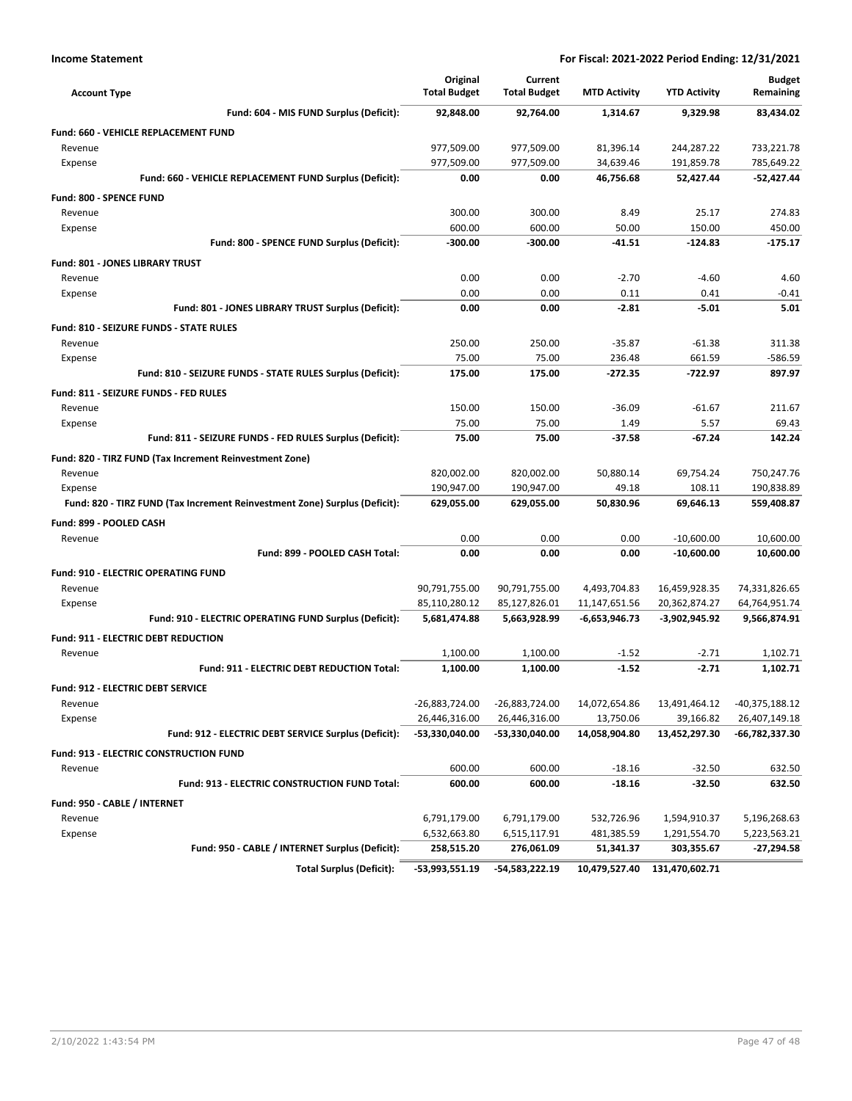| <b>Account Type</b>                                                        | Original<br><b>Total Budget</b> | Current<br><b>Total Budget</b> | <b>MTD Activity</b> | <b>YTD Activity</b>            | <b>Budget</b><br>Remaining    |
|----------------------------------------------------------------------------|---------------------------------|--------------------------------|---------------------|--------------------------------|-------------------------------|
| Fund: 604 - MIS FUND Surplus (Deficit):                                    | 92,848.00                       | 92,764.00                      | 1,314.67            | 9,329.98                       | 83,434.02                     |
| <b>Fund: 660 - VEHICLE REPLACEMENT FUND</b>                                |                                 |                                |                     |                                |                               |
| Revenue                                                                    | 977,509.00                      | 977,509.00                     | 81,396.14           | 244,287.22                     | 733,221.78                    |
| Expense                                                                    | 977,509.00                      | 977,509.00                     | 34,639.46           | 191,859.78                     | 785,649.22                    |
| Fund: 660 - VEHICLE REPLACEMENT FUND Surplus (Deficit):                    | 0.00                            | 0.00                           | 46,756.68           | 52,427.44                      | $-52,427.44$                  |
| <b>Fund: 800 - SPENCE FUND</b>                                             |                                 |                                |                     |                                |                               |
| Revenue                                                                    | 300.00                          | 300.00                         | 8.49                | 25.17                          | 274.83                        |
| Expense                                                                    | 600.00                          | 600.00                         | 50.00               | 150.00                         | 450.00                        |
| Fund: 800 - SPENCE FUND Surplus (Deficit):                                 | $-300.00$                       | $-300.00$                      | $-41.51$            | $-124.83$                      | $-175.17$                     |
| <b>Fund: 801 - JONES LIBRARY TRUST</b>                                     |                                 |                                |                     |                                |                               |
| Revenue                                                                    | 0.00                            | 0.00                           | $-2.70$             | $-4.60$                        | 4.60                          |
| Expense                                                                    | 0.00                            | 0.00                           | 0.11                | 0.41                           | $-0.41$                       |
| Fund: 801 - JONES LIBRARY TRUST Surplus (Deficit):                         | 0.00                            | 0.00                           | $-2.81$             | $-5.01$                        | 5.01                          |
| Fund: 810 - SEIZURE FUNDS - STATE RULES                                    |                                 |                                |                     |                                |                               |
| Revenue                                                                    | 250.00                          | 250.00                         | $-35.87$            | $-61.38$                       | 311.38                        |
| Expense                                                                    | 75.00                           | 75.00                          | 236.48              | 661.59                         | -586.59                       |
| Fund: 810 - SEIZURE FUNDS - STATE RULES Surplus (Deficit):                 | 175.00                          | 175.00                         | -272.35             | $-722.97$                      | 897.97                        |
| Fund: 811 - SEIZURE FUNDS - FED RULES                                      |                                 |                                |                     |                                |                               |
| Revenue                                                                    | 150.00                          | 150.00                         | $-36.09$            | $-61.67$                       | 211.67                        |
| Expense                                                                    | 75.00                           | 75.00                          | 1.49                | 5.57                           | 69.43                         |
| Fund: 811 - SEIZURE FUNDS - FED RULES Surplus (Deficit):                   | 75.00                           | 75.00                          | $-37.58$            | $-67.24$                       | 142.24                        |
|                                                                            |                                 |                                |                     |                                |                               |
| Fund: 820 - TIRZ FUND (Tax Increment Reinvestment Zone)<br>Revenue         | 820,002.00                      | 820,002.00                     | 50,880.14           | 69,754.24                      | 750,247.76                    |
| Expense                                                                    | 190,947.00                      | 190,947.00                     | 49.18               | 108.11                         | 190,838.89                    |
| Fund: 820 - TIRZ FUND (Tax Increment Reinvestment Zone) Surplus (Deficit): | 629,055.00                      | 629,055.00                     | 50,830.96           | 69,646.13                      | 559,408.87                    |
|                                                                            |                                 |                                |                     |                                |                               |
| Fund: 899 - POOLED CASH                                                    | 0.00                            | 0.00                           | 0.00                | $-10,600.00$                   | 10,600.00                     |
| Revenue<br>Fund: 899 - POOLED CASH Total:                                  | 0.00                            | 0.00                           | 0.00                | $-10,600.00$                   | 10,600.00                     |
|                                                                            |                                 |                                |                     |                                |                               |
| <b>Fund: 910 - ELECTRIC OPERATING FUND</b>                                 |                                 |                                |                     |                                |                               |
| Revenue                                                                    | 90,791,755.00                   | 90,791,755.00                  | 4,493,704.83        | 16,459,928.35                  | 74,331,826.65                 |
| Expense<br>Fund: 910 - ELECTRIC OPERATING FUND Surplus (Deficit):          | 85,110,280.12<br>5,681,474.88   | 85,127,826.01                  | 11,147,651.56       | 20,362,874.27<br>-3,902,945.92 | 64,764,951.74<br>9,566,874.91 |
|                                                                            |                                 | 5,663,928.99                   | -6,653,946.73       |                                |                               |
| Fund: 911 - ELECTRIC DEBT REDUCTION                                        |                                 |                                |                     |                                |                               |
| Revenue                                                                    | 1,100.00                        | 1,100.00                       | $-1.52$             | $-2.71$                        | 1,102.71                      |
| Fund: 911 - ELECTRIC DEBT REDUCTION Total:                                 | 1.100.00                        | 1,100.00                       | $-1.52$             | $-2.71$                        | 1,102.71                      |
| Fund: 912 - ELECTRIC DEBT SERVICE                                          |                                 |                                |                     |                                |                               |
| Revenue                                                                    | -26,883,724.00                  | -26,883,724.00                 | 14,072,654.86       | 13,491,464.12                  | -40,375,188.12                |
| Expense                                                                    | 26,446,316.00                   | 26,446,316.00                  | 13,750.06           | 39,166.82                      | 26,407,149.18                 |
| Fund: 912 - ELECTRIC DEBT SERVICE Surplus (Deficit):                       | -53,330,040.00                  | -53,330,040.00                 | 14,058,904.80       | 13,452,297.30                  | -66,782,337.30                |
| <b>Fund: 913 - ELECTRIC CONSTRUCTION FUND</b>                              |                                 |                                |                     |                                |                               |
| Revenue                                                                    | 600.00                          | 600.00                         | $-18.16$            | $-32.50$                       | 632.50                        |
| Fund: 913 - ELECTRIC CONSTRUCTION FUND Total:                              | 600.00                          | 600.00                         | $-18.16$            | $-32.50$                       | 632.50                        |
| Fund: 950 - CABLE / INTERNET                                               |                                 |                                |                     |                                |                               |
| Revenue                                                                    | 6,791,179.00                    | 6,791,179.00                   | 532,726.96          | 1,594,910.37                   | 5,196,268.63                  |
| Expense                                                                    | 6,532,663.80                    | 6,515,117.91                   | 481,385.59          | 1,291,554.70                   | 5,223,563.21                  |
| Fund: 950 - CABLE / INTERNET Surplus (Deficit):                            | 258,515.20                      | 276,061.09                     | 51,341.37           | 303,355.67                     | -27,294.58                    |
| <b>Total Surplus (Deficit):</b>                                            | $-53,993,551.19$                | -54,583,222.19                 | 10,479,527.40       | 131,470,602.71                 |                               |